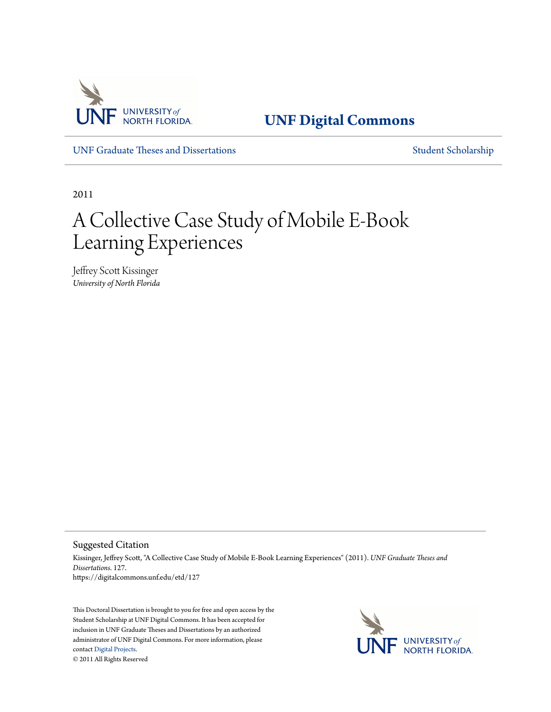

**[UNF Digital Commons](https://digitalcommons.unf.edu)**

[UNF Graduate Theses and Dissertations](https://digitalcommons.unf.edu/etd) [Student Scholarship](https://digitalcommons.unf.edu/student_scholars)

2011

# A Collective Case Study of Mobile E-Book Learning Experiences

Jeffrey Scott Kissinger *University of North Florida*

Suggested Citation

Kissinger, Jeffrey Scott, "A Collective Case Study of Mobile E-Book Learning Experiences" (2011). *UNF Graduate Theses and Dissertations*. 127. https://digitalcommons.unf.edu/etd/127

This Doctoral Dissertation is brought to you for free and open access by the Student Scholarship at UNF Digital Commons. It has been accepted for inclusion in UNF Graduate Theses and Dissertations by an authorized administrator of UNF Digital Commons. For more information, please contact [Digital Projects.](mailto:lib-digital@unf.edu) © 2011 All Rights Reserved

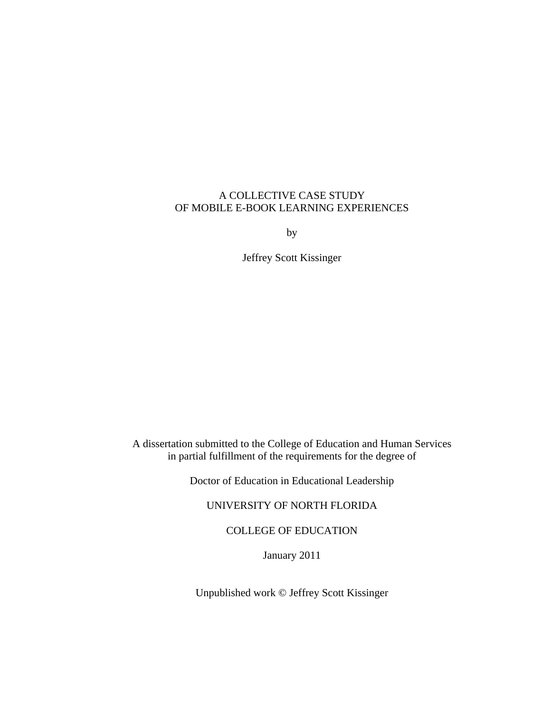# A COLLECTIVE CASE STUDY OF MOBILE E-BOOK LEARNING EXPERIENCES

by

Jeffrey Scott Kissinger

A dissertation submitted to the College of Education and Human Services in partial fulfillment of the requirements for the degree of

Doctor of Education in Educational Leadership

# UNIVERSITY OF NORTH FLORIDA

COLLEGE OF EDUCATION

January 2011

Unpublished work © Jeffrey Scott Kissinger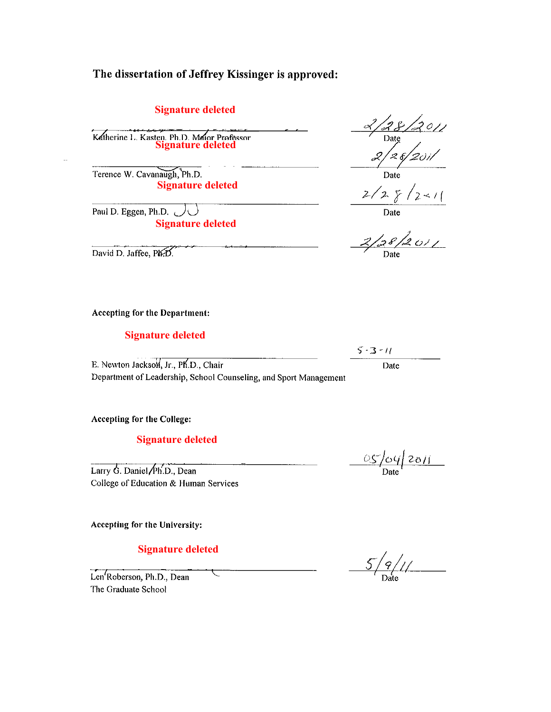# The dissertation of Jeffrey Kissinger is approved:

# **Signature deleted**

Katherine L. Kasten, Ph.D. Maior Professor<br>Signature deleted

Terence W. Cavanaugh, Ph.D. **Signature deleted**

Paul D. Eggen, Ph.D.  $\bigcup \bigcup$ **Signature deleted**

David D. Jaffee, PKD

#### Accepting for the Department:

## **Signature deleted**

E. Newton Jackson, Jr., Ph.D., Chair Department of Leadership, School Counseling, and Sport Management

Accepting for the College:

# **Signature deleted**

Larry G. Daniel/Ph.D., Dean College of Education & Human Services

Accepting for the University:

**Signature deleted**

Len'Roberson, Ph.D., Dean The Graduate School

 $\frac{1}{28}/201/$ <br>Date Date

 $\frac{2}{2}$   $\frac{2}{2}$   $\frac{2}{2}$   $\frac{2}{2}$ 

 $\frac{2}{2}$  8/2011

 $5 - 3 - 11$ 

Date

 $\frac{OS}{Date}$  2011

 $\frac{5}{2}/\frac{9}{2}/1/2$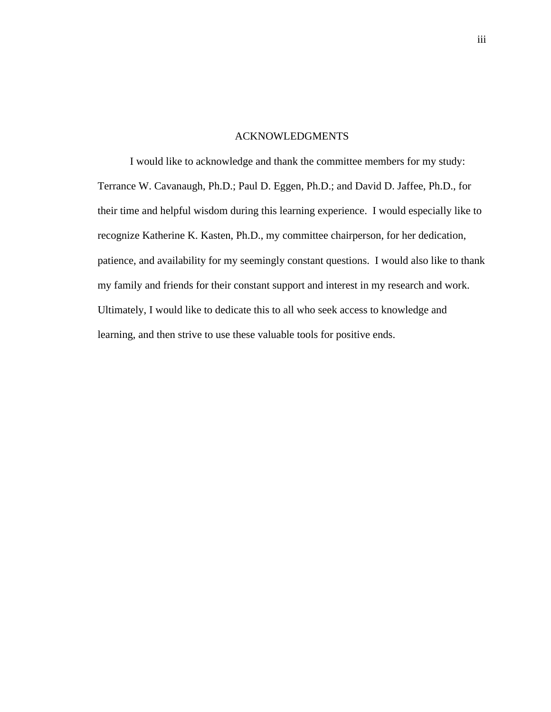## ACKNOWLEDGMENTS

I would like to acknowledge and thank the committee members for my study: Terrance W. Cavanaugh, Ph.D.; Paul D. Eggen, Ph.D.; and David D. Jaffee, Ph.D., for their time and helpful wisdom during this learning experience. I would especially like to recognize Katherine K. Kasten, Ph.D., my committee chairperson, for her dedication, patience, and availability for my seemingly constant questions. I would also like to thank my family and friends for their constant support and interest in my research and work. Ultimately, I would like to dedicate this to all who seek access to knowledge and learning, and then strive to use these valuable tools for positive ends.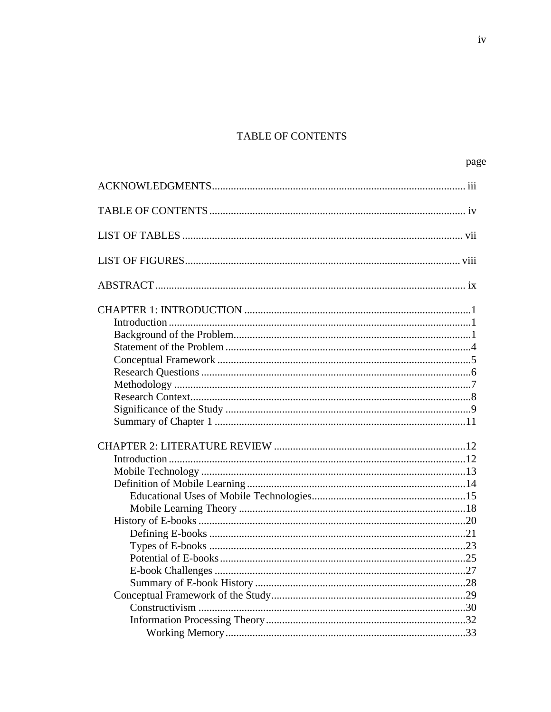# TABLE OF CONTENTS

| page |
|------|
|      |
|      |
|      |
|      |
|      |
|      |
|      |
|      |
|      |
|      |
|      |
|      |
|      |
|      |
|      |
|      |
|      |
|      |
|      |
|      |
|      |
|      |
|      |
|      |
| .25  |
|      |
|      |
|      |
|      |
|      |
|      |
|      |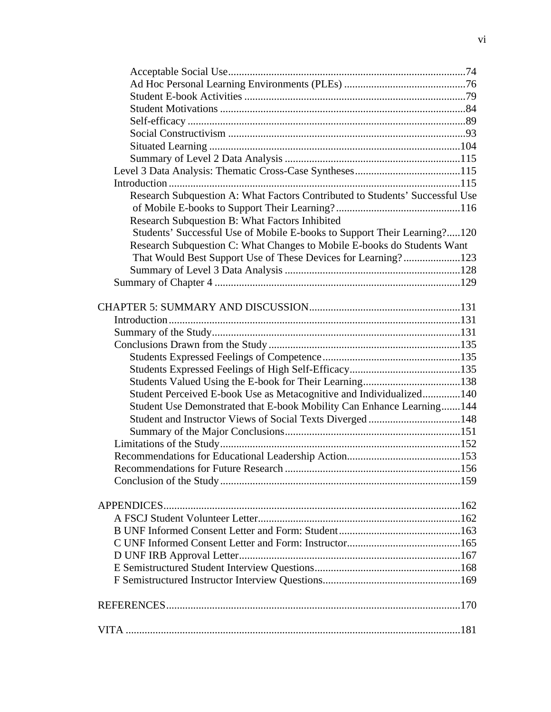| Research Subquestion A: What Factors Contributed to Students' Successful Use |  |
|------------------------------------------------------------------------------|--|
|                                                                              |  |
| Research Subquestion B: What Factors Inhibited                               |  |
| Students' Successful Use of Mobile E-books to Support Their Learning?120     |  |
| Research Subquestion C: What Changes to Mobile E-books do Students Want      |  |
| That Would Best Support Use of These Devices for Learning?123                |  |
|                                                                              |  |
|                                                                              |  |
|                                                                              |  |
|                                                                              |  |
|                                                                              |  |
|                                                                              |  |
|                                                                              |  |
|                                                                              |  |
|                                                                              |  |
|                                                                              |  |
| Student Perceived E-book Use as Metacognitive and Individualized140          |  |
| Student Use Demonstrated that E-book Mobility Can Enhance Learning144        |  |
| Student and Instructor Views of Social Texts Diverged148                     |  |
|                                                                              |  |
|                                                                              |  |
|                                                                              |  |
|                                                                              |  |
|                                                                              |  |
|                                                                              |  |
|                                                                              |  |
|                                                                              |  |
|                                                                              |  |
|                                                                              |  |
|                                                                              |  |
|                                                                              |  |
|                                                                              |  |
|                                                                              |  |
|                                                                              |  |
|                                                                              |  |
|                                                                              |  |
|                                                                              |  |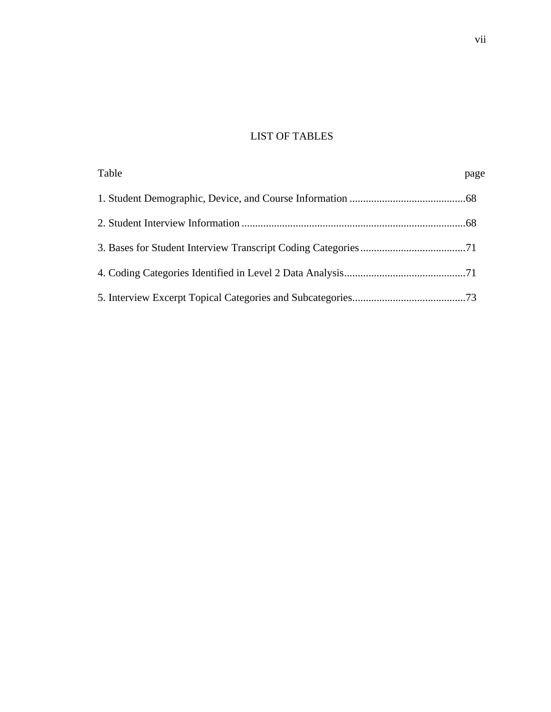# LIST OF TABLES

| Table | page |
|-------|------|
|       |      |
|       |      |
|       |      |
|       |      |
|       |      |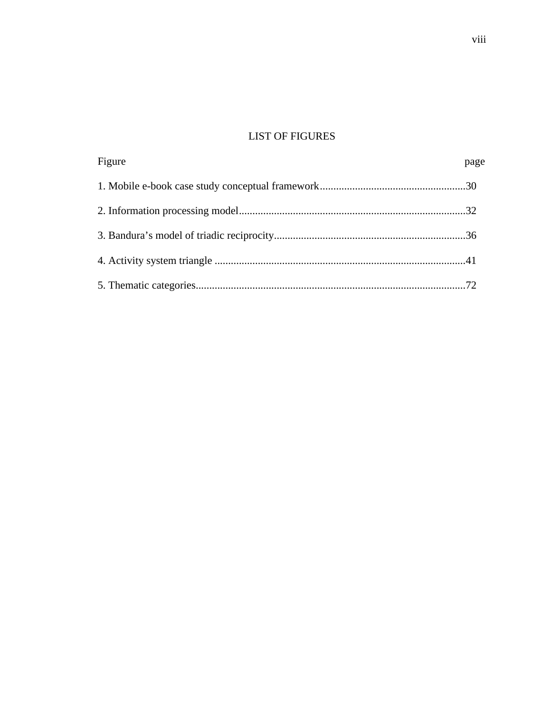# LIST OF FIGURES

| Figure | page |
|--------|------|
|        |      |
|        |      |
|        |      |
|        |      |
|        |      |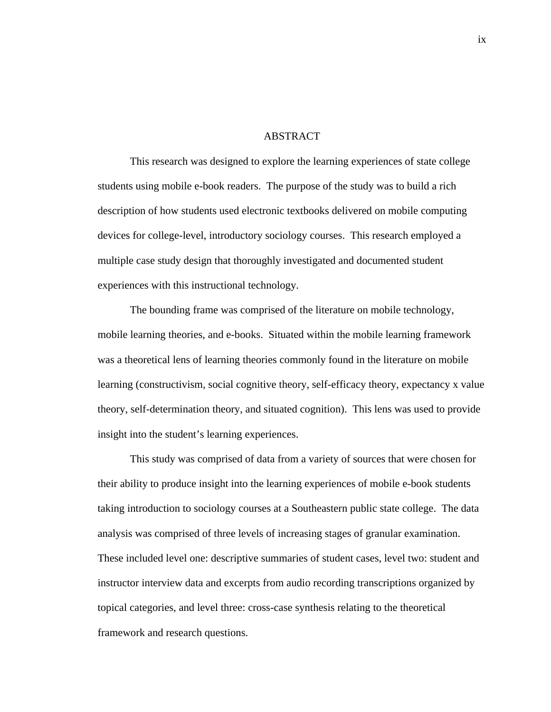#### ABSTRACT

This research was designed to explore the learning experiences of state college students using mobile e-book readers. The purpose of the study was to build a rich description of how students used electronic textbooks delivered on mobile computing devices for college-level, introductory sociology courses. This research employed a multiple case study design that thoroughly investigated and documented student experiences with this instructional technology.

The bounding frame was comprised of the literature on mobile technology, mobile learning theories, and e-books. Situated within the mobile learning framework was a theoretical lens of learning theories commonly found in the literature on mobile learning (constructivism, social cognitive theory, self-efficacy theory, expectancy x value theory, self-determination theory, and situated cognition). This lens was used to provide insight into the student's learning experiences.

This study was comprised of data from a variety of sources that were chosen for their ability to produce insight into the learning experiences of mobile e-book students taking introduction to sociology courses at a Southeastern public state college. The data analysis was comprised of three levels of increasing stages of granular examination. These included level one: descriptive summaries of student cases, level two: student and instructor interview data and excerpts from audio recording transcriptions organized by topical categories, and level three: cross-case synthesis relating to the theoretical framework and research questions.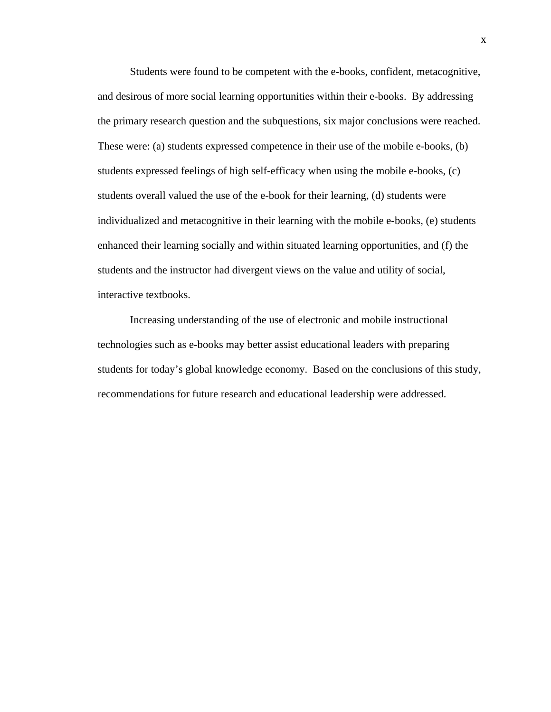Students were found to be competent with the e-books, confident, metacognitive, and desirous of more social learning opportunities within their e-books. By addressing the primary research question and the subquestions, six major conclusions were reached. These were: (a) students expressed competence in their use of the mobile e-books, (b) students expressed feelings of high self-efficacy when using the mobile e-books, (c) students overall valued the use of the e-book for their learning, (d) students were individualized and metacognitive in their learning with the mobile e-books, (e) students enhanced their learning socially and within situated learning opportunities, and (f) the students and the instructor had divergent views on the value and utility of social, interactive textbooks.

Increasing understanding of the use of electronic and mobile instructional technologies such as e-books may better assist educational leaders with preparing students for today's global knowledge economy. Based on the conclusions of this study, recommendations for future research and educational leadership were addressed.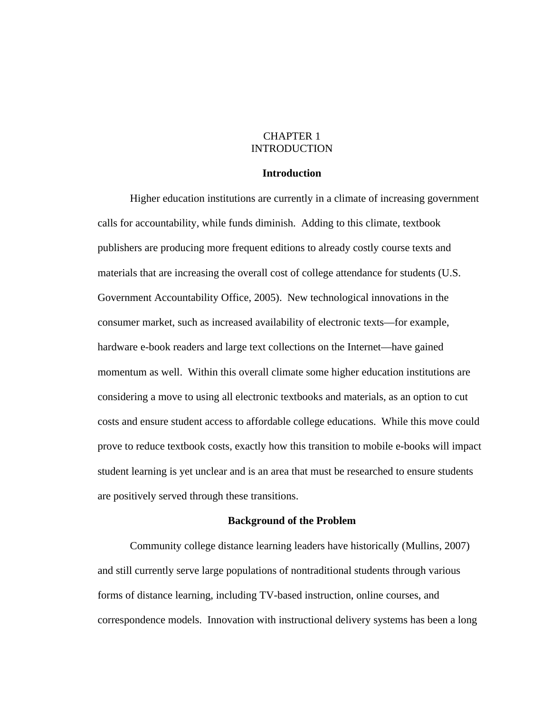# CHAPTER 1 INTRODUCTION

## **Introduction**

Higher education institutions are currently in a climate of increasing government calls for accountability, while funds diminish. Adding to this climate, textbook publishers are producing more frequent editions to already costly course texts and materials that are increasing the overall cost of college attendance for students (U.S. Government Accountability Office, 2005). New technological innovations in the consumer market, such as increased availability of electronic texts—for example, hardware e-book readers and large text collections on the Internet—have gained momentum as well. Within this overall climate some higher education institutions are considering a move to using all electronic textbooks and materials, as an option to cut costs and ensure student access to affordable college educations. While this move could prove to reduce textbook costs, exactly how this transition to mobile e-books will impact student learning is yet unclear and is an area that must be researched to ensure students are positively served through these transitions.

## **Background of the Problem**

 Community college distance learning leaders have historically (Mullins, 2007) and still currently serve large populations of nontraditional students through various forms of distance learning, including TV-based instruction, online courses, and correspondence models. Innovation with instructional delivery systems has been a long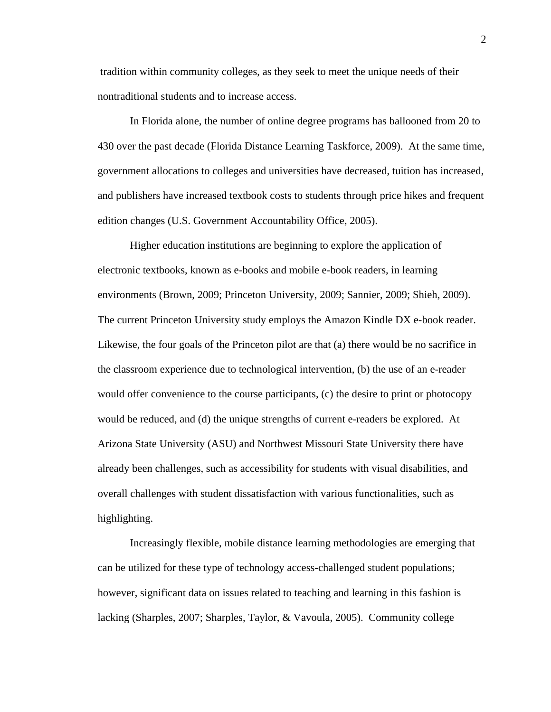tradition within community colleges, as they seek to meet the unique needs of their nontraditional students and to increase access.

 In Florida alone, the number of online degree programs has ballooned from 20 to 430 over the past decade (Florida Distance Learning Taskforce, 2009). At the same time, government allocations to colleges and universities have decreased, tuition has increased, and publishers have increased textbook costs to students through price hikes and frequent edition changes (U.S. Government Accountability Office, 2005).

 Higher education institutions are beginning to explore the application of electronic textbooks, known as e-books and mobile e-book readers, in learning environments (Brown, 2009; Princeton University, 2009; Sannier, 2009; Shieh, 2009). The current Princeton University study employs the Amazon Kindle DX e-book reader. Likewise, the four goals of the Princeton pilot are that (a) there would be no sacrifice in the classroom experience due to technological intervention, (b) the use of an e-reader would offer convenience to the course participants, (c) the desire to print or photocopy would be reduced, and (d) the unique strengths of current e-readers be explored. At Arizona State University (ASU) and Northwest Missouri State University there have already been challenges, such as accessibility for students with visual disabilities, and overall challenges with student dissatisfaction with various functionalities, such as highlighting.

Increasingly flexible, mobile distance learning methodologies are emerging that can be utilized for these type of technology access-challenged student populations; however, significant data on issues related to teaching and learning in this fashion is lacking (Sharples, 2007; Sharples, Taylor, & Vavoula, 2005). Community college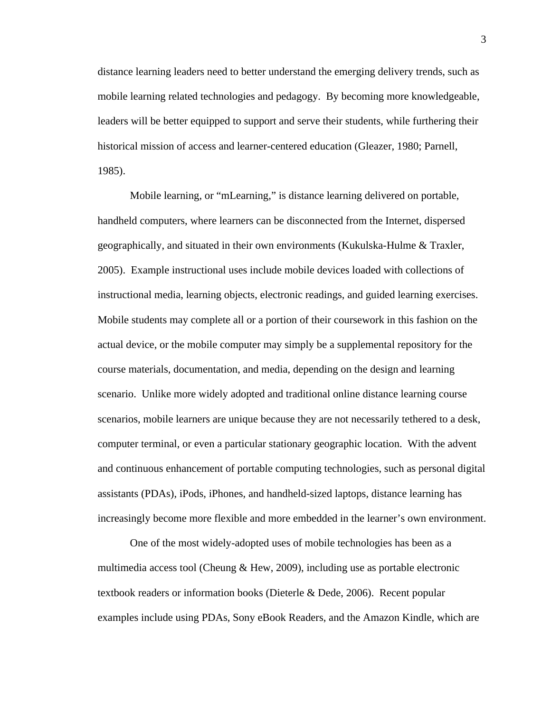distance learning leaders need to better understand the emerging delivery trends, such as mobile learning related technologies and pedagogy. By becoming more knowledgeable, leaders will be better equipped to support and serve their students, while furthering their historical mission of access and learner-centered education (Gleazer, 1980; Parnell, 1985).

 Mobile learning, or "mLearning," is distance learning delivered on portable, handheld computers, where learners can be disconnected from the Internet, dispersed geographically, and situated in their own environments (Kukulska-Hulme & Traxler, 2005). Example instructional uses include mobile devices loaded with collections of instructional media, learning objects, electronic readings, and guided learning exercises. Mobile students may complete all or a portion of their coursework in this fashion on the actual device, or the mobile computer may simply be a supplemental repository for the course materials, documentation, and media, depending on the design and learning scenario. Unlike more widely adopted and traditional online distance learning course scenarios, mobile learners are unique because they are not necessarily tethered to a desk, computer terminal, or even a particular stationary geographic location. With the advent and continuous enhancement of portable computing technologies, such as personal digital assistants (PDAs), iPods, iPhones, and handheld-sized laptops, distance learning has increasingly become more flexible and more embedded in the learner's own environment.

 One of the most widely-adopted uses of mobile technologies has been as a multimedia access tool (Cheung & Hew, 2009), including use as portable electronic textbook readers or information books (Dieterle & Dede, 2006). Recent popular examples include using PDAs, Sony eBook Readers, and the Amazon Kindle, which are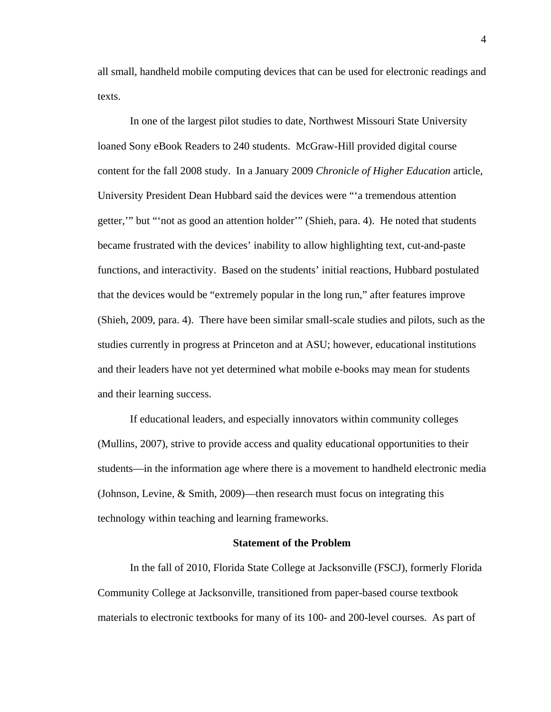all small, handheld mobile computing devices that can be used for electronic readings and texts.

 In one of the largest pilot studies to date, Northwest Missouri State University loaned Sony eBook Readers to 240 students. McGraw-Hill provided digital course content for the fall 2008 study. In a January 2009 *Chronicle of Higher Education* article, University President Dean Hubbard said the devices were "'a tremendous attention getter,'" but "'not as good an attention holder'" (Shieh, para. 4). He noted that students became frustrated with the devices' inability to allow highlighting text, cut-and-paste functions, and interactivity. Based on the students' initial reactions, Hubbard postulated that the devices would be "extremely popular in the long run," after features improve (Shieh, 2009, para. 4). There have been similar small-scale studies and pilots, such as the studies currently in progress at Princeton and at ASU; however, educational institutions and their leaders have not yet determined what mobile e-books may mean for students and their learning success.

 If educational leaders, and especially innovators within community colleges (Mullins, 2007), strive to provide access and quality educational opportunities to their students—in the information age where there is a movement to handheld electronic media (Johnson, Levine, & Smith, 2009)—then research must focus on integrating this technology within teaching and learning frameworks.

#### **Statement of the Problem**

 In the fall of 2010, Florida State College at Jacksonville (FSCJ), formerly Florida Community College at Jacksonville, transitioned from paper-based course textbook materials to electronic textbooks for many of its 100- and 200-level courses. As part of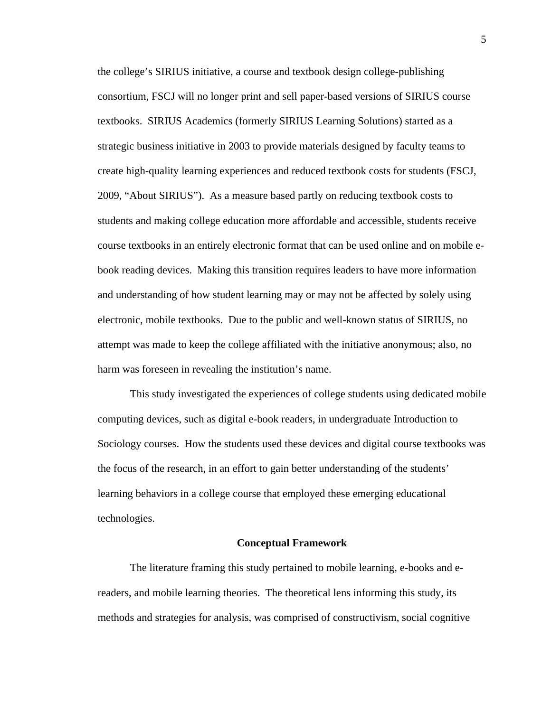the college's SIRIUS initiative, a course and textbook design college-publishing consortium, FSCJ will no longer print and sell paper-based versions of SIRIUS course textbooks. SIRIUS Academics (formerly SIRIUS Learning Solutions) started as a strategic business initiative in 2003 to provide materials designed by faculty teams to create high-quality learning experiences and reduced textbook costs for students (FSCJ, 2009, "About SIRIUS"). As a measure based partly on reducing textbook costs to students and making college education more affordable and accessible, students receive course textbooks in an entirely electronic format that can be used online and on mobile ebook reading devices. Making this transition requires leaders to have more information and understanding of how student learning may or may not be affected by solely using electronic, mobile textbooks. Due to the public and well-known status of SIRIUS, no attempt was made to keep the college affiliated with the initiative anonymous; also, no harm was foreseen in revealing the institution's name.

This study investigated the experiences of college students using dedicated mobile computing devices, such as digital e-book readers, in undergraduate Introduction to Sociology courses. How the students used these devices and digital course textbooks was the focus of the research, in an effort to gain better understanding of the students' learning behaviors in a college course that employed these emerging educational technologies.

## **Conceptual Framework**

The literature framing this study pertained to mobile learning, e-books and ereaders, and mobile learning theories. The theoretical lens informing this study, its methods and strategies for analysis, was comprised of constructivism, social cognitive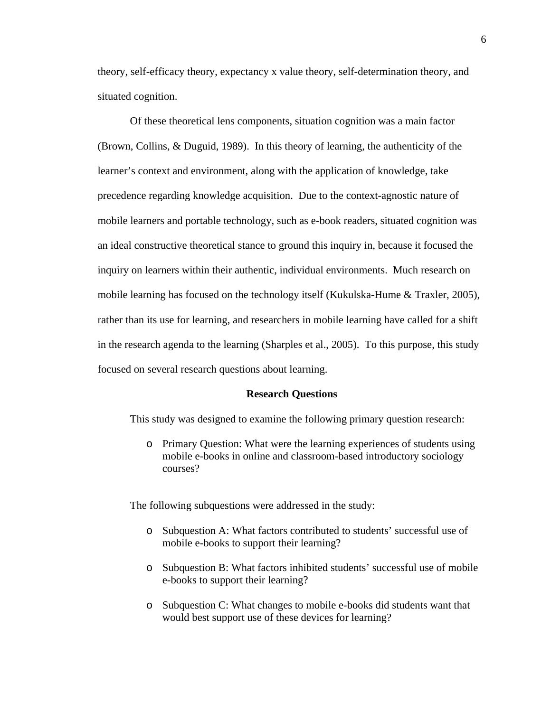theory, self-efficacy theory, expectancy x value theory, self-determination theory, and situated cognition.

Of these theoretical lens components, situation cognition was a main factor (Brown, Collins, & Duguid, 1989). In this theory of learning, the authenticity of the learner's context and environment, along with the application of knowledge, take precedence regarding knowledge acquisition. Due to the context-agnostic nature of mobile learners and portable technology, such as e-book readers, situated cognition was an ideal constructive theoretical stance to ground this inquiry in, because it focused the inquiry on learners within their authentic, individual environments. Much research on mobile learning has focused on the technology itself (Kukulska-Hume & Traxler, 2005), rather than its use for learning, and researchers in mobile learning have called for a shift in the research agenda to the learning (Sharples et al., 2005). To this purpose, this study focused on several research questions about learning.

#### **Research Questions**

This study was designed to examine the following primary question research:

o Primary Question: What were the learning experiences of students using mobile e-books in online and classroom-based introductory sociology courses?

The following subquestions were addressed in the study:

- o Subquestion A: What factors contributed to students' successful use of mobile e-books to support their learning?
- o Subquestion B: What factors inhibited students' successful use of mobile e-books to support their learning?
- o Subquestion C: What changes to mobile e-books did students want that would best support use of these devices for learning?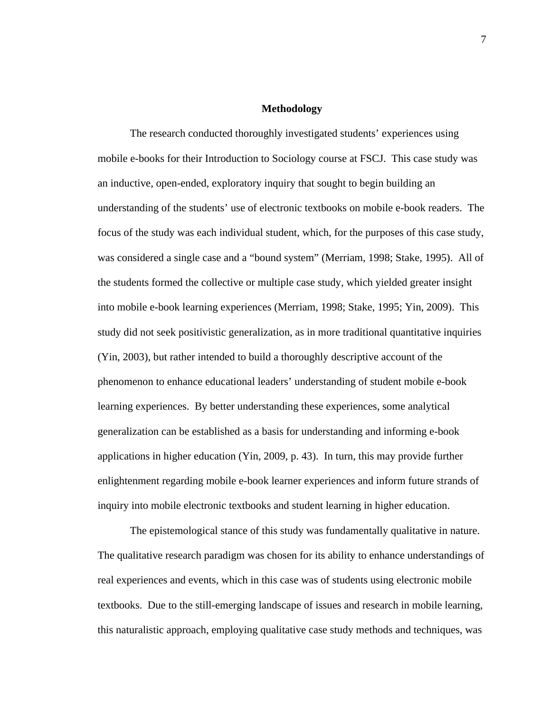#### **Methodology**

 The research conducted thoroughly investigated students' experiences using mobile e-books for their Introduction to Sociology course at FSCJ. This case study was an inductive, open-ended, exploratory inquiry that sought to begin building an understanding of the students' use of electronic textbooks on mobile e-book readers. The focus of the study was each individual student, which, for the purposes of this case study, was considered a single case and a "bound system" (Merriam, 1998; Stake, 1995). All of the students formed the collective or multiple case study, which yielded greater insight into mobile e-book learning experiences (Merriam, 1998; Stake, 1995; Yin, 2009). This study did not seek positivistic generalization, as in more traditional quantitative inquiries (Yin, 2003), but rather intended to build a thoroughly descriptive account of the phenomenon to enhance educational leaders' understanding of student mobile e-book learning experiences. By better understanding these experiences, some analytical generalization can be established as a basis for understanding and informing e-book applications in higher education (Yin, 2009, p. 43). In turn, this may provide further enlightenment regarding mobile e-book learner experiences and inform future strands of inquiry into mobile electronic textbooks and student learning in higher education.

 The epistemological stance of this study was fundamentally qualitative in nature. The qualitative research paradigm was chosen for its ability to enhance understandings of real experiences and events, which in this case was of students using electronic mobile textbooks. Due to the still-emerging landscape of issues and research in mobile learning, this naturalistic approach, employing qualitative case study methods and techniques, was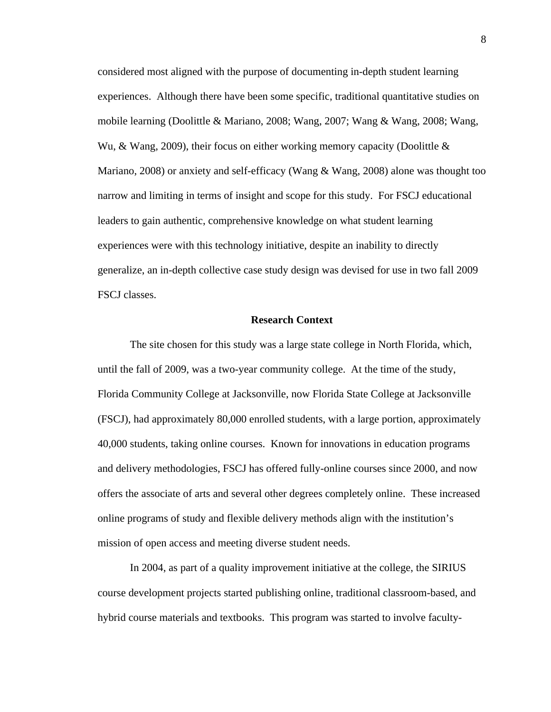considered most aligned with the purpose of documenting in-depth student learning experiences. Although there have been some specific, traditional quantitative studies on mobile learning (Doolittle & Mariano, 2008; Wang, 2007; Wang & Wang, 2008; Wang, Wu,  $\&$  Wang, 2009), their focus on either working memory capacity (Doolittle  $\&$ Mariano, 2008) or anxiety and self-efficacy (Wang & Wang, 2008) alone was thought too narrow and limiting in terms of insight and scope for this study. For FSCJ educational leaders to gain authentic, comprehensive knowledge on what student learning experiences were with this technology initiative, despite an inability to directly generalize, an in-depth collective case study design was devised for use in two fall 2009 FSCJ classes.

#### **Research Context**

 The site chosen for this study was a large state college in North Florida, which, until the fall of 2009, was a two-year community college. At the time of the study, Florida Community College at Jacksonville, now Florida State College at Jacksonville (FSCJ), had approximately 80,000 enrolled students, with a large portion, approximately 40,000 students, taking online courses. Known for innovations in education programs and delivery methodologies, FSCJ has offered fully-online courses since 2000, and now offers the associate of arts and several other degrees completely online. These increased online programs of study and flexible delivery methods align with the institution's mission of open access and meeting diverse student needs.

 In 2004, as part of a quality improvement initiative at the college, the SIRIUS course development projects started publishing online, traditional classroom-based, and hybrid course materials and textbooks. This program was started to involve faculty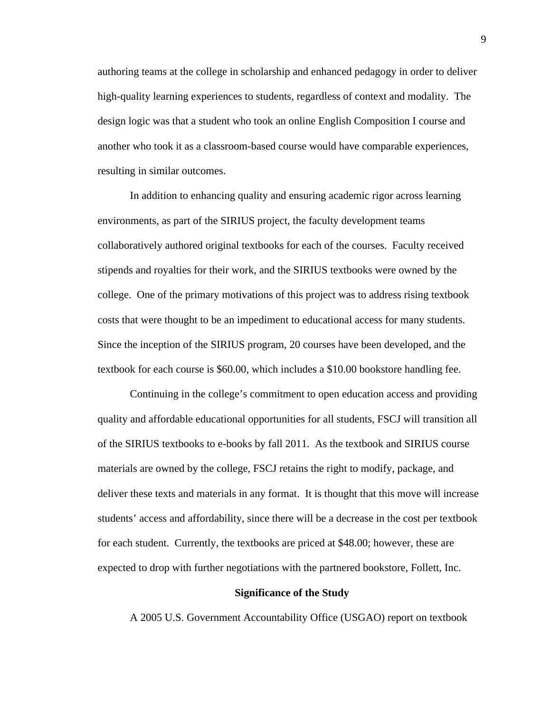authoring teams at the college in scholarship and enhanced pedagogy in order to deliver high-quality learning experiences to students, regardless of context and modality. The design logic was that a student who took an online English Composition I course and another who took it as a classroom-based course would have comparable experiences, resulting in similar outcomes.

 In addition to enhancing quality and ensuring academic rigor across learning environments, as part of the SIRIUS project, the faculty development teams collaboratively authored original textbooks for each of the courses. Faculty received stipends and royalties for their work, and the SIRIUS textbooks were owned by the college. One of the primary motivations of this project was to address rising textbook costs that were thought to be an impediment to educational access for many students. Since the inception of the SIRIUS program, 20 courses have been developed, and the textbook for each course is \$60.00, which includes a \$10.00 bookstore handling fee.

 Continuing in the college's commitment to open education access and providing quality and affordable educational opportunities for all students, FSCJ will transition all of the SIRIUS textbooks to e-books by fall 2011. As the textbook and SIRIUS course materials are owned by the college, FSCJ retains the right to modify, package, and deliver these texts and materials in any format. It is thought that this move will increase students' access and affordability, since there will be a decrease in the cost per textbook for each student. Currently, the textbooks are priced at \$48.00; however, these are expected to drop with further negotiations with the partnered bookstore, Follett, Inc.

#### **Significance of the Study**

A 2005 U.S. Government Accountability Office (USGAO) report on textbook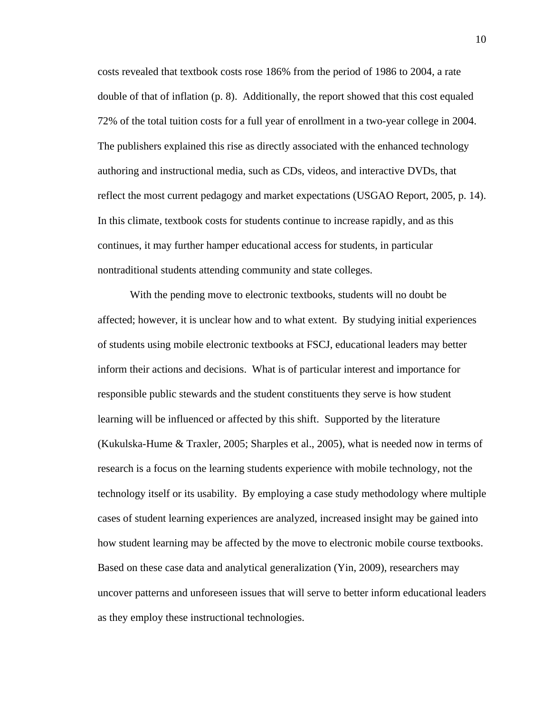costs revealed that textbook costs rose 186% from the period of 1986 to 2004, a rate double of that of inflation (p. 8). Additionally, the report showed that this cost equaled 72% of the total tuition costs for a full year of enrollment in a two-year college in 2004. The publishers explained this rise as directly associated with the enhanced technology authoring and instructional media, such as CDs, videos, and interactive DVDs, that reflect the most current pedagogy and market expectations (USGAO Report, 2005, p. 14). In this climate, textbook costs for students continue to increase rapidly, and as this continues, it may further hamper educational access for students, in particular nontraditional students attending community and state colleges.

 With the pending move to electronic textbooks, students will no doubt be affected; however, it is unclear how and to what extent. By studying initial experiences of students using mobile electronic textbooks at FSCJ, educational leaders may better inform their actions and decisions. What is of particular interest and importance for responsible public stewards and the student constituents they serve is how student learning will be influenced or affected by this shift. Supported by the literature (Kukulska-Hume & Traxler, 2005; Sharples et al., 2005), what is needed now in terms of research is a focus on the learning students experience with mobile technology, not the technology itself or its usability. By employing a case study methodology where multiple cases of student learning experiences are analyzed, increased insight may be gained into how student learning may be affected by the move to electronic mobile course textbooks. Based on these case data and analytical generalization (Yin, 2009), researchers may uncover patterns and unforeseen issues that will serve to better inform educational leaders as they employ these instructional technologies.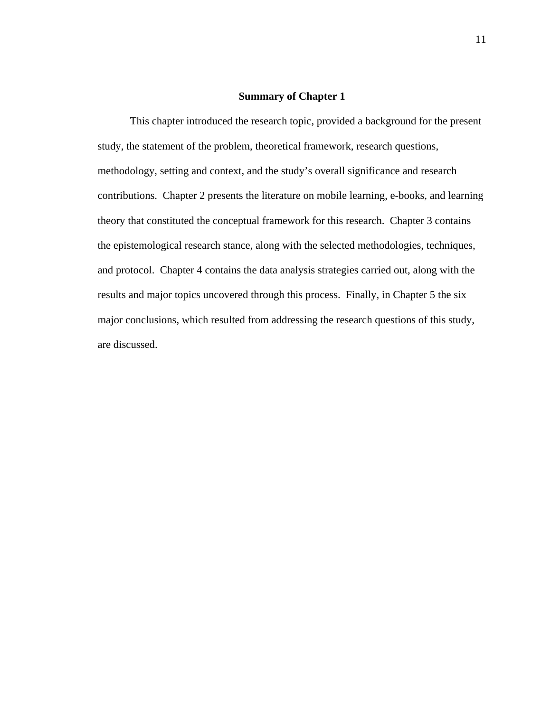#### **Summary of Chapter 1**

 This chapter introduced the research topic, provided a background for the present study, the statement of the problem, theoretical framework, research questions, methodology, setting and context, and the study's overall significance and research contributions. Chapter 2 presents the literature on mobile learning, e-books, and learning theory that constituted the conceptual framework for this research. Chapter 3 contains the epistemological research stance, along with the selected methodologies, techniques, and protocol. Chapter 4 contains the data analysis strategies carried out, along with the results and major topics uncovered through this process. Finally, in Chapter 5 the six major conclusions, which resulted from addressing the research questions of this study, are discussed.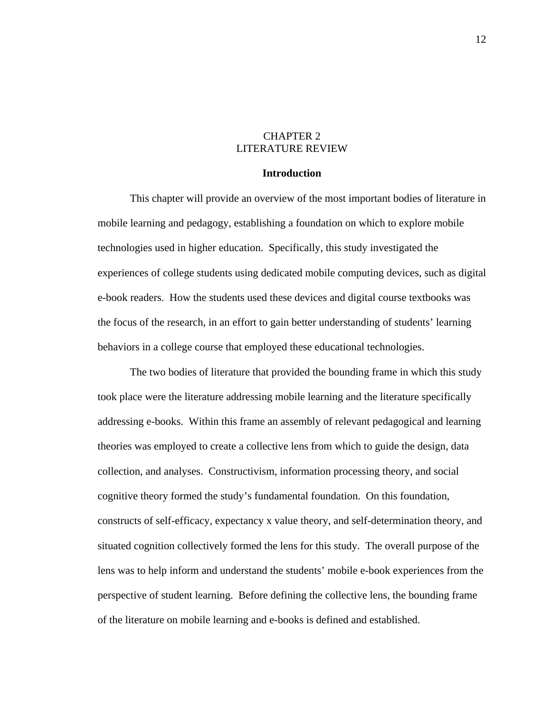# CHAPTER 2 LITERATURE REVIEW

## **Introduction**

This chapter will provide an overview of the most important bodies of literature in mobile learning and pedagogy, establishing a foundation on which to explore mobile technologies used in higher education. Specifically, this study investigated the experiences of college students using dedicated mobile computing devices, such as digital e-book readers. How the students used these devices and digital course textbooks was the focus of the research, in an effort to gain better understanding of students' learning behaviors in a college course that employed these educational technologies.

 The two bodies of literature that provided the bounding frame in which this study took place were the literature addressing mobile learning and the literature specifically addressing e-books. Within this frame an assembly of relevant pedagogical and learning theories was employed to create a collective lens from which to guide the design, data collection, and analyses. Constructivism, information processing theory, and social cognitive theory formed the study's fundamental foundation. On this foundation, constructs of self-efficacy, expectancy x value theory, and self-determination theory, and situated cognition collectively formed the lens for this study. The overall purpose of the lens was to help inform and understand the students' mobile e-book experiences from the perspective of student learning. Before defining the collective lens, the bounding frame of the literature on mobile learning and e-books is defined and established.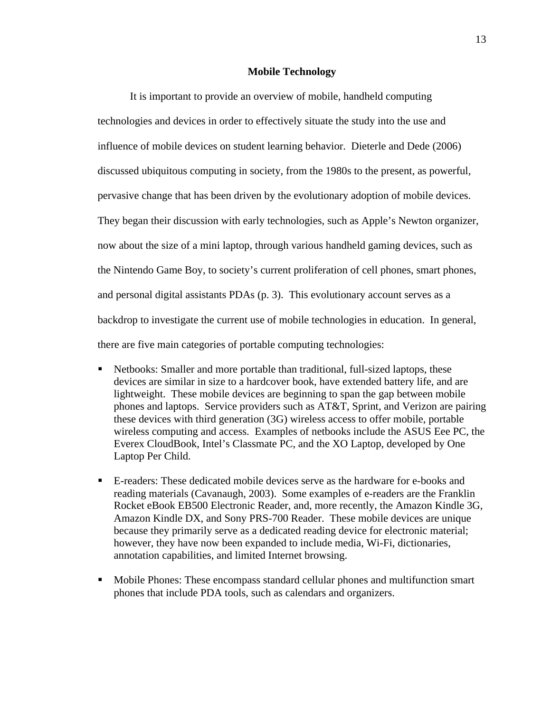#### **Mobile Technology**

 It is important to provide an overview of mobile, handheld computing technologies and devices in order to effectively situate the study into the use and influence of mobile devices on student learning behavior. Dieterle and Dede (2006) discussed ubiquitous computing in society, from the 1980s to the present, as powerful, pervasive change that has been driven by the evolutionary adoption of mobile devices. They began their discussion with early technologies, such as Apple's Newton organizer, now about the size of a mini laptop, through various handheld gaming devices, such as the Nintendo Game Boy, to society's current proliferation of cell phones, smart phones, and personal digital assistants PDAs (p. 3). This evolutionary account serves as a backdrop to investigate the current use of mobile technologies in education. In general, there are five main categories of portable computing technologies:

- Netbooks: Smaller and more portable than traditional, full-sized laptops, these devices are similar in size to a hardcover book, have extended battery life, and are lightweight. These mobile devices are beginning to span the gap between mobile phones and laptops. Service providers such as AT&T, Sprint, and Verizon are pairing these devices with third generation (3G) wireless access to offer mobile, portable wireless computing and access. Examples of netbooks include the ASUS Eee PC, the Everex CloudBook, Intel's Classmate PC, and the XO Laptop, developed by One Laptop Per Child.
- E-readers: These dedicated mobile devices serve as the hardware for e-books and reading materials (Cavanaugh, 2003). Some examples of e-readers are the Franklin Rocket eBook EB500 Electronic Reader, and, more recently, the Amazon Kindle 3G, Amazon Kindle DX, and Sony PRS-700 Reader. These mobile devices are unique because they primarily serve as a dedicated reading device for electronic material; however, they have now been expanded to include media, Wi-Fi, dictionaries, annotation capabilities, and limited Internet browsing.
- Mobile Phones: These encompass standard cellular phones and multifunction smart phones that include PDA tools, such as calendars and organizers.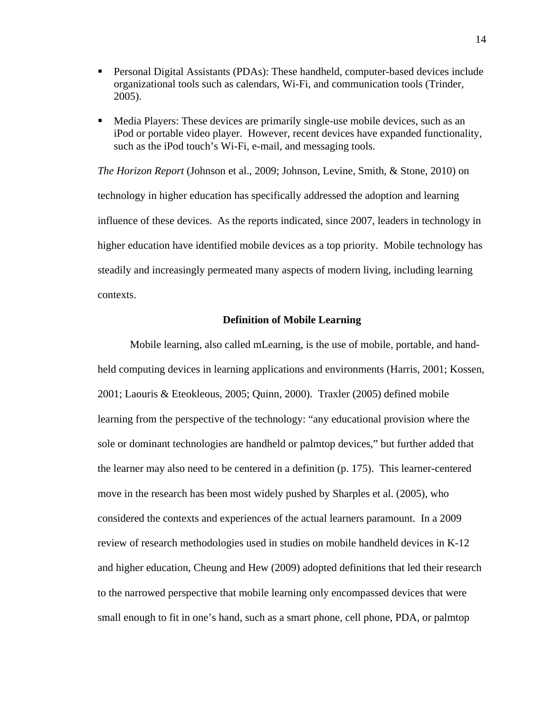- Personal Digital Assistants (PDAs): These handheld, computer-based devices include organizational tools such as calendars, Wi-Fi, and communication tools (Trinder, 2005).
- Media Players: These devices are primarily single-use mobile devices, such as an iPod or portable video player. However, recent devices have expanded functionality, such as the iPod touch's Wi-Fi, e-mail, and messaging tools.

*The Horizon Report* (Johnson et al., 2009; Johnson, Levine, Smith, & Stone, 2010) on technology in higher education has specifically addressed the adoption and learning influence of these devices. As the reports indicated, since 2007, leaders in technology in higher education have identified mobile devices as a top priority. Mobile technology has steadily and increasingly permeated many aspects of modern living, including learning contexts.

#### **Definition of Mobile Learning**

 Mobile learning, also called mLearning, is the use of mobile, portable, and handheld computing devices in learning applications and environments (Harris, 2001; Kossen, 2001; Laouris & Eteokleous, 2005; Quinn, 2000). Traxler (2005) defined mobile learning from the perspective of the technology: "any educational provision where the sole or dominant technologies are handheld or palmtop devices," but further added that the learner may also need to be centered in a definition (p. 175). This learner-centered move in the research has been most widely pushed by Sharples et al. (2005), who considered the contexts and experiences of the actual learners paramount. In a 2009 review of research methodologies used in studies on mobile handheld devices in K-12 and higher education, Cheung and Hew (2009) adopted definitions that led their research to the narrowed perspective that mobile learning only encompassed devices that were small enough to fit in one's hand, such as a smart phone, cell phone, PDA, or palmtop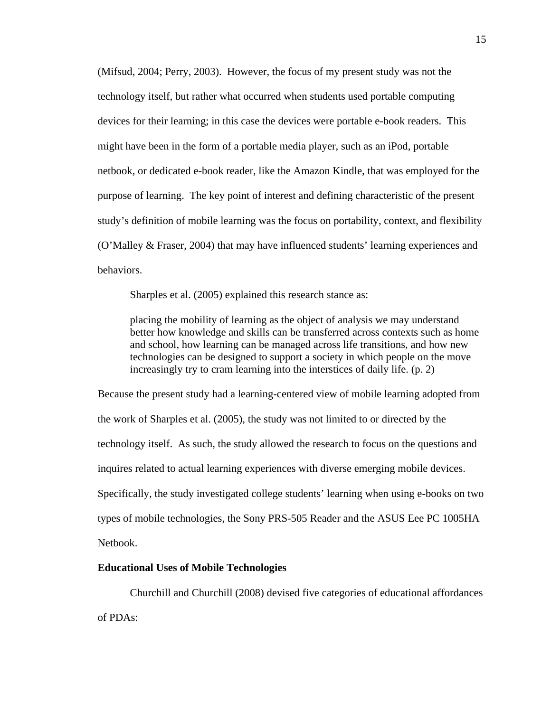(Mifsud, 2004; Perry, 2003). However, the focus of my present study was not the technology itself, but rather what occurred when students used portable computing devices for their learning; in this case the devices were portable e-book readers. This might have been in the form of a portable media player, such as an iPod, portable netbook, or dedicated e-book reader, like the Amazon Kindle, that was employed for the purpose of learning. The key point of interest and defining characteristic of the present study's definition of mobile learning was the focus on portability, context, and flexibility (O'Malley & Fraser, 2004) that may have influenced students' learning experiences and behaviors.

Sharples et al. (2005) explained this research stance as:

placing the mobility of learning as the object of analysis we may understand better how knowledge and skills can be transferred across contexts such as home and school, how learning can be managed across life transitions, and how new technologies can be designed to support a society in which people on the move increasingly try to cram learning into the interstices of daily life. (p. 2)

Because the present study had a learning-centered view of mobile learning adopted from the work of Sharples et al. (2005), the study was not limited to or directed by the technology itself. As such, the study allowed the research to focus on the questions and inquires related to actual learning experiences with diverse emerging mobile devices. Specifically, the study investigated college students' learning when using e-books on two types of mobile technologies, the Sony PRS-505 Reader and the ASUS Eee PC 1005HA Netbook.

# **Educational Uses of Mobile Technologies**

 Churchill and Churchill (2008) devised five categories of educational affordances of PDAs: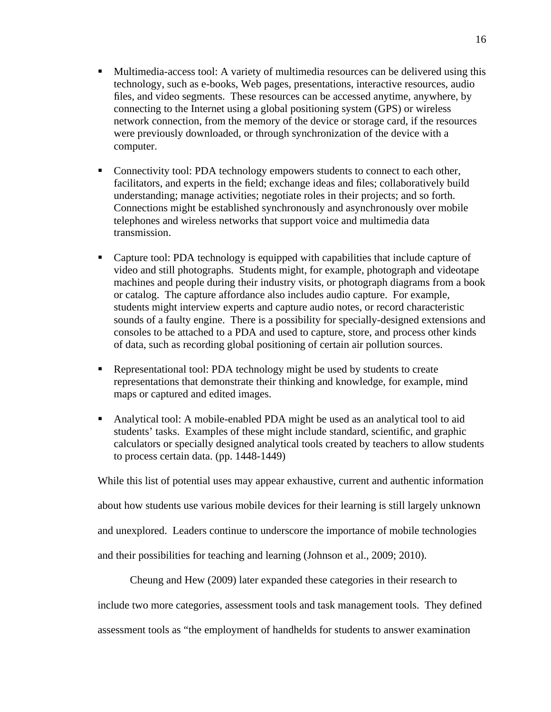- Multimedia-access tool: A variety of multimedia resources can be delivered using this technology, such as e-books, Web pages, presentations, interactive resources, audio files, and video segments. These resources can be accessed anytime, anywhere, by connecting to the Internet using a global positioning system (GPS) or wireless network connection, from the memory of the device or storage card, if the resources were previously downloaded, or through synchronization of the device with a computer.
- Connectivity tool: PDA technology empowers students to connect to each other, facilitators, and experts in the field; exchange ideas and files; collaboratively build understanding; manage activities; negotiate roles in their projects; and so forth. Connections might be established synchronously and asynchronously over mobile telephones and wireless networks that support voice and multimedia data transmission.
- Capture tool: PDA technology is equipped with capabilities that include capture of video and still photographs. Students might, for example, photograph and videotape machines and people during their industry visits, or photograph diagrams from a book or catalog. The capture affordance also includes audio capture. For example, students might interview experts and capture audio notes, or record characteristic sounds of a faulty engine. There is a possibility for specially-designed extensions and consoles to be attached to a PDA and used to capture, store, and process other kinds of data, such as recording global positioning of certain air pollution sources.
- Representational tool: PDA technology might be used by students to create representations that demonstrate their thinking and knowledge, for example, mind maps or captured and edited images.
- Analytical tool: A mobile-enabled PDA might be used as an analytical tool to aid students' tasks. Examples of these might include standard, scientific, and graphic calculators or specially designed analytical tools created by teachers to allow students to process certain data. (pp. 1448-1449)

While this list of potential uses may appear exhaustive, current and authentic information

about how students use various mobile devices for their learning is still largely unknown

and unexplored. Leaders continue to underscore the importance of mobile technologies

and their possibilities for teaching and learning (Johnson et al., 2009; 2010).

Cheung and Hew (2009) later expanded these categories in their research to

include two more categories, assessment tools and task management tools. They defined

assessment tools as "the employment of handhelds for students to answer examination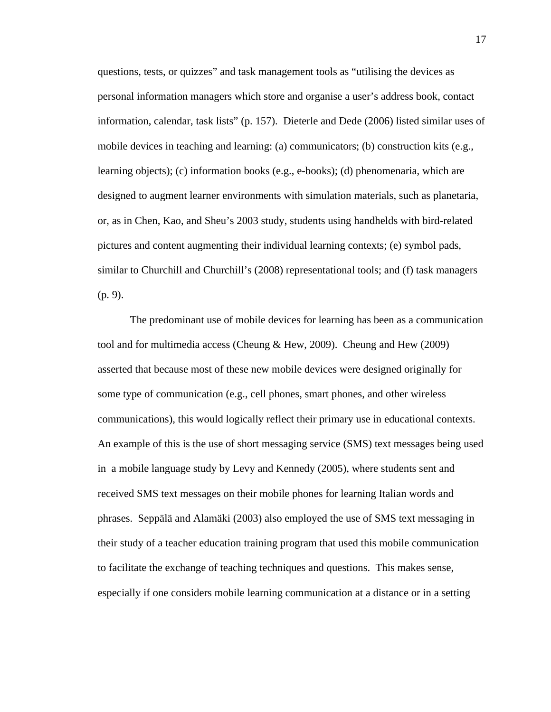questions, tests, or quizzes" and task management tools as "utilising the devices as personal information managers which store and organise a user's address book, contact information, calendar, task lists" (p. 157). Dieterle and Dede (2006) listed similar uses of mobile devices in teaching and learning: (a) communicators; (b) construction kits (e.g., learning objects); (c) information books (e.g., e-books); (d) phenomenaria, which are designed to augment learner environments with simulation materials, such as planetaria, or, as in Chen, Kao, and Sheu's 2003 study, students using handhelds with bird-related pictures and content augmenting their individual learning contexts; (e) symbol pads, similar to Churchill and Churchill's (2008) representational tools; and (f) task managers (p. 9).

 The predominant use of mobile devices for learning has been as a communication tool and for multimedia access (Cheung & Hew, 2009). Cheung and Hew (2009) asserted that because most of these new mobile devices were designed originally for some type of communication (e.g., cell phones, smart phones, and other wireless communications), this would logically reflect their primary use in educational contexts. An example of this is the use of short messaging service (SMS) text messages being used in a mobile language study by Levy and Kennedy (2005), where students sent and received SMS text messages on their mobile phones for learning Italian words and phrases. Seppälä and Alamäki (2003) also employed the use of SMS text messaging in their study of a teacher education training program that used this mobile communication to facilitate the exchange of teaching techniques and questions. This makes sense, especially if one considers mobile learning communication at a distance or in a setting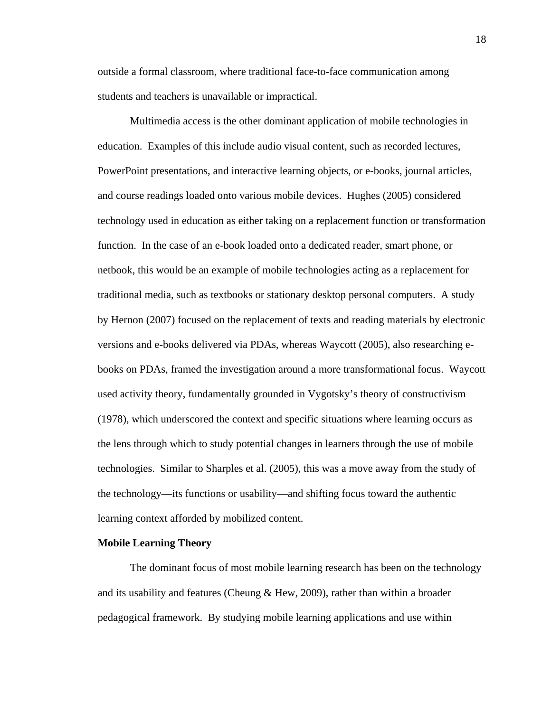outside a formal classroom, where traditional face-to-face communication among students and teachers is unavailable or impractical.

 Multimedia access is the other dominant application of mobile technologies in education. Examples of this include audio visual content, such as recorded lectures, PowerPoint presentations, and interactive learning objects, or e-books, journal articles, and course readings loaded onto various mobile devices. Hughes (2005) considered technology used in education as either taking on a replacement function or transformation function. In the case of an e-book loaded onto a dedicated reader, smart phone, or netbook, this would be an example of mobile technologies acting as a replacement for traditional media, such as textbooks or stationary desktop personal computers. A study by Hernon (2007) focused on the replacement of texts and reading materials by electronic versions and e-books delivered via PDAs, whereas Waycott (2005), also researching ebooks on PDAs, framed the investigation around a more transformational focus. Waycott used activity theory, fundamentally grounded in Vygotsky's theory of constructivism (1978), which underscored the context and specific situations where learning occurs as the lens through which to study potential changes in learners through the use of mobile technologies. Similar to Sharples et al. (2005), this was a move away from the study of the technology—its functions or usability—and shifting focus toward the authentic learning context afforded by mobilized content.

## **Mobile Learning Theory**

 The dominant focus of most mobile learning research has been on the technology and its usability and features (Cheung & Hew, 2009), rather than within a broader pedagogical framework. By studying mobile learning applications and use within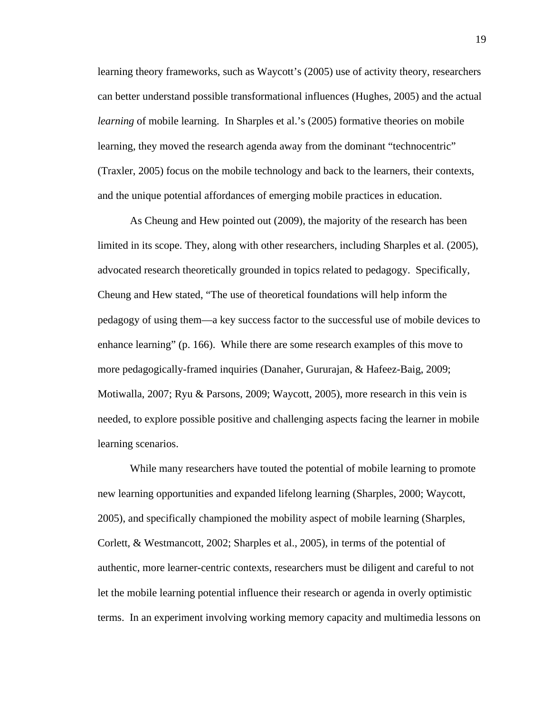learning theory frameworks, such as Waycott's (2005) use of activity theory, researchers can better understand possible transformational influences (Hughes, 2005) and the actual *learning* of mobile learning. In Sharples et al.'s (2005) formative theories on mobile learning, they moved the research agenda away from the dominant "technocentric" (Traxler, 2005) focus on the mobile technology and back to the learners, their contexts, and the unique potential affordances of emerging mobile practices in education.

 As Cheung and Hew pointed out (2009), the majority of the research has been limited in its scope. They, along with other researchers, including Sharples et al. (2005), advocated research theoretically grounded in topics related to pedagogy. Specifically, Cheung and Hew stated, "The use of theoretical foundations will help inform the pedagogy of using them—a key success factor to the successful use of mobile devices to enhance learning" (p. 166). While there are some research examples of this move to more pedagogically-framed inquiries (Danaher, Gururajan, & Hafeez-Baig, 2009; Motiwalla, 2007; Ryu & Parsons, 2009; Waycott, 2005), more research in this vein is needed, to explore possible positive and challenging aspects facing the learner in mobile learning scenarios.

 While many researchers have touted the potential of mobile learning to promote new learning opportunities and expanded lifelong learning (Sharples, 2000; Waycott, 2005), and specifically championed the mobility aspect of mobile learning (Sharples, Corlett, & Westmancott, 2002; Sharples et al., 2005), in terms of the potential of authentic, more learner-centric contexts, researchers must be diligent and careful to not let the mobile learning potential influence their research or agenda in overly optimistic terms. In an experiment involving working memory capacity and multimedia lessons on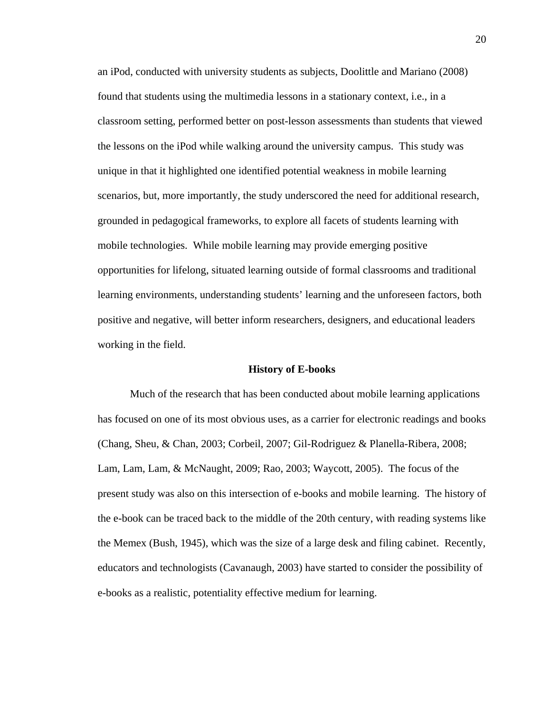an iPod, conducted with university students as subjects, Doolittle and Mariano (2008) found that students using the multimedia lessons in a stationary context, i.e., in a classroom setting, performed better on post-lesson assessments than students that viewed the lessons on the iPod while walking around the university campus. This study was unique in that it highlighted one identified potential weakness in mobile learning scenarios, but, more importantly, the study underscored the need for additional research, grounded in pedagogical frameworks, to explore all facets of students learning with mobile technologies. While mobile learning may provide emerging positive opportunities for lifelong, situated learning outside of formal classrooms and traditional learning environments, understanding students' learning and the unforeseen factors, both positive and negative, will better inform researchers, designers, and educational leaders working in the field.

#### **History of E-books**

 Much of the research that has been conducted about mobile learning applications has focused on one of its most obvious uses, as a carrier for electronic readings and books (Chang, Sheu, & Chan, 2003; Corbeil, 2007; Gil-Rodriguez & Planella-Ribera, 2008; Lam, Lam, Lam, & McNaught, 2009; Rao, 2003; Waycott, 2005). The focus of the present study was also on this intersection of e-books and mobile learning. The history of the e-book can be traced back to the middle of the 20th century, with reading systems like the Memex (Bush, 1945), which was the size of a large desk and filing cabinet. Recently, educators and technologists (Cavanaugh, 2003) have started to consider the possibility of e-books as a realistic, potentiality effective medium for learning.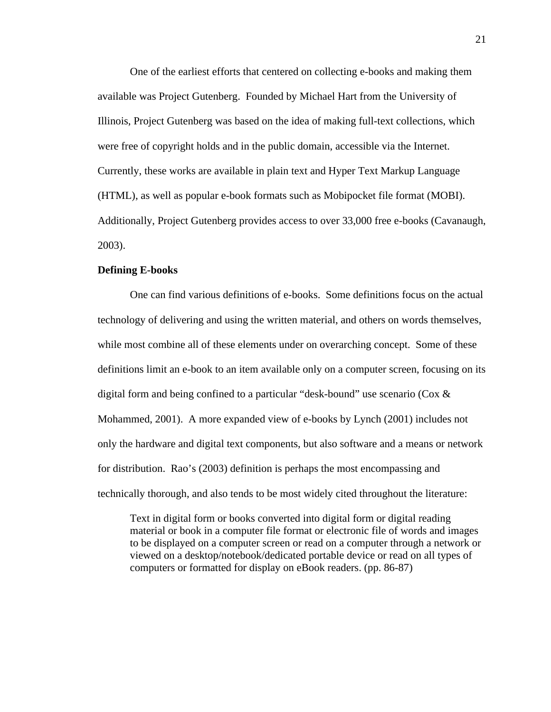One of the earliest efforts that centered on collecting e-books and making them available was Project Gutenberg. Founded by Michael Hart from the University of Illinois, Project Gutenberg was based on the idea of making full-text collections, which were free of copyright holds and in the public domain, accessible via the Internet. Currently, these works are available in plain text and Hyper Text Markup Language (HTML), as well as popular e-book formats such as Mobipocket file format (MOBI). Additionally, Project Gutenberg provides access to over 33,000 free e-books (Cavanaugh, 2003).

#### **Defining E-books**

One can find various definitions of e-books. Some definitions focus on the actual technology of delivering and using the written material, and others on words themselves, while most combine all of these elements under on overarching concept. Some of these definitions limit an e-book to an item available only on a computer screen, focusing on its digital form and being confined to a particular "desk-bound" use scenario ( $\cos \alpha$ Mohammed, 2001). A more expanded view of e-books by Lynch (2001) includes not only the hardware and digital text components, but also software and a means or network for distribution. Rao's (2003) definition is perhaps the most encompassing and technically thorough, and also tends to be most widely cited throughout the literature:

Text in digital form or books converted into digital form or digital reading material or book in a computer file format or electronic file of words and images to be displayed on a computer screen or read on a computer through a network or viewed on a desktop/notebook/dedicated portable device or read on all types of computers or formatted for display on eBook readers. (pp. 86-87)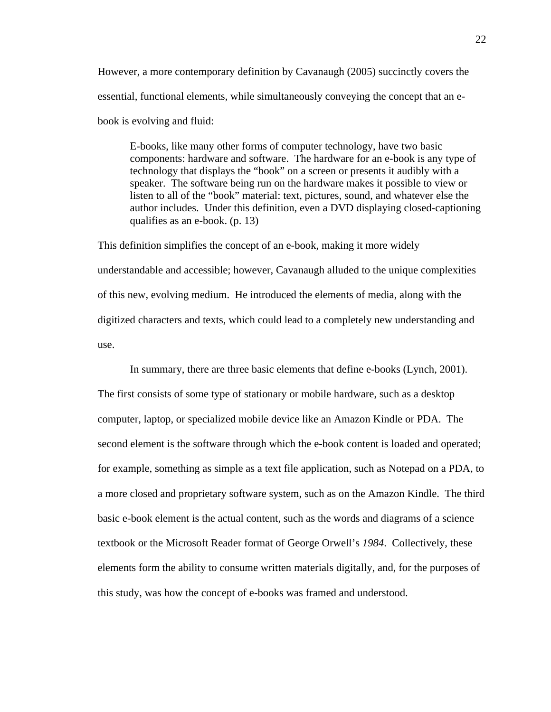However, a more contemporary definition by Cavanaugh (2005) succinctly covers the essential, functional elements, while simultaneously conveying the concept that an ebook is evolving and fluid:

E-books, like many other forms of computer technology, have two basic components: hardware and software. The hardware for an e-book is any type of technology that displays the "book" on a screen or presents it audibly with a speaker. The software being run on the hardware makes it possible to view or listen to all of the "book" material: text, pictures, sound, and whatever else the author includes. Under this definition, even a DVD displaying closed-captioning qualifies as an e-book. (p. 13)

This definition simplifies the concept of an e-book, making it more widely understandable and accessible; however, Cavanaugh alluded to the unique complexities of this new, evolving medium. He introduced the elements of media, along with the digitized characters and texts, which could lead to a completely new understanding and use.

In summary, there are three basic elements that define e-books (Lynch, 2001).

The first consists of some type of stationary or mobile hardware, such as a desktop computer, laptop, or specialized mobile device like an Amazon Kindle or PDA. The second element is the software through which the e-book content is loaded and operated; for example, something as simple as a text file application, such as Notepad on a PDA, to a more closed and proprietary software system, such as on the Amazon Kindle. The third basic e-book element is the actual content, such as the words and diagrams of a science textbook or the Microsoft Reader format of George Orwell's *1984*. Collectively, these elements form the ability to consume written materials digitally, and, for the purposes of this study, was how the concept of e-books was framed and understood.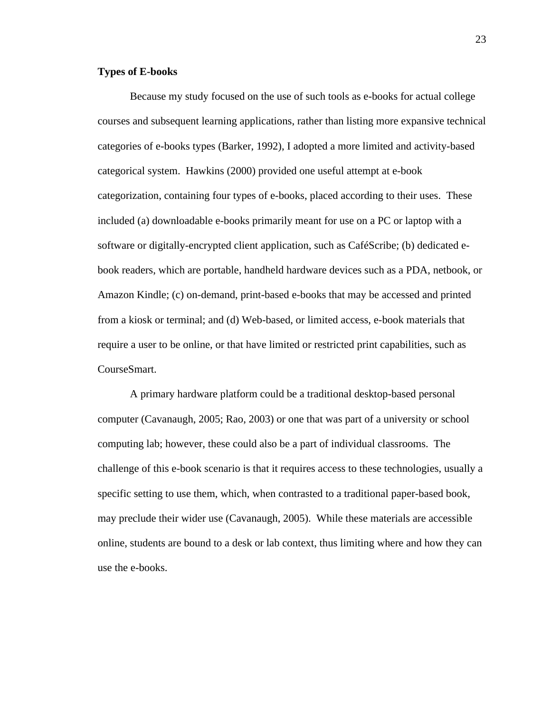# **Types of E-books**

Because my study focused on the use of such tools as e-books for actual college courses and subsequent learning applications, rather than listing more expansive technical categories of e-books types (Barker, 1992), I adopted a more limited and activity-based categorical system. Hawkins (2000) provided one useful attempt at e-book categorization, containing four types of e-books, placed according to their uses. These included (a) downloadable e-books primarily meant for use on a PC or laptop with a software or digitally-encrypted client application, such as CaféScribe; (b) dedicated ebook readers, which are portable, handheld hardware devices such as a PDA, netbook, or Amazon Kindle; (c) on-demand, print-based e-books that may be accessed and printed from a kiosk or terminal; and (d) Web-based, or limited access, e-book materials that require a user to be online, or that have limited or restricted print capabilities, such as CourseSmart.

 A primary hardware platform could be a traditional desktop-based personal computer (Cavanaugh, 2005; Rao, 2003) or one that was part of a university or school computing lab; however, these could also be a part of individual classrooms. The challenge of this e-book scenario is that it requires access to these technologies, usually a specific setting to use them, which, when contrasted to a traditional paper-based book, may preclude their wider use (Cavanaugh, 2005). While these materials are accessible online, students are bound to a desk or lab context, thus limiting where and how they can use the e-books.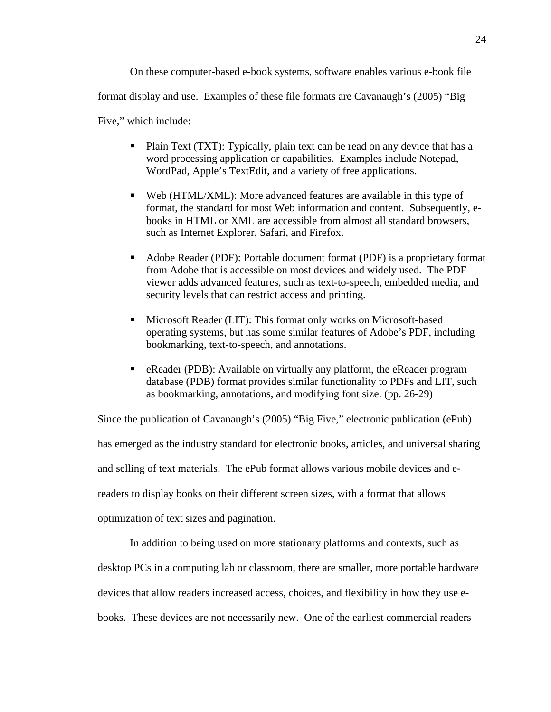On these computer-based e-book systems, software enables various e-book file format display and use. Examples of these file formats are Cavanaugh's (2005) "Big Five," which include:

- Plain Text (TXT): Typically, plain text can be read on any device that has a word processing application or capabilities. Examples include Notepad, WordPad, Apple's TextEdit, and a variety of free applications.
- Web (HTML/XML): More advanced features are available in this type of format, the standard for most Web information and content. Subsequently, ebooks in HTML or XML are accessible from almost all standard browsers, such as Internet Explorer, Safari, and Firefox.
- Adobe Reader (PDF): Portable document format (PDF) is a proprietary format from Adobe that is accessible on most devices and widely used. The PDF viewer adds advanced features, such as text-to-speech, embedded media, and security levels that can restrict access and printing.
- Microsoft Reader (LIT): This format only works on Microsoft-based operating systems, but has some similar features of Adobe's PDF, including bookmarking, text-to-speech, and annotations.
- eReader (PDB): Available on virtually any platform, the eReader program database (PDB) format provides similar functionality to PDFs and LIT, such as bookmarking, annotations, and modifying font size. (pp. 26-29)

Since the publication of Cavanaugh's (2005) "Big Five," electronic publication (ePub) has emerged as the industry standard for electronic books, articles, and universal sharing and selling of text materials. The ePub format allows various mobile devices and ereaders to display books on their different screen sizes, with a format that allows optimization of text sizes and pagination.

In addition to being used on more stationary platforms and contexts, such as desktop PCs in a computing lab or classroom, there are smaller, more portable hardware devices that allow readers increased access, choices, and flexibility in how they use ebooks. These devices are not necessarily new. One of the earliest commercial readers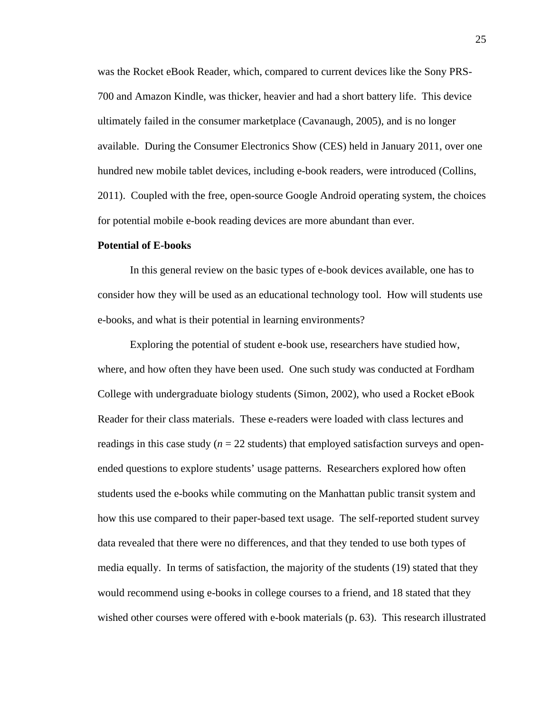was the Rocket eBook Reader, which, compared to current devices like the Sony PRS-700 and Amazon Kindle, was thicker, heavier and had a short battery life. This device ultimately failed in the consumer marketplace (Cavanaugh, 2005), and is no longer available. During the Consumer Electronics Show (CES) held in January 2011, over one hundred new mobile tablet devices, including e-book readers, were introduced (Collins, 2011). Coupled with the free, open-source Google Android operating system, the choices for potential mobile e-book reading devices are more abundant than ever.

#### **Potential of E-books**

In this general review on the basic types of e-book devices available, one has to consider how they will be used as an educational technology tool. How will students use e-books, and what is their potential in learning environments?

 Exploring the potential of student e-book use, researchers have studied how, where, and how often they have been used. One such study was conducted at Fordham College with undergraduate biology students (Simon, 2002), who used a Rocket eBook Reader for their class materials. These e-readers were loaded with class lectures and readings in this case study ( $n = 22$  students) that employed satisfaction surveys and openended questions to explore students' usage patterns. Researchers explored how often students used the e-books while commuting on the Manhattan public transit system and how this use compared to their paper-based text usage. The self-reported student survey data revealed that there were no differences, and that they tended to use both types of media equally. In terms of satisfaction, the majority of the students (19) stated that they would recommend using e-books in college courses to a friend, and 18 stated that they wished other courses were offered with e-book materials (p. 63). This research illustrated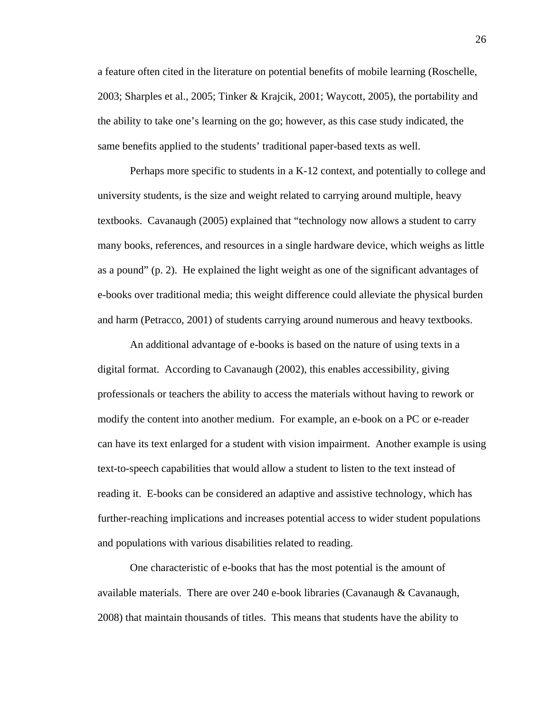a feature often cited in the literature on potential benefits of mobile learning (Roschelle, 2003; Sharples et al., 2005; Tinker & Krajcik, 2001; Waycott, 2005), the portability and the ability to take one's learning on the go; however, as this case study indicated, the same benefits applied to the students' traditional paper-based texts as well.

 Perhaps more specific to students in a K-12 context, and potentially to college and university students, is the size and weight related to carrying around multiple, heavy textbooks. Cavanaugh (2005) explained that "technology now allows a student to carry many books, references, and resources in a single hardware device, which weighs as little as a pound" (p. 2). He explained the light weight as one of the significant advantages of e-books over traditional media; this weight difference could alleviate the physical burden and harm (Petracco, 2001) of students carrying around numerous and heavy textbooks.

 An additional advantage of e-books is based on the nature of using texts in a digital format. According to Cavanaugh (2002), this enables accessibility, giving professionals or teachers the ability to access the materials without having to rework or modify the content into another medium. For example, an e-book on a PC or e-reader can have its text enlarged for a student with vision impairment. Another example is using text-to-speech capabilities that would allow a student to listen to the text instead of reading it. E-books can be considered an adaptive and assistive technology, which has further-reaching implications and increases potential access to wider student populations and populations with various disabilities related to reading.

 One characteristic of e-books that has the most potential is the amount of available materials. There are over 240 e-book libraries (Cavanaugh & Cavanaugh, 2008) that maintain thousands of titles. This means that students have the ability to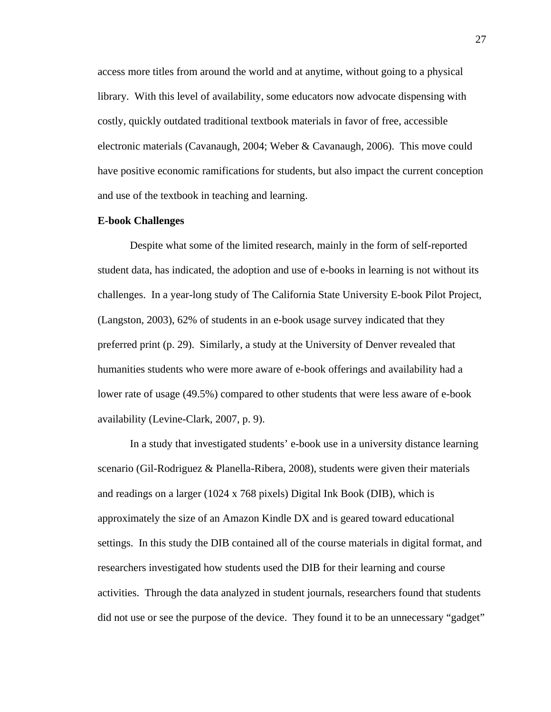access more titles from around the world and at anytime, without going to a physical library. With this level of availability, some educators now advocate dispensing with costly, quickly outdated traditional textbook materials in favor of free, accessible electronic materials (Cavanaugh, 2004; Weber & Cavanaugh, 2006). This move could have positive economic ramifications for students, but also impact the current conception and use of the textbook in teaching and learning.

## **E-book Challenges**

Despite what some of the limited research, mainly in the form of self-reported student data, has indicated, the adoption and use of e-books in learning is not without its challenges. In a year-long study of The California State University E-book Pilot Project, (Langston, 2003), 62% of students in an e-book usage survey indicated that they preferred print (p. 29). Similarly, a study at the University of Denver revealed that humanities students who were more aware of e-book offerings and availability had a lower rate of usage (49.5%) compared to other students that were less aware of e-book availability (Levine-Clark, 2007, p. 9).

 In a study that investigated students' e-book use in a university distance learning scenario (Gil-Rodriguez & Planella-Ribera, 2008), students were given their materials and readings on a larger (1024 x 768 pixels) Digital Ink Book (DIB), which is approximately the size of an Amazon Kindle DX and is geared toward educational settings. In this study the DIB contained all of the course materials in digital format, and researchers investigated how students used the DIB for their learning and course activities. Through the data analyzed in student journals, researchers found that students did not use or see the purpose of the device. They found it to be an unnecessary "gadget"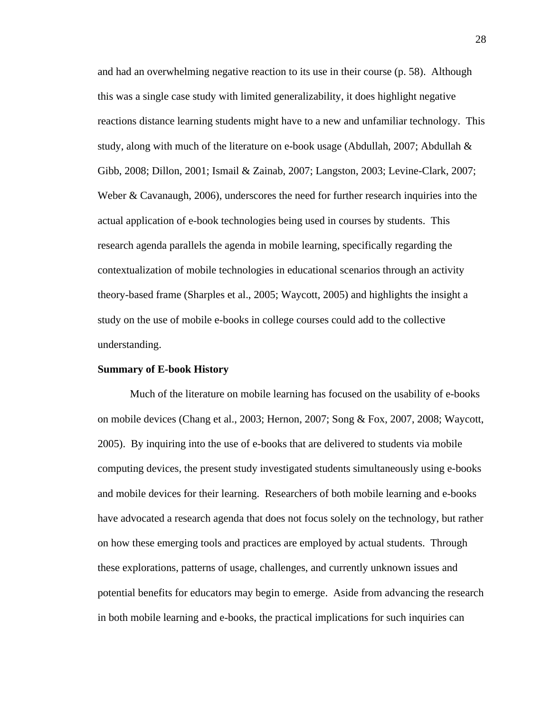and had an overwhelming negative reaction to its use in their course (p. 58). Although this was a single case study with limited generalizability, it does highlight negative reactions distance learning students might have to a new and unfamiliar technology. This study, along with much of the literature on e-book usage (Abdullah, 2007; Abdullah & Gibb, 2008; Dillon, 2001; Ismail & Zainab, 2007; Langston, 2003; Levine-Clark, 2007; Weber & Cavanaugh, 2006), underscores the need for further research inquiries into the actual application of e-book technologies being used in courses by students. This research agenda parallels the agenda in mobile learning, specifically regarding the contextualization of mobile technologies in educational scenarios through an activity theory-based frame (Sharples et al., 2005; Waycott, 2005) and highlights the insight a study on the use of mobile e-books in college courses could add to the collective understanding.

## **Summary of E-book History**

Much of the literature on mobile learning has focused on the usability of e-books on mobile devices (Chang et al., 2003; Hernon, 2007; Song & Fox, 2007, 2008; Waycott, 2005). By inquiring into the use of e-books that are delivered to students via mobile computing devices, the present study investigated students simultaneously using e-books and mobile devices for their learning. Researchers of both mobile learning and e-books have advocated a research agenda that does not focus solely on the technology, but rather on how these emerging tools and practices are employed by actual students. Through these explorations, patterns of usage, challenges, and currently unknown issues and potential benefits for educators may begin to emerge. Aside from advancing the research in both mobile learning and e-books, the practical implications for such inquiries can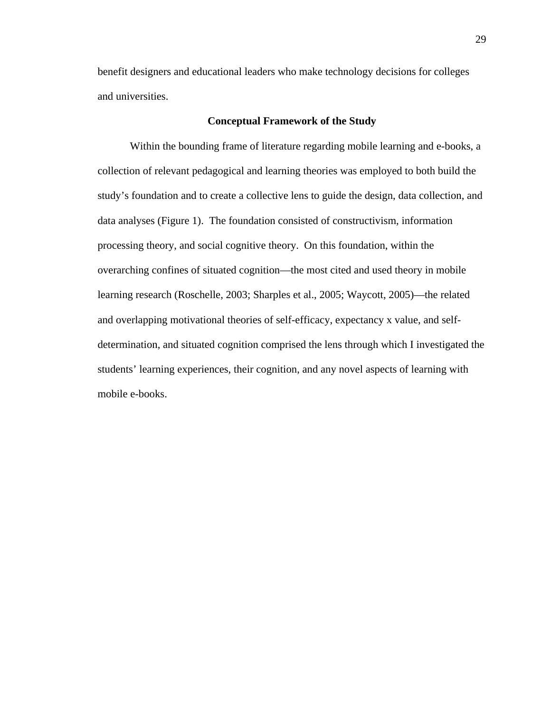benefit designers and educational leaders who make technology decisions for colleges and universities.

# **Conceptual Framework of the Study**

 Within the bounding frame of literature regarding mobile learning and e-books, a collection of relevant pedagogical and learning theories was employed to both build the study's foundation and to create a collective lens to guide the design, data collection, and data analyses (Figure 1). The foundation consisted of constructivism, information processing theory, and social cognitive theory. On this foundation, within the overarching confines of situated cognition—the most cited and used theory in mobile learning research (Roschelle, 2003; Sharples et al., 2005; Waycott, 2005)—the related and overlapping motivational theories of self-efficacy, expectancy x value, and selfdetermination, and situated cognition comprised the lens through which I investigated the students' learning experiences, their cognition, and any novel aspects of learning with mobile e-books.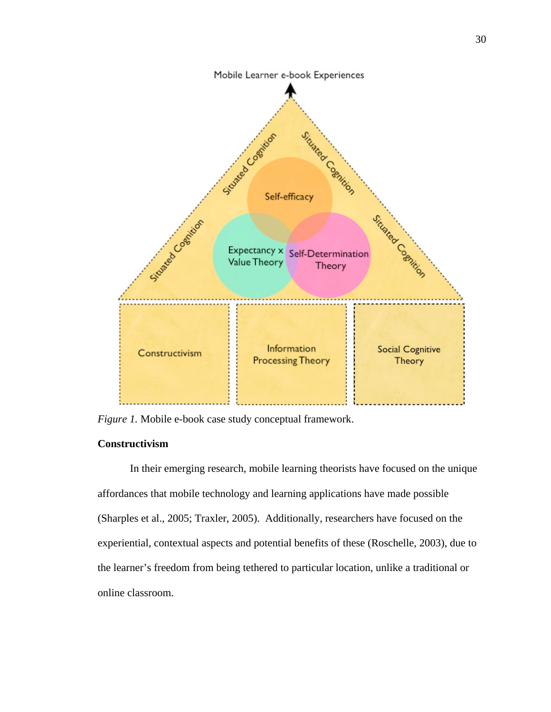

*Figure 1.* Mobile e-book case study conceptual framework.

# **Constructivism**

In their emerging research, mobile learning theorists have focused on the unique affordances that mobile technology and learning applications have made possible (Sharples et al., 2005; Traxler, 2005). Additionally, researchers have focused on the experiential, contextual aspects and potential benefits of these (Roschelle, 2003), due to the learner's freedom from being tethered to particular location, unlike a traditional or online classroom.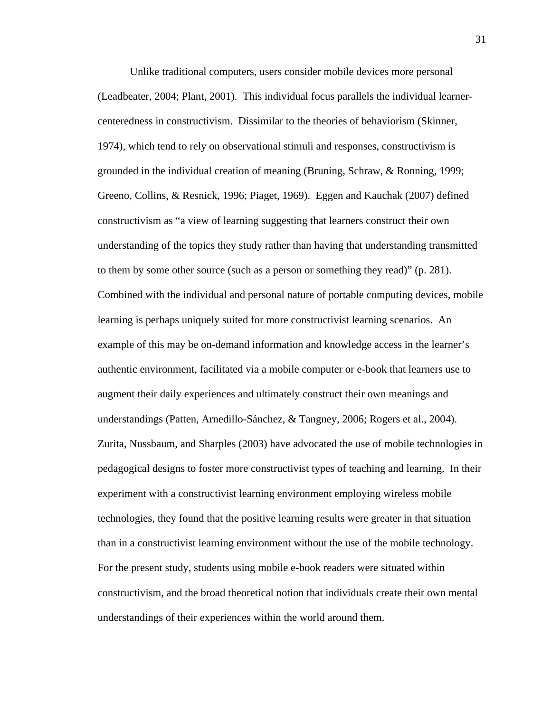Unlike traditional computers, users consider mobile devices more personal (Leadbeater, 2004; Plant, 2001). This individual focus parallels the individual learnercenteredness in constructivism. Dissimilar to the theories of behaviorism (Skinner, 1974), which tend to rely on observational stimuli and responses, constructivism is grounded in the individual creation of meaning (Bruning, Schraw, & Ronning, 1999; Greeno, Collins, & Resnick, 1996; Piaget, 1969). Eggen and Kauchak (2007) defined constructivism as "a view of learning suggesting that learners construct their own understanding of the topics they study rather than having that understanding transmitted to them by some other source (such as a person or something they read)" (p. 281). Combined with the individual and personal nature of portable computing devices, mobile learning is perhaps uniquely suited for more constructivist learning scenarios. An example of this may be on-demand information and knowledge access in the learner's authentic environment, facilitated via a mobile computer or e-book that learners use to augment their daily experiences and ultimately construct their own meanings and understandings (Patten, Arnedillo-Sánchez, & Tangney, 2006; Rogers et al., 2004). Zurita, Nussbaum, and Sharples (2003) have advocated the use of mobile technologies in pedagogical designs to foster more constructivist types of teaching and learning. In their experiment with a constructivist learning environment employing wireless mobile technologies, they found that the positive learning results were greater in that situation than in a constructivist learning environment without the use of the mobile technology. For the present study, students using mobile e-book readers were situated within constructivism, and the broad theoretical notion that individuals create their own mental understandings of their experiences within the world around them.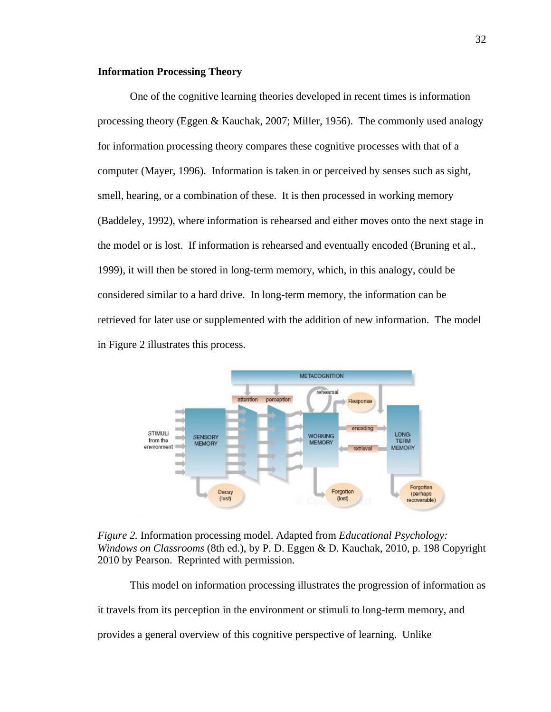# **Information Processing Theory**

 One of the cognitive learning theories developed in recent times is information processing theory (Eggen & Kauchak, 2007; Miller, 1956). The commonly used analogy for information processing theory compares these cognitive processes with that of a computer (Mayer, 1996). Information is taken in or perceived by senses such as sight, smell, hearing, or a combination of these. It is then processed in working memory (Baddeley, 1992), where information is rehearsed and either moves onto the next stage in the model or is lost. If information is rehearsed and eventually encoded (Bruning et al., 1999), it will then be stored in long-term memory, which, in this analogy, could be considered similar to a hard drive. In long-term memory, the information can be retrieved for later use or supplemented with the addition of new information. The model in Figure 2 illustrates this process.



*Figure 2.* Information processing model. Adapted from *Educational Psychology: Windows on Classrooms* (8th ed.), by P. D. Eggen & D. Kauchak, 2010, p. 198 Copyright 2010 by Pearson. Reprinted with permission.

This model on information processing illustrates the progression of information as it travels from its perception in the environment or stimuli to long-term memory, and provides a general overview of this cognitive perspective of learning. Unlike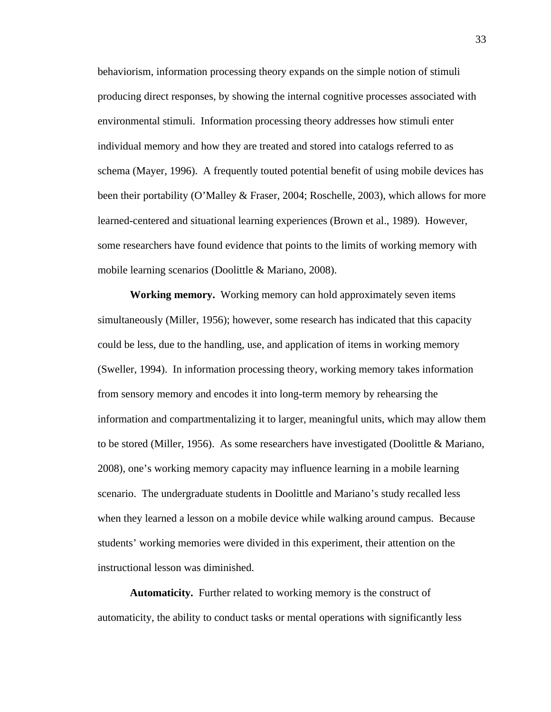behaviorism, information processing theory expands on the simple notion of stimuli producing direct responses, by showing the internal cognitive processes associated with environmental stimuli. Information processing theory addresses how stimuli enter individual memory and how they are treated and stored into catalogs referred to as schema (Mayer, 1996). A frequently touted potential benefit of using mobile devices has been their portability (O'Malley & Fraser, 2004; Roschelle, 2003), which allows for more learned-centered and situational learning experiences (Brown et al., 1989). However, some researchers have found evidence that points to the limits of working memory with mobile learning scenarios (Doolittle & Mariano, 2008).

 **Working memory.** Working memory can hold approximately seven items simultaneously (Miller, 1956); however, some research has indicated that this capacity could be less, due to the handling, use, and application of items in working memory (Sweller, 1994). In information processing theory, working memory takes information from sensory memory and encodes it into long-term memory by rehearsing the information and compartmentalizing it to larger, meaningful units, which may allow them to be stored (Miller, 1956). As some researchers have investigated (Doolittle & Mariano, 2008), one's working memory capacity may influence learning in a mobile learning scenario. The undergraduate students in Doolittle and Mariano's study recalled less when they learned a lesson on a mobile device while walking around campus. Because students' working memories were divided in this experiment, their attention on the instructional lesson was diminished.

 **Automaticity.** Further related to working memory is the construct of automaticity, the ability to conduct tasks or mental operations with significantly less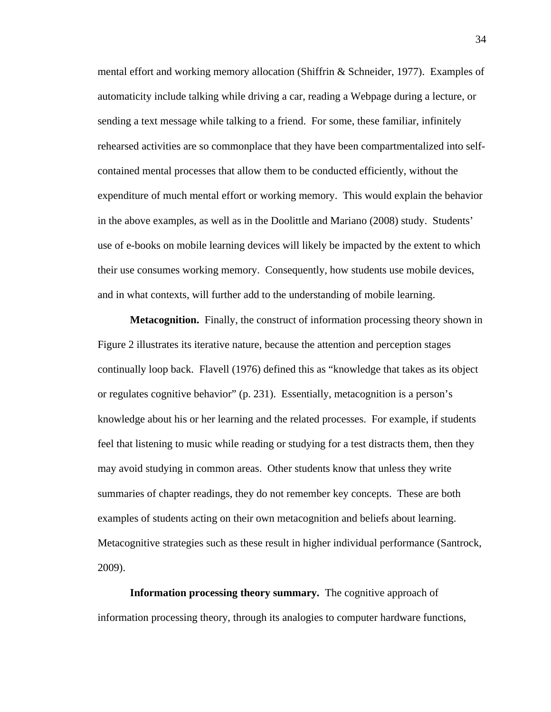mental effort and working memory allocation (Shiffrin & Schneider, 1977). Examples of automaticity include talking while driving a car, reading a Webpage during a lecture, or sending a text message while talking to a friend. For some, these familiar, infinitely rehearsed activities are so commonplace that they have been compartmentalized into selfcontained mental processes that allow them to be conducted efficiently, without the expenditure of much mental effort or working memory. This would explain the behavior in the above examples, as well as in the Doolittle and Mariano (2008) study. Students' use of e-books on mobile learning devices will likely be impacted by the extent to which their use consumes working memory. Consequently, how students use mobile devices, and in what contexts, will further add to the understanding of mobile learning.

 **Metacognition.** Finally, the construct of information processing theory shown in Figure 2 illustrates its iterative nature, because the attention and perception stages continually loop back. Flavell (1976) defined this as "knowledge that takes as its object or regulates cognitive behavior" (p. 231). Essentially, metacognition is a person's knowledge about his or her learning and the related processes. For example, if students feel that listening to music while reading or studying for a test distracts them, then they may avoid studying in common areas. Other students know that unless they write summaries of chapter readings, they do not remember key concepts. These are both examples of students acting on their own metacognition and beliefs about learning. Metacognitive strategies such as these result in higher individual performance (Santrock, 2009).

**Information processing theory summary.** The cognitive approach of information processing theory, through its analogies to computer hardware functions,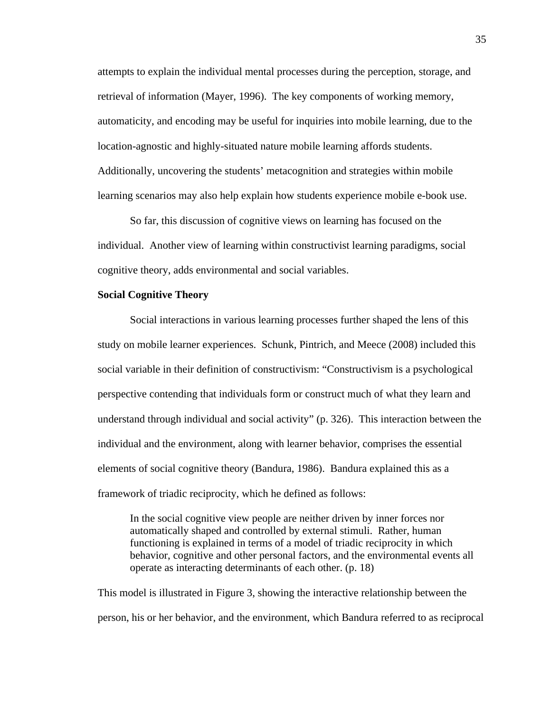attempts to explain the individual mental processes during the perception, storage, and retrieval of information (Mayer, 1996). The key components of working memory, automaticity, and encoding may be useful for inquiries into mobile learning, due to the location-agnostic and highly-situated nature mobile learning affords students. Additionally, uncovering the students' metacognition and strategies within mobile learning scenarios may also help explain how students experience mobile e-book use.

 So far, this discussion of cognitive views on learning has focused on the individual. Another view of learning within constructivist learning paradigms, social cognitive theory, adds environmental and social variables.

# **Social Cognitive Theory**

 Social interactions in various learning processes further shaped the lens of this study on mobile learner experiences. Schunk, Pintrich, and Meece (2008) included this social variable in their definition of constructivism: "Constructivism is a psychological perspective contending that individuals form or construct much of what they learn and understand through individual and social activity" (p. 326). This interaction between the individual and the environment, along with learner behavior, comprises the essential elements of social cognitive theory (Bandura, 1986). Bandura explained this as a framework of triadic reciprocity, which he defined as follows:

In the social cognitive view people are neither driven by inner forces nor automatically shaped and controlled by external stimuli. Rather, human functioning is explained in terms of a model of triadic reciprocity in which behavior, cognitive and other personal factors, and the environmental events all operate as interacting determinants of each other. (p. 18)

This model is illustrated in Figure 3, showing the interactive relationship between the person, his or her behavior, and the environment, which Bandura referred to as reciprocal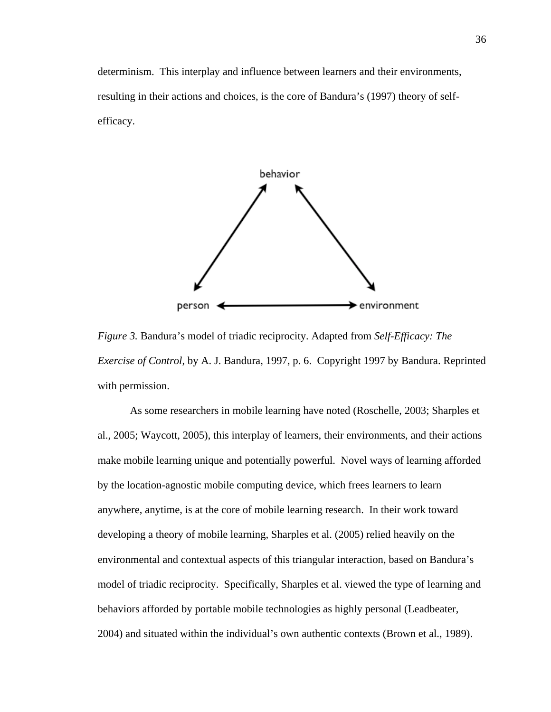determinism. This interplay and influence between learners and their environments, resulting in their actions and choices, is the core of Bandura's (1997) theory of selfefficacy.



*Figure 3.* Bandura's model of triadic reciprocity. Adapted from *Self-Efficacy: The Exercise of Control*, by A. J. Bandura, 1997, p. 6. Copyright 1997 by Bandura. Reprinted with permission.

As some researchers in mobile learning have noted (Roschelle, 2003; Sharples et al., 2005; Waycott, 2005), this interplay of learners, their environments, and their actions make mobile learning unique and potentially powerful. Novel ways of learning afforded by the location-agnostic mobile computing device, which frees learners to learn anywhere, anytime, is at the core of mobile learning research. In their work toward developing a theory of mobile learning, Sharples et al. (2005) relied heavily on the environmental and contextual aspects of this triangular interaction, based on Bandura's model of triadic reciprocity. Specifically, Sharples et al. viewed the type of learning and behaviors afforded by portable mobile technologies as highly personal (Leadbeater, 2004) and situated within the individual's own authentic contexts (Brown et al., 1989).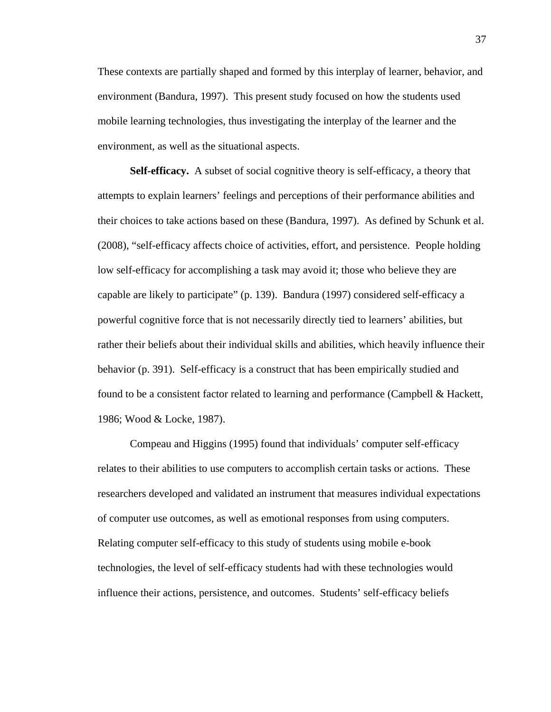These contexts are partially shaped and formed by this interplay of learner, behavior, and environment (Bandura, 1997). This present study focused on how the students used mobile learning technologies, thus investigating the interplay of the learner and the environment, as well as the situational aspects.

**Self-efficacy.** A subset of social cognitive theory is self-efficacy, a theory that attempts to explain learners' feelings and perceptions of their performance abilities and their choices to take actions based on these (Bandura, 1997). As defined by Schunk et al. (2008), "self-efficacy affects choice of activities, effort, and persistence. People holding low self-efficacy for accomplishing a task may avoid it; those who believe they are capable are likely to participate" (p. 139). Bandura (1997) considered self-efficacy a powerful cognitive force that is not necessarily directly tied to learners' abilities, but rather their beliefs about their individual skills and abilities, which heavily influence their behavior (p. 391). Self-efficacy is a construct that has been empirically studied and found to be a consistent factor related to learning and performance (Campbell & Hackett, 1986; Wood & Locke, 1987).

Compeau and Higgins (1995) found that individuals' computer self-efficacy relates to their abilities to use computers to accomplish certain tasks or actions. These researchers developed and validated an instrument that measures individual expectations of computer use outcomes, as well as emotional responses from using computers. Relating computer self-efficacy to this study of students using mobile e-book technologies, the level of self-efficacy students had with these technologies would influence their actions, persistence, and outcomes. Students' self-efficacy beliefs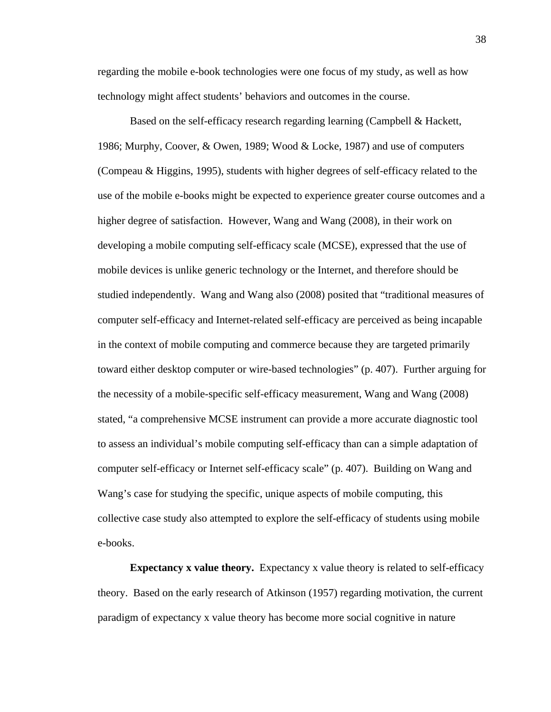regarding the mobile e-book technologies were one focus of my study, as well as how technology might affect students' behaviors and outcomes in the course.

Based on the self-efficacy research regarding learning (Campbell & Hackett, 1986; Murphy, Coover, & Owen, 1989; Wood & Locke, 1987) and use of computers (Compeau & Higgins, 1995), students with higher degrees of self-efficacy related to the use of the mobile e-books might be expected to experience greater course outcomes and a higher degree of satisfaction. However, Wang and Wang (2008), in their work on developing a mobile computing self-efficacy scale (MCSE), expressed that the use of mobile devices is unlike generic technology or the Internet, and therefore should be studied independently. Wang and Wang also (2008) posited that "traditional measures of computer self-efficacy and Internet-related self-efficacy are perceived as being incapable in the context of mobile computing and commerce because they are targeted primarily toward either desktop computer or wire-based technologies" (p. 407). Further arguing for the necessity of a mobile-specific self-efficacy measurement, Wang and Wang (2008) stated, "a comprehensive MCSE instrument can provide a more accurate diagnostic tool to assess an individual's mobile computing self-efficacy than can a simple adaptation of computer self-efficacy or Internet self-efficacy scale" (p. 407). Building on Wang and Wang's case for studying the specific, unique aspects of mobile computing, this collective case study also attempted to explore the self-efficacy of students using mobile e-books.

**Expectancy x value theory.** Expectancy x value theory is related to self-efficacy theory. Based on the early research of Atkinson (1957) regarding motivation, the current paradigm of expectancy x value theory has become more social cognitive in nature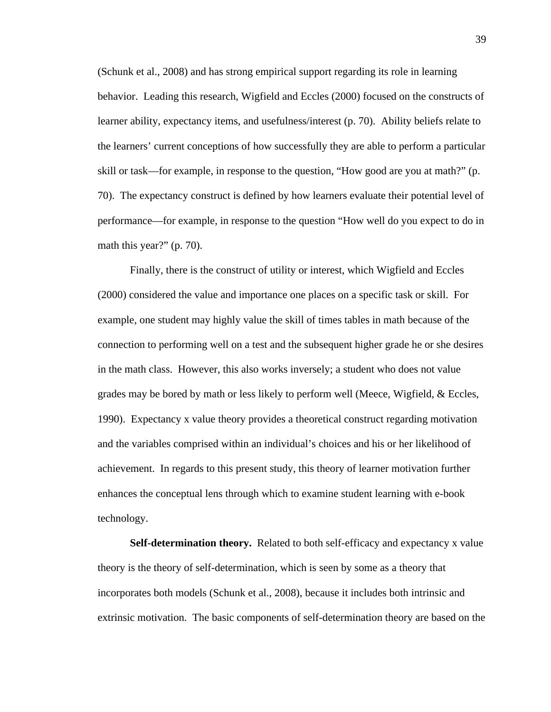(Schunk et al., 2008) and has strong empirical support regarding its role in learning behavior. Leading this research, Wigfield and Eccles (2000) focused on the constructs of learner ability, expectancy items, and usefulness/interest (p. 70). Ability beliefs relate to the learners' current conceptions of how successfully they are able to perform a particular skill or task—for example, in response to the question, "How good are you at math?" (p. 70). The expectancy construct is defined by how learners evaluate their potential level of performance—for example, in response to the question "How well do you expect to do in math this year?" (p. 70).

Finally, there is the construct of utility or interest, which Wigfield and Eccles (2000) considered the value and importance one places on a specific task or skill. For example, one student may highly value the skill of times tables in math because of the connection to performing well on a test and the subsequent higher grade he or she desires in the math class. However, this also works inversely; a student who does not value grades may be bored by math or less likely to perform well (Meece, Wigfield, & Eccles, 1990). Expectancy x value theory provides a theoretical construct regarding motivation and the variables comprised within an individual's choices and his or her likelihood of achievement. In regards to this present study, this theory of learner motivation further enhances the conceptual lens through which to examine student learning with e-book technology.

**Self-determination theory.** Related to both self-efficacy and expectancy x value theory is the theory of self-determination, which is seen by some as a theory that incorporates both models (Schunk et al., 2008), because it includes both intrinsic and extrinsic motivation. The basic components of self-determination theory are based on the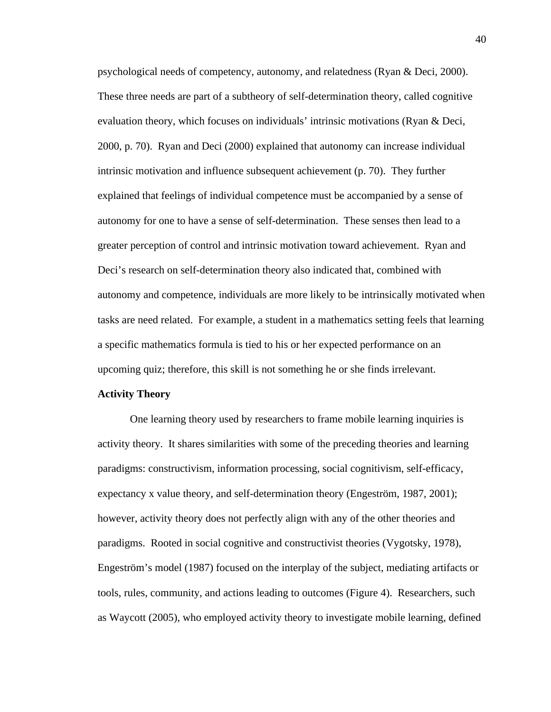psychological needs of competency, autonomy, and relatedness (Ryan & Deci, 2000). These three needs are part of a subtheory of self-determination theory, called cognitive evaluation theory, which focuses on individuals' intrinsic motivations (Ryan & Deci, 2000, p. 70). Ryan and Deci (2000) explained that autonomy can increase individual intrinsic motivation and influence subsequent achievement (p. 70). They further explained that feelings of individual competence must be accompanied by a sense of autonomy for one to have a sense of self-determination. These senses then lead to a greater perception of control and intrinsic motivation toward achievement. Ryan and Deci's research on self-determination theory also indicated that, combined with autonomy and competence, individuals are more likely to be intrinsically motivated when tasks are need related. For example, a student in a mathematics setting feels that learning a specific mathematics formula is tied to his or her expected performance on an upcoming quiz; therefore, this skill is not something he or she finds irrelevant.

## **Activity Theory**

One learning theory used by researchers to frame mobile learning inquiries is activity theory. It shares similarities with some of the preceding theories and learning paradigms: constructivism, information processing, social cognitivism, self-efficacy, expectancy x value theory, and self-determination theory (Engeström, 1987, 2001); however, activity theory does not perfectly align with any of the other theories and paradigms. Rooted in social cognitive and constructivist theories (Vygotsky, 1978), Engeström's model (1987) focused on the interplay of the subject, mediating artifacts or tools, rules, community, and actions leading to outcomes (Figure 4). Researchers, such as Waycott (2005), who employed activity theory to investigate mobile learning, defined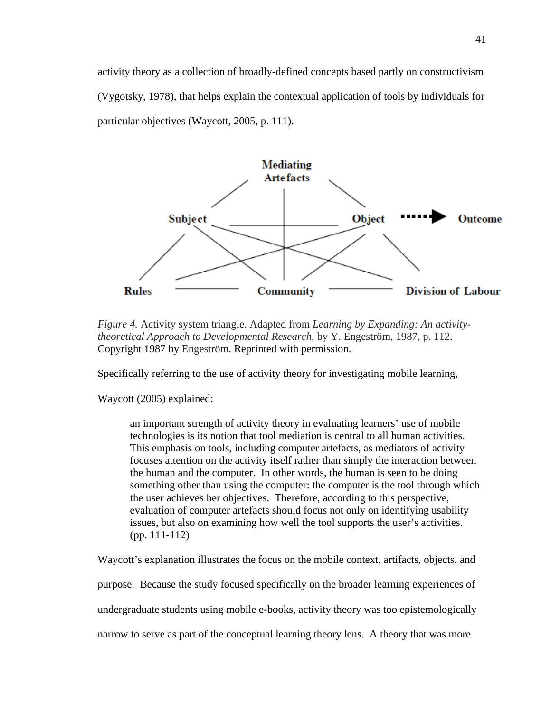activity theory as a collection of broadly-defined concepts based partly on constructivism (Vygotsky, 1978), that helps explain the contextual application of tools by individuals for particular objectives (Waycott, 2005, p. 111).



*Figure 4.* Activity system triangle. Adapted from *Learning by Expanding: An activitytheoretical Approach to Developmental Research*, by Y. Engeström, 1987, p. 112. Copyright 1987 by Engeström. Reprinted with permission.

Specifically referring to the use of activity theory for investigating mobile learning,

Waycott (2005) explained:

an important strength of activity theory in evaluating learners' use of mobile technologies is its notion that tool mediation is central to all human activities. This emphasis on tools, including computer artefacts, as mediators of activity focuses attention on the activity itself rather than simply the interaction between the human and the computer. In other words, the human is seen to be doing something other than using the computer: the computer is the tool through which the user achieves her objectives. Therefore, according to this perspective, evaluation of computer artefacts should focus not only on identifying usability issues, but also on examining how well the tool supports the user's activities. (pp. 111-112)

Waycott's explanation illustrates the focus on the mobile context, artifacts, objects, and

purpose. Because the study focused specifically on the broader learning experiences of

undergraduate students using mobile e-books, activity theory was too epistemologically

narrow to serve as part of the conceptual learning theory lens. A theory that was more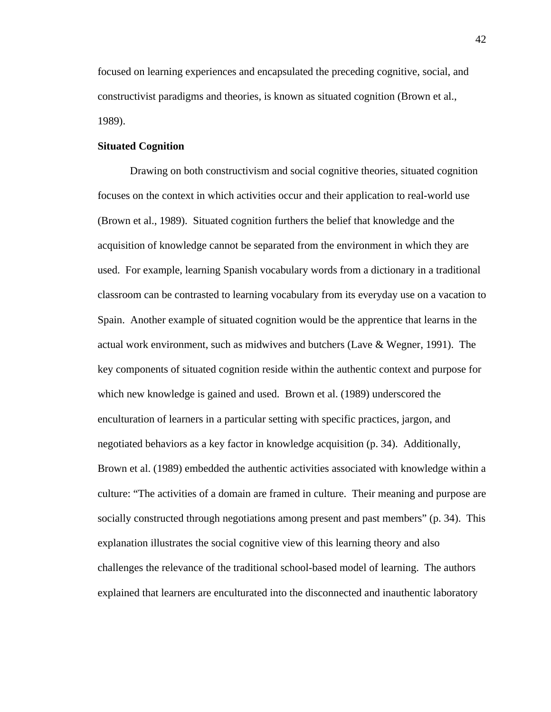focused on learning experiences and encapsulated the preceding cognitive, social, and constructivist paradigms and theories, is known as situated cognition (Brown et al., 1989).

# **Situated Cognition**

Drawing on both constructivism and social cognitive theories, situated cognition focuses on the context in which activities occur and their application to real-world use (Brown et al., 1989). Situated cognition furthers the belief that knowledge and the acquisition of knowledge cannot be separated from the environment in which they are used. For example, learning Spanish vocabulary words from a dictionary in a traditional classroom can be contrasted to learning vocabulary from its everyday use on a vacation to Spain. Another example of situated cognition would be the apprentice that learns in the actual work environment, such as midwives and butchers (Lave & Wegner, 1991). The key components of situated cognition reside within the authentic context and purpose for which new knowledge is gained and used. Brown et al. (1989) underscored the enculturation of learners in a particular setting with specific practices, jargon, and negotiated behaviors as a key factor in knowledge acquisition (p. 34). Additionally, Brown et al. (1989) embedded the authentic activities associated with knowledge within a culture: "The activities of a domain are framed in culture. Their meaning and purpose are socially constructed through negotiations among present and past members" (p. 34). This explanation illustrates the social cognitive view of this learning theory and also challenges the relevance of the traditional school-based model of learning. The authors explained that learners are enculturated into the disconnected and inauthentic laboratory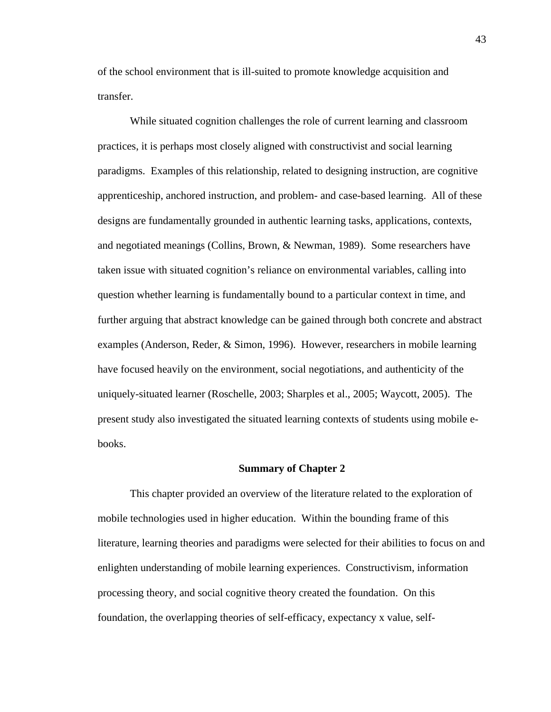of the school environment that is ill-suited to promote knowledge acquisition and transfer.

While situated cognition challenges the role of current learning and classroom practices, it is perhaps most closely aligned with constructivist and social learning paradigms. Examples of this relationship, related to designing instruction, are cognitive apprenticeship, anchored instruction, and problem- and case-based learning. All of these designs are fundamentally grounded in authentic learning tasks, applications, contexts, and negotiated meanings (Collins, Brown, & Newman, 1989). Some researchers have taken issue with situated cognition's reliance on environmental variables, calling into question whether learning is fundamentally bound to a particular context in time, and further arguing that abstract knowledge can be gained through both concrete and abstract examples (Anderson, Reder, & Simon, 1996). However, researchers in mobile learning have focused heavily on the environment, social negotiations, and authenticity of the uniquely-situated learner (Roschelle, 2003; Sharples et al., 2005; Waycott, 2005). The present study also investigated the situated learning contexts of students using mobile ebooks.

#### **Summary of Chapter 2**

 This chapter provided an overview of the literature related to the exploration of mobile technologies used in higher education. Within the bounding frame of this literature, learning theories and paradigms were selected for their abilities to focus on and enlighten understanding of mobile learning experiences. Constructivism, information processing theory, and social cognitive theory created the foundation. On this foundation, the overlapping theories of self-efficacy, expectancy x value, self-

43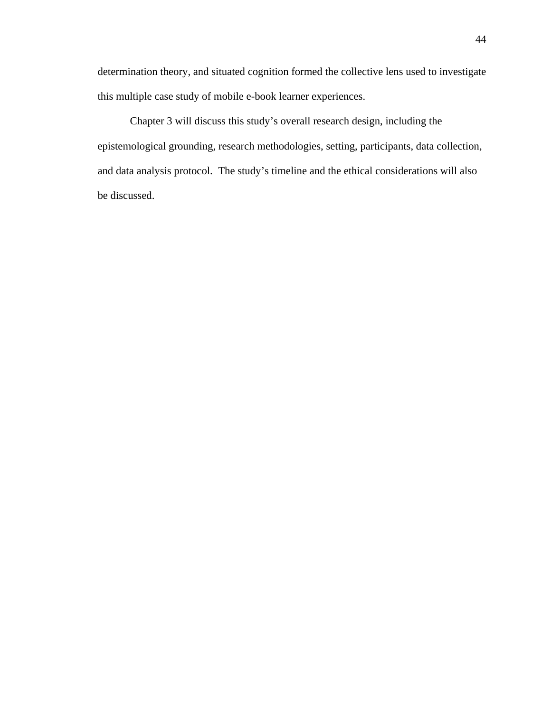determination theory, and situated cognition formed the collective lens used to investigate this multiple case study of mobile e-book learner experiences.

Chapter 3 will discuss this study's overall research design, including the epistemological grounding, research methodologies, setting, participants, data collection, and data analysis protocol. The study's timeline and the ethical considerations will also be discussed.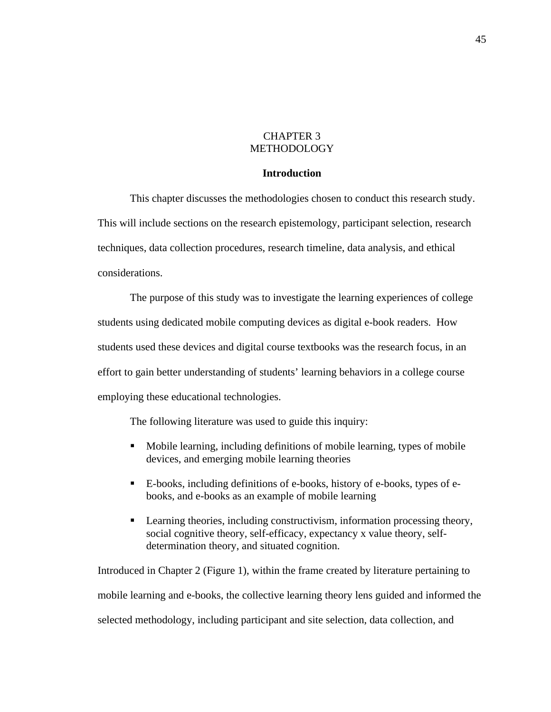# CHAPTER 3 METHODOLOGY

# **Introduction**

This chapter discusses the methodologies chosen to conduct this research study. This will include sections on the research epistemology, participant selection, research techniques, data collection procedures, research timeline, data analysis, and ethical considerations.

The purpose of this study was to investigate the learning experiences of college students using dedicated mobile computing devices as digital e-book readers. How students used these devices and digital course textbooks was the research focus, in an effort to gain better understanding of students' learning behaviors in a college course employing these educational technologies.

The following literature was used to guide this inquiry:

- Mobile learning, including definitions of mobile learning, types of mobile devices, and emerging mobile learning theories
- E-books, including definitions of e-books, history of e-books, types of ebooks, and e-books as an example of mobile learning
- **Example 1** Learning theories, including constructivism, information processing theory, social cognitive theory, self-efficacy, expectancy x value theory, selfdetermination theory, and situated cognition.

Introduced in Chapter 2 (Figure 1), within the frame created by literature pertaining to mobile learning and e-books, the collective learning theory lens guided and informed the selected methodology, including participant and site selection, data collection, and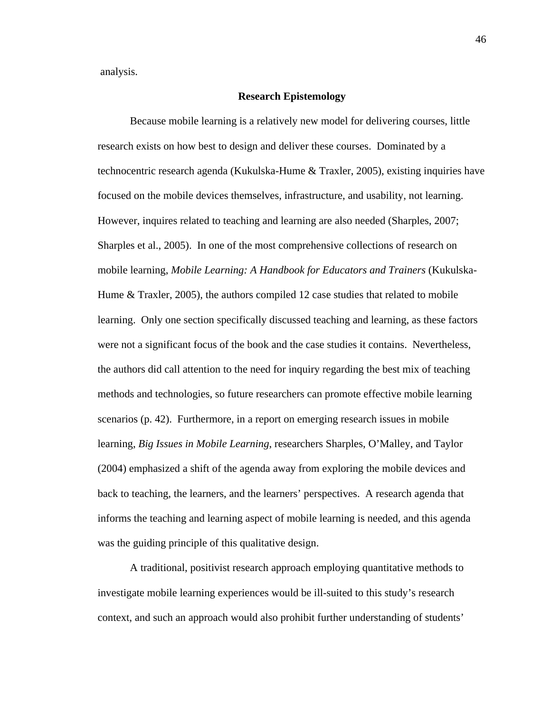analysis.

## **Research Epistemology**

Because mobile learning is a relatively new model for delivering courses, little research exists on how best to design and deliver these courses. Dominated by a technocentric research agenda (Kukulska-Hume & Traxler, 2005), existing inquiries have focused on the mobile devices themselves, infrastructure, and usability, not learning. However, inquires related to teaching and learning are also needed (Sharples, 2007; Sharples et al., 2005). In one of the most comprehensive collections of research on mobile learning, *Mobile Learning: A Handbook for Educators and Trainers* (Kukulska-Hume & Traxler, 2005), the authors compiled 12 case studies that related to mobile learning. Only one section specifically discussed teaching and learning, as these factors were not a significant focus of the book and the case studies it contains. Nevertheless, the authors did call attention to the need for inquiry regarding the best mix of teaching methods and technologies, so future researchers can promote effective mobile learning scenarios (p. 42). Furthermore, in a report on emerging research issues in mobile learning, *Big Issues in Mobile Learning*, researchers Sharples, O'Malley, and Taylor (2004) emphasized a shift of the agenda away from exploring the mobile devices and back to teaching, the learners, and the learners' perspectives. A research agenda that informs the teaching and learning aspect of mobile learning is needed, and this agenda was the guiding principle of this qualitative design.

A traditional, positivist research approach employing quantitative methods to investigate mobile learning experiences would be ill-suited to this study's research context, and such an approach would also prohibit further understanding of students'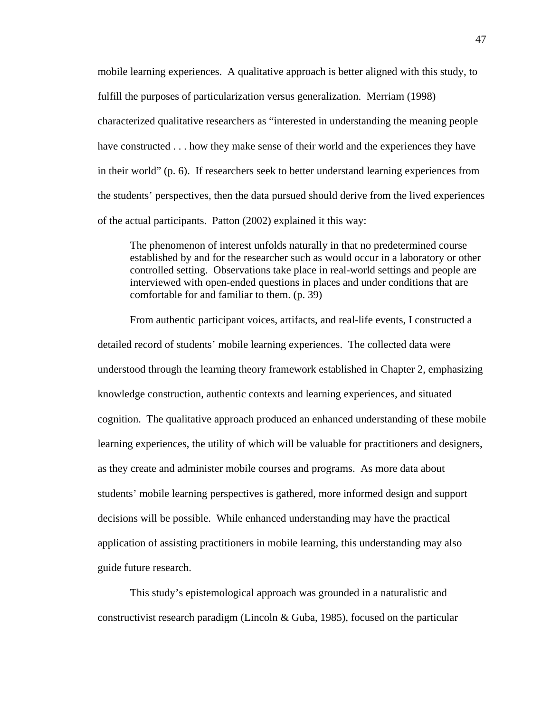mobile learning experiences. A qualitative approach is better aligned with this study, to fulfill the purposes of particularization versus generalization. Merriam (1998) characterized qualitative researchers as "interested in understanding the meaning people have constructed . . . how they make sense of their world and the experiences they have in their world" (p. 6). If researchers seek to better understand learning experiences from the students' perspectives, then the data pursued should derive from the lived experiences of the actual participants. Patton (2002) explained it this way:

The phenomenon of interest unfolds naturally in that no predetermined course established by and for the researcher such as would occur in a laboratory or other controlled setting. Observations take place in real-world settings and people are interviewed with open-ended questions in places and under conditions that are comfortable for and familiar to them. (p. 39)

From authentic participant voices, artifacts, and real-life events, I constructed a detailed record of students' mobile learning experiences. The collected data were understood through the learning theory framework established in Chapter 2, emphasizing knowledge construction, authentic contexts and learning experiences, and situated cognition. The qualitative approach produced an enhanced understanding of these mobile learning experiences, the utility of which will be valuable for practitioners and designers, as they create and administer mobile courses and programs. As more data about students' mobile learning perspectives is gathered, more informed design and support decisions will be possible. While enhanced understanding may have the practical application of assisting practitioners in mobile learning, this understanding may also guide future research.

This study's epistemological approach was grounded in a naturalistic and constructivist research paradigm (Lincoln & Guba, 1985), focused on the particular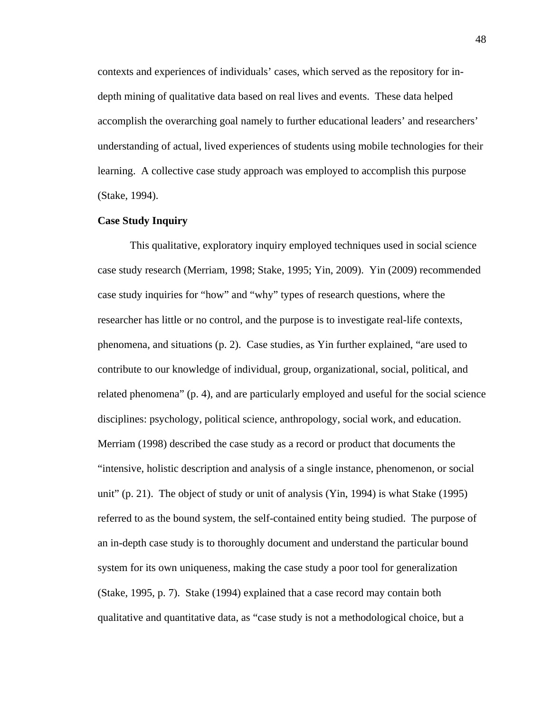contexts and experiences of individuals' cases, which served as the repository for indepth mining of qualitative data based on real lives and events. These data helped accomplish the overarching goal namely to further educational leaders' and researchers' understanding of actual, lived experiences of students using mobile technologies for their learning. A collective case study approach was employed to accomplish this purpose (Stake, 1994).

## **Case Study Inquiry**

This qualitative, exploratory inquiry employed techniques used in social science case study research (Merriam, 1998; Stake, 1995; Yin, 2009). Yin (2009) recommended case study inquiries for "how" and "why" types of research questions, where the researcher has little or no control, and the purpose is to investigate real-life contexts, phenomena, and situations (p. 2). Case studies, as Yin further explained, "are used to contribute to our knowledge of individual, group, organizational, social, political, and related phenomena" (p. 4), and are particularly employed and useful for the social science disciplines: psychology, political science, anthropology, social work, and education. Merriam (1998) described the case study as a record or product that documents the "intensive, holistic description and analysis of a single instance, phenomenon, or social unit" (p. 21). The object of study or unit of analysis (Yin, 1994) is what Stake (1995) referred to as the bound system, the self-contained entity being studied. The purpose of an in-depth case study is to thoroughly document and understand the particular bound system for its own uniqueness, making the case study a poor tool for generalization (Stake, 1995, p. 7). Stake (1994) explained that a case record may contain both qualitative and quantitative data, as "case study is not a methodological choice, but a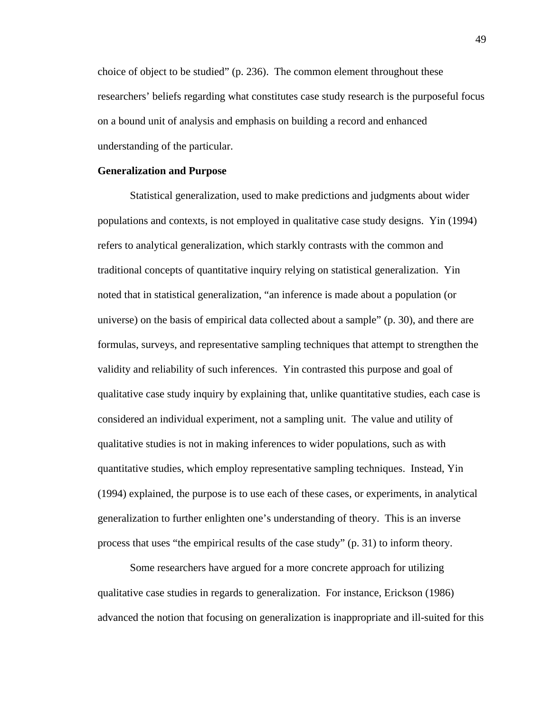choice of object to be studied" (p. 236). The common element throughout these researchers' beliefs regarding what constitutes case study research is the purposeful focus on a bound unit of analysis and emphasis on building a record and enhanced understanding of the particular.

#### **Generalization and Purpose**

Statistical generalization, used to make predictions and judgments about wider populations and contexts, is not employed in qualitative case study designs. Yin (1994) refers to analytical generalization, which starkly contrasts with the common and traditional concepts of quantitative inquiry relying on statistical generalization. Yin noted that in statistical generalization, "an inference is made about a population (or universe) on the basis of empirical data collected about a sample" (p. 30), and there are formulas, surveys, and representative sampling techniques that attempt to strengthen the validity and reliability of such inferences. Yin contrasted this purpose and goal of qualitative case study inquiry by explaining that, unlike quantitative studies, each case is considered an individual experiment, not a sampling unit. The value and utility of qualitative studies is not in making inferences to wider populations, such as with quantitative studies, which employ representative sampling techniques. Instead, Yin (1994) explained, the purpose is to use each of these cases, or experiments, in analytical generalization to further enlighten one's understanding of theory. This is an inverse process that uses "the empirical results of the case study" (p. 31) to inform theory.

 Some researchers have argued for a more concrete approach for utilizing qualitative case studies in regards to generalization. For instance, Erickson (1986) advanced the notion that focusing on generalization is inappropriate and ill-suited for this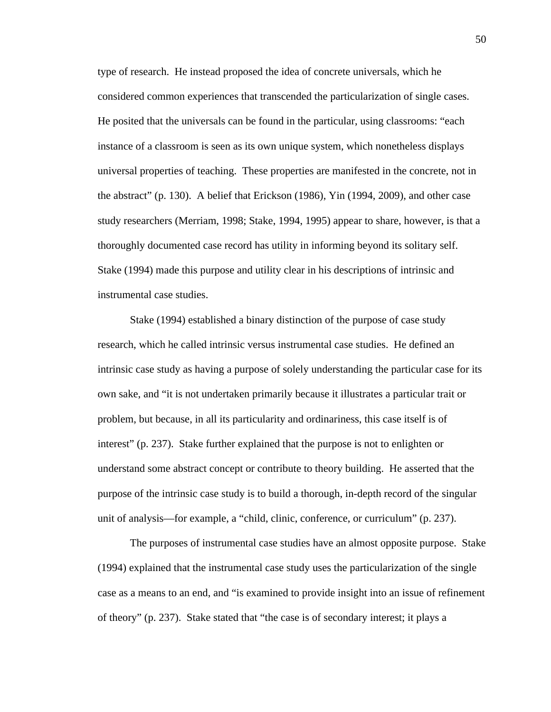type of research. He instead proposed the idea of concrete universals, which he considered common experiences that transcended the particularization of single cases. He posited that the universals can be found in the particular, using classrooms: "each instance of a classroom is seen as its own unique system, which nonetheless displays universal properties of teaching. These properties are manifested in the concrete, not in the abstract" (p. 130). A belief that Erickson (1986), Yin (1994, 2009), and other case study researchers (Merriam, 1998; Stake, 1994, 1995) appear to share, however, is that a thoroughly documented case record has utility in informing beyond its solitary self. Stake (1994) made this purpose and utility clear in his descriptions of intrinsic and instrumental case studies.

Stake (1994) established a binary distinction of the purpose of case study research, which he called intrinsic versus instrumental case studies. He defined an intrinsic case study as having a purpose of solely understanding the particular case for its own sake, and "it is not undertaken primarily because it illustrates a particular trait or problem, but because, in all its particularity and ordinariness, this case itself is of interest" (p. 237). Stake further explained that the purpose is not to enlighten or understand some abstract concept or contribute to theory building. He asserted that the purpose of the intrinsic case study is to build a thorough, in-depth record of the singular unit of analysis—for example, a "child, clinic, conference, or curriculum" (p. 237).

The purposes of instrumental case studies have an almost opposite purpose. Stake (1994) explained that the instrumental case study uses the particularization of the single case as a means to an end, and "is examined to provide insight into an issue of refinement of theory" (p. 237). Stake stated that "the case is of secondary interest; it plays a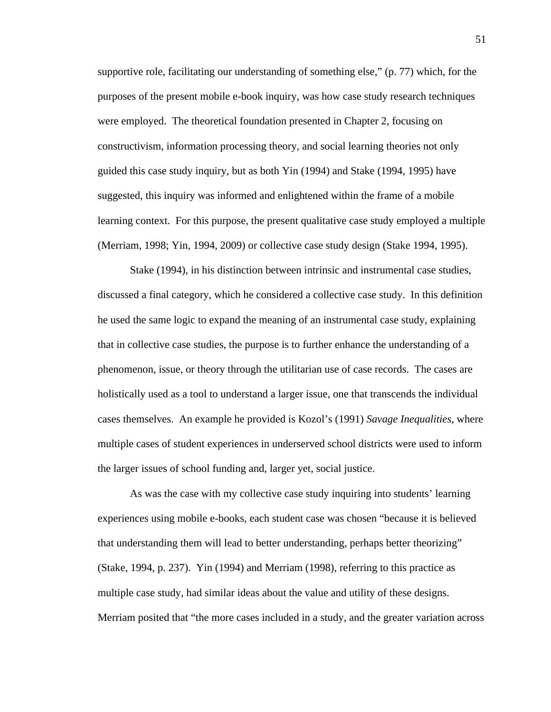supportive role, facilitating our understanding of something else," (p. 77) which, for the purposes of the present mobile e-book inquiry, was how case study research techniques were employed. The theoretical foundation presented in Chapter 2, focusing on constructivism, information processing theory, and social learning theories not only guided this case study inquiry, but as both Yin (1994) and Stake (1994, 1995) have suggested, this inquiry was informed and enlightened within the frame of a mobile learning context. For this purpose, the present qualitative case study employed a multiple (Merriam, 1998; Yin, 1994, 2009) or collective case study design (Stake 1994, 1995).

Stake (1994), in his distinction between intrinsic and instrumental case studies, discussed a final category, which he considered a collective case study. In this definition he used the same logic to expand the meaning of an instrumental case study, explaining that in collective case studies, the purpose is to further enhance the understanding of a phenomenon, issue, or theory through the utilitarian use of case records. The cases are holistically used as a tool to understand a larger issue, one that transcends the individual cases themselves. An example he provided is Kozol's (1991) *Savage Inequalities*, where multiple cases of student experiences in underserved school districts were used to inform the larger issues of school funding and, larger yet, social justice.

As was the case with my collective case study inquiring into students' learning experiences using mobile e-books, each student case was chosen "because it is believed that understanding them will lead to better understanding, perhaps better theorizing" (Stake, 1994, p. 237). Yin (1994) and Merriam (1998), referring to this practice as multiple case study, had similar ideas about the value and utility of these designs. Merriam posited that "the more cases included in a study, and the greater variation across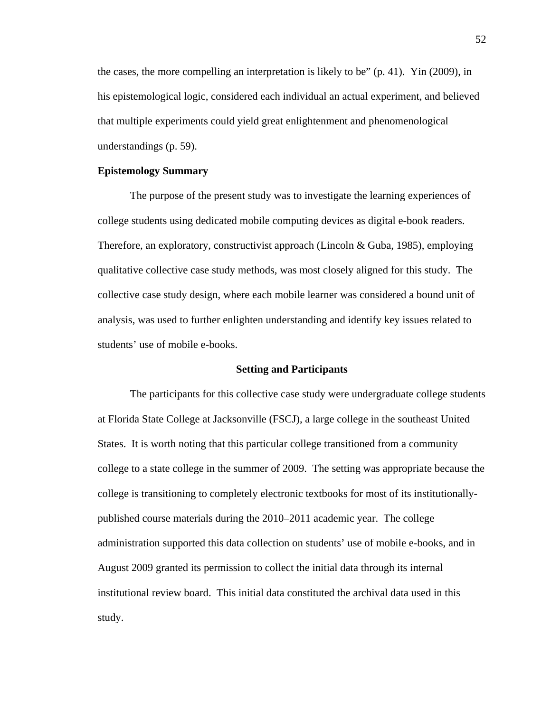the cases, the more compelling an interpretation is likely to be" (p. 41). Yin (2009), in his epistemological logic, considered each individual an actual experiment, and believed that multiple experiments could yield great enlightenment and phenomenological understandings (p. 59).

## **Epistemology Summary**

The purpose of the present study was to investigate the learning experiences of college students using dedicated mobile computing devices as digital e-book readers. Therefore, an exploratory, constructivist approach (Lincoln & Guba, 1985), employing qualitative collective case study methods, was most closely aligned for this study. The collective case study design, where each mobile learner was considered a bound unit of analysis, was used to further enlighten understanding and identify key issues related to students' use of mobile e-books.

## **Setting and Participants**

The participants for this collective case study were undergraduate college students at Florida State College at Jacksonville (FSCJ), a large college in the southeast United States. It is worth noting that this particular college transitioned from a community college to a state college in the summer of 2009. The setting was appropriate because the college is transitioning to completely electronic textbooks for most of its institutionallypublished course materials during the 2010–2011 academic year. The college administration supported this data collection on students' use of mobile e-books, and in August 2009 granted its permission to collect the initial data through its internal institutional review board. This initial data constituted the archival data used in this study.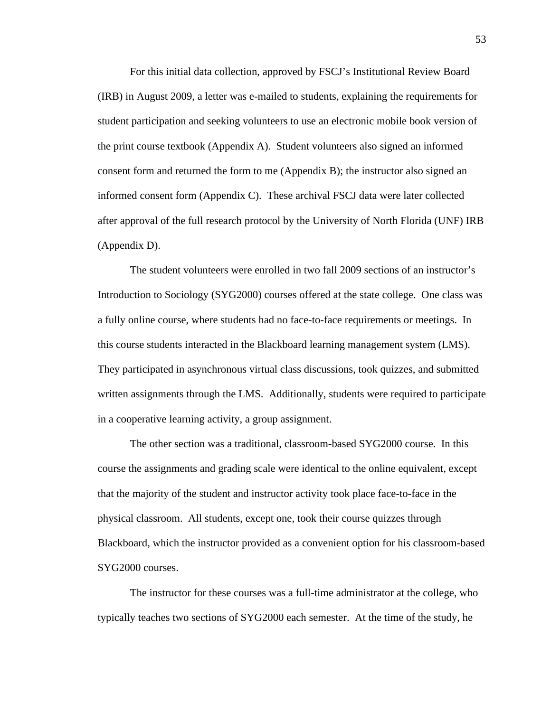For this initial data collection, approved by FSCJ's Institutional Review Board (IRB) in August 2009, a letter was e-mailed to students, explaining the requirements for student participation and seeking volunteers to use an electronic mobile book version of the print course textbook (Appendix A). Student volunteers also signed an informed consent form and returned the form to me (Appendix B); the instructor also signed an informed consent form (Appendix C). These archival FSCJ data were later collected after approval of the full research protocol by the University of North Florida (UNF) IRB (Appendix D).

The student volunteers were enrolled in two fall 2009 sections of an instructor's Introduction to Sociology (SYG2000) courses offered at the state college. One class was a fully online course, where students had no face-to-face requirements or meetings. In this course students interacted in the Blackboard learning management system (LMS). They participated in asynchronous virtual class discussions, took quizzes, and submitted written assignments through the LMS. Additionally, students were required to participate in a cooperative learning activity, a group assignment.

The other section was a traditional, classroom-based SYG2000 course. In this course the assignments and grading scale were identical to the online equivalent, except that the majority of the student and instructor activity took place face-to-face in the physical classroom. All students, except one, took their course quizzes through Blackboard, which the instructor provided as a convenient option for his classroom-based SYG2000 courses.

The instructor for these courses was a full-time administrator at the college, who typically teaches two sections of SYG2000 each semester. At the time of the study, he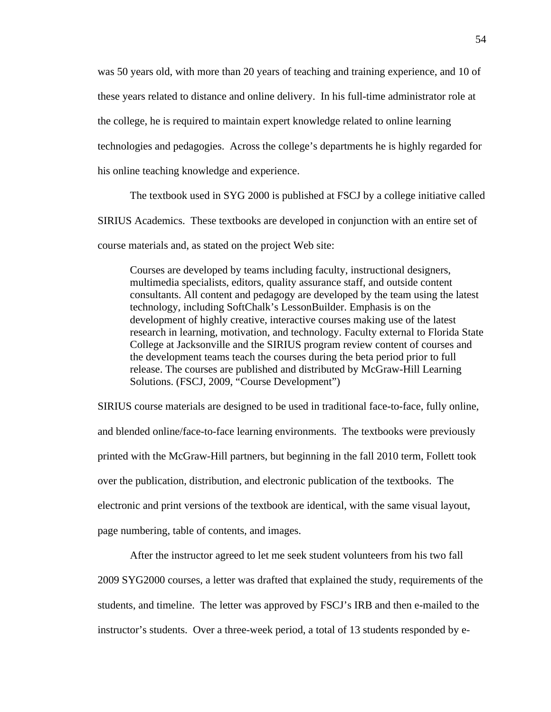was 50 years old, with more than 20 years of teaching and training experience, and 10 of these years related to distance and online delivery. In his full-time administrator role at the college, he is required to maintain expert knowledge related to online learning technologies and pedagogies. Across the college's departments he is highly regarded for his online teaching knowledge and experience.

The textbook used in SYG 2000 is published at FSCJ by a college initiative called SIRIUS Academics. These textbooks are developed in conjunction with an entire set of course materials and, as stated on the project Web site:

Courses are developed by teams including faculty, instructional designers, multimedia specialists, editors, quality assurance staff, and outside content consultants. All content and pedagogy are developed by the team using the latest technology, including SoftChalk's LessonBuilder. Emphasis is on the development of highly creative, interactive courses making use of the latest research in learning, motivation, and technology. Faculty external to Florida State College at Jacksonville and the SIRIUS program review content of courses and the development teams teach the courses during the beta period prior to full release. The courses are published and distributed by McGraw-Hill Learning Solutions. (FSCJ, 2009, "Course Development")

SIRIUS course materials are designed to be used in traditional face-to-face, fully online, and blended online/face-to-face learning environments. The textbooks were previously printed with the McGraw-Hill partners, but beginning in the fall 2010 term, Follett took over the publication, distribution, and electronic publication of the textbooks. The electronic and print versions of the textbook are identical, with the same visual layout, page numbering, table of contents, and images.

 After the instructor agreed to let me seek student volunteers from his two fall 2009 SYG2000 courses, a letter was drafted that explained the study, requirements of the students, and timeline. The letter was approved by FSCJ's IRB and then e-mailed to the instructor's students. Over a three-week period, a total of 13 students responded by e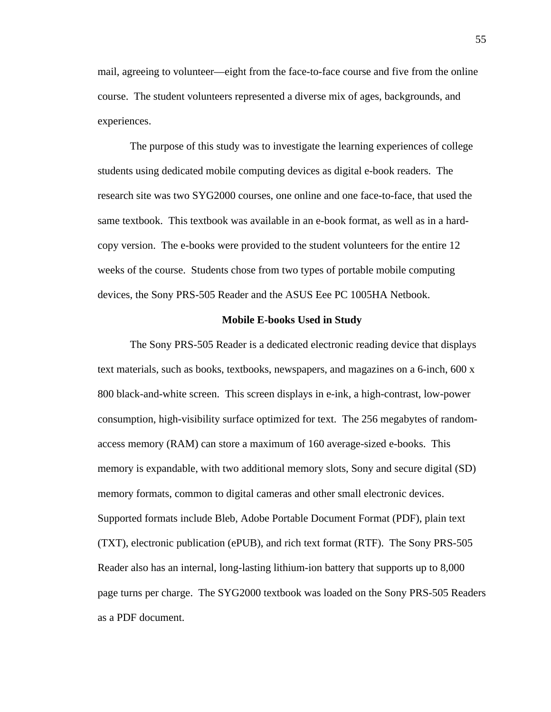mail, agreeing to volunteer—eight from the face-to-face course and five from the online course. The student volunteers represented a diverse mix of ages, backgrounds, and experiences.

The purpose of this study was to investigate the learning experiences of college students using dedicated mobile computing devices as digital e-book readers. The research site was two SYG2000 courses, one online and one face-to-face, that used the same textbook. This textbook was available in an e-book format, as well as in a hardcopy version. The e-books were provided to the student volunteers for the entire 12 weeks of the course. Students chose from two types of portable mobile computing devices, the Sony PRS-505 Reader and the ASUS Eee PC 1005HA Netbook.

#### **Mobile E-books Used in Study**

The Sony PRS-505 Reader is a dedicated electronic reading device that displays text materials, such as books, textbooks, newspapers, and magazines on a 6-inch, 600 x 800 black-and-white screen. This screen displays in e-ink, a high-contrast, low-power consumption, high-visibility surface optimized for text. The 256 megabytes of randomaccess memory (RAM) can store a maximum of 160 average-sized e-books. This memory is expandable, with two additional memory slots, Sony and secure digital (SD) memory formats, common to digital cameras and other small electronic devices. Supported formats include Bleb, Adobe Portable Document Format (PDF), plain text (TXT), electronic publication (ePUB), and rich text format (RTF). The Sony PRS-505 Reader also has an internal, long-lasting lithium-ion battery that supports up to 8,000 page turns per charge. The SYG2000 textbook was loaded on the Sony PRS-505 Readers as a PDF document.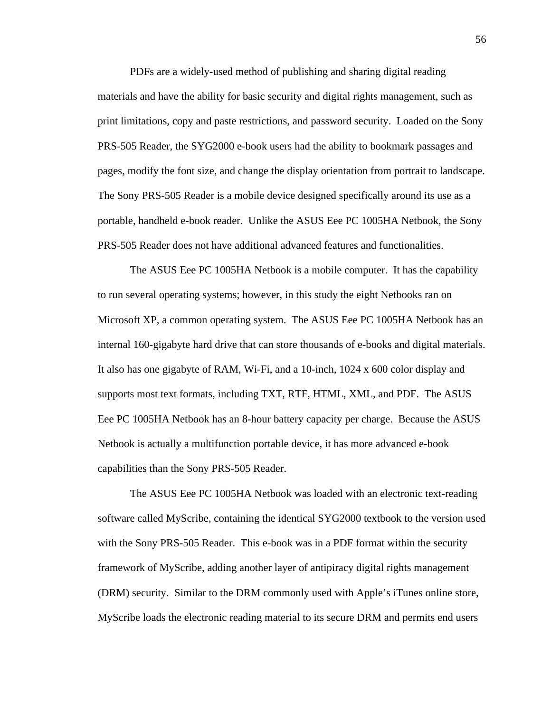PDFs are a widely-used method of publishing and sharing digital reading materials and have the ability for basic security and digital rights management, such as print limitations, copy and paste restrictions, and password security. Loaded on the Sony PRS-505 Reader, the SYG2000 e-book users had the ability to bookmark passages and pages, modify the font size, and change the display orientation from portrait to landscape. The Sony PRS-505 Reader is a mobile device designed specifically around its use as a portable, handheld e-book reader. Unlike the ASUS Eee PC 1005HA Netbook, the Sony PRS-505 Reader does not have additional advanced features and functionalities.

The ASUS Eee PC 1005HA Netbook is a mobile computer. It has the capability to run several operating systems; however, in this study the eight Netbooks ran on Microsoft XP, a common operating system. The ASUS Eee PC 1005HA Netbook has an internal 160-gigabyte hard drive that can store thousands of e-books and digital materials. It also has one gigabyte of RAM, Wi-Fi, and a 10-inch, 1024 x 600 color display and supports most text formats, including TXT, RTF, HTML, XML, and PDF. The ASUS Eee PC 1005HA Netbook has an 8-hour battery capacity per charge. Because the ASUS Netbook is actually a multifunction portable device, it has more advanced e-book capabilities than the Sony PRS-505 Reader.

The ASUS Eee PC 1005HA Netbook was loaded with an electronic text-reading software called MyScribe, containing the identical SYG2000 textbook to the version used with the Sony PRS-505 Reader. This e-book was in a PDF format within the security framework of MyScribe, adding another layer of antipiracy digital rights management (DRM) security. Similar to the DRM commonly used with Apple's iTunes online store, MyScribe loads the electronic reading material to its secure DRM and permits end users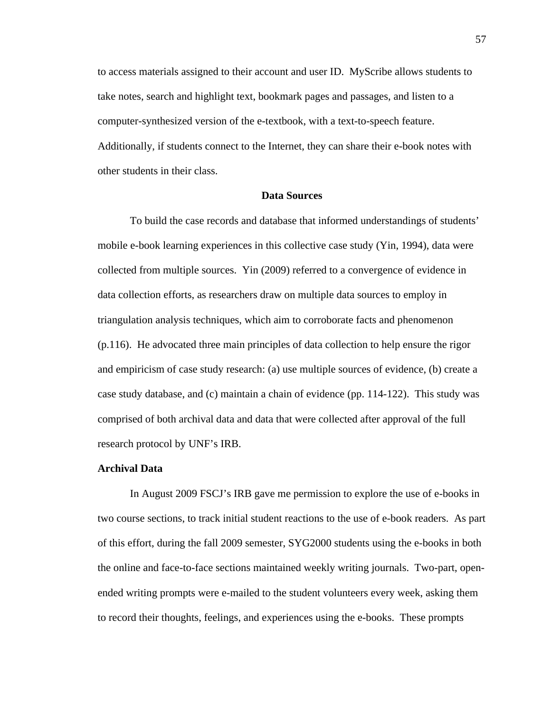to access materials assigned to their account and user ID. MyScribe allows students to take notes, search and highlight text, bookmark pages and passages, and listen to a computer-synthesized version of the e-textbook, with a text-to-speech feature. Additionally, if students connect to the Internet, they can share their e-book notes with other students in their class.

# **Data Sources**

To build the case records and database that informed understandings of students' mobile e-book learning experiences in this collective case study (Yin, 1994), data were collected from multiple sources. Yin (2009) referred to a convergence of evidence in data collection efforts, as researchers draw on multiple data sources to employ in triangulation analysis techniques, which aim to corroborate facts and phenomenon (p.116). He advocated three main principles of data collection to help ensure the rigor and empiricism of case study research: (a) use multiple sources of evidence, (b) create a case study database, and (c) maintain a chain of evidence (pp. 114-122). This study was comprised of both archival data and data that were collected after approval of the full research protocol by UNF's IRB.

#### **Archival Data**

In August 2009 FSCJ's IRB gave me permission to explore the use of e-books in two course sections, to track initial student reactions to the use of e-book readers. As part of this effort, during the fall 2009 semester, SYG2000 students using the e-books in both the online and face-to-face sections maintained weekly writing journals. Two-part, openended writing prompts were e-mailed to the student volunteers every week, asking them to record their thoughts, feelings, and experiences using the e-books. These prompts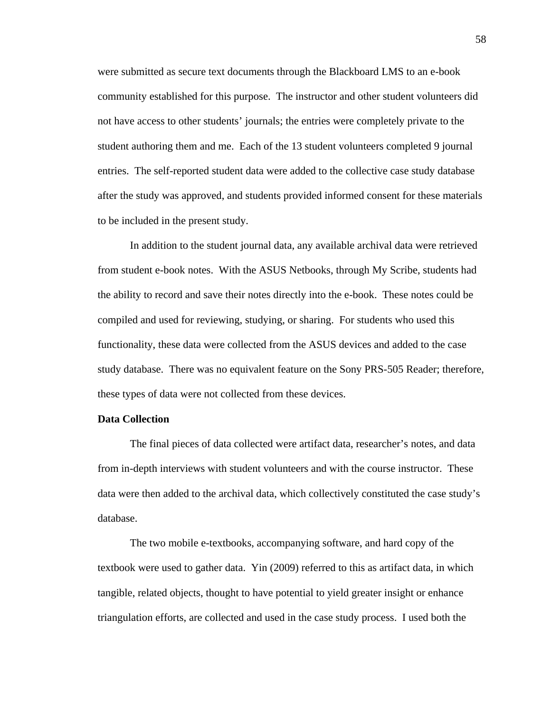were submitted as secure text documents through the Blackboard LMS to an e-book community established for this purpose. The instructor and other student volunteers did not have access to other students' journals; the entries were completely private to the student authoring them and me. Each of the 13 student volunteers completed 9 journal entries. The self-reported student data were added to the collective case study database after the study was approved, and students provided informed consent for these materials to be included in the present study.

In addition to the student journal data, any available archival data were retrieved from student e-book notes. With the ASUS Netbooks, through My Scribe, students had the ability to record and save their notes directly into the e-book. These notes could be compiled and used for reviewing, studying, or sharing. For students who used this functionality, these data were collected from the ASUS devices and added to the case study database. There was no equivalent feature on the Sony PRS-505 Reader; therefore, these types of data were not collected from these devices.

# **Data Collection**

The final pieces of data collected were artifact data, researcher's notes, and data from in-depth interviews with student volunteers and with the course instructor. These data were then added to the archival data, which collectively constituted the case study's database.

The two mobile e-textbooks, accompanying software, and hard copy of the textbook were used to gather data. Yin (2009) referred to this as artifact data, in which tangible, related objects, thought to have potential to yield greater insight or enhance triangulation efforts, are collected and used in the case study process. I used both the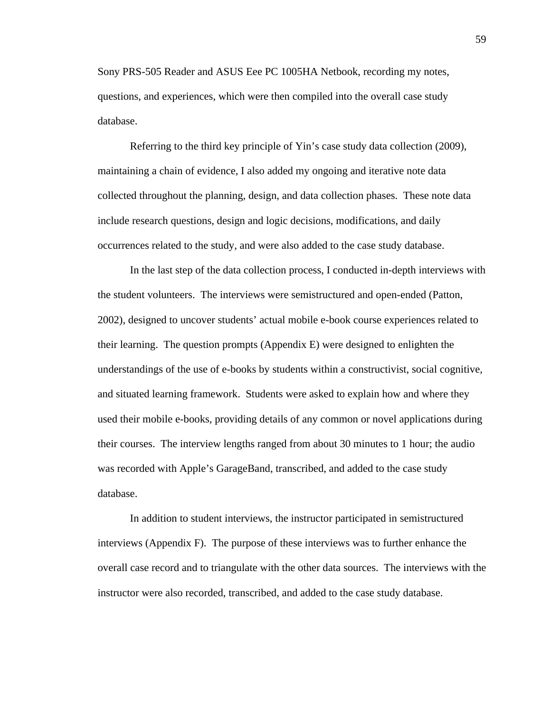Sony PRS-505 Reader and ASUS Eee PC 1005HA Netbook, recording my notes, questions, and experiences, which were then compiled into the overall case study database.

Referring to the third key principle of Yin's case study data collection (2009), maintaining a chain of evidence, I also added my ongoing and iterative note data collected throughout the planning, design, and data collection phases. These note data include research questions, design and logic decisions, modifications, and daily occurrences related to the study, and were also added to the case study database.

In the last step of the data collection process, I conducted in-depth interviews with the student volunteers. The interviews were semistructured and open-ended (Patton, 2002), designed to uncover students' actual mobile e-book course experiences related to their learning. The question prompts (Appendix E) were designed to enlighten the understandings of the use of e-books by students within a constructivist, social cognitive, and situated learning framework. Students were asked to explain how and where they used their mobile e-books, providing details of any common or novel applications during their courses. The interview lengths ranged from about 30 minutes to 1 hour; the audio was recorded with Apple's GarageBand, transcribed, and added to the case study database.

In addition to student interviews, the instructor participated in semistructured interviews (Appendix F). The purpose of these interviews was to further enhance the overall case record and to triangulate with the other data sources. The interviews with the instructor were also recorded, transcribed, and added to the case study database.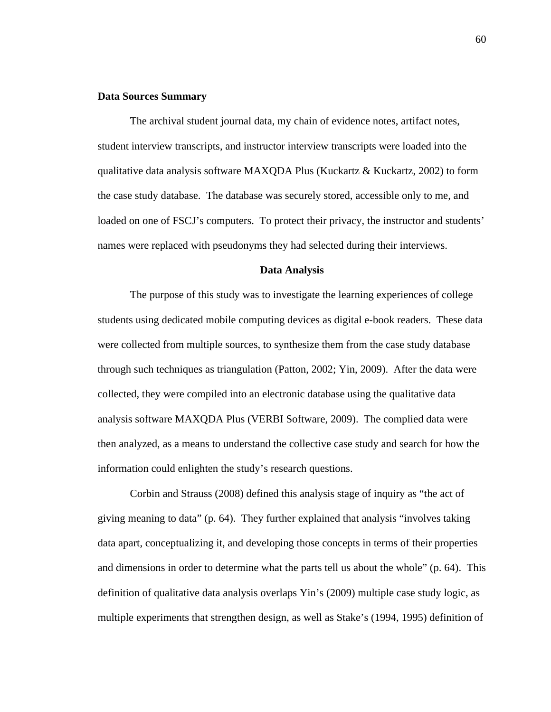## **Data Sources Summary**

The archival student journal data, my chain of evidence notes, artifact notes, student interview transcripts, and instructor interview transcripts were loaded into the qualitative data analysis software MAXQDA Plus (Kuckartz & Kuckartz, 2002) to form the case study database. The database was securely stored, accessible only to me, and loaded on one of FSCJ's computers. To protect their privacy, the instructor and students' names were replaced with pseudonyms they had selected during their interviews.

#### **Data Analysis**

The purpose of this study was to investigate the learning experiences of college students using dedicated mobile computing devices as digital e-book readers. These data were collected from multiple sources, to synthesize them from the case study database through such techniques as triangulation (Patton, 2002; Yin, 2009). After the data were collected, they were compiled into an electronic database using the qualitative data analysis software MAXQDA Plus (VERBI Software, 2009). The complied data were then analyzed, as a means to understand the collective case study and search for how the information could enlighten the study's research questions.

Corbin and Strauss (2008) defined this analysis stage of inquiry as "the act of giving meaning to data" (p. 64). They further explained that analysis "involves taking data apart, conceptualizing it, and developing those concepts in terms of their properties and dimensions in order to determine what the parts tell us about the whole" (p. 64). This definition of qualitative data analysis overlaps Yin's (2009) multiple case study logic, as multiple experiments that strengthen design, as well as Stake's (1994, 1995) definition of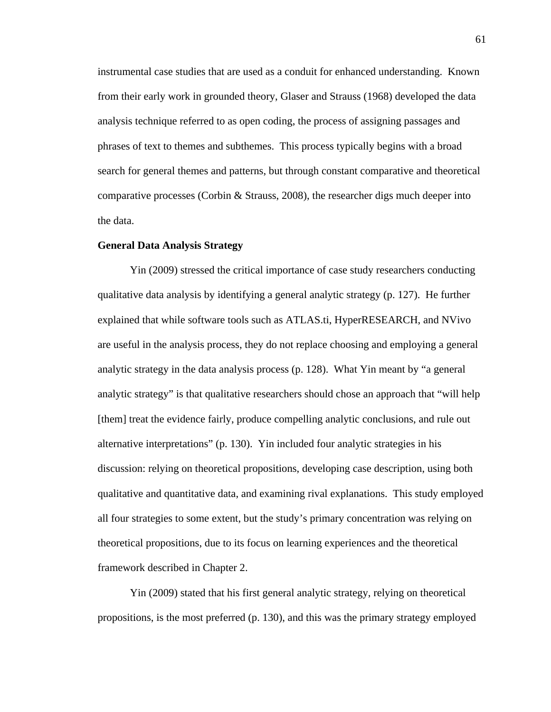instrumental case studies that are used as a conduit for enhanced understanding. Known from their early work in grounded theory, Glaser and Strauss (1968) developed the data analysis technique referred to as open coding, the process of assigning passages and phrases of text to themes and subthemes. This process typically begins with a broad search for general themes and patterns, but through constant comparative and theoretical comparative processes (Corbin & Strauss, 2008), the researcher digs much deeper into the data.

### **General Data Analysis Strategy**

Yin (2009) stressed the critical importance of case study researchers conducting qualitative data analysis by identifying a general analytic strategy (p. 127). He further explained that while software tools such as ATLAS.ti, HyperRESEARCH, and NVivo are useful in the analysis process, they do not replace choosing and employing a general analytic strategy in the data analysis process (p. 128). What Yin meant by "a general analytic strategy" is that qualitative researchers should chose an approach that "will help [them] treat the evidence fairly, produce compelling analytic conclusions, and rule out alternative interpretations" (p. 130). Yin included four analytic strategies in his discussion: relying on theoretical propositions, developing case description, using both qualitative and quantitative data, and examining rival explanations. This study employed all four strategies to some extent, but the study's primary concentration was relying on theoretical propositions, due to its focus on learning experiences and the theoretical framework described in Chapter 2.

Yin (2009) stated that his first general analytic strategy, relying on theoretical propositions, is the most preferred (p. 130), and this was the primary strategy employed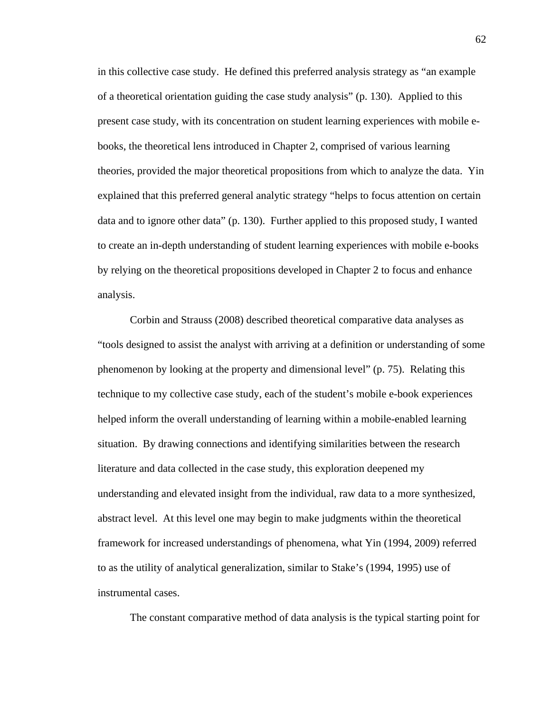in this collective case study. He defined this preferred analysis strategy as "an example of a theoretical orientation guiding the case study analysis" (p. 130). Applied to this present case study, with its concentration on student learning experiences with mobile ebooks, the theoretical lens introduced in Chapter 2, comprised of various learning theories, provided the major theoretical propositions from which to analyze the data. Yin explained that this preferred general analytic strategy "helps to focus attention on certain data and to ignore other data" (p. 130). Further applied to this proposed study, I wanted to create an in-depth understanding of student learning experiences with mobile e-books by relying on the theoretical propositions developed in Chapter 2 to focus and enhance analysis.

Corbin and Strauss (2008) described theoretical comparative data analyses as "tools designed to assist the analyst with arriving at a definition or understanding of some phenomenon by looking at the property and dimensional level" (p. 75). Relating this technique to my collective case study, each of the student's mobile e-book experiences helped inform the overall understanding of learning within a mobile-enabled learning situation. By drawing connections and identifying similarities between the research literature and data collected in the case study, this exploration deepened my understanding and elevated insight from the individual, raw data to a more synthesized, abstract level. At this level one may begin to make judgments within the theoretical framework for increased understandings of phenomena, what Yin (1994, 2009) referred to as the utility of analytical generalization, similar to Stake's (1994, 1995) use of instrumental cases.

The constant comparative method of data analysis is the typical starting point for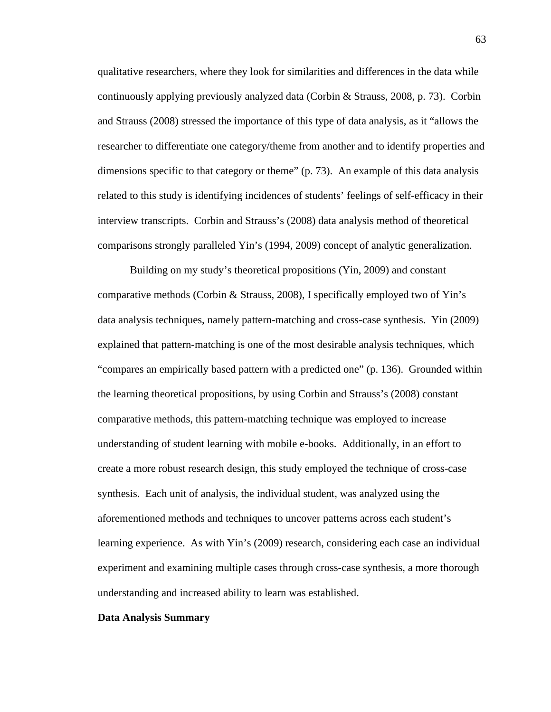qualitative researchers, where they look for similarities and differences in the data while continuously applying previously analyzed data (Corbin & Strauss, 2008, p. 73). Corbin and Strauss (2008) stressed the importance of this type of data analysis, as it "allows the researcher to differentiate one category/theme from another and to identify properties and dimensions specific to that category or theme" (p. 73). An example of this data analysis related to this study is identifying incidences of students' feelings of self-efficacy in their interview transcripts. Corbin and Strauss's (2008) data analysis method of theoretical comparisons strongly paralleled Yin's (1994, 2009) concept of analytic generalization.

Building on my study's theoretical propositions (Yin, 2009) and constant comparative methods (Corbin & Strauss, 2008), I specifically employed two of Yin's data analysis techniques, namely pattern-matching and cross-case synthesis. Yin (2009) explained that pattern-matching is one of the most desirable analysis techniques, which "compares an empirically based pattern with a predicted one" (p. 136). Grounded within the learning theoretical propositions, by using Corbin and Strauss's (2008) constant comparative methods, this pattern-matching technique was employed to increase understanding of student learning with mobile e-books. Additionally, in an effort to create a more robust research design, this study employed the technique of cross-case synthesis. Each unit of analysis, the individual student, was analyzed using the aforementioned methods and techniques to uncover patterns across each student's learning experience. As with Yin's (2009) research, considering each case an individual experiment and examining multiple cases through cross-case synthesis, a more thorough understanding and increased ability to learn was established.

### **Data Analysis Summary**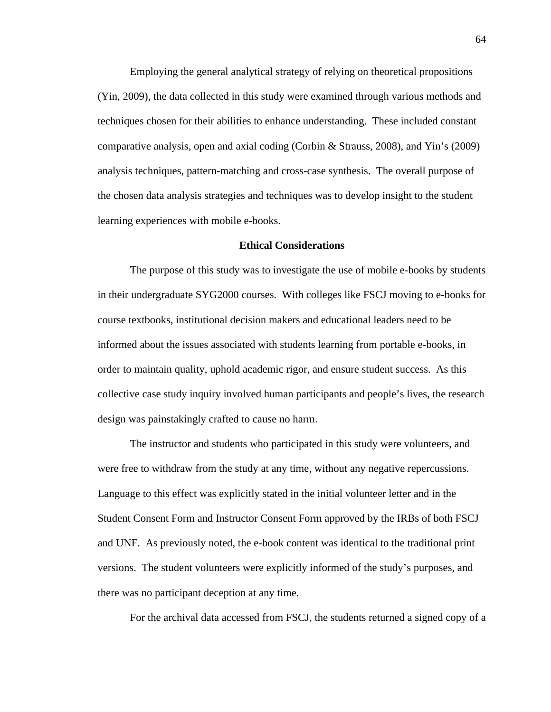Employing the general analytical strategy of relying on theoretical propositions (Yin, 2009), the data collected in this study were examined through various methods and techniques chosen for their abilities to enhance understanding. These included constant comparative analysis, open and axial coding (Corbin & Strauss, 2008), and Yin's (2009) analysis techniques, pattern-matching and cross-case synthesis. The overall purpose of the chosen data analysis strategies and techniques was to develop insight to the student learning experiences with mobile e-books.

#### **Ethical Considerations**

The purpose of this study was to investigate the use of mobile e-books by students in their undergraduate SYG2000 courses. With colleges like FSCJ moving to e-books for course textbooks, institutional decision makers and educational leaders need to be informed about the issues associated with students learning from portable e-books, in order to maintain quality, uphold academic rigor, and ensure student success. As this collective case study inquiry involved human participants and people's lives, the research design was painstakingly crafted to cause no harm.

The instructor and students who participated in this study were volunteers, and were free to withdraw from the study at any time, without any negative repercussions. Language to this effect was explicitly stated in the initial volunteer letter and in the Student Consent Form and Instructor Consent Form approved by the IRBs of both FSCJ and UNF. As previously noted, the e-book content was identical to the traditional print versions. The student volunteers were explicitly informed of the study's purposes, and there was no participant deception at any time.

For the archival data accessed from FSCJ, the students returned a signed copy of a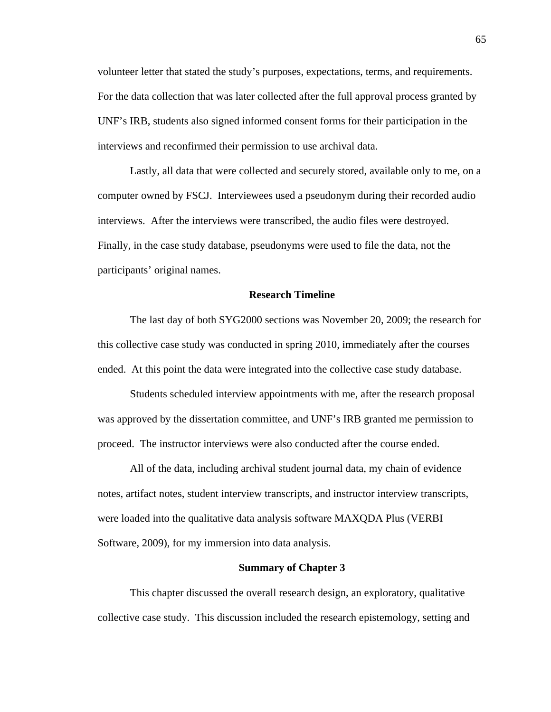volunteer letter that stated the study's purposes, expectations, terms, and requirements. For the data collection that was later collected after the full approval process granted by UNF's IRB, students also signed informed consent forms for their participation in the interviews and reconfirmed their permission to use archival data.

Lastly, all data that were collected and securely stored, available only to me, on a computer owned by FSCJ. Interviewees used a pseudonym during their recorded audio interviews. After the interviews were transcribed, the audio files were destroyed. Finally, in the case study database, pseudonyms were used to file the data, not the participants' original names.

### **Research Timeline**

The last day of both SYG2000 sections was November 20, 2009; the research for this collective case study was conducted in spring 2010, immediately after the courses ended. At this point the data were integrated into the collective case study database.

Students scheduled interview appointments with me, after the research proposal was approved by the dissertation committee, and UNF's IRB granted me permission to proceed. The instructor interviews were also conducted after the course ended.

All of the data, including archival student journal data, my chain of evidence notes, artifact notes, student interview transcripts, and instructor interview transcripts, were loaded into the qualitative data analysis software MAXQDA Plus (VERBI Software, 2009), for my immersion into data analysis.

### **Summary of Chapter 3**

This chapter discussed the overall research design, an exploratory, qualitative collective case study. This discussion included the research epistemology, setting and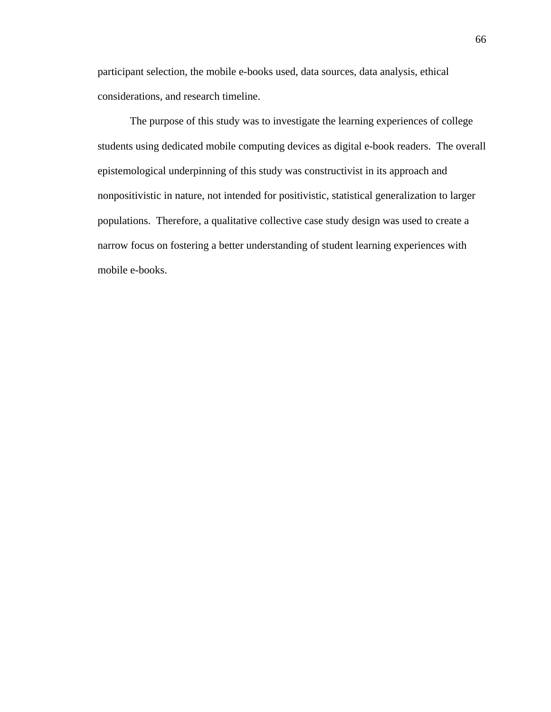participant selection, the mobile e-books used, data sources, data analysis, ethical considerations, and research timeline.

The purpose of this study was to investigate the learning experiences of college students using dedicated mobile computing devices as digital e-book readers. The overall epistemological underpinning of this study was constructivist in its approach and nonpositivistic in nature, not intended for positivistic, statistical generalization to larger populations. Therefore, a qualitative collective case study design was used to create a narrow focus on fostering a better understanding of student learning experiences with mobile e-books.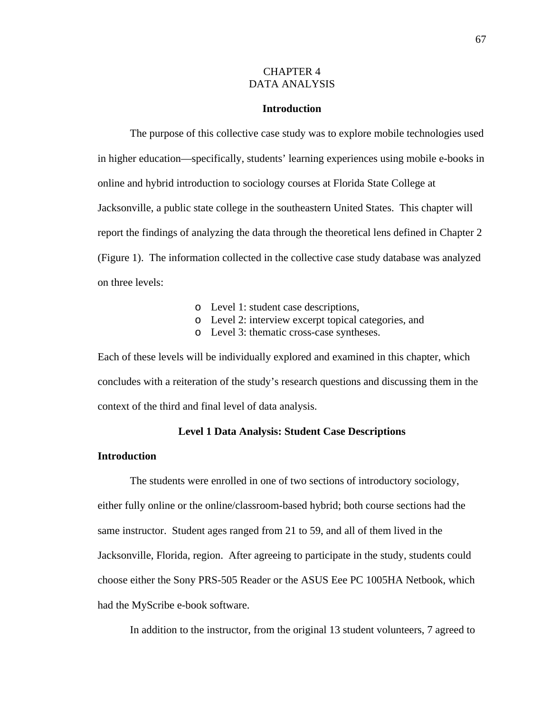## CHAPTER 4 DATA ANALYSIS

# **Introduction**

The purpose of this collective case study was to explore mobile technologies used in higher education—specifically, students' learning experiences using mobile e-books in online and hybrid introduction to sociology courses at Florida State College at Jacksonville, a public state college in the southeastern United States. This chapter will report the findings of analyzing the data through the theoretical lens defined in Chapter 2 (Figure 1). The information collected in the collective case study database was analyzed on three levels:

- o Level 1: student case descriptions,
- o Level 2: interview excerpt topical categories, and
- o Level 3: thematic cross-case syntheses.

Each of these levels will be individually explored and examined in this chapter, which concludes with a reiteration of the study's research questions and discussing them in the context of the third and final level of data analysis.

## **Level 1 Data Analysis: Student Case Descriptions**

#### **Introduction**

The students were enrolled in one of two sections of introductory sociology, either fully online or the online/classroom-based hybrid; both course sections had the same instructor. Student ages ranged from 21 to 59, and all of them lived in the Jacksonville, Florida, region. After agreeing to participate in the study, students could choose either the Sony PRS-505 Reader or the ASUS Eee PC 1005HA Netbook, which had the MyScribe e-book software.

In addition to the instructor, from the original 13 student volunteers, 7 agreed to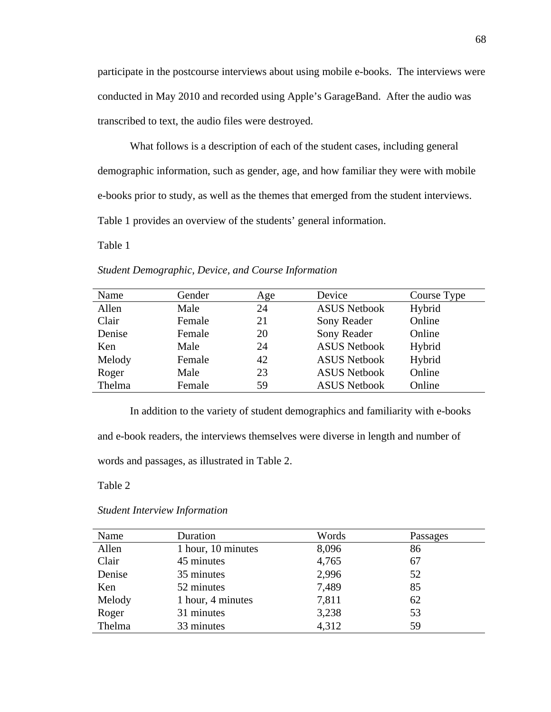participate in the postcourse interviews about using mobile e-books. The interviews were conducted in May 2010 and recorded using Apple's GarageBand. After the audio was transcribed to text, the audio files were destroyed.

What follows is a description of each of the student cases, including general demographic information, such as gender, age, and how familiar they were with mobile e-books prior to study, as well as the themes that emerged from the student interviews. Table 1 provides an overview of the students' general information.

Table 1

| Name   | Gender | Age | Device              | Course Type |
|--------|--------|-----|---------------------|-------------|
| Allen  | Male   | 24  | <b>ASUS Netbook</b> | Hybrid      |
| Clair  | Female | 21  | Sony Reader         | Online      |
| Denise | Female | 20  | Sony Reader         | Online      |
| Ken    | Male   | 24  | <b>ASUS Netbook</b> | Hybrid      |
| Melody | Female | 42  | <b>ASUS Netbook</b> | Hybrid      |
| Roger  | Male   | 23  | <b>ASUS Netbook</b> | Online      |
| Thelma | Female | 59  | <b>ASUS Netbook</b> | Online      |

*Student Demographic, Device, and Course Information*

In addition to the variety of student demographics and familiarity with e-books and e-book readers, the interviews themselves were diverse in length and number of words and passages, as illustrated in Table 2.

Table 2

| <b>Student Interview Information</b> |  |
|--------------------------------------|--|
|                                      |  |

| Name   | Duration           | Words | Passages |
|--------|--------------------|-------|----------|
| Allen  | 1 hour, 10 minutes | 8,096 | 86       |
| Clair  | 45 minutes         | 4,765 | 67       |
| Denise | 35 minutes         | 2,996 | 52       |
| Ken    | 52 minutes         | 7,489 | 85       |
| Melody | 1 hour, 4 minutes  | 7,811 | 62       |
| Roger  | 31 minutes         | 3,238 | 53       |
| Thelma | 33 minutes         | 4,312 | 59       |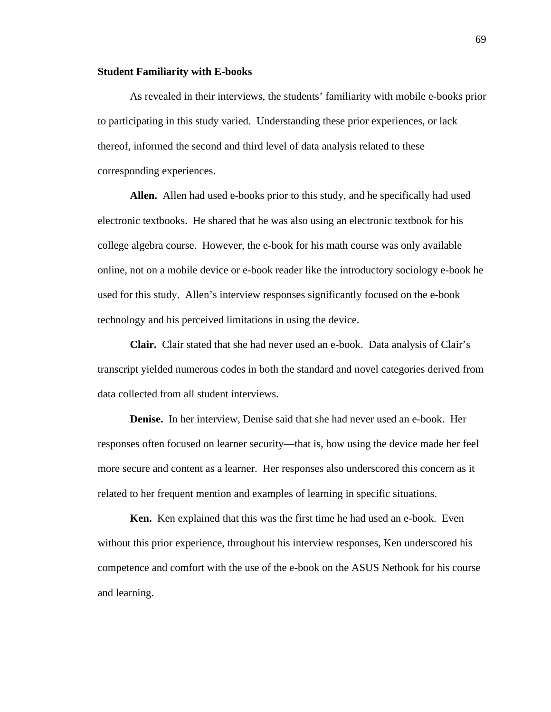### **Student Familiarity with E-books**

As revealed in their interviews, the students' familiarity with mobile e-books prior to participating in this study varied. Understanding these prior experiences, or lack thereof, informed the second and third level of data analysis related to these corresponding experiences.

**Allen.** Allen had used e-books prior to this study, and he specifically had used electronic textbooks. He shared that he was also using an electronic textbook for his college algebra course. However, the e-book for his math course was only available online, not on a mobile device or e-book reader like the introductory sociology e-book he used for this study. Allen's interview responses significantly focused on the e-book technology and his perceived limitations in using the device.

**Clair.** Clair stated that she had never used an e-book. Data analysis of Clair's transcript yielded numerous codes in both the standard and novel categories derived from data collected from all student interviews.

**Denise.** In her interview, Denise said that she had never used an e-book. Her responses often focused on learner security—that is, how using the device made her feel more secure and content as a learner. Her responses also underscored this concern as it related to her frequent mention and examples of learning in specific situations.

 **Ken.** Ken explained that this was the first time he had used an e-book. Even without this prior experience, throughout his interview responses, Ken underscored his competence and comfort with the use of the e-book on the ASUS Netbook for his course and learning.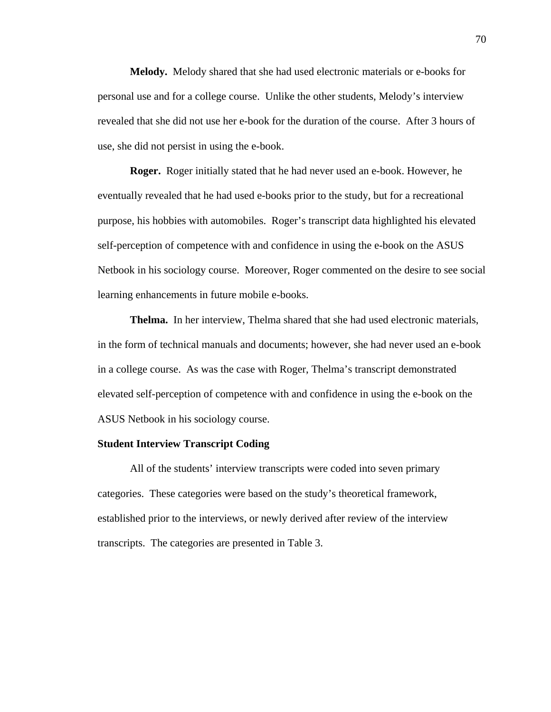**Melody.** Melody shared that she had used electronic materials or e-books for personal use and for a college course. Unlike the other students, Melody's interview revealed that she did not use her e-book for the duration of the course. After 3 hours of use, she did not persist in using the e-book.

 **Roger.** Roger initially stated that he had never used an e-book. However, he eventually revealed that he had used e-books prior to the study, but for a recreational purpose, his hobbies with automobiles. Roger's transcript data highlighted his elevated self-perception of competence with and confidence in using the e-book on the ASUS Netbook in his sociology course. Moreover, Roger commented on the desire to see social learning enhancements in future mobile e-books.

 **Thelma.** In her interview, Thelma shared that she had used electronic materials, in the form of technical manuals and documents; however, she had never used an e-book in a college course. As was the case with Roger, Thelma's transcript demonstrated elevated self-perception of competence with and confidence in using the e-book on the ASUS Netbook in his sociology course.

# **Student Interview Transcript Coding**

All of the students' interview transcripts were coded into seven primary categories. These categories were based on the study's theoretical framework, established prior to the interviews, or newly derived after review of the interview transcripts. The categories are presented in Table 3.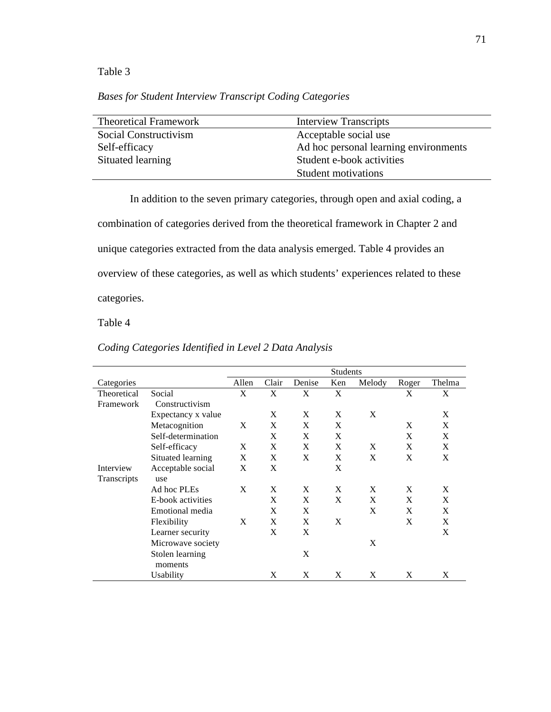Table 3

*Bases for Student Interview Transcript Coding Categories*

| <b>Theoretical Framework</b> | <b>Interview Transcripts</b>          |
|------------------------------|---------------------------------------|
| Social Constructivism        | Acceptable social use                 |
| Self-efficacy                | Ad hoc personal learning environments |
| Situated learning            | Student e-book activities             |
|                              | Student motivations                   |

In addition to the seven primary categories, through open and axial coding, a combination of categories derived from the theoretical framework in Chapter 2 and unique categories extracted from the data analysis emerged. Table 4 provides an overview of these categories, as well as which students' experiences related to these categories.

Table 4

|                    |                    |       |       |        | <b>Students</b> |        |       |        |
|--------------------|--------------------|-------|-------|--------|-----------------|--------|-------|--------|
| Categories         |                    | Allen | Clair | Denise | Ken             | Melody | Roger | Thelma |
| Theoretical        | Social             | X     | X     | X      | X               |        | X     | X      |
| Framework          | Constructivism     |       |       |        |                 |        |       |        |
|                    | Expectancy x value |       | X     | X      | X               | X      |       | X      |
|                    | Metacognition      | X     | X     | X      | X               |        | X     | X      |
|                    | Self-determination |       | X     | X      | X               |        | X     | X      |
|                    | Self-efficacy      | X     | X     | X      | X               | X      | X     | X      |
|                    | Situated learning  | X     | X     | X      | X               | X      | X     | X      |
| Interview          | Acceptable social  | X     | X     |        | X               |        |       |        |
| <b>Transcripts</b> | use                |       |       |        |                 |        |       |        |
|                    | Ad hoc PLEs        | X     | X     | X      | X               | X      | X     | X      |
|                    | E-book activities  |       | X     | X      | X               | X      | X     | X      |
|                    | Emotional media    |       | X     | X      |                 | X      | X     | X      |
|                    | Flexibility        | X     | X     | X      | X               |        | X     | X      |
|                    | Learner security   |       | X     | X      |                 |        |       | X      |
|                    | Microwave society  |       |       |        |                 | X      |       |        |
|                    | Stolen learning    |       |       | X      |                 |        |       |        |
|                    | moments            |       |       |        |                 |        |       |        |
|                    | Usability          |       | X     | X      | X               | X      | X     | X      |

*Coding Categories Identified in Level 2 Data Analysis*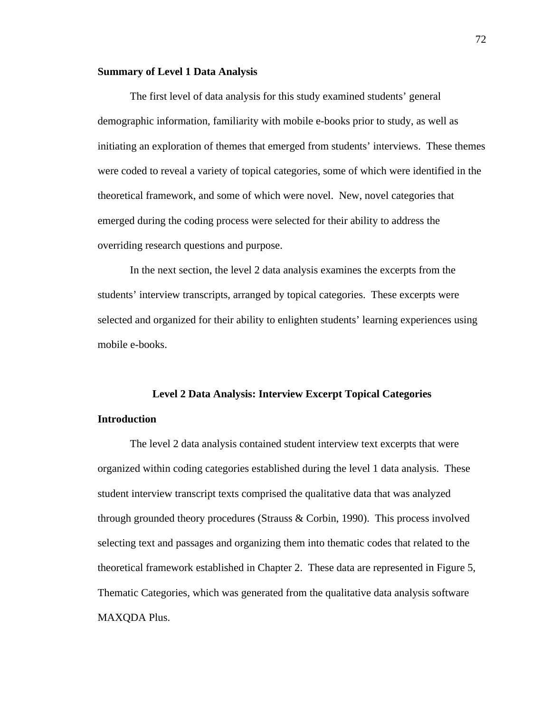## **Summary of Level 1 Data Analysis**

The first level of data analysis for this study examined students' general demographic information, familiarity with mobile e-books prior to study, as well as initiating an exploration of themes that emerged from students' interviews. These themes were coded to reveal a variety of topical categories, some of which were identified in the theoretical framework, and some of which were novel. New, novel categories that emerged during the coding process were selected for their ability to address the overriding research questions and purpose.

In the next section, the level 2 data analysis examines the excerpts from the students' interview transcripts, arranged by topical categories. These excerpts were selected and organized for their ability to enlighten students' learning experiences using mobile e-books.

#### **Level 2 Data Analysis: Interview Excerpt Topical Categories**

### **Introduction**

The level 2 data analysis contained student interview text excerpts that were organized within coding categories established during the level 1 data analysis. These student interview transcript texts comprised the qualitative data that was analyzed through grounded theory procedures (Strauss & Corbin, 1990). This process involved selecting text and passages and organizing them into thematic codes that related to the theoretical framework established in Chapter 2. These data are represented in Figure 5, Thematic Categories, which was generated from the qualitative data analysis software MAXQDA Plus.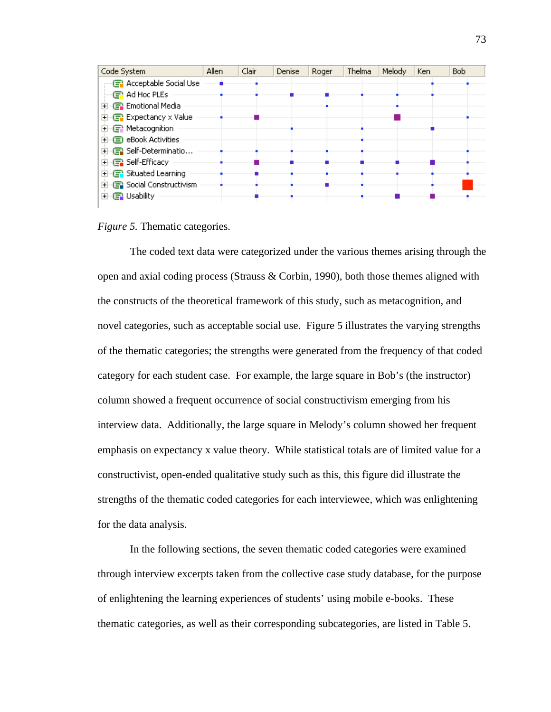

*Figure 5.* Thematic categories.

The coded text data were categorized under the various themes arising through the open and axial coding process (Strauss & Corbin, 1990), both those themes aligned with the constructs of the theoretical framework of this study, such as metacognition, and novel categories, such as acceptable social use. Figure 5 illustrates the varying strengths of the thematic categories; the strengths were generated from the frequency of that coded category for each student case. For example, the large square in Bob's (the instructor) column showed a frequent occurrence of social constructivism emerging from his interview data. Additionally, the large square in Melody's column showed her frequent emphasis on expectancy x value theory. While statistical totals are of limited value for a constructivist, open-ended qualitative study such as this, this figure did illustrate the strengths of the thematic coded categories for each interviewee, which was enlightening for the data analysis.

In the following sections, the seven thematic coded categories were examined through interview excerpts taken from the collective case study database, for the purpose of enlightening the learning experiences of students' using mobile e-books. These thematic categories, as well as their corresponding subcategories, are listed in Table 5.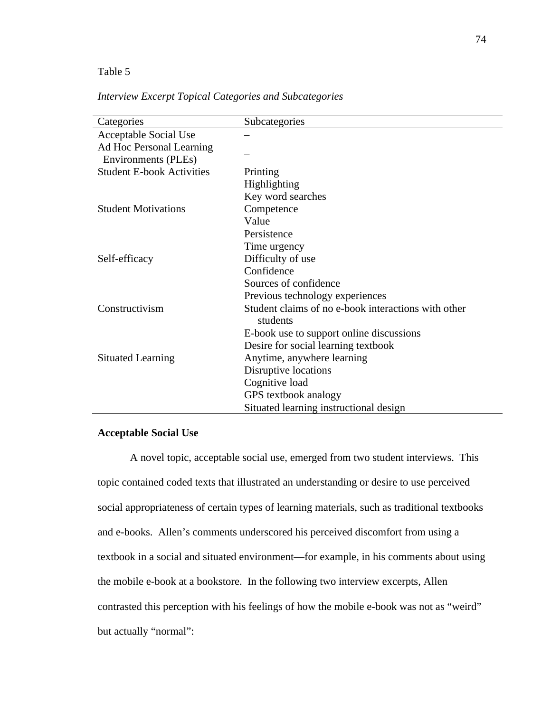## Table 5

| Categories                       | Subcategories                                                   |
|----------------------------------|-----------------------------------------------------------------|
| <b>Acceptable Social Use</b>     |                                                                 |
| Ad Hoc Personal Learning         |                                                                 |
| Environments (PLEs)              |                                                                 |
| <b>Student E-book Activities</b> | Printing                                                        |
|                                  | Highlighting                                                    |
|                                  | Key word searches                                               |
| <b>Student Motivations</b>       | Competence                                                      |
|                                  | Value                                                           |
|                                  | Persistence                                                     |
|                                  | Time urgency                                                    |
| Self-efficacy                    | Difficulty of use                                               |
|                                  | Confidence                                                      |
|                                  | Sources of confidence                                           |
|                                  | Previous technology experiences                                 |
| Constructivism                   | Student claims of no e-book interactions with other<br>students |
|                                  | E-book use to support online discussions                        |
|                                  | Desire for social learning textbook                             |
| <b>Situated Learning</b>         | Anytime, anywhere learning                                      |
|                                  | Disruptive locations                                            |
|                                  | Cognitive load                                                  |
|                                  | GPS textbook analogy                                            |
|                                  | Situated learning instructional design                          |

*Interview Excerpt Topical Categories and Subcategories* 

## **Acceptable Social Use**

A novel topic, acceptable social use, emerged from two student interviews. This topic contained coded texts that illustrated an understanding or desire to use perceived social appropriateness of certain types of learning materials, such as traditional textbooks and e-books. Allen's comments underscored his perceived discomfort from using a textbook in a social and situated environment—for example, in his comments about using the mobile e-book at a bookstore. In the following two interview excerpts, Allen contrasted this perception with his feelings of how the mobile e-book was not as "weird" but actually "normal":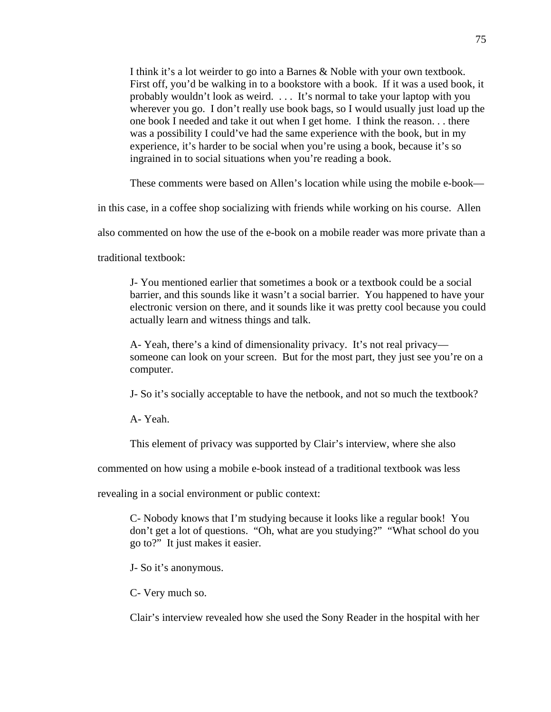I think it's a lot weirder to go into a Barnes & Noble with your own textbook. First off, you'd be walking in to a bookstore with a book. If it was a used book, it probably wouldn't look as weird. . . . It's normal to take your laptop with you wherever you go. I don't really use book bags, so I would usually just load up the one book I needed and take it out when I get home. I think the reason. . . there was a possibility I could've had the same experience with the book, but in my experience, it's harder to be social when you're using a book, because it's so ingrained in to social situations when you're reading a book.

These comments were based on Allen's location while using the mobile e-book—

in this case, in a coffee shop socializing with friends while working on his course. Allen

also commented on how the use of the e-book on a mobile reader was more private than a

traditional textbook:

J- You mentioned earlier that sometimes a book or a textbook could be a social barrier, and this sounds like it wasn't a social barrier. You happened to have your electronic version on there, and it sounds like it was pretty cool because you could actually learn and witness things and talk.

A- Yeah, there's a kind of dimensionality privacy. It's not real privacy someone can look on your screen. But for the most part, they just see you're on a computer.

J- So it's socially acceptable to have the netbook, and not so much the textbook?

A- Yeah.

This element of privacy was supported by Clair's interview, where she also

commented on how using a mobile e-book instead of a traditional textbook was less

revealing in a social environment or public context:

C- Nobody knows that I'm studying because it looks like a regular book! You don't get a lot of questions. "Oh, what are you studying?" "What school do you go to?" It just makes it easier.

J- So it's anonymous.

C- Very much so.

Clair's interview revealed how she used the Sony Reader in the hospital with her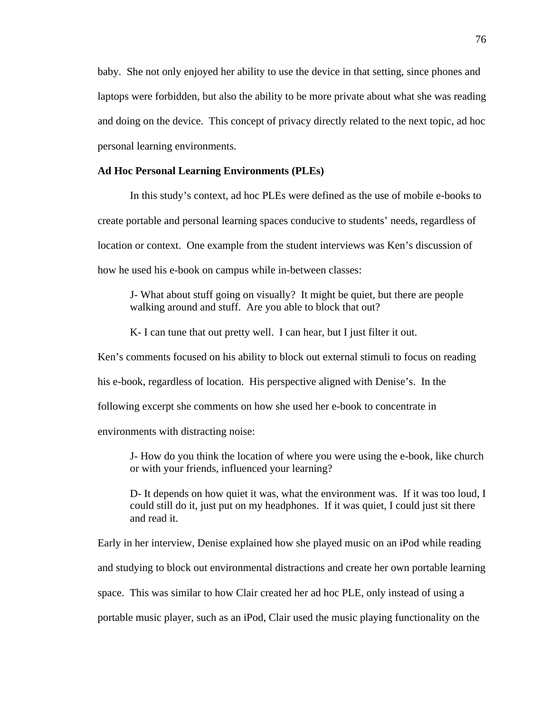baby. She not only enjoyed her ability to use the device in that setting, since phones and laptops were forbidden, but also the ability to be more private about what she was reading and doing on the device. This concept of privacy directly related to the next topic, ad hoc personal learning environments.

#### **Ad Hoc Personal Learning Environments (PLEs)**

 In this study's context, ad hoc PLEs were defined as the use of mobile e-books to create portable and personal learning spaces conducive to students' needs, regardless of location or context. One example from the student interviews was Ken's discussion of how he used his e-book on campus while in-between classes:

J- What about stuff going on visually? It might be quiet, but there are people walking around and stuff. Are you able to block that out?

K- I can tune that out pretty well. I can hear, but I just filter it out.

Ken's comments focused on his ability to block out external stimuli to focus on reading his e-book, regardless of location. His perspective aligned with Denise's. In the following excerpt she comments on how she used her e-book to concentrate in environments with distracting noise:

J- How do you think the location of where you were using the e-book, like church or with your friends, influenced your learning?

D- It depends on how quiet it was, what the environment was. If it was too loud, I could still do it, just put on my headphones. If it was quiet, I could just sit there and read it.

Early in her interview, Denise explained how she played music on an iPod while reading and studying to block out environmental distractions and create her own portable learning space. This was similar to how Clair created her ad hoc PLE, only instead of using a portable music player, such as an iPod, Clair used the music playing functionality on the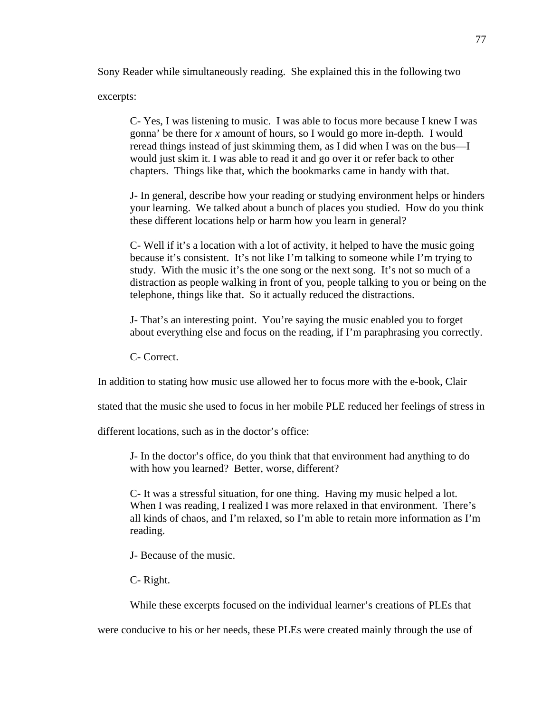Sony Reader while simultaneously reading. She explained this in the following two

excerpts:

C- Yes, I was listening to music. I was able to focus more because I knew I was gonna' be there for *x* amount of hours, so I would go more in-depth. I would reread things instead of just skimming them, as I did when I was on the bus—I would just skim it. I was able to read it and go over it or refer back to other chapters. Things like that, which the bookmarks came in handy with that.

J- In general, describe how your reading or studying environment helps or hinders your learning. We talked about a bunch of places you studied. How do you think these different locations help or harm how you learn in general?

C- Well if it's a location with a lot of activity, it helped to have the music going because it's consistent. It's not like I'm talking to someone while I'm trying to study. With the music it's the one song or the next song. It's not so much of a distraction as people walking in front of you, people talking to you or being on the telephone, things like that. So it actually reduced the distractions.

J- That's an interesting point. You're saying the music enabled you to forget about everything else and focus on the reading, if I'm paraphrasing you correctly.

C- Correct.

In addition to stating how music use allowed her to focus more with the e-book, Clair

stated that the music she used to focus in her mobile PLE reduced her feelings of stress in

different locations, such as in the doctor's office:

J- In the doctor's office, do you think that that environment had anything to do with how you learned? Better, worse, different?

C- It was a stressful situation, for one thing. Having my music helped a lot. When I was reading, I realized I was more relaxed in that environment. There's all kinds of chaos, and I'm relaxed, so I'm able to retain more information as I'm reading.

J- Because of the music.

C- Right.

While these excerpts focused on the individual learner's creations of PLEs that

were conducive to his or her needs, these PLEs were created mainly through the use of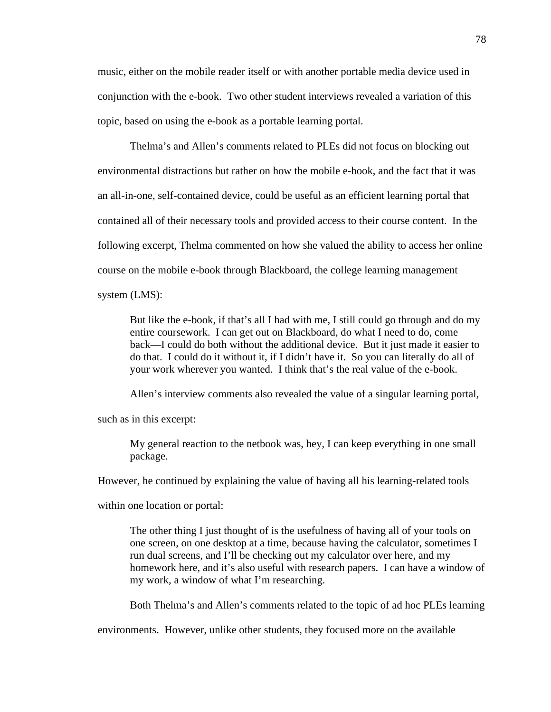music, either on the mobile reader itself or with another portable media device used in conjunction with the e-book. Two other student interviews revealed a variation of this topic, based on using the e-book as a portable learning portal.

 Thelma's and Allen's comments related to PLEs did not focus on blocking out environmental distractions but rather on how the mobile e-book, and the fact that it was an all-in-one, self-contained device, could be useful as an efficient learning portal that contained all of their necessary tools and provided access to their course content. In the following excerpt, Thelma commented on how she valued the ability to access her online course on the mobile e-book through Blackboard, the college learning management system (LMS):

But like the e-book, if that's all I had with me, I still could go through and do my entire coursework. I can get out on Blackboard, do what I need to do, come back—I could do both without the additional device. But it just made it easier to do that. I could do it without it, if I didn't have it. So you can literally do all of your work wherever you wanted. I think that's the real value of the e-book.

Allen's interview comments also revealed the value of a singular learning portal,

such as in this excerpt:

My general reaction to the netbook was, hey, I can keep everything in one small package.

However, he continued by explaining the value of having all his learning-related tools

within one location or portal:

The other thing I just thought of is the usefulness of having all of your tools on one screen, on one desktop at a time, because having the calculator, sometimes I run dual screens, and I'll be checking out my calculator over here, and my homework here, and it's also useful with research papers. I can have a window of my work, a window of what I'm researching.

Both Thelma's and Allen's comments related to the topic of ad hoc PLEs learning

environments. However, unlike other students, they focused more on the available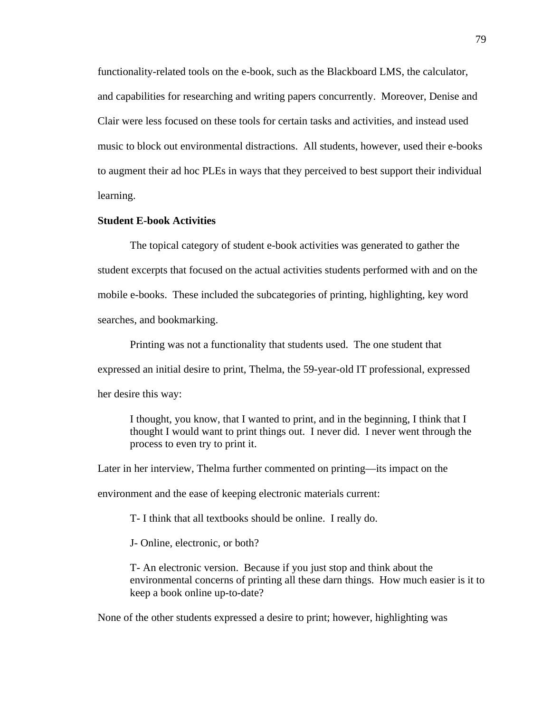functionality-related tools on the e-book, such as the Blackboard LMS, the calculator, and capabilities for researching and writing papers concurrently. Moreover, Denise and Clair were less focused on these tools for certain tasks and activities, and instead used music to block out environmental distractions. All students, however, used their e-books to augment their ad hoc PLEs in ways that they perceived to best support their individual learning.

## **Student E-book Activities**

The topical category of student e-book activities was generated to gather the student excerpts that focused on the actual activities students performed with and on the mobile e-books. These included the subcategories of printing, highlighting, key word searches, and bookmarking.

 Printing was not a functionality that students used. The one student that expressed an initial desire to print, Thelma, the 59-year-old IT professional, expressed her desire this way:

I thought, you know, that I wanted to print, and in the beginning, I think that I thought I would want to print things out. I never did. I never went through the process to even try to print it.

Later in her interview, Thelma further commented on printing—its impact on the

environment and the ease of keeping electronic materials current:

T- I think that all textbooks should be online. I really do.

J- Online, electronic, or both?

T- An electronic version. Because if you just stop and think about the environmental concerns of printing all these darn things. How much easier is it to keep a book online up-to-date?

None of the other students expressed a desire to print; however, highlighting was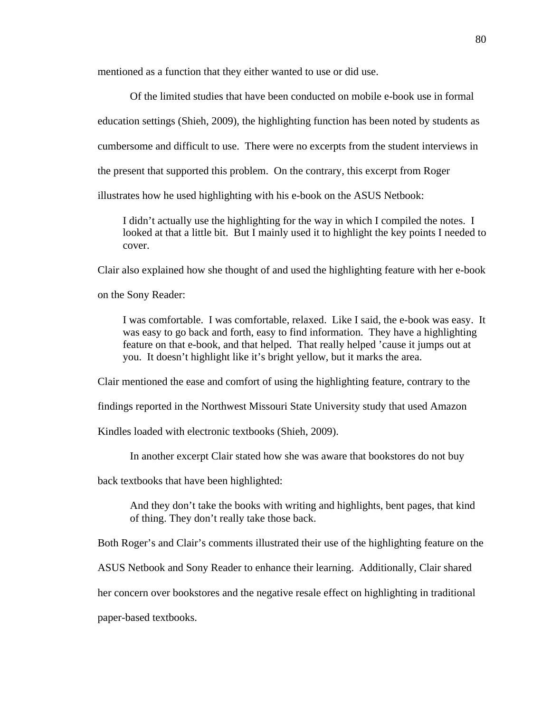mentioned as a function that they either wanted to use or did use.

 Of the limited studies that have been conducted on mobile e-book use in formal education settings (Shieh, 2009), the highlighting function has been noted by students as cumbersome and difficult to use. There were no excerpts from the student interviews in the present that supported this problem. On the contrary, this excerpt from Roger illustrates how he used highlighting with his e-book on the ASUS Netbook:

I didn't actually use the highlighting for the way in which I compiled the notes. I looked at that a little bit. But I mainly used it to highlight the key points I needed to cover.

Clair also explained how she thought of and used the highlighting feature with her e-book

on the Sony Reader:

I was comfortable. I was comfortable, relaxed. Like I said, the e-book was easy. It was easy to go back and forth, easy to find information. They have a highlighting feature on that e-book, and that helped. That really helped 'cause it jumps out at you. It doesn't highlight like it's bright yellow, but it marks the area.

Clair mentioned the ease and comfort of using the highlighting feature, contrary to the

findings reported in the Northwest Missouri State University study that used Amazon

Kindles loaded with electronic textbooks (Shieh, 2009).

In another excerpt Clair stated how she was aware that bookstores do not buy

back textbooks that have been highlighted:

And they don't take the books with writing and highlights, bent pages, that kind of thing. They don't really take those back.

Both Roger's and Clair's comments illustrated their use of the highlighting feature on the

ASUS Netbook and Sony Reader to enhance their learning. Additionally, Clair shared

her concern over bookstores and the negative resale effect on highlighting in traditional

paper-based textbooks.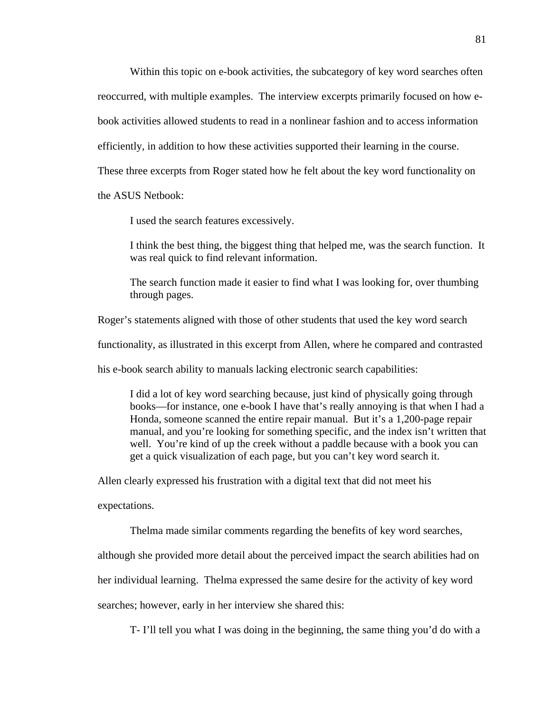Within this topic on e-book activities, the subcategory of key word searches often reoccurred, with multiple examples. The interview excerpts primarily focused on how ebook activities allowed students to read in a nonlinear fashion and to access information efficiently, in addition to how these activities supported their learning in the course. These three excerpts from Roger stated how he felt about the key word functionality on the ASUS Netbook:

I used the search features excessively.

I think the best thing, the biggest thing that helped me, was the search function. It was real quick to find relevant information.

The search function made it easier to find what I was looking for, over thumbing through pages.

Roger's statements aligned with those of other students that used the key word search

functionality, as illustrated in this excerpt from Allen, where he compared and contrasted

his e-book search ability to manuals lacking electronic search capabilities:

I did a lot of key word searching because, just kind of physically going through books—for instance, one e-book I have that's really annoying is that when I had a Honda, someone scanned the entire repair manual. But it's a 1,200-page repair manual, and you're looking for something specific, and the index isn't written that well. You're kind of up the creek without a paddle because with a book you can get a quick visualization of each page, but you can't key word search it.

Allen clearly expressed his frustration with a digital text that did not meet his

expectations.

Thelma made similar comments regarding the benefits of key word searches,

although she provided more detail about the perceived impact the search abilities had on

her individual learning. Thelma expressed the same desire for the activity of key word

searches; however, early in her interview she shared this:

T- I'll tell you what I was doing in the beginning, the same thing you'd do with a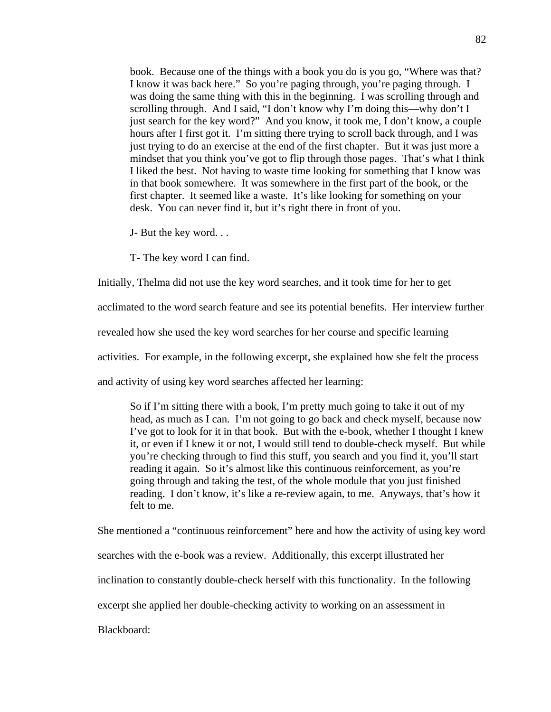book. Because one of the things with a book you do is you go, "Where was that? I know it was back here." So you're paging through, you're paging through. I was doing the same thing with this in the beginning. I was scrolling through and scrolling through. And I said, "I don't know why I'm doing this—why don't I just search for the key word?" And you know, it took me, I don't know, a couple hours after I first got it. I'm sitting there trying to scroll back through, and I was just trying to do an exercise at the end of the first chapter. But it was just more a mindset that you think you've got to flip through those pages. That's what I think I liked the best. Not having to waste time looking for something that I know was in that book somewhere. It was somewhere in the first part of the book, or the first chapter. It seemed like a waste. It's like looking for something on your desk. You can never find it, but it's right there in front of you.

J- But the key word. . .

T- The key word I can find.

Initially, Thelma did not use the key word searches, and it took time for her to get

acclimated to the word search feature and see its potential benefits. Her interview further

revealed how she used the key word searches for her course and specific learning

activities. For example, in the following excerpt, she explained how she felt the process

and activity of using key word searches affected her learning:

So if I'm sitting there with a book, I'm pretty much going to take it out of my head, as much as I can. I'm not going to go back and check myself, because now I've got to look for it in that book. But with the e-book, whether I thought I knew it, or even if I knew it or not, I would still tend to double-check myself. But while you're checking through to find this stuff, you search and you find it, you'll start reading it again. So it's almost like this continuous reinforcement, as you're going through and taking the test, of the whole module that you just finished reading. I don't know, it's like a re-review again, to me. Anyways, that's how it felt to me.

She mentioned a "continuous reinforcement" here and how the activity of using key word searches with the e-book was a review. Additionally, this excerpt illustrated her inclination to constantly double-check herself with this functionality. In the following excerpt she applied her double-checking activity to working on an assessment in Blackboard: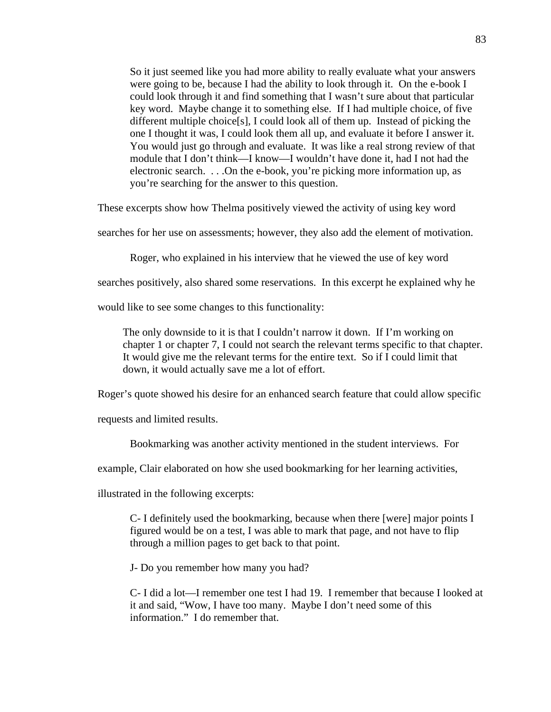So it just seemed like you had more ability to really evaluate what your answers were going to be, because I had the ability to look through it. On the e-book I could look through it and find something that I wasn't sure about that particular key word. Maybe change it to something else. If I had multiple choice, of five different multiple choice[s], I could look all of them up. Instead of picking the one I thought it was, I could look them all up, and evaluate it before I answer it. You would just go through and evaluate. It was like a real strong review of that module that I don't think—I know—I wouldn't have done it, had I not had the electronic search. . . .On the e-book, you're picking more information up, as you're searching for the answer to this question.

These excerpts show how Thelma positively viewed the activity of using key word

searches for her use on assessments; however, they also add the element of motivation.

Roger, who explained in his interview that he viewed the use of key word

searches positively, also shared some reservations. In this excerpt he explained why he

would like to see some changes to this functionality:

The only downside to it is that I couldn't narrow it down. If I'm working on chapter 1 or chapter 7, I could not search the relevant terms specific to that chapter. It would give me the relevant terms for the entire text. So if I could limit that down, it would actually save me a lot of effort.

Roger's quote showed his desire for an enhanced search feature that could allow specific

requests and limited results.

Bookmarking was another activity mentioned in the student interviews. For

example, Clair elaborated on how she used bookmarking for her learning activities,

illustrated in the following excerpts:

C- I definitely used the bookmarking, because when there [were] major points I figured would be on a test, I was able to mark that page, and not have to flip through a million pages to get back to that point.

J- Do you remember how many you had?

C- I did a lot—I remember one test I had 19. I remember that because I looked at it and said, "Wow, I have too many. Maybe I don't need some of this information." I do remember that.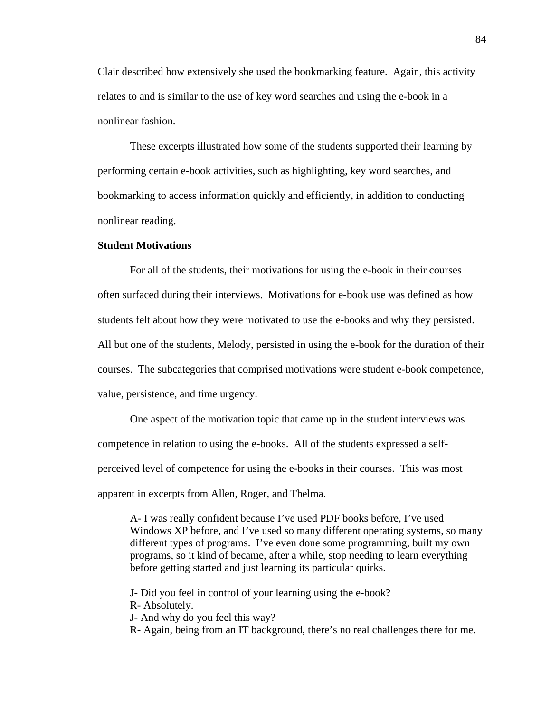Clair described how extensively she used the bookmarking feature. Again, this activity relates to and is similar to the use of key word searches and using the e-book in a nonlinear fashion.

 These excerpts illustrated how some of the students supported their learning by performing certain e-book activities, such as highlighting, key word searches, and bookmarking to access information quickly and efficiently, in addition to conducting nonlinear reading.

#### **Student Motivations**

For all of the students, their motivations for using the e-book in their courses often surfaced during their interviews. Motivations for e-book use was defined as how students felt about how they were motivated to use the e-books and why they persisted. All but one of the students, Melody, persisted in using the e-book for the duration of their courses. The subcategories that comprised motivations were student e-book competence, value, persistence, and time urgency.

 One aspect of the motivation topic that came up in the student interviews was competence in relation to using the e-books. All of the students expressed a selfperceived level of competence for using the e-books in their courses. This was most apparent in excerpts from Allen, Roger, and Thelma.

A- I was really confident because I've used PDF books before, I've used Windows XP before, and I've used so many different operating systems, so many different types of programs. I've even done some programming, built my own programs, so it kind of became, after a while, stop needing to learn everything before getting started and just learning its particular quirks.

J- Did you feel in control of your learning using the e-book? R- Absolutely. J- And why do you feel this way? R- Again, being from an IT background, there's no real challenges there for me.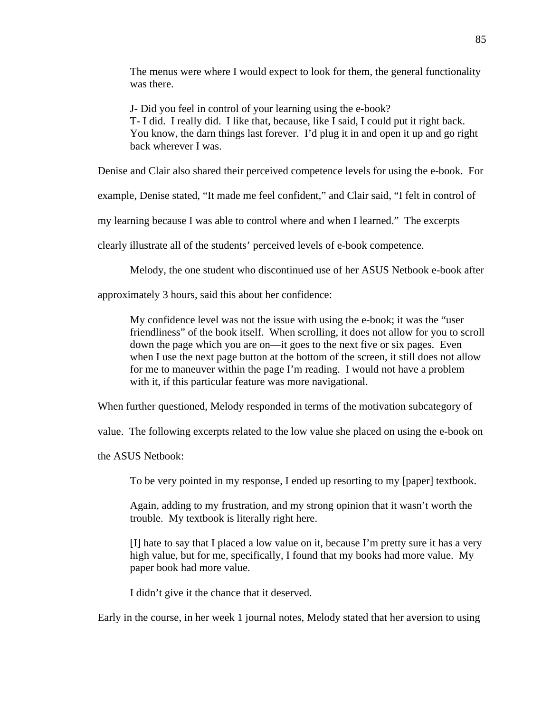The menus were where I would expect to look for them, the general functionality was there.

J- Did you feel in control of your learning using the e-book? T- I did. I really did. I like that, because, like I said, I could put it right back. You know, the darn things last forever. I'd plug it in and open it up and go right back wherever I was.

Denise and Clair also shared their perceived competence levels for using the e-book. For

example, Denise stated, "It made me feel confident," and Clair said, "I felt in control of

my learning because I was able to control where and when I learned." The excerpts

clearly illustrate all of the students' perceived levels of e-book competence.

Melody, the one student who discontinued use of her ASUS Netbook e-book after

approximately 3 hours, said this about her confidence:

My confidence level was not the issue with using the e-book; it was the "user friendliness" of the book itself. When scrolling, it does not allow for you to scroll down the page which you are on—it goes to the next five or six pages. Even when I use the next page button at the bottom of the screen, it still does not allow for me to maneuver within the page I'm reading. I would not have a problem with it, if this particular feature was more navigational.

When further questioned, Melody responded in terms of the motivation subcategory of

value. The following excerpts related to the low value she placed on using the e-book on

the ASUS Netbook:

To be very pointed in my response, I ended up resorting to my [paper] textbook.

Again, adding to my frustration, and my strong opinion that it wasn't worth the trouble. My textbook is literally right here.

[I] hate to say that I placed a low value on it, because I'm pretty sure it has a very high value, but for me, specifically, I found that my books had more value. My paper book had more value.

I didn't give it the chance that it deserved.

Early in the course, in her week 1 journal notes, Melody stated that her aversion to using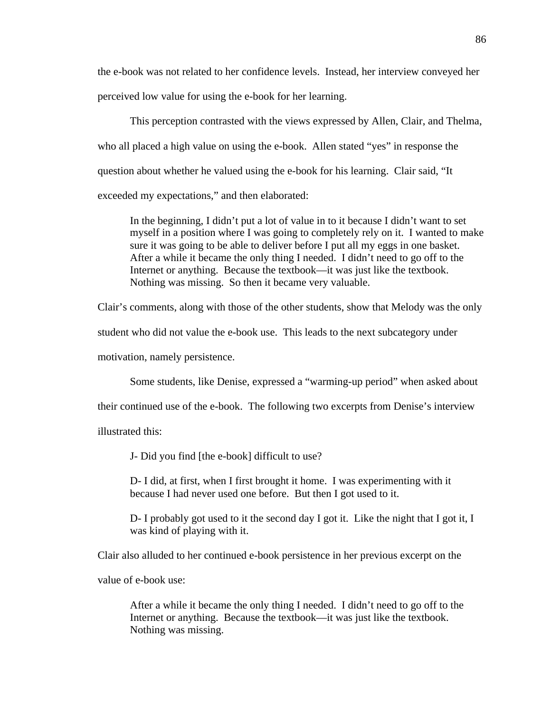the e-book was not related to her confidence levels. Instead, her interview conveyed her perceived low value for using the e-book for her learning.

 This perception contrasted with the views expressed by Allen, Clair, and Thelma, who all placed a high value on using the e-book. Allen stated "yes" in response the question about whether he valued using the e-book for his learning. Clair said, "It exceeded my expectations," and then elaborated:

In the beginning, I didn't put a lot of value in to it because I didn't want to set myself in a position where I was going to completely rely on it. I wanted to make sure it was going to be able to deliver before I put all my eggs in one basket. After a while it became the only thing I needed. I didn't need to go off to the Internet or anything. Because the textbook—it was just like the textbook. Nothing was missing. So then it became very valuable.

Clair's comments, along with those of the other students, show that Melody was the only

student who did not value the e-book use. This leads to the next subcategory under

motivation, namely persistence.

Some students, like Denise, expressed a "warming-up period" when asked about

their continued use of the e-book. The following two excerpts from Denise's interview

illustrated this:

J- Did you find [the e-book] difficult to use?

D- I did, at first, when I first brought it home. I was experimenting with it because I had never used one before. But then I got used to it.

D- I probably got used to it the second day I got it. Like the night that I got it, I was kind of playing with it.

Clair also alluded to her continued e-book persistence in her previous excerpt on the

value of e-book use:

After a while it became the only thing I needed. I didn't need to go off to the Internet or anything. Because the textbook—it was just like the textbook. Nothing was missing.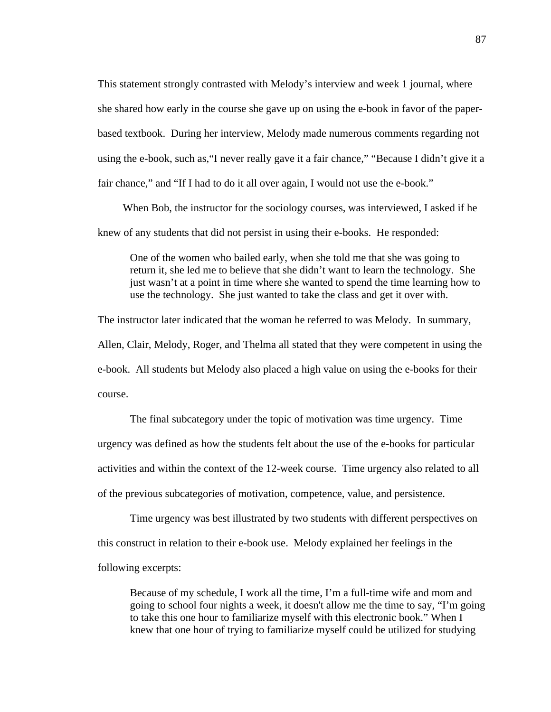This statement strongly contrasted with Melody's interview and week 1 journal, where she shared how early in the course she gave up on using the e-book in favor of the paperbased textbook. During her interview, Melody made numerous comments regarding not using the e-book, such as,"I never really gave it a fair chance," "Because I didn't give it a fair chance," and "If I had to do it all over again, I would not use the e-book."

When Bob, the instructor for the sociology courses, was interviewed, I asked if he knew of any students that did not persist in using their e-books. He responded:

One of the women who bailed early, when she told me that she was going to return it, she led me to believe that she didn't want to learn the technology. She just wasn't at a point in time where she wanted to spend the time learning how to use the technology. She just wanted to take the class and get it over with.

The instructor later indicated that the woman he referred to was Melody. In summary, Allen, Clair, Melody, Roger, and Thelma all stated that they were competent in using the e-book. All students but Melody also placed a high value on using the e-books for their course.

 The final subcategory under the topic of motivation was time urgency. Time urgency was defined as how the students felt about the use of the e-books for particular activities and within the context of the 12-week course. Time urgency also related to all of the previous subcategories of motivation, competence, value, and persistence.

 Time urgency was best illustrated by two students with different perspectives on this construct in relation to their e-book use. Melody explained her feelings in the following excerpts:

Because of my schedule, I work all the time, I'm a full-time wife and mom and going to school four nights a week, it doesn't allow me the time to say, "I'm going to take this one hour to familiarize myself with this electronic book." When I knew that one hour of trying to familiarize myself could be utilized for studying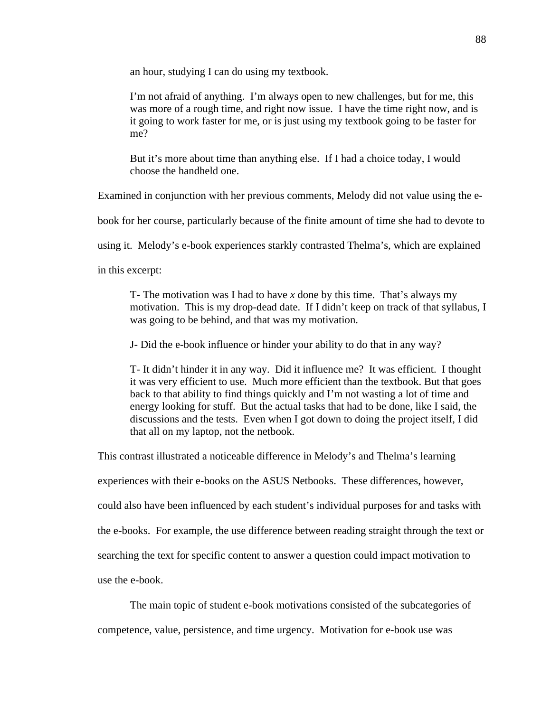an hour, studying I can do using my textbook.

I'm not afraid of anything. I'm always open to new challenges, but for me, this was more of a rough time, and right now issue. I have the time right now, and is it going to work faster for me, or is just using my textbook going to be faster for me?

But it's more about time than anything else. If I had a choice today, I would choose the handheld one.

Examined in conjunction with her previous comments, Melody did not value using the e-

book for her course, particularly because of the finite amount of time she had to devote to

using it. Melody's e-book experiences starkly contrasted Thelma's, which are explained

in this excerpt:

T- The motivation was I had to have *x* done by this time. That's always my motivation. This is my drop-dead date. If I didn't keep on track of that syllabus, I was going to be behind, and that was my motivation.

J- Did the e-book influence or hinder your ability to do that in any way?

T- It didn't hinder it in any way. Did it influence me? It was efficient. I thought it was very efficient to use. Much more efficient than the textbook. But that goes back to that ability to find things quickly and I'm not wasting a lot of time and energy looking for stuff. But the actual tasks that had to be done, like I said, the discussions and the tests. Even when I got down to doing the project itself, I did that all on my laptop, not the netbook.

This contrast illustrated a noticeable difference in Melody's and Thelma's learning

experiences with their e-books on the ASUS Netbooks. These differences, however,

could also have been influenced by each student's individual purposes for and tasks with

the e-books. For example, the use difference between reading straight through the text or

searching the text for specific content to answer a question could impact motivation to

use the e-book.

The main topic of student e-book motivations consisted of the subcategories of

competence, value, persistence, and time urgency. Motivation for e-book use was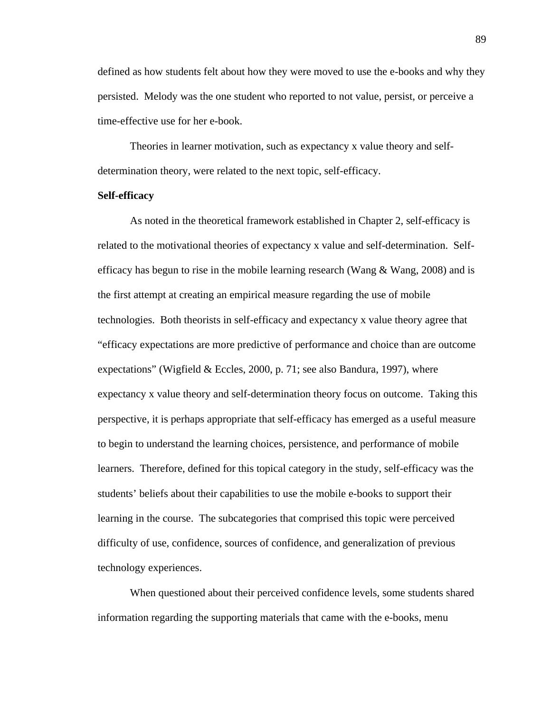defined as how students felt about how they were moved to use the e-books and why they persisted. Melody was the one student who reported to not value, persist, or perceive a time-effective use for her e-book.

 Theories in learner motivation, such as expectancy x value theory and selfdetermination theory, were related to the next topic, self-efficacy.

#### **Self-efficacy**

As noted in the theoretical framework established in Chapter 2, self-efficacy is related to the motivational theories of expectancy x value and self-determination. Selfefficacy has begun to rise in the mobile learning research (Wang  $\&$  Wang, 2008) and is the first attempt at creating an empirical measure regarding the use of mobile technologies. Both theorists in self-efficacy and expectancy x value theory agree that "efficacy expectations are more predictive of performance and choice than are outcome expectations" (Wigfield & Eccles, 2000, p. 71; see also Bandura, 1997), where expectancy x value theory and self-determination theory focus on outcome. Taking this perspective, it is perhaps appropriate that self-efficacy has emerged as a useful measure to begin to understand the learning choices, persistence, and performance of mobile learners. Therefore, defined for this topical category in the study, self-efficacy was the students' beliefs about their capabilities to use the mobile e-books to support their learning in the course. The subcategories that comprised this topic were perceived difficulty of use, confidence, sources of confidence, and generalization of previous technology experiences.

 When questioned about their perceived confidence levels, some students shared information regarding the supporting materials that came with the e-books, menu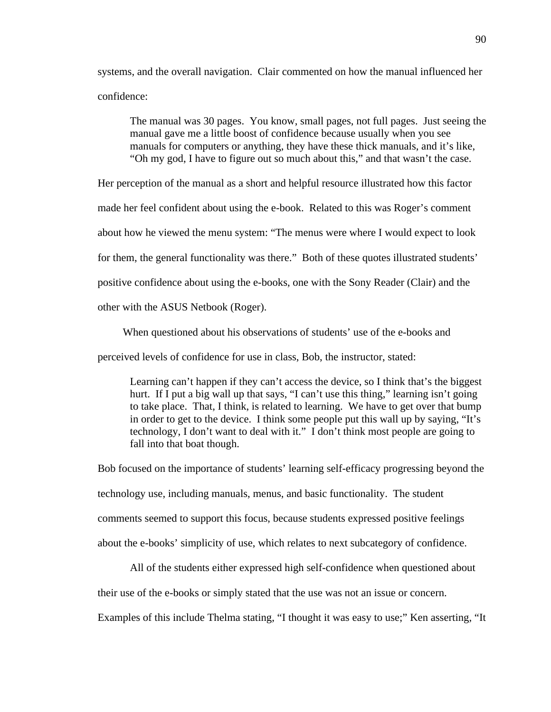systems, and the overall navigation. Clair commented on how the manual influenced her confidence:

The manual was 30 pages. You know, small pages, not full pages. Just seeing the manual gave me a little boost of confidence because usually when you see manuals for computers or anything, they have these thick manuals, and it's like, "Oh my god, I have to figure out so much about this," and that wasn't the case.

Her perception of the manual as a short and helpful resource illustrated how this factor made her feel confident about using the e-book. Related to this was Roger's comment about how he viewed the menu system: "The menus were where I would expect to look for them, the general functionality was there." Both of these quotes illustrated students' positive confidence about using the e-books, one with the Sony Reader (Clair) and the other with the ASUS Netbook (Roger).

When questioned about his observations of students' use of the e-books and

perceived levels of confidence for use in class, Bob, the instructor, stated:

Learning can't happen if they can't access the device, so I think that's the biggest hurt. If I put a big wall up that says, "I can't use this thing," learning isn't going to take place. That, I think, is related to learning. We have to get over that bump in order to get to the device. I think some people put this wall up by saying, "It's technology, I don't want to deal with it." I don't think most people are going to fall into that boat though.

Bob focused on the importance of students' learning self-efficacy progressing beyond the technology use, including manuals, menus, and basic functionality. The student comments seemed to support this focus, because students expressed positive feelings about the e-books' simplicity of use, which relates to next subcategory of confidence.

 All of the students either expressed high self-confidence when questioned about their use of the e-books or simply stated that the use was not an issue or concern. Examples of this include Thelma stating, "I thought it was easy to use;" Ken asserting, "It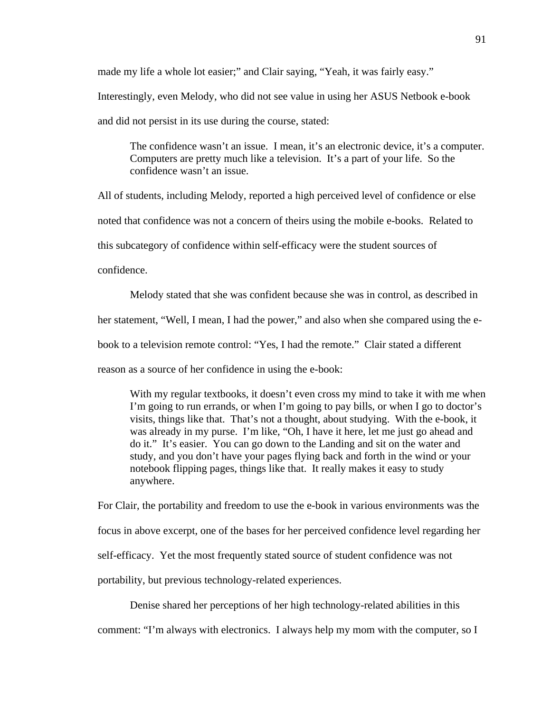made my life a whole lot easier;" and Clair saying, "Yeah, it was fairly easy." Interestingly, even Melody, who did not see value in using her ASUS Netbook e-book and did not persist in its use during the course, stated:

The confidence wasn't an issue. I mean, it's an electronic device, it's a computer. Computers are pretty much like a television. It's a part of your life. So the confidence wasn't an issue.

All of students, including Melody, reported a high perceived level of confidence or else

noted that confidence was not a concern of theirs using the mobile e-books. Related to

this subcategory of confidence within self-efficacy were the student sources of

confidence.

 Melody stated that she was confident because she was in control, as described in her statement, "Well, I mean, I had the power," and also when she compared using the ebook to a television remote control: "Yes, I had the remote." Clair stated a different reason as a source of her confidence in using the e-book:

With my regular textbooks, it doesn't even cross my mind to take it with me when I'm going to run errands, or when I'm going to pay bills, or when I go to doctor's visits, things like that. That's not a thought, about studying. With the e-book, it was already in my purse. I'm like, "Oh, I have it here, let me just go ahead and do it." It's easier. You can go down to the Landing and sit on the water and study, and you don't have your pages flying back and forth in the wind or your notebook flipping pages, things like that. It really makes it easy to study anywhere.

For Clair, the portability and freedom to use the e-book in various environments was the focus in above excerpt, one of the bases for her perceived confidence level regarding her self-efficacy. Yet the most frequently stated source of student confidence was not portability, but previous technology-related experiences.

Denise shared her perceptions of her high technology-related abilities in this

comment: "I'm always with electronics. I always help my mom with the computer, so I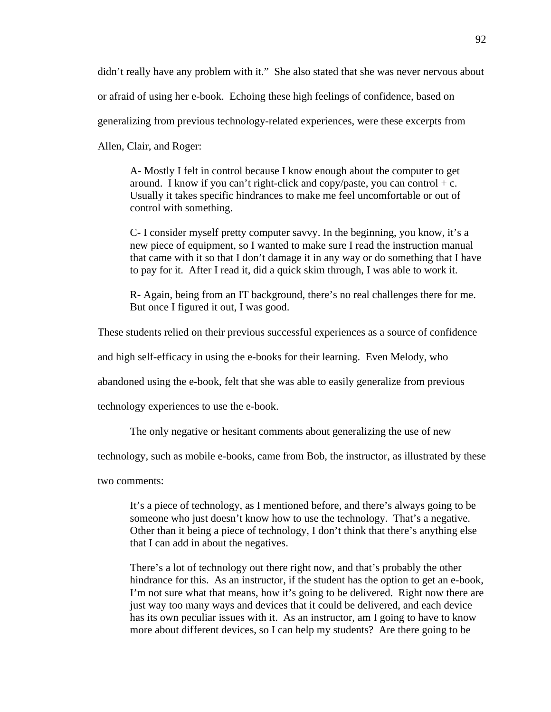didn't really have any problem with it." She also stated that she was never nervous about or afraid of using her e-book. Echoing these high feelings of confidence, based on generalizing from previous technology-related experiences, were these excerpts from Allen, Clair, and Roger:

A- Mostly I felt in control because I know enough about the computer to get around. I know if you can't right-click and copy/paste, you can control  $+ c$ . Usually it takes specific hindrances to make me feel uncomfortable or out of control with something.

C- I consider myself pretty computer savvy. In the beginning, you know, it's a new piece of equipment, so I wanted to make sure I read the instruction manual that came with it so that I don't damage it in any way or do something that I have to pay for it. After I read it, did a quick skim through, I was able to work it.

R- Again, being from an IT background, there's no real challenges there for me. But once I figured it out, I was good.

These students relied on their previous successful experiences as a source of confidence

and high self-efficacy in using the e-books for their learning. Even Melody, who

abandoned using the e-book, felt that she was able to easily generalize from previous

technology experiences to use the e-book.

The only negative or hesitant comments about generalizing the use of new

technology, such as mobile e-books, came from Bob, the instructor, as illustrated by these

two comments:

It's a piece of technology, as I mentioned before, and there's always going to be someone who just doesn't know how to use the technology. That's a negative. Other than it being a piece of technology, I don't think that there's anything else that I can add in about the negatives.

There's a lot of technology out there right now, and that's probably the other hindrance for this. As an instructor, if the student has the option to get an e-book, I'm not sure what that means, how it's going to be delivered. Right now there are just way too many ways and devices that it could be delivered, and each device has its own peculiar issues with it. As an instructor, am I going to have to know more about different devices, so I can help my students? Are there going to be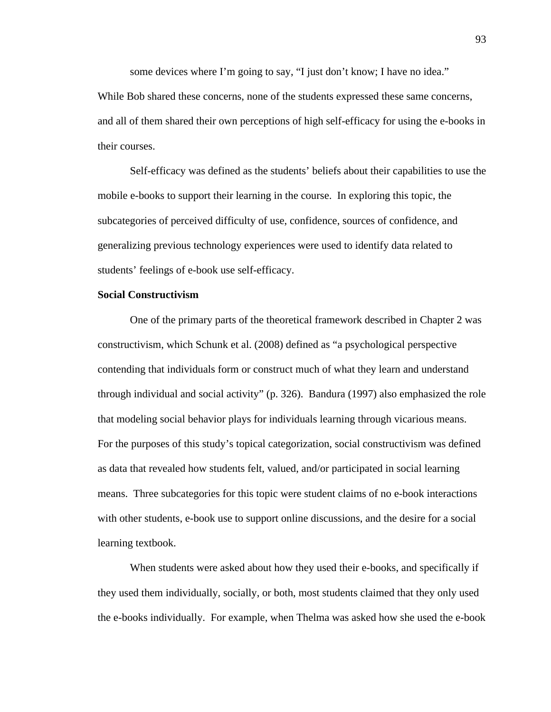some devices where I'm going to say, "I just don't know; I have no idea." While Bob shared these concerns, none of the students expressed these same concerns, and all of them shared their own perceptions of high self-efficacy for using the e-books in their courses.

Self-efficacy was defined as the students' beliefs about their capabilities to use the mobile e-books to support their learning in the course. In exploring this topic, the subcategories of perceived difficulty of use, confidence, sources of confidence, and generalizing previous technology experiences were used to identify data related to students' feelings of e-book use self-efficacy.

## **Social Constructivism**

One of the primary parts of the theoretical framework described in Chapter 2 was constructivism, which Schunk et al. (2008) defined as "a psychological perspective contending that individuals form or construct much of what they learn and understand through individual and social activity" (p. 326). Bandura (1997) also emphasized the role that modeling social behavior plays for individuals learning through vicarious means. For the purposes of this study's topical categorization, social constructivism was defined as data that revealed how students felt, valued, and/or participated in social learning means. Three subcategories for this topic were student claims of no e-book interactions with other students, e-book use to support online discussions, and the desire for a social learning textbook.

When students were asked about how they used their e-books, and specifically if they used them individually, socially, or both, most students claimed that they only used the e-books individually. For example, when Thelma was asked how she used the e-book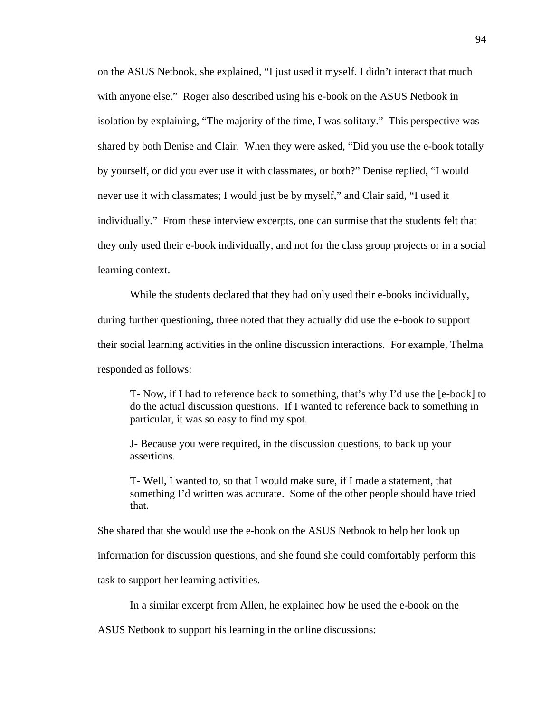on the ASUS Netbook, she explained, "I just used it myself. I didn't interact that much with anyone else." Roger also described using his e-book on the ASUS Netbook in isolation by explaining, "The majority of the time, I was solitary." This perspective was shared by both Denise and Clair. When they were asked, "Did you use the e-book totally by yourself, or did you ever use it with classmates, or both?" Denise replied, "I would never use it with classmates; I would just be by myself," and Clair said, "I used it individually." From these interview excerpts, one can surmise that the students felt that they only used their e-book individually, and not for the class group projects or in a social learning context.

While the students declared that they had only used their e-books individually, during further questioning, three noted that they actually did use the e-book to support their social learning activities in the online discussion interactions. For example, Thelma responded as follows:

T- Now, if I had to reference back to something, that's why I'd use the [e-book] to do the actual discussion questions. If I wanted to reference back to something in particular, it was so easy to find my spot.

J- Because you were required, in the discussion questions, to back up your assertions.

T- Well, I wanted to, so that I would make sure, if I made a statement, that something I'd written was accurate. Some of the other people should have tried that.

She shared that she would use the e-book on the ASUS Netbook to help her look up

information for discussion questions, and she found she could comfortably perform this

task to support her learning activities.

In a similar excerpt from Allen, he explained how he used the e-book on the

ASUS Netbook to support his learning in the online discussions: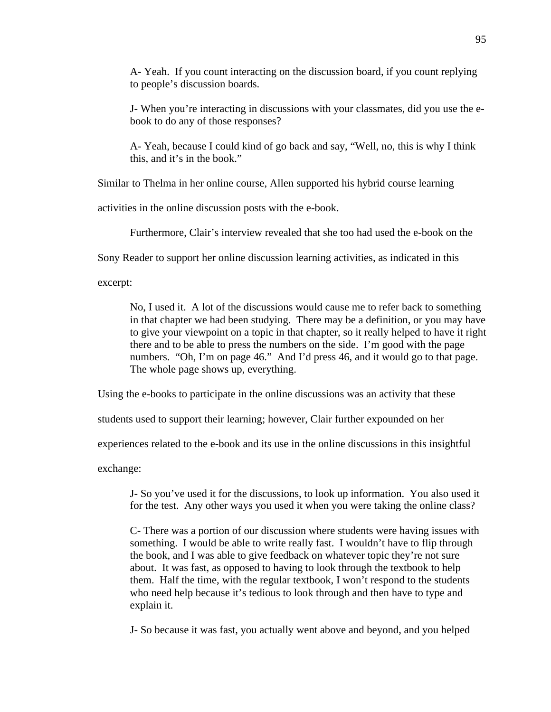A- Yeah. If you count interacting on the discussion board, if you count replying to people's discussion boards.

J- When you're interacting in discussions with your classmates, did you use the ebook to do any of those responses?

A- Yeah, because I could kind of go back and say, "Well, no, this is why I think this, and it's in the book."

Similar to Thelma in her online course, Allen supported his hybrid course learning

activities in the online discussion posts with the e-book.

Furthermore, Clair's interview revealed that she too had used the e-book on the

Sony Reader to support her online discussion learning activities, as indicated in this

excerpt:

No, I used it. A lot of the discussions would cause me to refer back to something in that chapter we had been studying. There may be a definition, or you may have to give your viewpoint on a topic in that chapter, so it really helped to have it right there and to be able to press the numbers on the side. I'm good with the page numbers. "Oh, I'm on page 46." And I'd press 46, and it would go to that page. The whole page shows up, everything.

Using the e-books to participate in the online discussions was an activity that these

students used to support their learning; however, Clair further expounded on her

experiences related to the e-book and its use in the online discussions in this insightful

exchange:

J- So you've used it for the discussions, to look up information. You also used it for the test. Any other ways you used it when you were taking the online class?

C- There was a portion of our discussion where students were having issues with something. I would be able to write really fast. I wouldn't have to flip through the book, and I was able to give feedback on whatever topic they're not sure about. It was fast, as opposed to having to look through the textbook to help them. Half the time, with the regular textbook, I won't respond to the students who need help because it's tedious to look through and then have to type and explain it.

J- So because it was fast, you actually went above and beyond, and you helped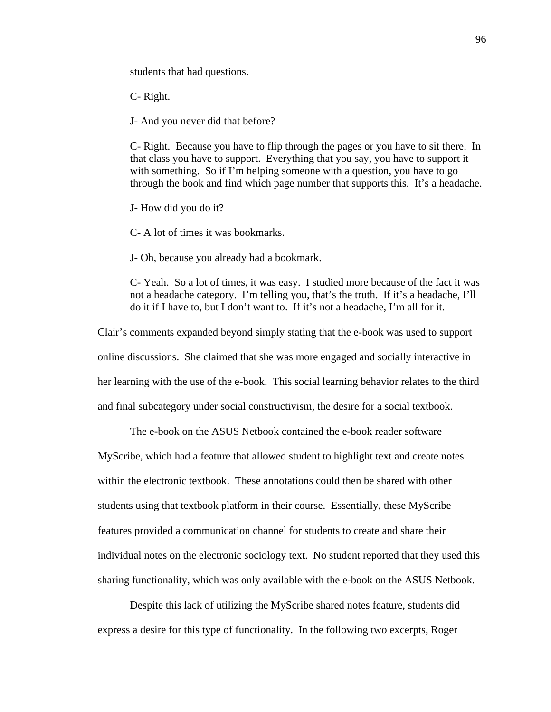students that had questions.

C- Right.

J- And you never did that before?

C- Right. Because you have to flip through the pages or you have to sit there. In that class you have to support. Everything that you say, you have to support it with something. So if I'm helping someone with a question, you have to go through the book and find which page number that supports this. It's a headache.

J- How did you do it?

C- A lot of times it was bookmarks.

J- Oh, because you already had a bookmark.

C- Yeah. So a lot of times, it was easy. I studied more because of the fact it was not a headache category. I'm telling you, that's the truth. If it's a headache, I'll do it if I have to, but I don't want to. If it's not a headache, I'm all for it.

Clair's comments expanded beyond simply stating that the e-book was used to support online discussions. She claimed that she was more engaged and socially interactive in her learning with the use of the e-book. This social learning behavior relates to the third and final subcategory under social constructivism, the desire for a social textbook.

The e-book on the ASUS Netbook contained the e-book reader software

MyScribe, which had a feature that allowed student to highlight text and create notes within the electronic textbook. These annotations could then be shared with other students using that textbook platform in their course. Essentially, these MyScribe features provided a communication channel for students to create and share their individual notes on the electronic sociology text. No student reported that they used this sharing functionality, which was only available with the e-book on the ASUS Netbook.

 Despite this lack of utilizing the MyScribe shared notes feature, students did express a desire for this type of functionality. In the following two excerpts, Roger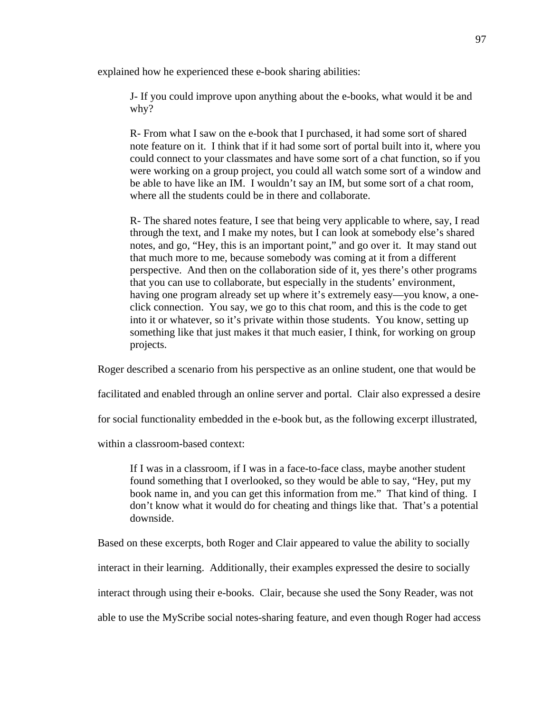explained how he experienced these e-book sharing abilities:

J- If you could improve upon anything about the e-books, what would it be and why?

R- From what I saw on the e-book that I purchased, it had some sort of shared note feature on it. I think that if it had some sort of portal built into it, where you could connect to your classmates and have some sort of a chat function, so if you were working on a group project, you could all watch some sort of a window and be able to have like an IM. I wouldn't say an IM, but some sort of a chat room, where all the students could be in there and collaborate.

R- The shared notes feature, I see that being very applicable to where, say, I read through the text, and I make my notes, but I can look at somebody else's shared notes, and go, "Hey, this is an important point," and go over it. It may stand out that much more to me, because somebody was coming at it from a different perspective. And then on the collaboration side of it, yes there's other programs that you can use to collaborate, but especially in the students' environment, having one program already set up where it's extremely easy—you know, a oneclick connection. You say, we go to this chat room, and this is the code to get into it or whatever, so it's private within those students. You know, setting up something like that just makes it that much easier, I think, for working on group projects.

Roger described a scenario from his perspective as an online student, one that would be

facilitated and enabled through an online server and portal. Clair also expressed a desire

for social functionality embedded in the e-book but, as the following excerpt illustrated,

within a classroom-based context:

If I was in a classroom, if I was in a face-to-face class, maybe another student found something that I overlooked, so they would be able to say, "Hey, put my book name in, and you can get this information from me." That kind of thing. I don't know what it would do for cheating and things like that. That's a potential downside.

Based on these excerpts, both Roger and Clair appeared to value the ability to socially interact in their learning. Additionally, their examples expressed the desire to socially interact through using their e-books. Clair, because she used the Sony Reader, was not able to use the MyScribe social notes-sharing feature, and even though Roger had access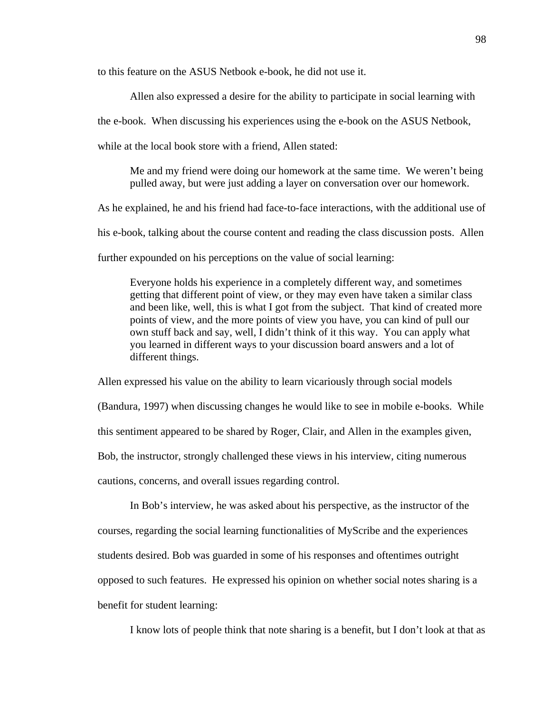to this feature on the ASUS Netbook e-book, he did not use it.

 Allen also expressed a desire for the ability to participate in social learning with the e-book. When discussing his experiences using the e-book on the ASUS Netbook, while at the local book store with a friend. Allen stated:

Me and my friend were doing our homework at the same time. We weren't being pulled away, but were just adding a layer on conversation over our homework.

As he explained, he and his friend had face-to-face interactions, with the additional use of his e-book, talking about the course content and reading the class discussion posts. Allen further expounded on his perceptions on the value of social learning:

Everyone holds his experience in a completely different way, and sometimes getting that different point of view, or they may even have taken a similar class and been like, well, this is what I got from the subject. That kind of created more points of view, and the more points of view you have, you can kind of pull our own stuff back and say, well, I didn't think of it this way. You can apply what you learned in different ways to your discussion board answers and a lot of different things.

Allen expressed his value on the ability to learn vicariously through social models (Bandura, 1997) when discussing changes he would like to see in mobile e-books. While this sentiment appeared to be shared by Roger, Clair, and Allen in the examples given, Bob, the instructor, strongly challenged these views in his interview, citing numerous cautions, concerns, and overall issues regarding control.

 In Bob's interview, he was asked about his perspective, as the instructor of the courses, regarding the social learning functionalities of MyScribe and the experiences students desired. Bob was guarded in some of his responses and oftentimes outright opposed to such features. He expressed his opinion on whether social notes sharing is a benefit for student learning:

I know lots of people think that note sharing is a benefit, but I don't look at that as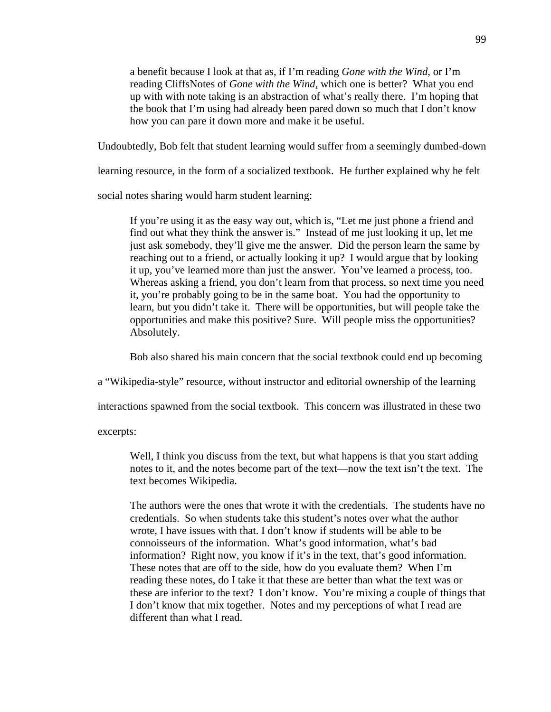a benefit because I look at that as, if I'm reading *Gone with the Wind*, or I'm reading CliffsNotes of *Gone with the Wind*, which one is better? What you end up with with note taking is an abstraction of what's really there. I'm hoping that the book that I'm using had already been pared down so much that I don't know how you can pare it down more and make it be useful.

Undoubtedly, Bob felt that student learning would suffer from a seemingly dumbed-down

learning resource, in the form of a socialized textbook. He further explained why he felt

social notes sharing would harm student learning:

If you're using it as the easy way out, which is, "Let me just phone a friend and find out what they think the answer is." Instead of me just looking it up, let me just ask somebody, they'll give me the answer. Did the person learn the same by reaching out to a friend, or actually looking it up? I would argue that by looking it up, you've learned more than just the answer. You've learned a process, too. Whereas asking a friend, you don't learn from that process, so next time you need it, you're probably going to be in the same boat. You had the opportunity to learn, but you didn't take it. There will be opportunities, but will people take the opportunities and make this positive? Sure. Will people miss the opportunities? Absolutely.

Bob also shared his main concern that the social textbook could end up becoming

a "Wikipedia-style" resource, without instructor and editorial ownership of the learning

interactions spawned from the social textbook. This concern was illustrated in these two

excerpts:

Well, I think you discuss from the text, but what happens is that you start adding notes to it, and the notes become part of the text—now the text isn't the text. The text becomes Wikipedia.

The authors were the ones that wrote it with the credentials. The students have no credentials. So when students take this student's notes over what the author wrote, I have issues with that. I don't know if students will be able to be connoisseurs of the information. What's good information, what's bad information? Right now, you know if it's in the text, that's good information. These notes that are off to the side, how do you evaluate them? When I'm reading these notes, do I take it that these are better than what the text was or these are inferior to the text? I don't know. You're mixing a couple of things that I don't know that mix together. Notes and my perceptions of what I read are different than what I read.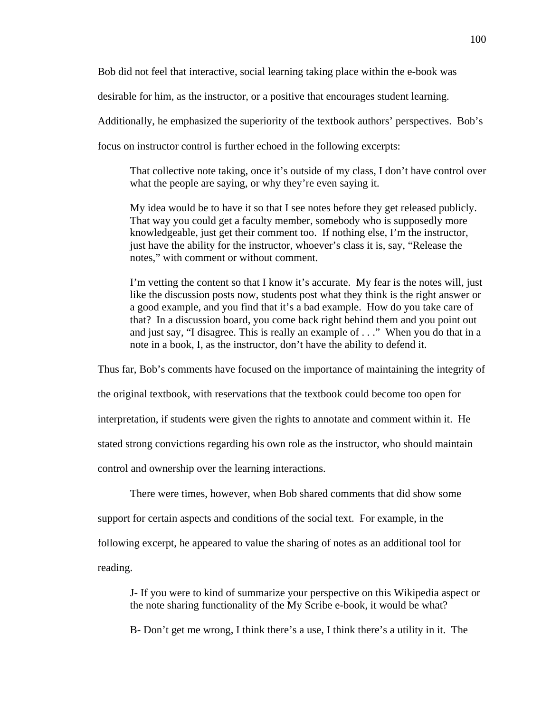Bob did not feel that interactive, social learning taking place within the e-book was

desirable for him, as the instructor, or a positive that encourages student learning.

Additionally, he emphasized the superiority of the textbook authors' perspectives. Bob's

focus on instructor control is further echoed in the following excerpts:

That collective note taking, once it's outside of my class, I don't have control over what the people are saying, or why they're even saying it.

My idea would be to have it so that I see notes before they get released publicly. That way you could get a faculty member, somebody who is supposedly more knowledgeable, just get their comment too. If nothing else, I'm the instructor, just have the ability for the instructor, whoever's class it is, say, "Release the notes," with comment or without comment.

I'm vetting the content so that I know it's accurate. My fear is the notes will, just like the discussion posts now, students post what they think is the right answer or a good example, and you find that it's a bad example. How do you take care of that? In a discussion board, you come back right behind them and you point out and just say, "I disagree. This is really an example of . . ." When you do that in a note in a book, I, as the instructor, don't have the ability to defend it.

Thus far, Bob's comments have focused on the importance of maintaining the integrity of the original textbook, with reservations that the textbook could become too open for interpretation, if students were given the rights to annotate and comment within it. He stated strong convictions regarding his own role as the instructor, who should maintain control and ownership over the learning interactions.

 There were times, however, when Bob shared comments that did show some support for certain aspects and conditions of the social text. For example, in the following excerpt, he appeared to value the sharing of notes as an additional tool for reading.

J- If you were to kind of summarize your perspective on this Wikipedia aspect or the note sharing functionality of the My Scribe e-book, it would be what?

B- Don't get me wrong, I think there's a use, I think there's a utility in it. The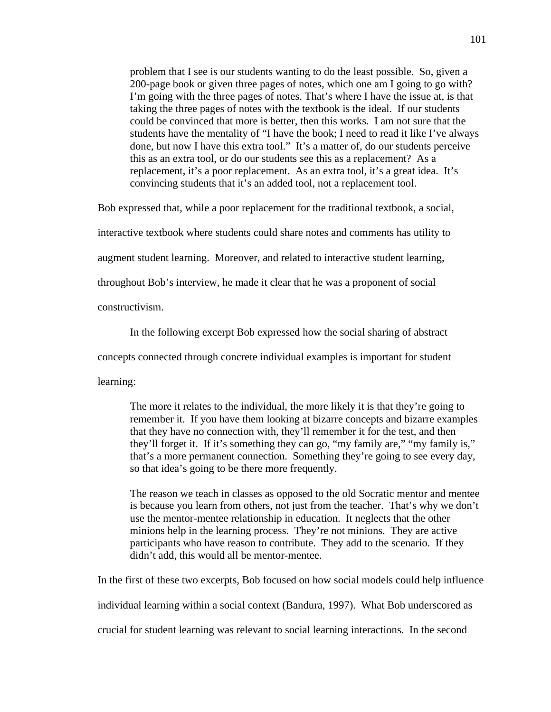problem that I see is our students wanting to do the least possible. So, given a 200-page book or given three pages of notes, which one am I going to go with? I'm going with the three pages of notes. That's where I have the issue at, is that taking the three pages of notes with the textbook is the ideal. If our students could be convinced that more is better, then this works. I am not sure that the students have the mentality of "I have the book; I need to read it like I've always done, but now I have this extra tool." It's a matter of, do our students perceive this as an extra tool, or do our students see this as a replacement? As a replacement, it's a poor replacement. As an extra tool, it's a great idea. It's convincing students that it's an added tool, not a replacement tool.

Bob expressed that, while a poor replacement for the traditional textbook, a social,

interactive textbook where students could share notes and comments has utility to

augment student learning. Moreover, and related to interactive student learning,

throughout Bob's interview, he made it clear that he was a proponent of social

constructivism.

In the following excerpt Bob expressed how the social sharing of abstract

concepts connected through concrete individual examples is important for student

learning:

The more it relates to the individual, the more likely it is that they're going to remember it. If you have them looking at bizarre concepts and bizarre examples that they have no connection with, they'll remember it for the test, and then they'll forget it. If it's something they can go, "my family are," "my family is," that's a more permanent connection. Something they're going to see every day, so that idea's going to be there more frequently.

The reason we teach in classes as opposed to the old Socratic mentor and mentee is because you learn from others, not just from the teacher. That's why we don't use the mentor-mentee relationship in education. It neglects that the other minions help in the learning process. They're not minions. They are active participants who have reason to contribute. They add to the scenario. If they didn't add, this would all be mentor-mentee.

In the first of these two excerpts, Bob focused on how social models could help influence individual learning within a social context (Bandura, 1997). What Bob underscored as crucial for student learning was relevant to social learning interactions. In the second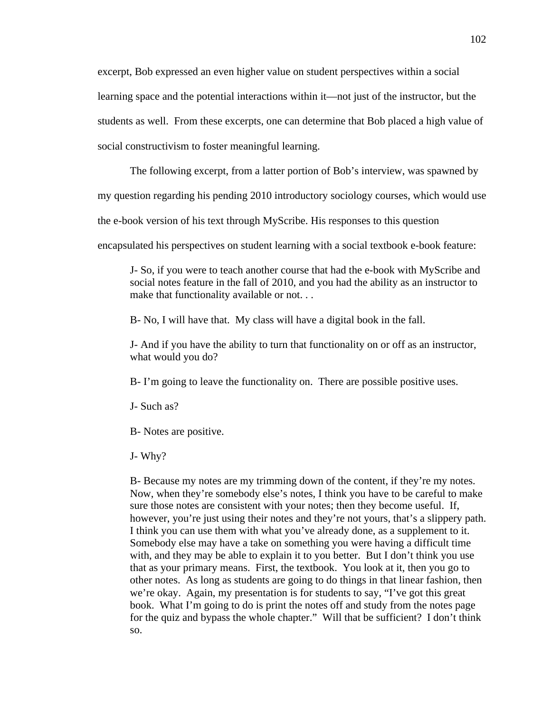excerpt, Bob expressed an even higher value on student perspectives within a social learning space and the potential interactions within it—not just of the instructor, but the students as well. From these excerpts, one can determine that Bob placed a high value of social constructivism to foster meaningful learning.

The following excerpt, from a latter portion of Bob's interview, was spawned by

my question regarding his pending 2010 introductory sociology courses, which would use

the e-book version of his text through MyScribe. His responses to this question

encapsulated his perspectives on student learning with a social textbook e-book feature:

J- So, if you were to teach another course that had the e-book with MyScribe and social notes feature in the fall of 2010, and you had the ability as an instructor to make that functionality available or not. . .

B- No, I will have that. My class will have a digital book in the fall.

J- And if you have the ability to turn that functionality on or off as an instructor, what would you do?

B- I'm going to leave the functionality on. There are possible positive uses.

J- Such as?

B- Notes are positive.

J- Why?

B- Because my notes are my trimming down of the content, if they're my notes. Now, when they're somebody else's notes, I think you have to be careful to make sure those notes are consistent with your notes; then they become useful. If, however, you're just using their notes and they're not yours, that's a slippery path. I think you can use them with what you've already done, as a supplement to it. Somebody else may have a take on something you were having a difficult time with, and they may be able to explain it to you better. But I don't think you use that as your primary means. First, the textbook. You look at it, then you go to other notes. As long as students are going to do things in that linear fashion, then we're okay. Again, my presentation is for students to say, "I've got this great book. What I'm going to do is print the notes off and study from the notes page for the quiz and bypass the whole chapter." Will that be sufficient? I don't think so.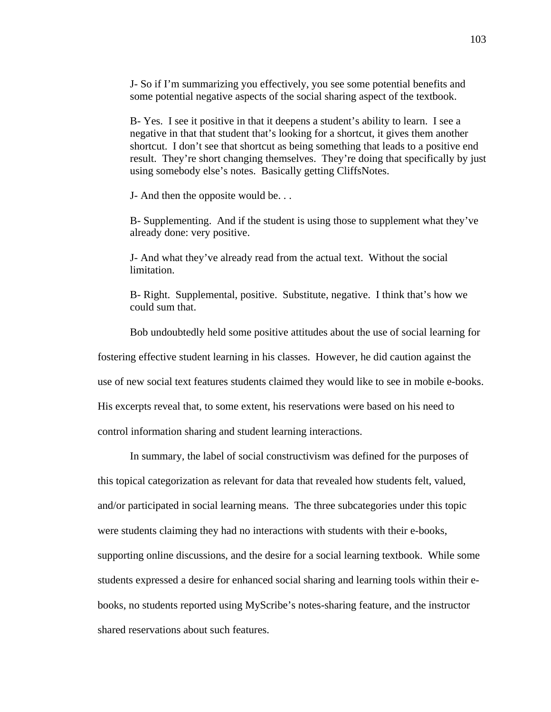J- So if I'm summarizing you effectively, you see some potential benefits and some potential negative aspects of the social sharing aspect of the textbook.

B- Yes. I see it positive in that it deepens a student's ability to learn. I see a negative in that that student that's looking for a shortcut, it gives them another shortcut. I don't see that shortcut as being something that leads to a positive end result. They're short changing themselves. They're doing that specifically by just using somebody else's notes. Basically getting CliffsNotes.

J- And then the opposite would be. . .

B- Supplementing. And if the student is using those to supplement what they've already done: very positive.

J- And what they've already read from the actual text. Without the social limitation.

B- Right. Supplemental, positive. Substitute, negative. I think that's how we could sum that.

Bob undoubtedly held some positive attitudes about the use of social learning for

fostering effective student learning in his classes. However, he did caution against the

use of new social text features students claimed they would like to see in mobile e-books.

His excerpts reveal that, to some extent, his reservations were based on his need to

control information sharing and student learning interactions.

 In summary, the label of social constructivism was defined for the purposes of this topical categorization as relevant for data that revealed how students felt, valued, and/or participated in social learning means. The three subcategories under this topic were students claiming they had no interactions with students with their e-books, supporting online discussions, and the desire for a social learning textbook. While some students expressed a desire for enhanced social sharing and learning tools within their ebooks, no students reported using MyScribe's notes-sharing feature, and the instructor shared reservations about such features.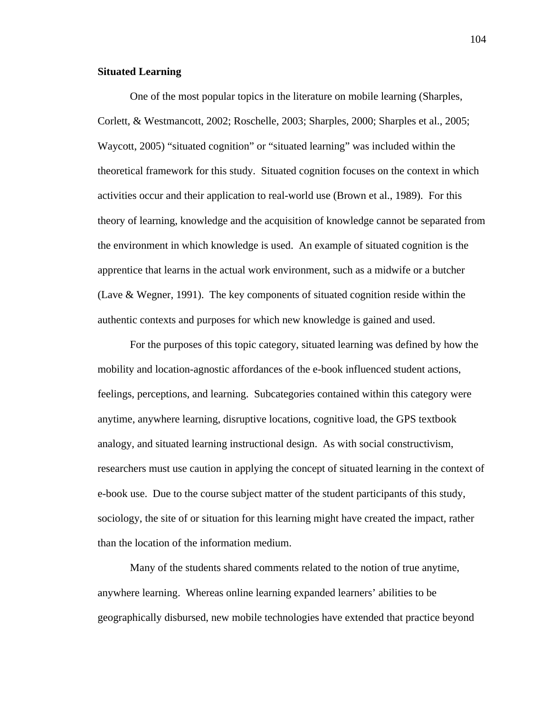## **Situated Learning**

One of the most popular topics in the literature on mobile learning (Sharples, Corlett, & Westmancott, 2002; Roschelle, 2003; Sharples, 2000; Sharples et al., 2005; Waycott, 2005) "situated cognition" or "situated learning" was included within the theoretical framework for this study. Situated cognition focuses on the context in which activities occur and their application to real-world use (Brown et al., 1989). For this theory of learning, knowledge and the acquisition of knowledge cannot be separated from the environment in which knowledge is used. An example of situated cognition is the apprentice that learns in the actual work environment, such as a midwife or a butcher (Lave & Wegner, 1991). The key components of situated cognition reside within the authentic contexts and purposes for which new knowledge is gained and used.

 For the purposes of this topic category, situated learning was defined by how the mobility and location-agnostic affordances of the e-book influenced student actions, feelings, perceptions, and learning. Subcategories contained within this category were anytime, anywhere learning, disruptive locations, cognitive load, the GPS textbook analogy, and situated learning instructional design. As with social constructivism, researchers must use caution in applying the concept of situated learning in the context of e-book use. Due to the course subject matter of the student participants of this study, sociology, the site of or situation for this learning might have created the impact, rather than the location of the information medium.

 Many of the students shared comments related to the notion of true anytime, anywhere learning. Whereas online learning expanded learners' abilities to be geographically disbursed, new mobile technologies have extended that practice beyond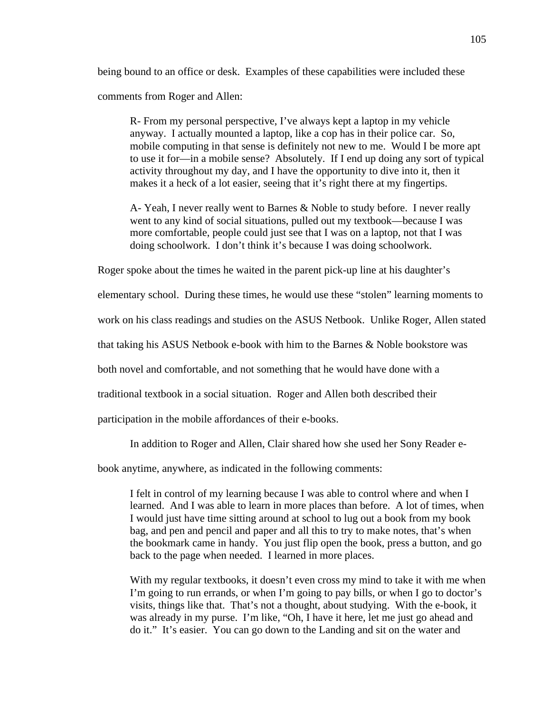being bound to an office or desk. Examples of these capabilities were included these comments from Roger and Allen:

R- From my personal perspective, I've always kept a laptop in my vehicle anyway. I actually mounted a laptop, like a cop has in their police car. So, mobile computing in that sense is definitely not new to me. Would I be more apt to use it for—in a mobile sense? Absolutely. If I end up doing any sort of typical activity throughout my day, and I have the opportunity to dive into it, then it makes it a heck of a lot easier, seeing that it's right there at my fingertips.

A- Yeah, I never really went to Barnes & Noble to study before. I never really went to any kind of social situations, pulled out my textbook—because I was more comfortable, people could just see that I was on a laptop, not that I was doing schoolwork. I don't think it's because I was doing schoolwork.

Roger spoke about the times he waited in the parent pick-up line at his daughter's

elementary school. During these times, he would use these "stolen" learning moments to

work on his class readings and studies on the ASUS Netbook. Unlike Roger, Allen stated

that taking his ASUS Netbook e-book with him to the Barnes & Noble bookstore was

both novel and comfortable, and not something that he would have done with a

traditional textbook in a social situation. Roger and Allen both described their

participation in the mobile affordances of their e-books.

In addition to Roger and Allen, Clair shared how she used her Sony Reader e-

book anytime, anywhere, as indicated in the following comments:

I felt in control of my learning because I was able to control where and when I learned. And I was able to learn in more places than before. A lot of times, when I would just have time sitting around at school to lug out a book from my book bag, and pen and pencil and paper and all this to try to make notes, that's when the bookmark came in handy. You just flip open the book, press a button, and go back to the page when needed. I learned in more places.

With my regular textbooks, it doesn't even cross my mind to take it with me when I'm going to run errands, or when I'm going to pay bills, or when I go to doctor's visits, things like that. That's not a thought, about studying. With the e-book, it was already in my purse. I'm like, "Oh, I have it here, let me just go ahead and do it." It's easier. You can go down to the Landing and sit on the water and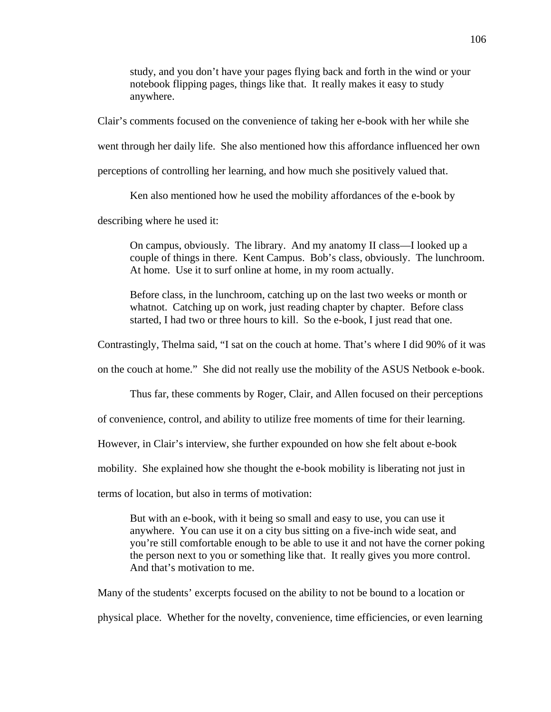study, and you don't have your pages flying back and forth in the wind or your notebook flipping pages, things like that. It really makes it easy to study anywhere.

Clair's comments focused on the convenience of taking her e-book with her while she

went through her daily life. She also mentioned how this affordance influenced her own

perceptions of controlling her learning, and how much she positively valued that.

Ken also mentioned how he used the mobility affordances of the e-book by

describing where he used it:

On campus, obviously. The library. And my anatomy II class—I looked up a couple of things in there. Kent Campus. Bob's class, obviously. The lunchroom. At home. Use it to surf online at home, in my room actually.

Before class, in the lunchroom, catching up on the last two weeks or month or whatnot. Catching up on work, just reading chapter by chapter. Before class started, I had two or three hours to kill. So the e-book, I just read that one.

Contrastingly, Thelma said, "I sat on the couch at home. That's where I did 90% of it was

on the couch at home." She did not really use the mobility of the ASUS Netbook e-book.

Thus far, these comments by Roger, Clair, and Allen focused on their perceptions

of convenience, control, and ability to utilize free moments of time for their learning.

However, in Clair's interview, she further expounded on how she felt about e-book

mobility. She explained how she thought the e-book mobility is liberating not just in

terms of location, but also in terms of motivation:

But with an e-book, with it being so small and easy to use, you can use it anywhere. You can use it on a city bus sitting on a five-inch wide seat, and you're still comfortable enough to be able to use it and not have the corner poking the person next to you or something like that. It really gives you more control. And that's motivation to me.

Many of the students' excerpts focused on the ability to not be bound to a location or physical place. Whether for the novelty, convenience, time efficiencies, or even learning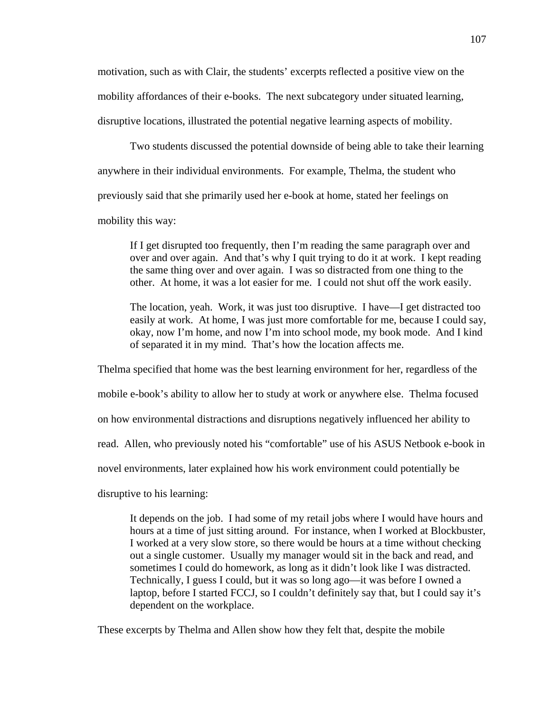motivation, such as with Clair, the students' excerpts reflected a positive view on the mobility affordances of their e-books. The next subcategory under situated learning, disruptive locations, illustrated the potential negative learning aspects of mobility.

 Two students discussed the potential downside of being able to take their learning anywhere in their individual environments. For example, Thelma, the student who previously said that she primarily used her e-book at home, stated her feelings on mobility this way:

If I get disrupted too frequently, then I'm reading the same paragraph over and over and over again. And that's why I quit trying to do it at work. I kept reading the same thing over and over again. I was so distracted from one thing to the other. At home, it was a lot easier for me. I could not shut off the work easily.

The location, yeah. Work, it was just too disruptive. I have—I get distracted too easily at work. At home, I was just more comfortable for me, because I could say, okay, now I'm home, and now I'm into school mode, my book mode. And I kind of separated it in my mind. That's how the location affects me.

Thelma specified that home was the best learning environment for her, regardless of the mobile e-book's ability to allow her to study at work or anywhere else. Thelma focused on how environmental distractions and disruptions negatively influenced her ability to read. Allen, who previously noted his "comfortable" use of his ASUS Netbook e-book in novel environments, later explained how his work environment could potentially be disruptive to his learning:

It depends on the job. I had some of my retail jobs where I would have hours and hours at a time of just sitting around. For instance, when I worked at Blockbuster, I worked at a very slow store, so there would be hours at a time without checking out a single customer. Usually my manager would sit in the back and read, and sometimes I could do homework, as long as it didn't look like I was distracted. Technically, I guess I could, but it was so long ago—it was before I owned a laptop, before I started FCCJ, so I couldn't definitely say that, but I could say it's dependent on the workplace.

These excerpts by Thelma and Allen show how they felt that, despite the mobile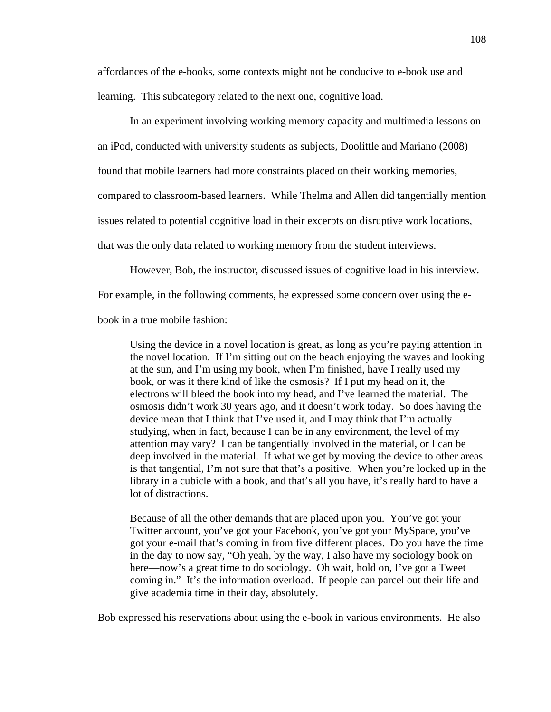affordances of the e-books, some contexts might not be conducive to e-book use and learning. This subcategory related to the next one, cognitive load.

 In an experiment involving working memory capacity and multimedia lessons on an iPod, conducted with university students as subjects, Doolittle and Mariano (2008) found that mobile learners had more constraints placed on their working memories, compared to classroom-based learners. While Thelma and Allen did tangentially mention issues related to potential cognitive load in their excerpts on disruptive work locations, that was the only data related to working memory from the student interviews.

However, Bob, the instructor, discussed issues of cognitive load in his interview.

For example, in the following comments, he expressed some concern over using the e-

book in a true mobile fashion:

Using the device in a novel location is great, as long as you're paying attention in the novel location. If I'm sitting out on the beach enjoying the waves and looking at the sun, and I'm using my book, when I'm finished, have I really used my book, or was it there kind of like the osmosis? If I put my head on it, the electrons will bleed the book into my head, and I've learned the material. The osmosis didn't work 30 years ago, and it doesn't work today. So does having the device mean that I think that I've used it, and I may think that I'm actually studying, when in fact, because I can be in any environment, the level of my attention may vary? I can be tangentially involved in the material, or I can be deep involved in the material. If what we get by moving the device to other areas is that tangential, I'm not sure that that's a positive. When you're locked up in the library in a cubicle with a book, and that's all you have, it's really hard to have a lot of distractions.

Because of all the other demands that are placed upon you. You've got your Twitter account, you've got your Facebook, you've got your MySpace, you've got your e-mail that's coming in from five different places. Do you have the time in the day to now say, "Oh yeah, by the way, I also have my sociology book on here—now's a great time to do sociology. Oh wait, hold on, I've got a Tweet coming in." It's the information overload. If people can parcel out their life and give academia time in their day, absolutely.

Bob expressed his reservations about using the e-book in various environments. He also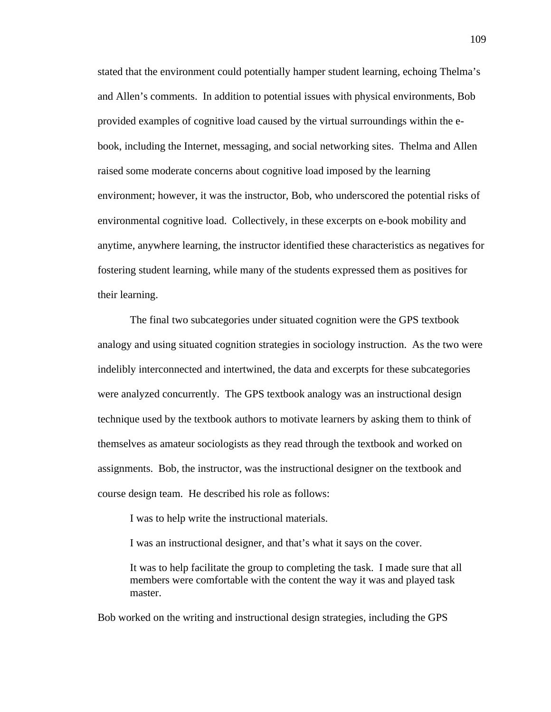stated that the environment could potentially hamper student learning, echoing Thelma's and Allen's comments. In addition to potential issues with physical environments, Bob provided examples of cognitive load caused by the virtual surroundings within the ebook, including the Internet, messaging, and social networking sites. Thelma and Allen raised some moderate concerns about cognitive load imposed by the learning environment; however, it was the instructor, Bob, who underscored the potential risks of environmental cognitive load. Collectively, in these excerpts on e-book mobility and anytime, anywhere learning, the instructor identified these characteristics as negatives for fostering student learning, while many of the students expressed them as positives for their learning.

 The final two subcategories under situated cognition were the GPS textbook analogy and using situated cognition strategies in sociology instruction. As the two were indelibly interconnected and intertwined, the data and excerpts for these subcategories were analyzed concurrently. The GPS textbook analogy was an instructional design technique used by the textbook authors to motivate learners by asking them to think of themselves as amateur sociologists as they read through the textbook and worked on assignments. Bob, the instructor, was the instructional designer on the textbook and course design team. He described his role as follows:

I was to help write the instructional materials.

I was an instructional designer, and that's what it says on the cover.

It was to help facilitate the group to completing the task. I made sure that all members were comfortable with the content the way it was and played task master.

Bob worked on the writing and instructional design strategies, including the GPS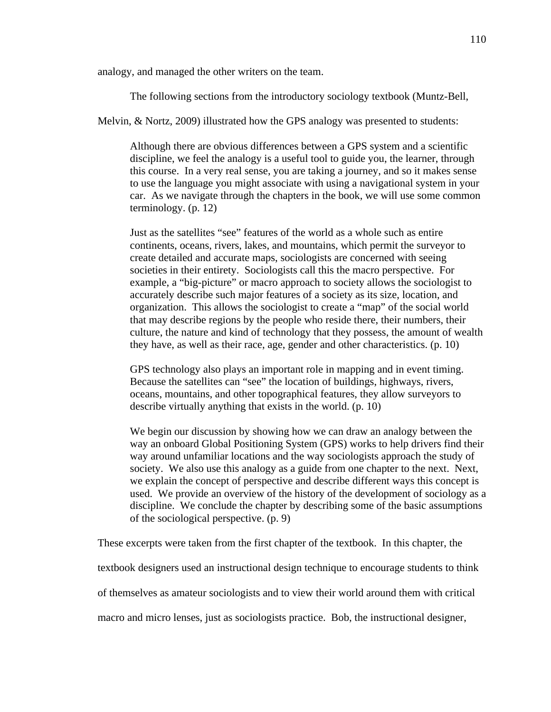analogy, and managed the other writers on the team.

The following sections from the introductory sociology textbook (Muntz-Bell,

Melvin, & Nortz, 2009) illustrated how the GPS analogy was presented to students:

Although there are obvious differences between a GPS system and a scientific discipline, we feel the analogy is a useful tool to guide you, the learner, through this course. In a very real sense, you are taking a journey, and so it makes sense to use the language you might associate with using a navigational system in your car. As we navigate through the chapters in the book, we will use some common terminology. (p. 12)

Just as the satellites "see" features of the world as a whole such as entire continents, oceans, rivers, lakes, and mountains, which permit the surveyor to create detailed and accurate maps, sociologists are concerned with seeing societies in their entirety. Sociologists call this the macro perspective. For example, a "big-picture" or macro approach to society allows the sociologist to accurately describe such major features of a society as its size, location, and organization. This allows the sociologist to create a "map" of the social world that may describe regions by the people who reside there, their numbers, their culture, the nature and kind of technology that they possess, the amount of wealth they have, as well as their race, age, gender and other characteristics. (p. 10)

GPS technology also plays an important role in mapping and in event timing. Because the satellites can "see" the location of buildings, highways, rivers, oceans, mountains, and other topographical features, they allow surveyors to describe virtually anything that exists in the world. (p. 10)

We begin our discussion by showing how we can draw an analogy between the way an onboard Global Positioning System (GPS) works to help drivers find their way around unfamiliar locations and the way sociologists approach the study of society. We also use this analogy as a guide from one chapter to the next. Next, we explain the concept of perspective and describe different ways this concept is used. We provide an overview of the history of the development of sociology as a discipline. We conclude the chapter by describing some of the basic assumptions of the sociological perspective. (p. 9)

These excerpts were taken from the first chapter of the textbook. In this chapter, the

textbook designers used an instructional design technique to encourage students to think

of themselves as amateur sociologists and to view their world around them with critical

macro and micro lenses, just as sociologists practice. Bob, the instructional designer,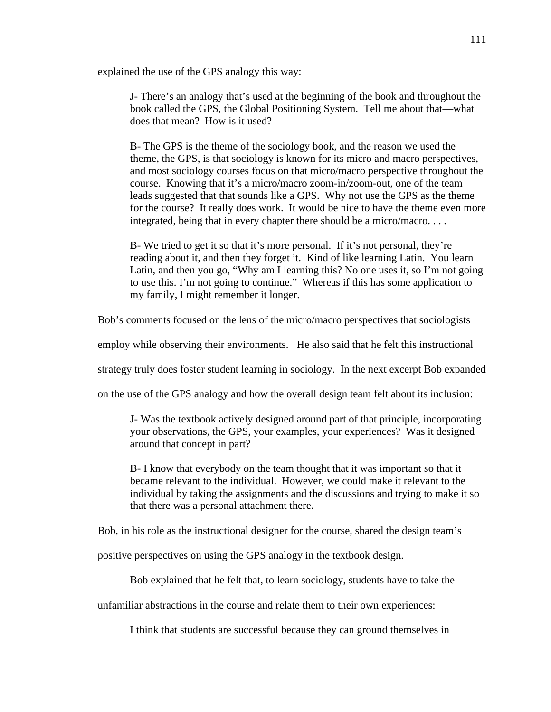explained the use of the GPS analogy this way:

J- There's an analogy that's used at the beginning of the book and throughout the book called the GPS, the Global Positioning System. Tell me about that—what does that mean? How is it used?

B- The GPS is the theme of the sociology book, and the reason we used the theme, the GPS, is that sociology is known for its micro and macro perspectives, and most sociology courses focus on that micro/macro perspective throughout the course. Knowing that it's a micro/macro zoom-in/zoom-out, one of the team leads suggested that that sounds like a GPS. Why not use the GPS as the theme for the course? It really does work. It would be nice to have the theme even more integrated, being that in every chapter there should be a micro/macro. . . .

B- We tried to get it so that it's more personal. If it's not personal, they're reading about it, and then they forget it. Kind of like learning Latin. You learn Latin, and then you go, "Why am I learning this? No one uses it, so I'm not going to use this. I'm not going to continue." Whereas if this has some application to my family, I might remember it longer.

Bob's comments focused on the lens of the micro/macro perspectives that sociologists

employ while observing their environments. He also said that he felt this instructional

strategy truly does foster student learning in sociology. In the next excerpt Bob expanded

on the use of the GPS analogy and how the overall design team felt about its inclusion:

J- Was the textbook actively designed around part of that principle, incorporating your observations, the GPS, your examples, your experiences? Was it designed around that concept in part?

B- I know that everybody on the team thought that it was important so that it became relevant to the individual. However, we could make it relevant to the individual by taking the assignments and the discussions and trying to make it so that there was a personal attachment there.

Bob, in his role as the instructional designer for the course, shared the design team's

positive perspectives on using the GPS analogy in the textbook design.

Bob explained that he felt that, to learn sociology, students have to take the

unfamiliar abstractions in the course and relate them to their own experiences:

I think that students are successful because they can ground themselves in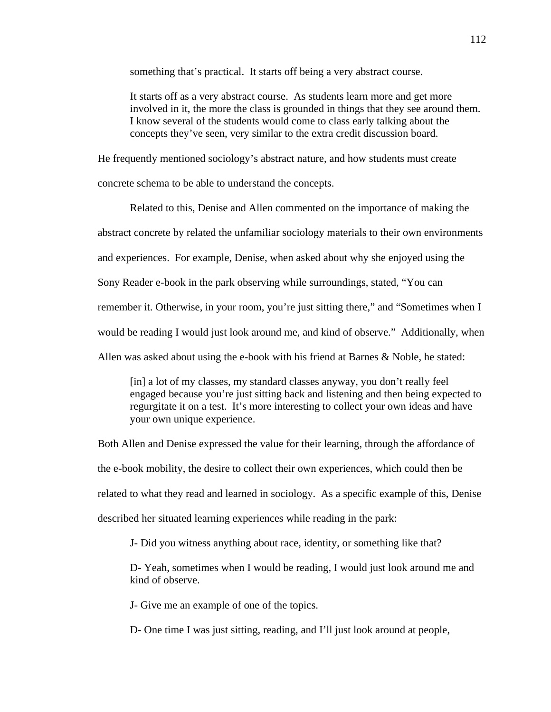something that's practical. It starts off being a very abstract course.

It starts off as a very abstract course. As students learn more and get more involved in it, the more the class is grounded in things that they see around them. I know several of the students would come to class early talking about the concepts they've seen, very similar to the extra credit discussion board.

He frequently mentioned sociology's abstract nature, and how students must create

concrete schema to be able to understand the concepts.

 Related to this, Denise and Allen commented on the importance of making the abstract concrete by related the unfamiliar sociology materials to their own environments and experiences. For example, Denise, when asked about why she enjoyed using the Sony Reader e-book in the park observing while surroundings, stated, "You can remember it. Otherwise, in your room, you're just sitting there," and "Sometimes when I would be reading I would just look around me, and kind of observe." Additionally, when Allen was asked about using the e-book with his friend at Barnes & Noble, he stated:

[in] a lot of my classes, my standard classes anyway, you don't really feel engaged because you're just sitting back and listening and then being expected to regurgitate it on a test. It's more interesting to collect your own ideas and have your own unique experience.

Both Allen and Denise expressed the value for their learning, through the affordance of the e-book mobility, the desire to collect their own experiences, which could then be related to what they read and learned in sociology. As a specific example of this, Denise described her situated learning experiences while reading in the park:

J- Did you witness anything about race, identity, or something like that?

D- Yeah, sometimes when I would be reading, I would just look around me and kind of observe.

J- Give me an example of one of the topics.

D- One time I was just sitting, reading, and I'll just look around at people,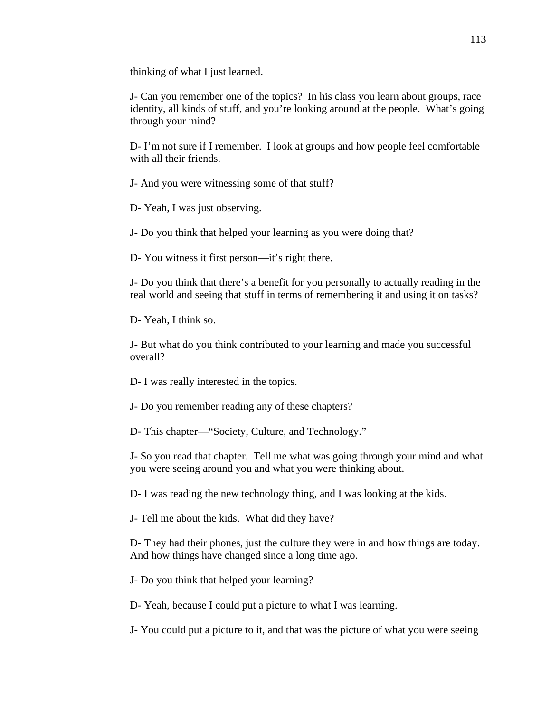thinking of what I just learned.

J- Can you remember one of the topics? In his class you learn about groups, race identity, all kinds of stuff, and you're looking around at the people. What's going through your mind?

D- I'm not sure if I remember. I look at groups and how people feel comfortable with all their friends.

J- And you were witnessing some of that stuff?

D- Yeah, I was just observing.

J- Do you think that helped your learning as you were doing that?

D- You witness it first person—it's right there.

J- Do you think that there's a benefit for you personally to actually reading in the real world and seeing that stuff in terms of remembering it and using it on tasks?

D- Yeah, I think so.

J- But what do you think contributed to your learning and made you successful overall?

D- I was really interested in the topics.

J- Do you remember reading any of these chapters?

D- This chapter—"Society, Culture, and Technology."

J- So you read that chapter. Tell me what was going through your mind and what you were seeing around you and what you were thinking about.

D- I was reading the new technology thing, and I was looking at the kids.

J- Tell me about the kids. What did they have?

D- They had their phones, just the culture they were in and how things are today. And how things have changed since a long time ago.

J- Do you think that helped your learning?

D- Yeah, because I could put a picture to what I was learning.

J- You could put a picture to it, and that was the picture of what you were seeing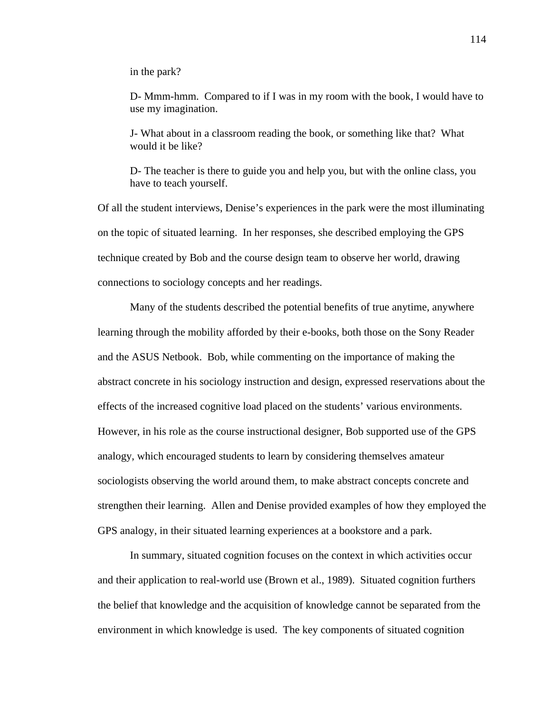in the park?

D- Mmm-hmm. Compared to if I was in my room with the book, I would have to use my imagination.

J- What about in a classroom reading the book, or something like that? What would it be like?

D- The teacher is there to guide you and help you, but with the online class, you have to teach yourself.

Of all the student interviews, Denise's experiences in the park were the most illuminating on the topic of situated learning. In her responses, she described employing the GPS technique created by Bob and the course design team to observe her world, drawing connections to sociology concepts and her readings.

 Many of the students described the potential benefits of true anytime, anywhere learning through the mobility afforded by their e-books, both those on the Sony Reader and the ASUS Netbook. Bob, while commenting on the importance of making the abstract concrete in his sociology instruction and design, expressed reservations about the effects of the increased cognitive load placed on the students' various environments. However, in his role as the course instructional designer, Bob supported use of the GPS analogy, which encouraged students to learn by considering themselves amateur sociologists observing the world around them, to make abstract concepts concrete and strengthen their learning. Allen and Denise provided examples of how they employed the GPS analogy, in their situated learning experiences at a bookstore and a park.

 In summary, situated cognition focuses on the context in which activities occur and their application to real-world use (Brown et al., 1989). Situated cognition furthers the belief that knowledge and the acquisition of knowledge cannot be separated from the environment in which knowledge is used. The key components of situated cognition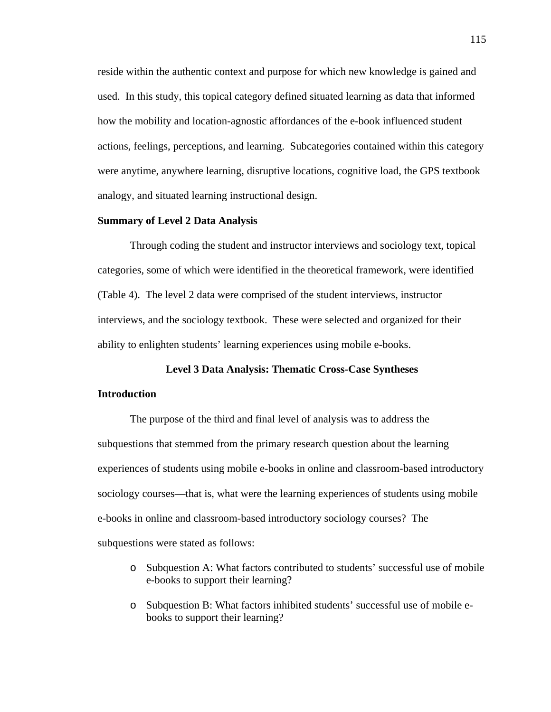reside within the authentic context and purpose for which new knowledge is gained and used. In this study, this topical category defined situated learning as data that informed how the mobility and location-agnostic affordances of the e-book influenced student actions, feelings, perceptions, and learning. Subcategories contained within this category were anytime, anywhere learning, disruptive locations, cognitive load, the GPS textbook analogy, and situated learning instructional design.

#### **Summary of Level 2 Data Analysis**

Through coding the student and instructor interviews and sociology text, topical categories, some of which were identified in the theoretical framework, were identified (Table 4). The level 2 data were comprised of the student interviews, instructor interviews, and the sociology textbook. These were selected and organized for their ability to enlighten students' learning experiences using mobile e-books.

#### **Level 3 Data Analysis: Thematic Cross-Case Syntheses**

## **Introduction**

The purpose of the third and final level of analysis was to address the subquestions that stemmed from the primary research question about the learning experiences of students using mobile e-books in online and classroom-based introductory sociology courses—that is, what were the learning experiences of students using mobile e-books in online and classroom-based introductory sociology courses? The subquestions were stated as follows:

- o Subquestion A: What factors contributed to students' successful use of mobile e-books to support their learning?
- o Subquestion B: What factors inhibited students' successful use of mobile ebooks to support their learning?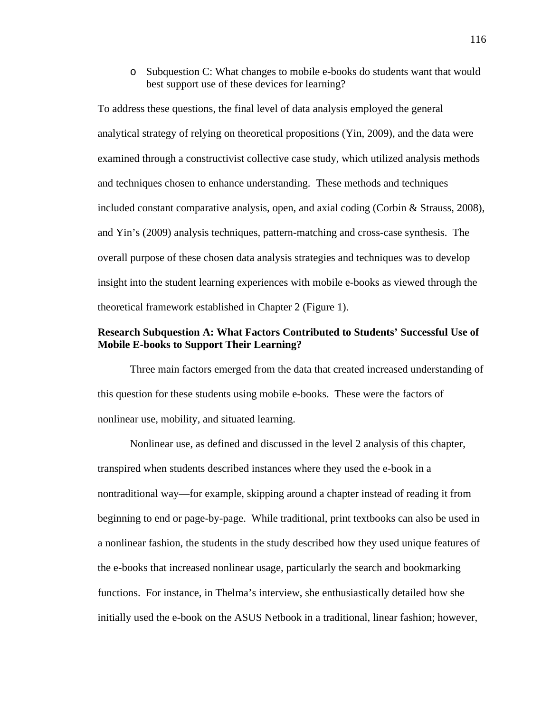o Subquestion C: What changes to mobile e-books do students want that would best support use of these devices for learning?

To address these questions, the final level of data analysis employed the general analytical strategy of relying on theoretical propositions (Yin, 2009), and the data were examined through a constructivist collective case study, which utilized analysis methods and techniques chosen to enhance understanding. These methods and techniques included constant comparative analysis, open, and axial coding (Corbin & Strauss, 2008), and Yin's (2009) analysis techniques, pattern-matching and cross-case synthesis. The overall purpose of these chosen data analysis strategies and techniques was to develop insight into the student learning experiences with mobile e-books as viewed through the theoretical framework established in Chapter 2 (Figure 1).

# **Research Subquestion A: What Factors Contributed to Students' Successful Use of Mobile E-books to Support Their Learning?**

Three main factors emerged from the data that created increased understanding of this question for these students using mobile e-books. These were the factors of nonlinear use, mobility, and situated learning.

 Nonlinear use, as defined and discussed in the level 2 analysis of this chapter, transpired when students described instances where they used the e-book in a nontraditional way—for example, skipping around a chapter instead of reading it from beginning to end or page-by-page. While traditional, print textbooks can also be used in a nonlinear fashion, the students in the study described how they used unique features of the e-books that increased nonlinear usage, particularly the search and bookmarking functions. For instance, in Thelma's interview, she enthusiastically detailed how she initially used the e-book on the ASUS Netbook in a traditional, linear fashion; however,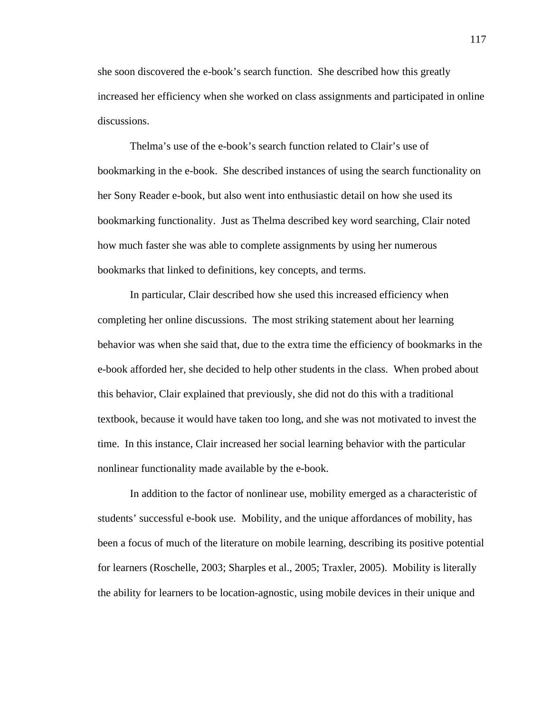she soon discovered the e-book's search function. She described how this greatly increased her efficiency when she worked on class assignments and participated in online discussions.

Thelma's use of the e-book's search function related to Clair's use of bookmarking in the e-book. She described instances of using the search functionality on her Sony Reader e-book, but also went into enthusiastic detail on how she used its bookmarking functionality. Just as Thelma described key word searching, Clair noted how much faster she was able to complete assignments by using her numerous bookmarks that linked to definitions, key concepts, and terms.

In particular, Clair described how she used this increased efficiency when completing her online discussions. The most striking statement about her learning behavior was when she said that, due to the extra time the efficiency of bookmarks in the e-book afforded her, she decided to help other students in the class. When probed about this behavior, Clair explained that previously, she did not do this with a traditional textbook, because it would have taken too long, and she was not motivated to invest the time. In this instance, Clair increased her social learning behavior with the particular nonlinear functionality made available by the e-book.

In addition to the factor of nonlinear use, mobility emerged as a characteristic of students' successful e-book use. Mobility, and the unique affordances of mobility, has been a focus of much of the literature on mobile learning, describing its positive potential for learners (Roschelle, 2003; Sharples et al., 2005; Traxler, 2005). Mobility is literally the ability for learners to be location-agnostic, using mobile devices in their unique and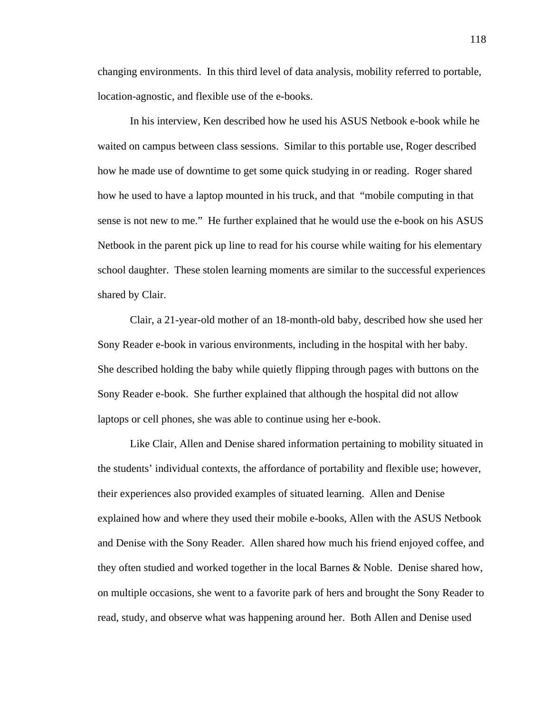changing environments. In this third level of data analysis, mobility referred to portable, location-agnostic, and flexible use of the e-books.

 In his interview, Ken described how he used his ASUS Netbook e-book while he waited on campus between class sessions. Similar to this portable use, Roger described how he made use of downtime to get some quick studying in or reading. Roger shared how he used to have a laptop mounted in his truck, and that "mobile computing in that sense is not new to me." He further explained that he would use the e-book on his ASUS Netbook in the parent pick up line to read for his course while waiting for his elementary school daughter. These stolen learning moments are similar to the successful experiences shared by Clair.

 Clair, a 21-year-old mother of an 18-month-old baby, described how she used her Sony Reader e-book in various environments, including in the hospital with her baby. She described holding the baby while quietly flipping through pages with buttons on the Sony Reader e-book. She further explained that although the hospital did not allow laptops or cell phones, she was able to continue using her e-book.

Like Clair, Allen and Denise shared information pertaining to mobility situated in the students' individual contexts, the affordance of portability and flexible use; however, their experiences also provided examples of situated learning. Allen and Denise explained how and where they used their mobile e-books, Allen with the ASUS Netbook and Denise with the Sony Reader. Allen shared how much his friend enjoyed coffee, and they often studied and worked together in the local Barnes & Noble. Denise shared how, on multiple occasions, she went to a favorite park of hers and brought the Sony Reader to read, study, and observe what was happening around her. Both Allen and Denise used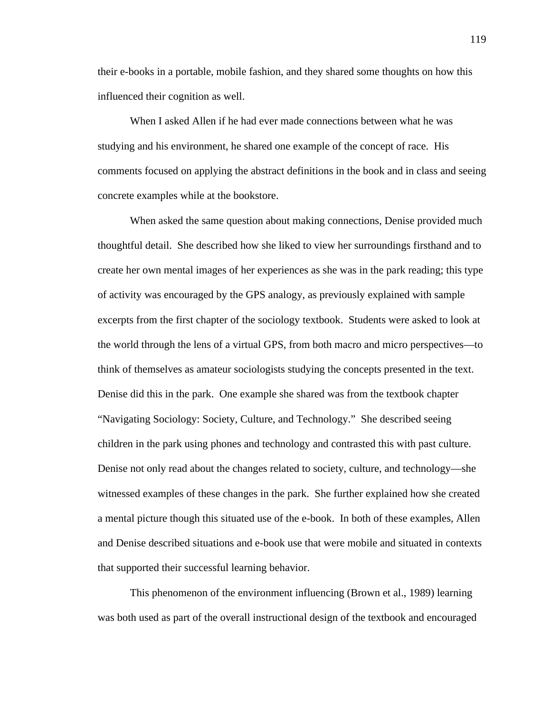their e-books in a portable, mobile fashion, and they shared some thoughts on how this influenced their cognition as well.

When I asked Allen if he had ever made connections between what he was studying and his environment, he shared one example of the concept of race. His comments focused on applying the abstract definitions in the book and in class and seeing concrete examples while at the bookstore.

When asked the same question about making connections, Denise provided much thoughtful detail. She described how she liked to view her surroundings firsthand and to create her own mental images of her experiences as she was in the park reading; this type of activity was encouraged by the GPS analogy, as previously explained with sample excerpts from the first chapter of the sociology textbook. Students were asked to look at the world through the lens of a virtual GPS, from both macro and micro perspectives—to think of themselves as amateur sociologists studying the concepts presented in the text. Denise did this in the park. One example she shared was from the textbook chapter "Navigating Sociology: Society, Culture, and Technology." She described seeing children in the park using phones and technology and contrasted this with past culture. Denise not only read about the changes related to society, culture, and technology—she witnessed examples of these changes in the park. She further explained how she created a mental picture though this situated use of the e-book. In both of these examples, Allen and Denise described situations and e-book use that were mobile and situated in contexts that supported their successful learning behavior.

This phenomenon of the environment influencing (Brown et al., 1989) learning was both used as part of the overall instructional design of the textbook and encouraged

119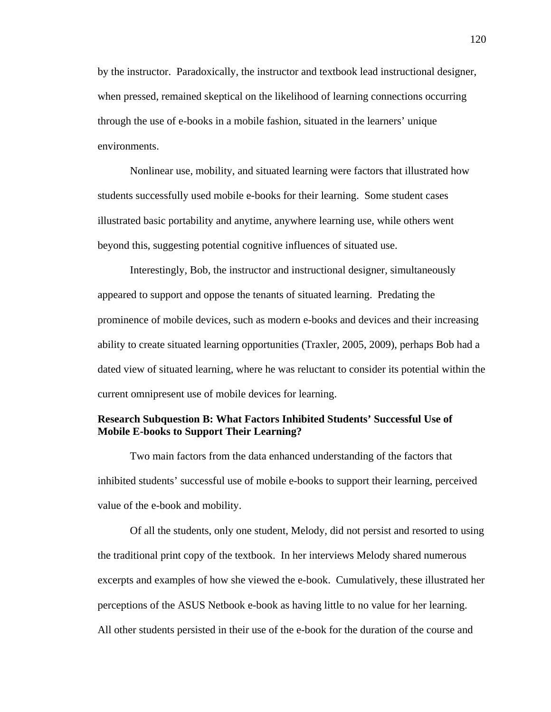by the instructor. Paradoxically, the instructor and textbook lead instructional designer, when pressed, remained skeptical on the likelihood of learning connections occurring through the use of e-books in a mobile fashion, situated in the learners' unique environments.

Nonlinear use, mobility, and situated learning were factors that illustrated how students successfully used mobile e-books for their learning. Some student cases illustrated basic portability and anytime, anywhere learning use, while others went beyond this, suggesting potential cognitive influences of situated use.

Interestingly, Bob, the instructor and instructional designer, simultaneously appeared to support and oppose the tenants of situated learning. Predating the prominence of mobile devices, such as modern e-books and devices and their increasing ability to create situated learning opportunities (Traxler, 2005, 2009), perhaps Bob had a dated view of situated learning, where he was reluctant to consider its potential within the current omnipresent use of mobile devices for learning.

## **Research Subquestion B: What Factors Inhibited Students' Successful Use of Mobile E-books to Support Their Learning?**

Two main factors from the data enhanced understanding of the factors that inhibited students' successful use of mobile e-books to support their learning, perceived value of the e-book and mobility.

 Of all the students, only one student, Melody, did not persist and resorted to using the traditional print copy of the textbook. In her interviews Melody shared numerous excerpts and examples of how she viewed the e-book. Cumulatively, these illustrated her perceptions of the ASUS Netbook e-book as having little to no value for her learning. All other students persisted in their use of the e-book for the duration of the course and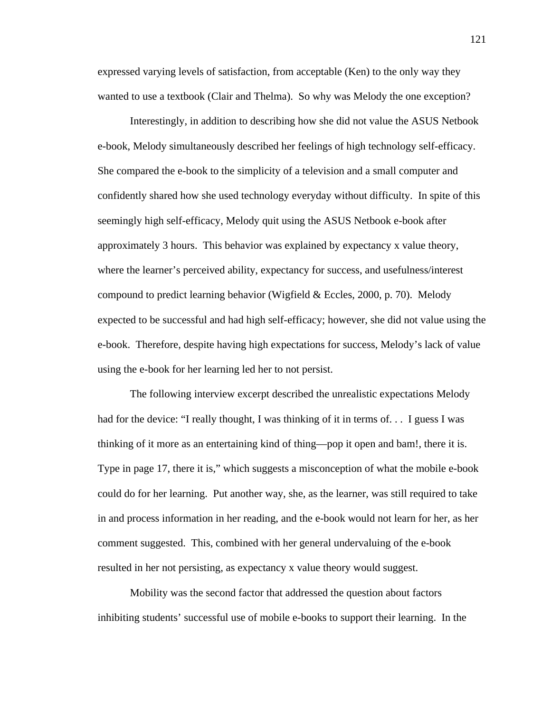expressed varying levels of satisfaction, from acceptable (Ken) to the only way they wanted to use a textbook (Clair and Thelma). So why was Melody the one exception?

 Interestingly, in addition to describing how she did not value the ASUS Netbook e-book, Melody simultaneously described her feelings of high technology self-efficacy. She compared the e-book to the simplicity of a television and a small computer and confidently shared how she used technology everyday without difficulty. In spite of this seemingly high self-efficacy, Melody quit using the ASUS Netbook e-book after approximately 3 hours. This behavior was explained by expectancy x value theory, where the learner's perceived ability, expectancy for success, and usefulness/interest compound to predict learning behavior (Wigfield & Eccles, 2000, p. 70). Melody expected to be successful and had high self-efficacy; however, she did not value using the e-book. Therefore, despite having high expectations for success, Melody's lack of value using the e-book for her learning led her to not persist.

The following interview excerpt described the unrealistic expectations Melody had for the device: "I really thought, I was thinking of it in terms of... I guess I was thinking of it more as an entertaining kind of thing—pop it open and bam!, there it is. Type in page 17, there it is," which suggests a misconception of what the mobile e-book could do for her learning. Put another way, she, as the learner, was still required to take in and process information in her reading, and the e-book would not learn for her, as her comment suggested. This, combined with her general undervaluing of the e-book resulted in her not persisting, as expectancy x value theory would suggest.

Mobility was the second factor that addressed the question about factors inhibiting students' successful use of mobile e-books to support their learning. In the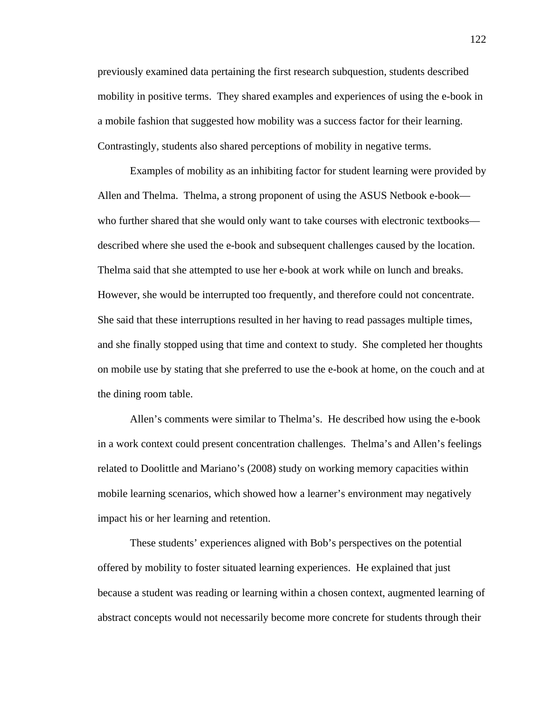previously examined data pertaining the first research subquestion, students described mobility in positive terms. They shared examples and experiences of using the e-book in a mobile fashion that suggested how mobility was a success factor for their learning. Contrastingly, students also shared perceptions of mobility in negative terms.

 Examples of mobility as an inhibiting factor for student learning were provided by Allen and Thelma. Thelma, a strong proponent of using the ASUS Netbook e-book who further shared that she would only want to take courses with electronic textbooks described where she used the e-book and subsequent challenges caused by the location. Thelma said that she attempted to use her e-book at work while on lunch and breaks. However, she would be interrupted too frequently, and therefore could not concentrate. She said that these interruptions resulted in her having to read passages multiple times, and she finally stopped using that time and context to study. She completed her thoughts on mobile use by stating that she preferred to use the e-book at home, on the couch and at the dining room table.

Allen's comments were similar to Thelma's. He described how using the e-book in a work context could present concentration challenges. Thelma's and Allen's feelings related to Doolittle and Mariano's (2008) study on working memory capacities within mobile learning scenarios, which showed how a learner's environment may negatively impact his or her learning and retention.

These students' experiences aligned with Bob's perspectives on the potential offered by mobility to foster situated learning experiences. He explained that just because a student was reading or learning within a chosen context, augmented learning of abstract concepts would not necessarily become more concrete for students through their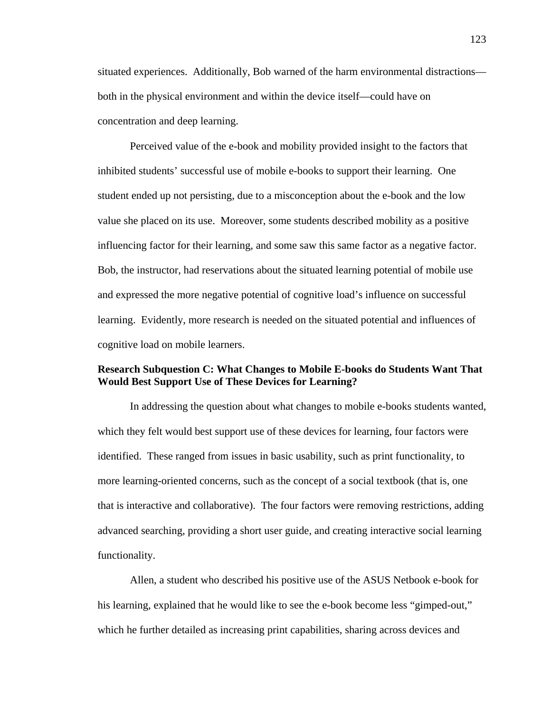situated experiences. Additionally, Bob warned of the harm environmental distractions both in the physical environment and within the device itself—could have on concentration and deep learning.

Perceived value of the e-book and mobility provided insight to the factors that inhibited students' successful use of mobile e-books to support their learning. One student ended up not persisting, due to a misconception about the e-book and the low value she placed on its use. Moreover, some students described mobility as a positive influencing factor for their learning, and some saw this same factor as a negative factor. Bob, the instructor, had reservations about the situated learning potential of mobile use and expressed the more negative potential of cognitive load's influence on successful learning. Evidently, more research is needed on the situated potential and influences of cognitive load on mobile learners.

# **Research Subquestion C: What Changes to Mobile E-books do Students Want That Would Best Support Use of These Devices for Learning?**

 In addressing the question about what changes to mobile e-books students wanted, which they felt would best support use of these devices for learning, four factors were identified. These ranged from issues in basic usability, such as print functionality, to more learning-oriented concerns, such as the concept of a social textbook (that is, one that is interactive and collaborative). The four factors were removing restrictions, adding advanced searching, providing a short user guide, and creating interactive social learning functionality.

 Allen, a student who described his positive use of the ASUS Netbook e-book for his learning, explained that he would like to see the e-book become less "gimped-out," which he further detailed as increasing print capabilities, sharing across devices and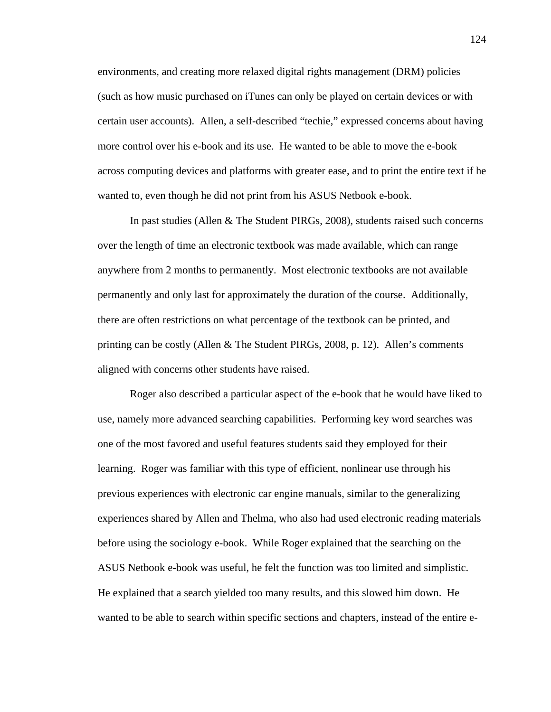environments, and creating more relaxed digital rights management (DRM) policies (such as how music purchased on iTunes can only be played on certain devices or with certain user accounts). Allen, a self-described "techie," expressed concerns about having more control over his e-book and its use. He wanted to be able to move the e-book across computing devices and platforms with greater ease, and to print the entire text if he wanted to, even though he did not print from his ASUS Netbook e-book.

In past studies (Allen & The Student PIRGs, 2008), students raised such concerns over the length of time an electronic textbook was made available, which can range anywhere from 2 months to permanently. Most electronic textbooks are not available permanently and only last for approximately the duration of the course. Additionally, there are often restrictions on what percentage of the textbook can be printed, and printing can be costly (Allen & The Student PIRGs, 2008, p. 12). Allen's comments aligned with concerns other students have raised.

 Roger also described a particular aspect of the e-book that he would have liked to use, namely more advanced searching capabilities. Performing key word searches was one of the most favored and useful features students said they employed for their learning. Roger was familiar with this type of efficient, nonlinear use through his previous experiences with electronic car engine manuals, similar to the generalizing experiences shared by Allen and Thelma, who also had used electronic reading materials before using the sociology e-book. While Roger explained that the searching on the ASUS Netbook e-book was useful, he felt the function was too limited and simplistic. He explained that a search yielded too many results, and this slowed him down. He wanted to be able to search within specific sections and chapters, instead of the entire e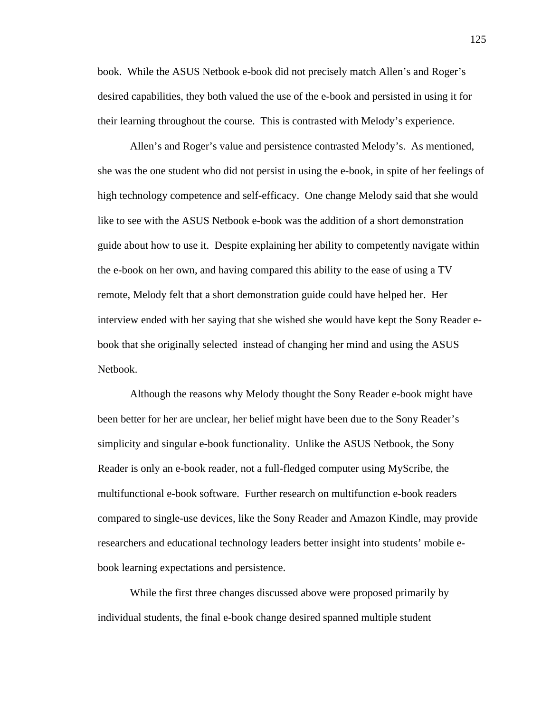book. While the ASUS Netbook e-book did not precisely match Allen's and Roger's desired capabilities, they both valued the use of the e-book and persisted in using it for their learning throughout the course. This is contrasted with Melody's experience.

 Allen's and Roger's value and persistence contrasted Melody's. As mentioned, she was the one student who did not persist in using the e-book, in spite of her feelings of high technology competence and self-efficacy. One change Melody said that she would like to see with the ASUS Netbook e-book was the addition of a short demonstration guide about how to use it. Despite explaining her ability to competently navigate within the e-book on her own, and having compared this ability to the ease of using a TV remote, Melody felt that a short demonstration guide could have helped her. Her interview ended with her saying that she wished she would have kept the Sony Reader ebook that she originally selected instead of changing her mind and using the ASUS Netbook.

Although the reasons why Melody thought the Sony Reader e-book might have been better for her are unclear, her belief might have been due to the Sony Reader's simplicity and singular e-book functionality. Unlike the ASUS Netbook, the Sony Reader is only an e-book reader, not a full-fledged computer using MyScribe, the multifunctional e-book software. Further research on multifunction e-book readers compared to single-use devices, like the Sony Reader and Amazon Kindle, may provide researchers and educational technology leaders better insight into students' mobile ebook learning expectations and persistence.

While the first three changes discussed above were proposed primarily by individual students, the final e-book change desired spanned multiple student

125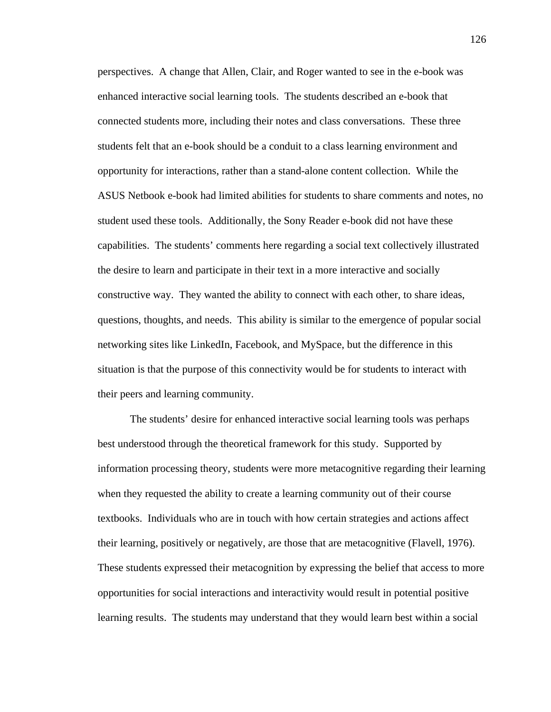perspectives. A change that Allen, Clair, and Roger wanted to see in the e-book was enhanced interactive social learning tools. The students described an e-book that connected students more, including their notes and class conversations. These three students felt that an e-book should be a conduit to a class learning environment and opportunity for interactions, rather than a stand-alone content collection. While the ASUS Netbook e-book had limited abilities for students to share comments and notes, no student used these tools. Additionally, the Sony Reader e-book did not have these capabilities. The students' comments here regarding a social text collectively illustrated the desire to learn and participate in their text in a more interactive and socially constructive way. They wanted the ability to connect with each other, to share ideas, questions, thoughts, and needs. This ability is similar to the emergence of popular social networking sites like LinkedIn, Facebook, and MySpace, but the difference in this situation is that the purpose of this connectivity would be for students to interact with their peers and learning community.

The students' desire for enhanced interactive social learning tools was perhaps best understood through the theoretical framework for this study. Supported by information processing theory, students were more metacognitive regarding their learning when they requested the ability to create a learning community out of their course textbooks. Individuals who are in touch with how certain strategies and actions affect their learning, positively or negatively, are those that are metacognitive (Flavell, 1976). These students expressed their metacognition by expressing the belief that access to more opportunities for social interactions and interactivity would result in potential positive learning results. The students may understand that they would learn best within a social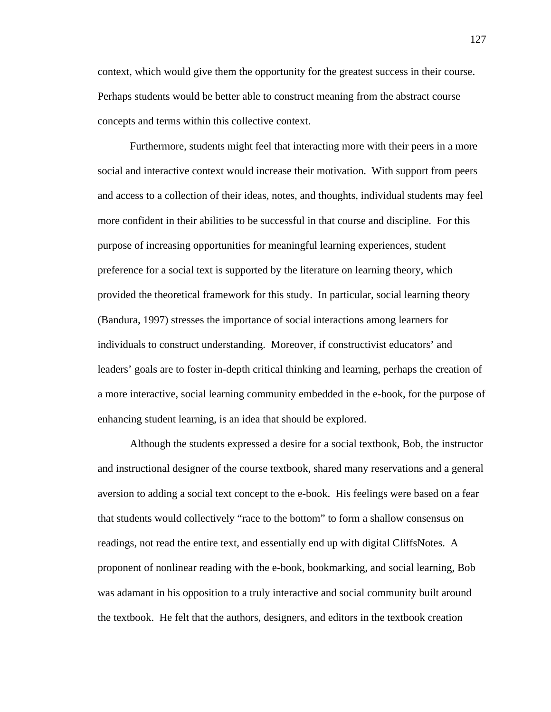context, which would give them the opportunity for the greatest success in their course. Perhaps students would be better able to construct meaning from the abstract course concepts and terms within this collective context.

Furthermore, students might feel that interacting more with their peers in a more social and interactive context would increase their motivation. With support from peers and access to a collection of their ideas, notes, and thoughts, individual students may feel more confident in their abilities to be successful in that course and discipline. For this purpose of increasing opportunities for meaningful learning experiences, student preference for a social text is supported by the literature on learning theory, which provided the theoretical framework for this study. In particular, social learning theory (Bandura, 1997) stresses the importance of social interactions among learners for individuals to construct understanding. Moreover, if constructivist educators' and leaders' goals are to foster in-depth critical thinking and learning, perhaps the creation of a more interactive, social learning community embedded in the e-book, for the purpose of enhancing student learning, is an idea that should be explored.

Although the students expressed a desire for a social textbook, Bob, the instructor and instructional designer of the course textbook, shared many reservations and a general aversion to adding a social text concept to the e-book. His feelings were based on a fear that students would collectively "race to the bottom" to form a shallow consensus on readings, not read the entire text, and essentially end up with digital CliffsNotes. A proponent of nonlinear reading with the e-book, bookmarking, and social learning, Bob was adamant in his opposition to a truly interactive and social community built around the textbook. He felt that the authors, designers, and editors in the textbook creation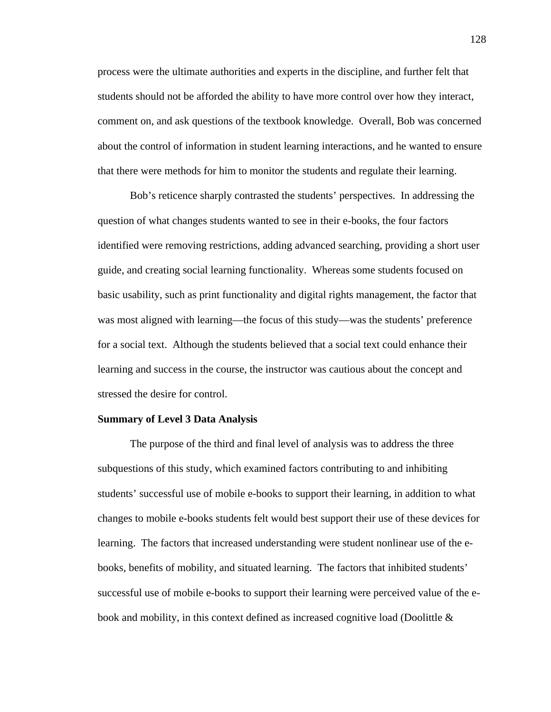process were the ultimate authorities and experts in the discipline, and further felt that students should not be afforded the ability to have more control over how they interact, comment on, and ask questions of the textbook knowledge. Overall, Bob was concerned about the control of information in student learning interactions, and he wanted to ensure that there were methods for him to monitor the students and regulate their learning.

Bob's reticence sharply contrasted the students' perspectives. In addressing the question of what changes students wanted to see in their e-books, the four factors identified were removing restrictions, adding advanced searching, providing a short user guide, and creating social learning functionality. Whereas some students focused on basic usability, such as print functionality and digital rights management, the factor that was most aligned with learning—the focus of this study—was the students' preference for a social text. Although the students believed that a social text could enhance their learning and success in the course, the instructor was cautious about the concept and stressed the desire for control.

### **Summary of Level 3 Data Analysis**

 The purpose of the third and final level of analysis was to address the three subquestions of this study, which examined factors contributing to and inhibiting students' successful use of mobile e-books to support their learning, in addition to what changes to mobile e-books students felt would best support their use of these devices for learning. The factors that increased understanding were student nonlinear use of the ebooks, benefits of mobility, and situated learning. The factors that inhibited students' successful use of mobile e-books to support their learning were perceived value of the ebook and mobility, in this context defined as increased cognitive load (Doolittle &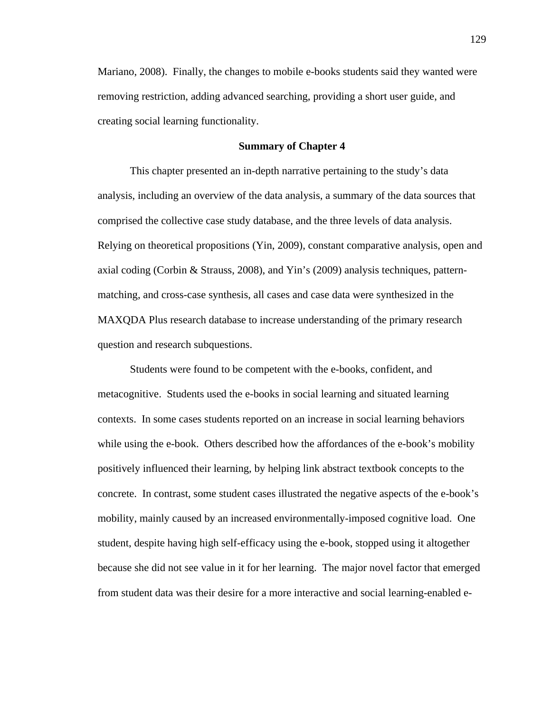Mariano, 2008). Finally, the changes to mobile e-books students said they wanted were removing restriction, adding advanced searching, providing a short user guide, and creating social learning functionality.

#### **Summary of Chapter 4**

This chapter presented an in-depth narrative pertaining to the study's data analysis, including an overview of the data analysis, a summary of the data sources that comprised the collective case study database, and the three levels of data analysis. Relying on theoretical propositions (Yin, 2009), constant comparative analysis, open and axial coding (Corbin & Strauss, 2008), and Yin's (2009) analysis techniques, patternmatching, and cross-case synthesis, all cases and case data were synthesized in the MAXQDA Plus research database to increase understanding of the primary research question and research subquestions.

Students were found to be competent with the e-books, confident, and metacognitive. Students used the e-books in social learning and situated learning contexts. In some cases students reported on an increase in social learning behaviors while using the e-book. Others described how the affordances of the e-book's mobility positively influenced their learning, by helping link abstract textbook concepts to the concrete. In contrast, some student cases illustrated the negative aspects of the e-book's mobility, mainly caused by an increased environmentally-imposed cognitive load. One student, despite having high self-efficacy using the e-book, stopped using it altogether because she did not see value in it for her learning. The major novel factor that emerged from student data was their desire for a more interactive and social learning-enabled e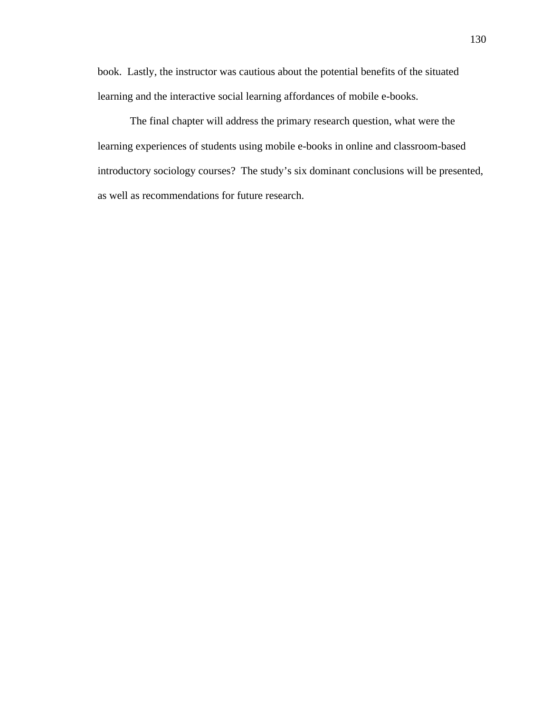book. Lastly, the instructor was cautious about the potential benefits of the situated learning and the interactive social learning affordances of mobile e-books.

The final chapter will address the primary research question, what were the learning experiences of students using mobile e-books in online and classroom-based introductory sociology courses? The study's six dominant conclusions will be presented, as well as recommendations for future research.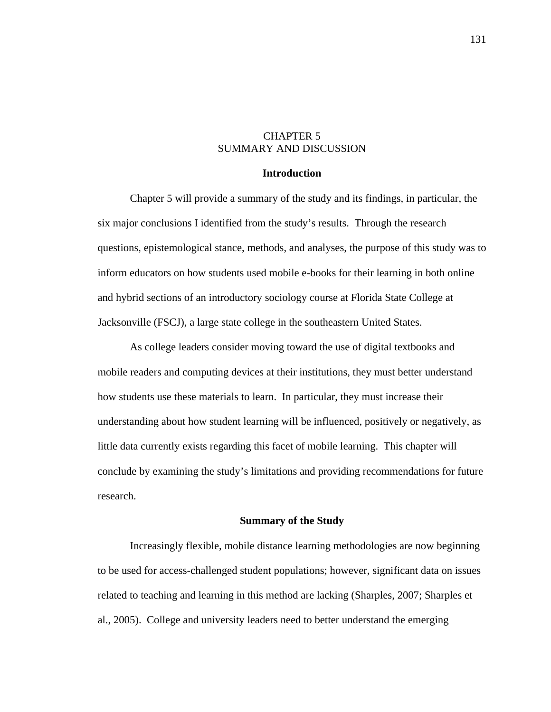# CHAPTER 5 SUMMARY AND DISCUSSION

## **Introduction**

 Chapter 5 will provide a summary of the study and its findings, in particular, the six major conclusions I identified from the study's results. Through the research questions, epistemological stance, methods, and analyses, the purpose of this study was to inform educators on how students used mobile e-books for their learning in both online and hybrid sections of an introductory sociology course at Florida State College at Jacksonville (FSCJ), a large state college in the southeastern United States.

As college leaders consider moving toward the use of digital textbooks and mobile readers and computing devices at their institutions, they must better understand how students use these materials to learn. In particular, they must increase their understanding about how student learning will be influenced, positively or negatively, as little data currently exists regarding this facet of mobile learning. This chapter will conclude by examining the study's limitations and providing recommendations for future research.

## **Summary of the Study**

Increasingly flexible, mobile distance learning methodologies are now beginning to be used for access-challenged student populations; however, significant data on issues related to teaching and learning in this method are lacking (Sharples, 2007; Sharples et al., 2005). College and university leaders need to better understand the emerging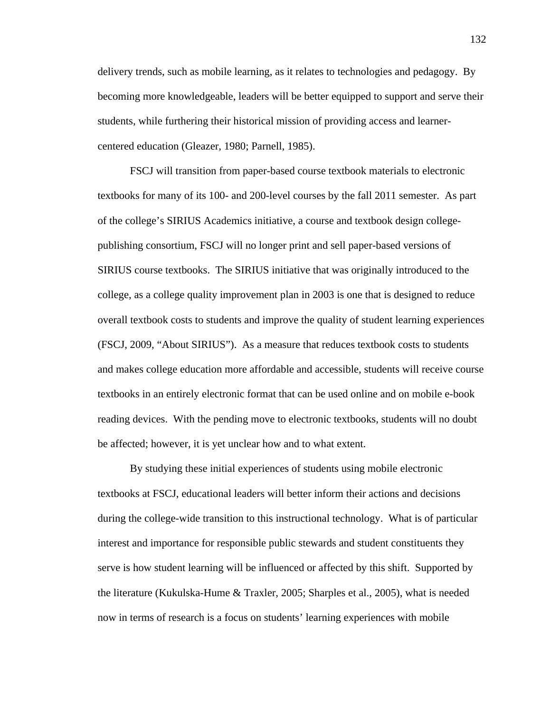delivery trends, such as mobile learning, as it relates to technologies and pedagogy. By becoming more knowledgeable, leaders will be better equipped to support and serve their students, while furthering their historical mission of providing access and learnercentered education (Gleazer, 1980; Parnell, 1985).

FSCJ will transition from paper-based course textbook materials to electronic textbooks for many of its 100- and 200-level courses by the fall 2011 semester. As part of the college's SIRIUS Academics initiative, a course and textbook design collegepublishing consortium, FSCJ will no longer print and sell paper-based versions of SIRIUS course textbooks. The SIRIUS initiative that was originally introduced to the college, as a college quality improvement plan in 2003 is one that is designed to reduce overall textbook costs to students and improve the quality of student learning experiences (FSCJ, 2009, "About SIRIUS"). As a measure that reduces textbook costs to students and makes college education more affordable and accessible, students will receive course textbooks in an entirely electronic format that can be used online and on mobile e-book reading devices. With the pending move to electronic textbooks, students will no doubt be affected; however, it is yet unclear how and to what extent.

By studying these initial experiences of students using mobile electronic textbooks at FSCJ, educational leaders will better inform their actions and decisions during the college-wide transition to this instructional technology. What is of particular interest and importance for responsible public stewards and student constituents they serve is how student learning will be influenced or affected by this shift. Supported by the literature (Kukulska-Hume & Traxler, 2005; Sharples et al., 2005), what is needed now in terms of research is a focus on students' learning experiences with mobile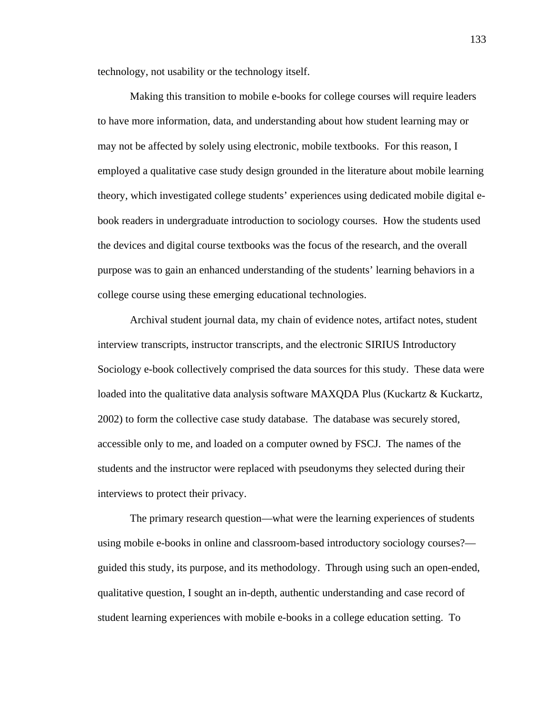technology, not usability or the technology itself.

Making this transition to mobile e-books for college courses will require leaders to have more information, data, and understanding about how student learning may or may not be affected by solely using electronic, mobile textbooks. For this reason, I employed a qualitative case study design grounded in the literature about mobile learning theory, which investigated college students' experiences using dedicated mobile digital ebook readers in undergraduate introduction to sociology courses. How the students used the devices and digital course textbooks was the focus of the research, and the overall purpose was to gain an enhanced understanding of the students' learning behaviors in a college course using these emerging educational technologies.

Archival student journal data, my chain of evidence notes, artifact notes, student interview transcripts, instructor transcripts, and the electronic SIRIUS Introductory Sociology e-book collectively comprised the data sources for this study. These data were loaded into the qualitative data analysis software MAXQDA Plus (Kuckartz & Kuckartz, 2002) to form the collective case study database. The database was securely stored, accessible only to me, and loaded on a computer owned by FSCJ. The names of the students and the instructor were replaced with pseudonyms they selected during their interviews to protect their privacy.

The primary research question—what were the learning experiences of students using mobile e-books in online and classroom-based introductory sociology courses? guided this study, its purpose, and its methodology. Through using such an open-ended, qualitative question, I sought an in-depth, authentic understanding and case record of student learning experiences with mobile e-books in a college education setting. To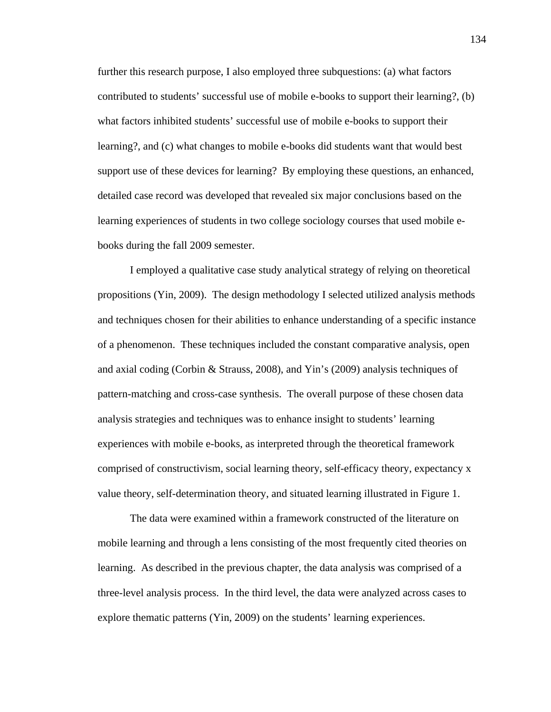further this research purpose, I also employed three subquestions: (a) what factors contributed to students' successful use of mobile e-books to support their learning?, (b) what factors inhibited students' successful use of mobile e-books to support their learning?, and (c) what changes to mobile e-books did students want that would best support use of these devices for learning? By employing these questions, an enhanced, detailed case record was developed that revealed six major conclusions based on the learning experiences of students in two college sociology courses that used mobile ebooks during the fall 2009 semester.

I employed a qualitative case study analytical strategy of relying on theoretical propositions (Yin, 2009). The design methodology I selected utilized analysis methods and techniques chosen for their abilities to enhance understanding of a specific instance of a phenomenon. These techniques included the constant comparative analysis, open and axial coding (Corbin & Strauss, 2008), and Yin's (2009) analysis techniques of pattern-matching and cross-case synthesis. The overall purpose of these chosen data analysis strategies and techniques was to enhance insight to students' learning experiences with mobile e-books, as interpreted through the theoretical framework comprised of constructivism, social learning theory, self-efficacy theory, expectancy x value theory, self-determination theory, and situated learning illustrated in Figure 1.

 The data were examined within a framework constructed of the literature on mobile learning and through a lens consisting of the most frequently cited theories on learning. As described in the previous chapter, the data analysis was comprised of a three-level analysis process. In the third level, the data were analyzed across cases to explore thematic patterns (Yin, 2009) on the students' learning experiences.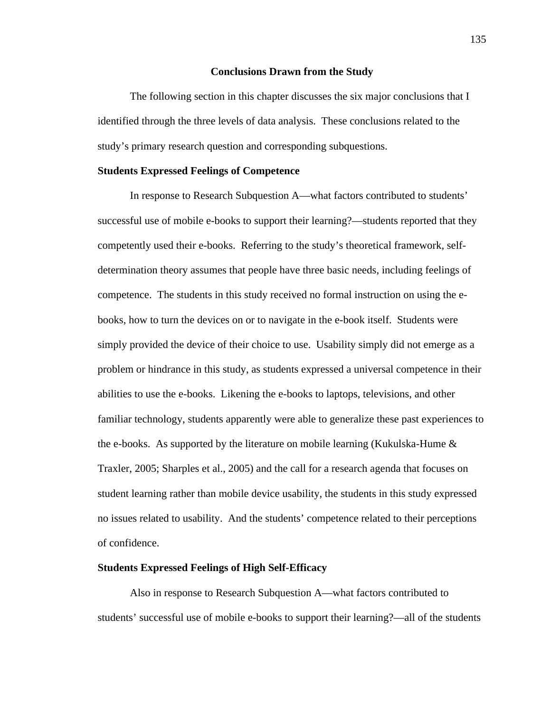#### **Conclusions Drawn from the Study**

 The following section in this chapter discusses the six major conclusions that I identified through the three levels of data analysis. These conclusions related to the study's primary research question and corresponding subquestions.

#### **Students Expressed Feelings of Competence**

 In response to Research Subquestion A—what factors contributed to students' successful use of mobile e-books to support their learning?—students reported that they competently used their e-books. Referring to the study's theoretical framework, selfdetermination theory assumes that people have three basic needs, including feelings of competence. The students in this study received no formal instruction on using the ebooks, how to turn the devices on or to navigate in the e-book itself. Students were simply provided the device of their choice to use. Usability simply did not emerge as a problem or hindrance in this study, as students expressed a universal competence in their abilities to use the e-books. Likening the e-books to laptops, televisions, and other familiar technology, students apparently were able to generalize these past experiences to the e-books. As supported by the literature on mobile learning (Kukulska-Hume & Traxler, 2005; Sharples et al., 2005) and the call for a research agenda that focuses on student learning rather than mobile device usability, the students in this study expressed no issues related to usability. And the students' competence related to their perceptions of confidence.

### **Students Expressed Feelings of High Self-Efficacy**

 Also in response to Research Subquestion A—what factors contributed to students' successful use of mobile e-books to support their learning?—all of the students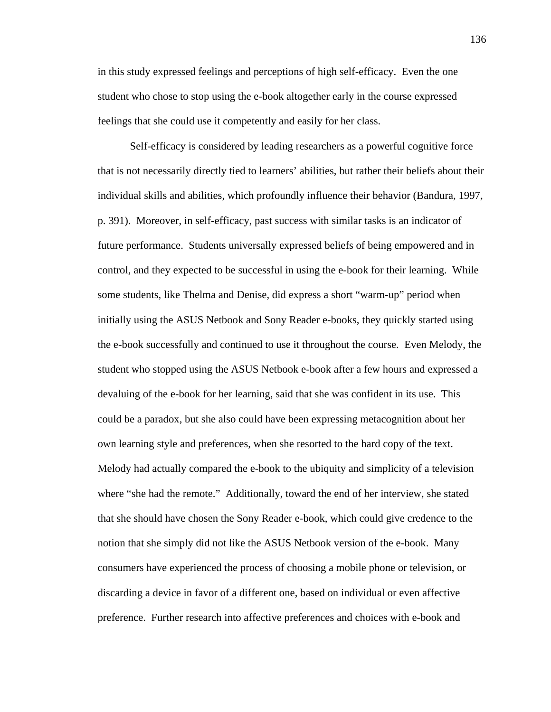in this study expressed feelings and perceptions of high self-efficacy. Even the one student who chose to stop using the e-book altogether early in the course expressed feelings that she could use it competently and easily for her class.

Self-efficacy is considered by leading researchers as a powerful cognitive force that is not necessarily directly tied to learners' abilities, but rather their beliefs about their individual skills and abilities, which profoundly influence their behavior (Bandura, 1997, p. 391). Moreover, in self-efficacy, past success with similar tasks is an indicator of future performance. Students universally expressed beliefs of being empowered and in control, and they expected to be successful in using the e-book for their learning. While some students, like Thelma and Denise, did express a short "warm-up" period when initially using the ASUS Netbook and Sony Reader e-books, they quickly started using the e-book successfully and continued to use it throughout the course. Even Melody, the student who stopped using the ASUS Netbook e-book after a few hours and expressed a devaluing of the e-book for her learning, said that she was confident in its use. This could be a paradox, but she also could have been expressing metacognition about her own learning style and preferences, when she resorted to the hard copy of the text. Melody had actually compared the e-book to the ubiquity and simplicity of a television where "she had the remote." Additionally, toward the end of her interview, she stated that she should have chosen the Sony Reader e-book, which could give credence to the notion that she simply did not like the ASUS Netbook version of the e-book. Many consumers have experienced the process of choosing a mobile phone or television, or discarding a device in favor of a different one, based on individual or even affective preference. Further research into affective preferences and choices with e-book and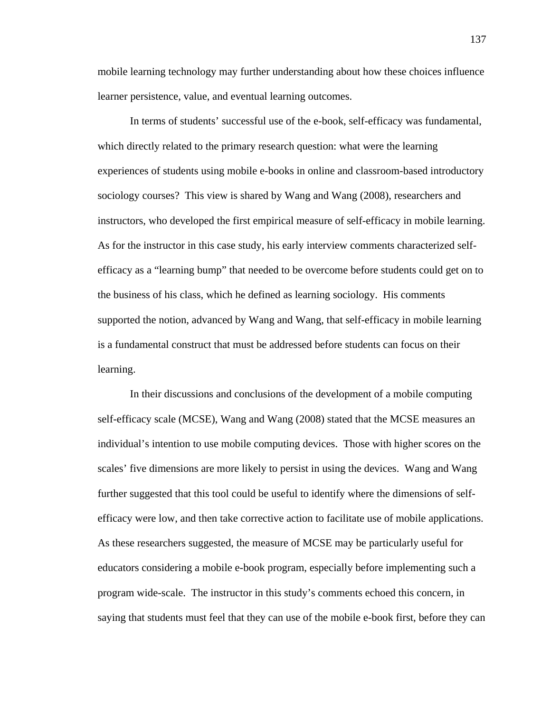mobile learning technology may further understanding about how these choices influence learner persistence, value, and eventual learning outcomes.

In terms of students' successful use of the e-book, self-efficacy was fundamental, which directly related to the primary research question: what were the learning experiences of students using mobile e-books in online and classroom-based introductory sociology courses? This view is shared by Wang and Wang (2008), researchers and instructors, who developed the first empirical measure of self-efficacy in mobile learning. As for the instructor in this case study, his early interview comments characterized selfefficacy as a "learning bump" that needed to be overcome before students could get on to the business of his class, which he defined as learning sociology. His comments supported the notion, advanced by Wang and Wang, that self-efficacy in mobile learning is a fundamental construct that must be addressed before students can focus on their learning.

 In their discussions and conclusions of the development of a mobile computing self-efficacy scale (MCSE), Wang and Wang (2008) stated that the MCSE measures an individual's intention to use mobile computing devices. Those with higher scores on the scales' five dimensions are more likely to persist in using the devices. Wang and Wang further suggested that this tool could be useful to identify where the dimensions of selfefficacy were low, and then take corrective action to facilitate use of mobile applications. As these researchers suggested, the measure of MCSE may be particularly useful for educators considering a mobile e-book program, especially before implementing such a program wide-scale. The instructor in this study's comments echoed this concern, in saying that students must feel that they can use of the mobile e-book first, before they can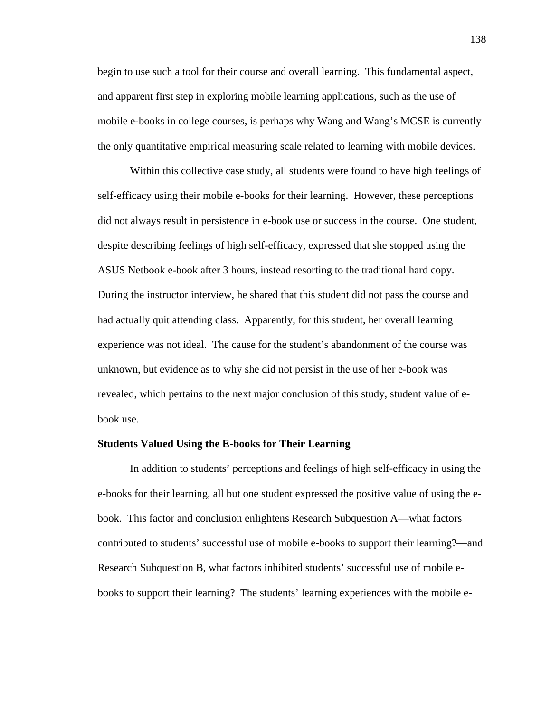begin to use such a tool for their course and overall learning. This fundamental aspect, and apparent first step in exploring mobile learning applications, such as the use of mobile e-books in college courses, is perhaps why Wang and Wang's MCSE is currently the only quantitative empirical measuring scale related to learning with mobile devices.

 Within this collective case study, all students were found to have high feelings of self-efficacy using their mobile e-books for their learning. However, these perceptions did not always result in persistence in e-book use or success in the course. One student, despite describing feelings of high self-efficacy, expressed that she stopped using the ASUS Netbook e-book after 3 hours, instead resorting to the traditional hard copy. During the instructor interview, he shared that this student did not pass the course and had actually quit attending class. Apparently, for this student, her overall learning experience was not ideal. The cause for the student's abandonment of the course was unknown, but evidence as to why she did not persist in the use of her e-book was revealed, which pertains to the next major conclusion of this study, student value of ebook use.

### **Students Valued Using the E-books for Their Learning**

 In addition to students' perceptions and feelings of high self-efficacy in using the e-books for their learning, all but one student expressed the positive value of using the ebook. This factor and conclusion enlightens Research Subquestion A—what factors contributed to students' successful use of mobile e-books to support their learning?—and Research Subquestion B, what factors inhibited students' successful use of mobile ebooks to support their learning? The students' learning experiences with the mobile e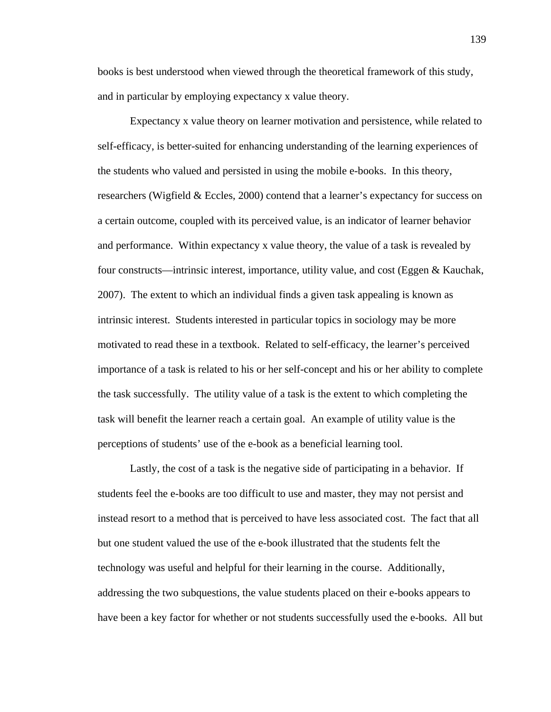books is best understood when viewed through the theoretical framework of this study, and in particular by employing expectancy x value theory.

Expectancy x value theory on learner motivation and persistence, while related to self-efficacy, is better-suited for enhancing understanding of the learning experiences of the students who valued and persisted in using the mobile e-books. In this theory, researchers (Wigfield & Eccles, 2000) contend that a learner's expectancy for success on a certain outcome, coupled with its perceived value, is an indicator of learner behavior and performance. Within expectancy x value theory, the value of a task is revealed by four constructs—intrinsic interest, importance, utility value, and cost (Eggen & Kauchak, 2007). The extent to which an individual finds a given task appealing is known as intrinsic interest. Students interested in particular topics in sociology may be more motivated to read these in a textbook. Related to self-efficacy, the learner's perceived importance of a task is related to his or her self-concept and his or her ability to complete the task successfully. The utility value of a task is the extent to which completing the task will benefit the learner reach a certain goal. An example of utility value is the perceptions of students' use of the e-book as a beneficial learning tool.

Lastly, the cost of a task is the negative side of participating in a behavior. If students feel the e-books are too difficult to use and master, they may not persist and instead resort to a method that is perceived to have less associated cost. The fact that all but one student valued the use of the e-book illustrated that the students felt the technology was useful and helpful for their learning in the course. Additionally, addressing the two subquestions, the value students placed on their e-books appears to have been a key factor for whether or not students successfully used the e-books. All but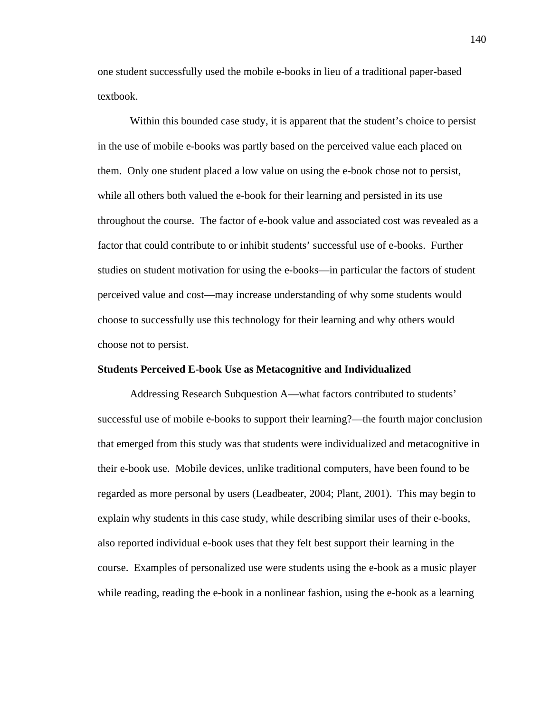one student successfully used the mobile e-books in lieu of a traditional paper-based textbook.

Within this bounded case study, it is apparent that the student's choice to persist in the use of mobile e-books was partly based on the perceived value each placed on them. Only one student placed a low value on using the e-book chose not to persist, while all others both valued the e-book for their learning and persisted in its use throughout the course. The factor of e-book value and associated cost was revealed as a factor that could contribute to or inhibit students' successful use of e-books. Further studies on student motivation for using the e-books—in particular the factors of student perceived value and cost—may increase understanding of why some students would choose to successfully use this technology for their learning and why others would choose not to persist.

#### **Students Perceived E-book Use as Metacognitive and Individualized**

 Addressing Research Subquestion A—what factors contributed to students' successful use of mobile e-books to support their learning?—the fourth major conclusion that emerged from this study was that students were individualized and metacognitive in their e-book use. Mobile devices, unlike traditional computers, have been found to be regarded as more personal by users (Leadbeater, 2004; Plant, 2001). This may begin to explain why students in this case study, while describing similar uses of their e-books, also reported individual e-book uses that they felt best support their learning in the course. Examples of personalized use were students using the e-book as a music player while reading, reading the e-book in a nonlinear fashion, using the e-book as a learning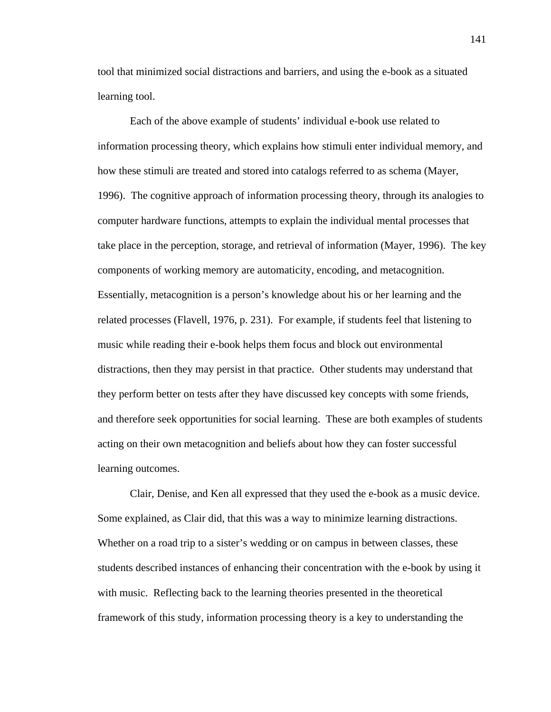tool that minimized social distractions and barriers, and using the e-book as a situated learning tool.

 Each of the above example of students' individual e-book use related to information processing theory, which explains how stimuli enter individual memory, and how these stimuli are treated and stored into catalogs referred to as schema (Mayer, 1996). The cognitive approach of information processing theory, through its analogies to computer hardware functions, attempts to explain the individual mental processes that take place in the perception, storage, and retrieval of information (Mayer, 1996). The key components of working memory are automaticity, encoding, and metacognition. Essentially, metacognition is a person's knowledge about his or her learning and the related processes (Flavell, 1976, p. 231). For example, if students feel that listening to music while reading their e-book helps them focus and block out environmental distractions, then they may persist in that practice. Other students may understand that they perform better on tests after they have discussed key concepts with some friends, and therefore seek opportunities for social learning. These are both examples of students acting on their own metacognition and beliefs about how they can foster successful learning outcomes.

 Clair, Denise, and Ken all expressed that they used the e-book as a music device. Some explained, as Clair did, that this was a way to minimize learning distractions. Whether on a road trip to a sister's wedding or on campus in between classes, these students described instances of enhancing their concentration with the e-book by using it with music. Reflecting back to the learning theories presented in the theoretical framework of this study, information processing theory is a key to understanding the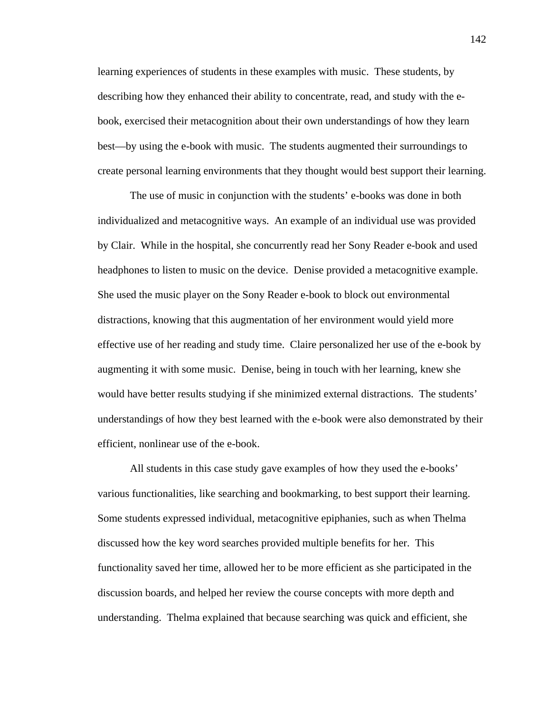learning experiences of students in these examples with music. These students, by describing how they enhanced their ability to concentrate, read, and study with the ebook, exercised their metacognition about their own understandings of how they learn best—by using the e-book with music. The students augmented their surroundings to create personal learning environments that they thought would best support their learning.

 The use of music in conjunction with the students' e-books was done in both individualized and metacognitive ways. An example of an individual use was provided by Clair. While in the hospital, she concurrently read her Sony Reader e-book and used headphones to listen to music on the device. Denise provided a metacognitive example. She used the music player on the Sony Reader e-book to block out environmental distractions, knowing that this augmentation of her environment would yield more effective use of her reading and study time. Claire personalized her use of the e-book by augmenting it with some music. Denise, being in touch with her learning, knew she would have better results studying if she minimized external distractions. The students' understandings of how they best learned with the e-book were also demonstrated by their efficient, nonlinear use of the e-book.

 All students in this case study gave examples of how they used the e-books' various functionalities, like searching and bookmarking, to best support their learning. Some students expressed individual, metacognitive epiphanies, such as when Thelma discussed how the key word searches provided multiple benefits for her. This functionality saved her time, allowed her to be more efficient as she participated in the discussion boards, and helped her review the course concepts with more depth and understanding. Thelma explained that because searching was quick and efficient, she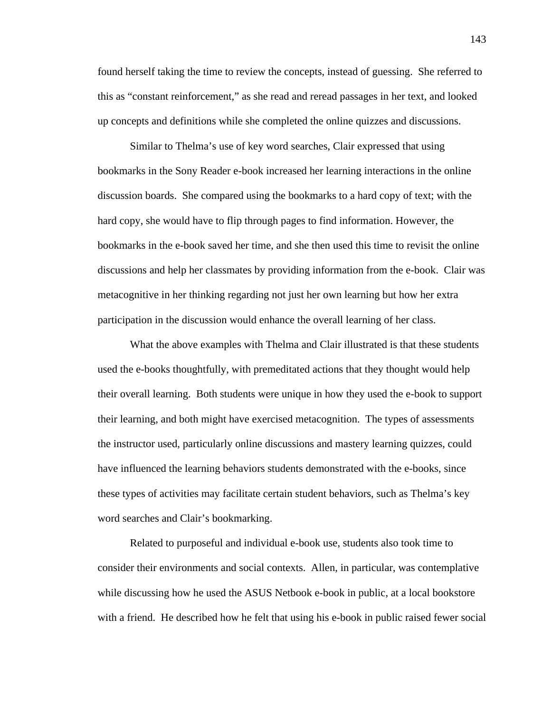found herself taking the time to review the concepts, instead of guessing. She referred to this as "constant reinforcement," as she read and reread passages in her text, and looked up concepts and definitions while she completed the online quizzes and discussions.

 Similar to Thelma's use of key word searches, Clair expressed that using bookmarks in the Sony Reader e-book increased her learning interactions in the online discussion boards. She compared using the bookmarks to a hard copy of text; with the hard copy, she would have to flip through pages to find information. However, the bookmarks in the e-book saved her time, and she then used this time to revisit the online discussions and help her classmates by providing information from the e-book. Clair was metacognitive in her thinking regarding not just her own learning but how her extra participation in the discussion would enhance the overall learning of her class.

What the above examples with Thelma and Clair illustrated is that these students used the e-books thoughtfully, with premeditated actions that they thought would help their overall learning. Both students were unique in how they used the e-book to support their learning, and both might have exercised metacognition. The types of assessments the instructor used, particularly online discussions and mastery learning quizzes, could have influenced the learning behaviors students demonstrated with the e-books, since these types of activities may facilitate certain student behaviors, such as Thelma's key word searches and Clair's bookmarking.

 Related to purposeful and individual e-book use, students also took time to consider their environments and social contexts. Allen, in particular, was contemplative while discussing how he used the ASUS Netbook e-book in public, at a local bookstore with a friend. He described how he felt that using his e-book in public raised fewer social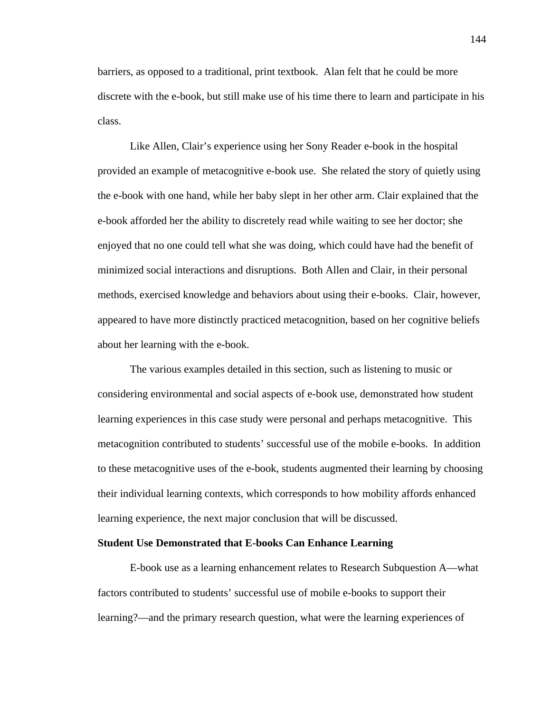barriers, as opposed to a traditional, print textbook. Alan felt that he could be more discrete with the e-book, but still make use of his time there to learn and participate in his class.

Like Allen, Clair's experience using her Sony Reader e-book in the hospital provided an example of metacognitive e-book use. She related the story of quietly using the e-book with one hand, while her baby slept in her other arm. Clair explained that the e-book afforded her the ability to discretely read while waiting to see her doctor; she enjoyed that no one could tell what she was doing, which could have had the benefit of minimized social interactions and disruptions. Both Allen and Clair, in their personal methods, exercised knowledge and behaviors about using their e-books. Clair, however, appeared to have more distinctly practiced metacognition, based on her cognitive beliefs about her learning with the e-book.

The various examples detailed in this section, such as listening to music or considering environmental and social aspects of e-book use, demonstrated how student learning experiences in this case study were personal and perhaps metacognitive. This metacognition contributed to students' successful use of the mobile e-books. In addition to these metacognitive uses of the e-book, students augmented their learning by choosing their individual learning contexts, which corresponds to how mobility affords enhanced learning experience, the next major conclusion that will be discussed.

### **Student Use Demonstrated that E-books Can Enhance Learning**

 E-book use as a learning enhancement relates to Research Subquestion A—what factors contributed to students' successful use of mobile e-books to support their learning?—and the primary research question, what were the learning experiences of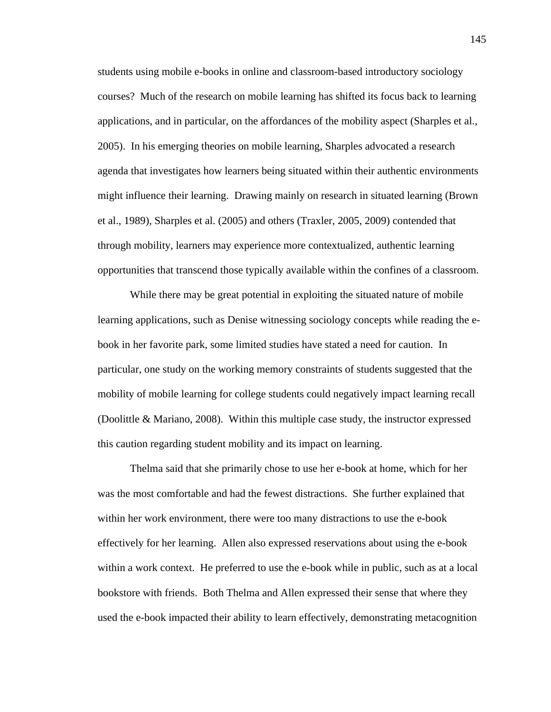students using mobile e-books in online and classroom-based introductory sociology courses? Much of the research on mobile learning has shifted its focus back to learning applications, and in particular, on the affordances of the mobility aspect (Sharples et al., 2005). In his emerging theories on mobile learning, Sharples advocated a research agenda that investigates how learners being situated within their authentic environments might influence their learning. Drawing mainly on research in situated learning (Brown et al., 1989), Sharples et al. (2005) and others (Traxler, 2005, 2009) contended that through mobility, learners may experience more contextualized, authentic learning opportunities that transcend those typically available within the confines of a classroom.

While there may be great potential in exploiting the situated nature of mobile learning applications, such as Denise witnessing sociology concepts while reading the ebook in her favorite park, some limited studies have stated a need for caution. In particular, one study on the working memory constraints of students suggested that the mobility of mobile learning for college students could negatively impact learning recall (Doolittle & Mariano, 2008). Within this multiple case study, the instructor expressed this caution regarding student mobility and its impact on learning.

Thelma said that she primarily chose to use her e-book at home, which for her was the most comfortable and had the fewest distractions. She further explained that within her work environment, there were too many distractions to use the e-book effectively for her learning. Allen also expressed reservations about using the e-book within a work context. He preferred to use the e-book while in public, such as at a local bookstore with friends. Both Thelma and Allen expressed their sense that where they used the e-book impacted their ability to learn effectively, demonstrating metacognition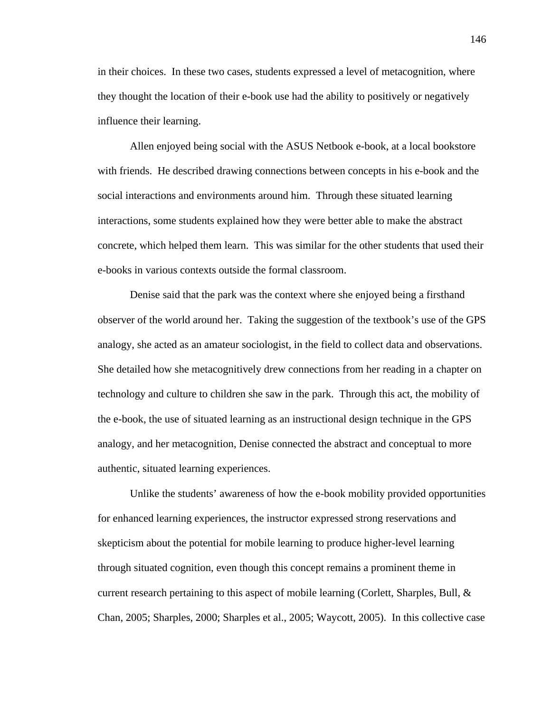in their choices. In these two cases, students expressed a level of metacognition, where they thought the location of their e-book use had the ability to positively or negatively influence their learning.

Allen enjoyed being social with the ASUS Netbook e-book, at a local bookstore with friends. He described drawing connections between concepts in his e-book and the social interactions and environments around him. Through these situated learning interactions, some students explained how they were better able to make the abstract concrete, which helped them learn. This was similar for the other students that used their e-books in various contexts outside the formal classroom.

 Denise said that the park was the context where she enjoyed being a firsthand observer of the world around her. Taking the suggestion of the textbook's use of the GPS analogy, she acted as an amateur sociologist, in the field to collect data and observations. She detailed how she metacognitively drew connections from her reading in a chapter on technology and culture to children she saw in the park. Through this act, the mobility of the e-book, the use of situated learning as an instructional design technique in the GPS analogy, and her metacognition, Denise connected the abstract and conceptual to more authentic, situated learning experiences.

Unlike the students' awareness of how the e-book mobility provided opportunities for enhanced learning experiences, the instructor expressed strong reservations and skepticism about the potential for mobile learning to produce higher-level learning through situated cognition, even though this concept remains a prominent theme in current research pertaining to this aspect of mobile learning (Corlett, Sharples, Bull, & Chan, 2005; Sharples, 2000; Sharples et al., 2005; Waycott, 2005). In this collective case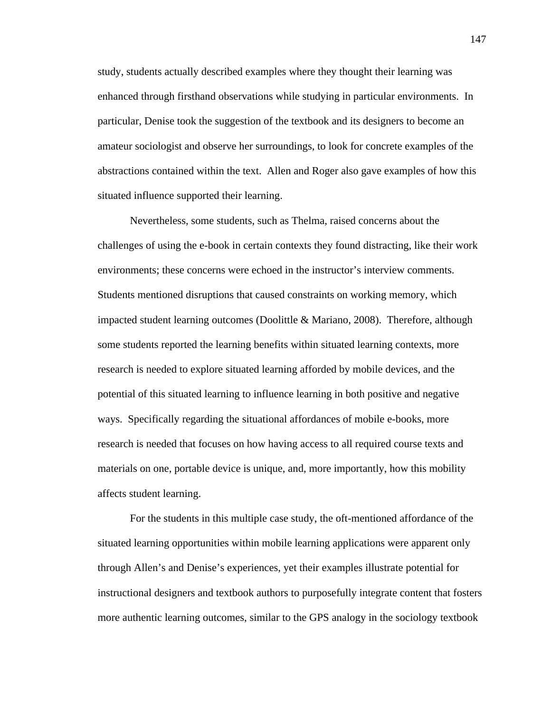study, students actually described examples where they thought their learning was enhanced through firsthand observations while studying in particular environments. In particular, Denise took the suggestion of the textbook and its designers to become an amateur sociologist and observe her surroundings, to look for concrete examples of the abstractions contained within the text. Allen and Roger also gave examples of how this situated influence supported their learning.

Nevertheless, some students, such as Thelma, raised concerns about the challenges of using the e-book in certain contexts they found distracting, like their work environments; these concerns were echoed in the instructor's interview comments. Students mentioned disruptions that caused constraints on working memory, which impacted student learning outcomes (Doolittle & Mariano, 2008). Therefore, although some students reported the learning benefits within situated learning contexts, more research is needed to explore situated learning afforded by mobile devices, and the potential of this situated learning to influence learning in both positive and negative ways. Specifically regarding the situational affordances of mobile e-books, more research is needed that focuses on how having access to all required course texts and materials on one, portable device is unique, and, more importantly, how this mobility affects student learning.

For the students in this multiple case study, the oft-mentioned affordance of the situated learning opportunities within mobile learning applications were apparent only through Allen's and Denise's experiences, yet their examples illustrate potential for instructional designers and textbook authors to purposefully integrate content that fosters more authentic learning outcomes, similar to the GPS analogy in the sociology textbook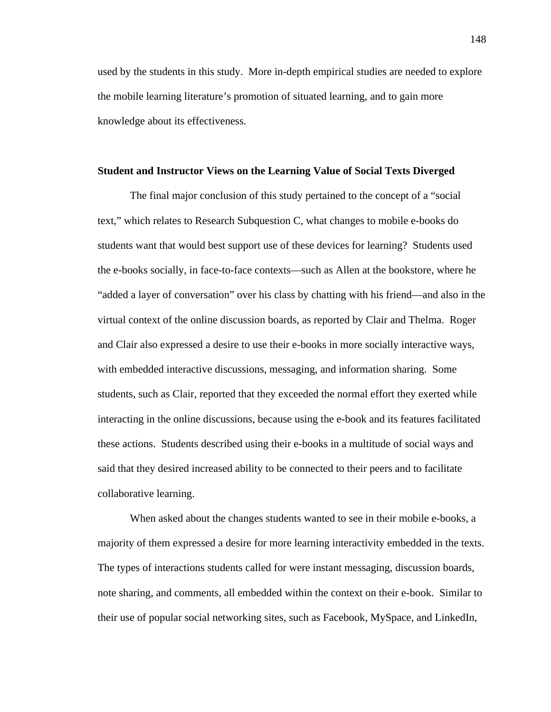used by the students in this study. More in-depth empirical studies are needed to explore the mobile learning literature's promotion of situated learning, and to gain more knowledge about its effectiveness.

#### **Student and Instructor Views on the Learning Value of Social Texts Diverged**

 The final major conclusion of this study pertained to the concept of a "social text," which relates to Research Subquestion C, what changes to mobile e-books do students want that would best support use of these devices for learning? Students used the e-books socially, in face-to-face contexts—such as Allen at the bookstore, where he "added a layer of conversation" over his class by chatting with his friend—and also in the virtual context of the online discussion boards, as reported by Clair and Thelma. Roger and Clair also expressed a desire to use their e-books in more socially interactive ways, with embedded interactive discussions, messaging, and information sharing. Some students, such as Clair, reported that they exceeded the normal effort they exerted while interacting in the online discussions, because using the e-book and its features facilitated these actions. Students described using their e-books in a multitude of social ways and said that they desired increased ability to be connected to their peers and to facilitate collaborative learning.

When asked about the changes students wanted to see in their mobile e-books, a majority of them expressed a desire for more learning interactivity embedded in the texts. The types of interactions students called for were instant messaging, discussion boards, note sharing, and comments, all embedded within the context on their e-book. Similar to their use of popular social networking sites, such as Facebook, MySpace, and LinkedIn,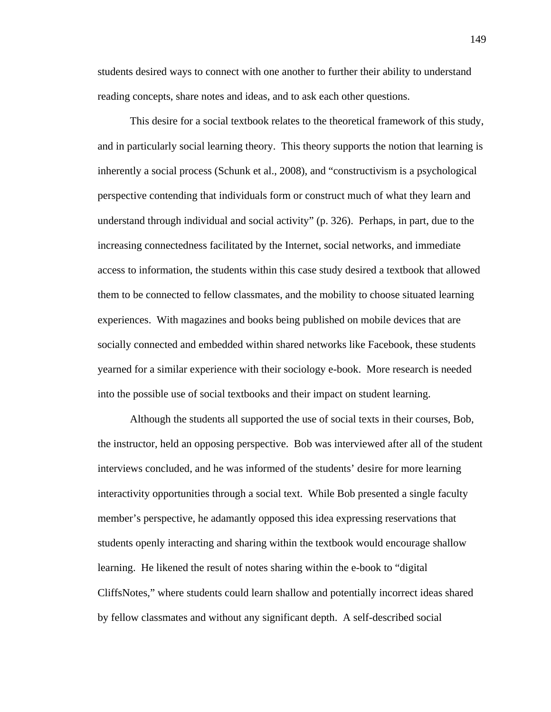students desired ways to connect with one another to further their ability to understand reading concepts, share notes and ideas, and to ask each other questions.

This desire for a social textbook relates to the theoretical framework of this study, and in particularly social learning theory. This theory supports the notion that learning is inherently a social process (Schunk et al., 2008), and "constructivism is a psychological perspective contending that individuals form or construct much of what they learn and understand through individual and social activity" (p. 326). Perhaps, in part, due to the increasing connectedness facilitated by the Internet, social networks, and immediate access to information, the students within this case study desired a textbook that allowed them to be connected to fellow classmates, and the mobility to choose situated learning experiences. With magazines and books being published on mobile devices that are socially connected and embedded within shared networks like Facebook, these students yearned for a similar experience with their sociology e-book. More research is needed into the possible use of social textbooks and their impact on student learning.

 Although the students all supported the use of social texts in their courses, Bob, the instructor, held an opposing perspective. Bob was interviewed after all of the student interviews concluded, and he was informed of the students' desire for more learning interactivity opportunities through a social text. While Bob presented a single faculty member's perspective, he adamantly opposed this idea expressing reservations that students openly interacting and sharing within the textbook would encourage shallow learning. He likened the result of notes sharing within the e-book to "digital CliffsNotes," where students could learn shallow and potentially incorrect ideas shared by fellow classmates and without any significant depth. A self-described social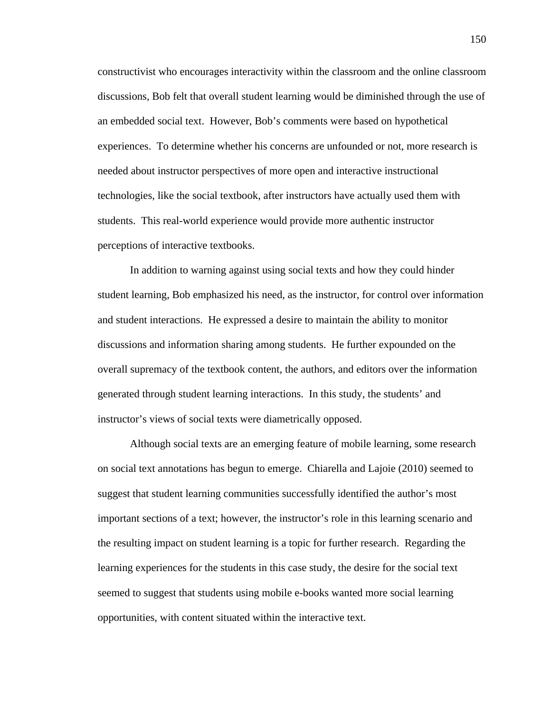constructivist who encourages interactivity within the classroom and the online classroom discussions, Bob felt that overall student learning would be diminished through the use of an embedded social text. However, Bob's comments were based on hypothetical experiences. To determine whether his concerns are unfounded or not, more research is needed about instructor perspectives of more open and interactive instructional technologies, like the social textbook, after instructors have actually used them with students. This real-world experience would provide more authentic instructor perceptions of interactive textbooks.

 In addition to warning against using social texts and how they could hinder student learning, Bob emphasized his need, as the instructor, for control over information and student interactions. He expressed a desire to maintain the ability to monitor discussions and information sharing among students. He further expounded on the overall supremacy of the textbook content, the authors, and editors over the information generated through student learning interactions. In this study, the students' and instructor's views of social texts were diametrically opposed.

Although social texts are an emerging feature of mobile learning, some research on social text annotations has begun to emerge. Chiarella and Lajoie (2010) seemed to suggest that student learning communities successfully identified the author's most important sections of a text; however, the instructor's role in this learning scenario and the resulting impact on student learning is a topic for further research. Regarding the learning experiences for the students in this case study, the desire for the social text seemed to suggest that students using mobile e-books wanted more social learning opportunities, with content situated within the interactive text.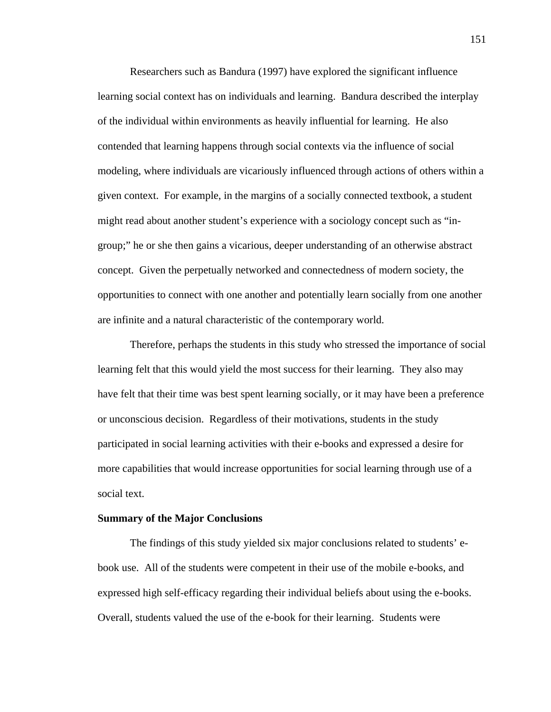Researchers such as Bandura (1997) have explored the significant influence learning social context has on individuals and learning. Bandura described the interplay of the individual within environments as heavily influential for learning. He also contended that learning happens through social contexts via the influence of social modeling, where individuals are vicariously influenced through actions of others within a given context. For example, in the margins of a socially connected textbook, a student might read about another student's experience with a sociology concept such as "ingroup;" he or she then gains a vicarious, deeper understanding of an otherwise abstract concept. Given the perpetually networked and connectedness of modern society, the opportunities to connect with one another and potentially learn socially from one another are infinite and a natural characteristic of the contemporary world.

Therefore, perhaps the students in this study who stressed the importance of social learning felt that this would yield the most success for their learning. They also may have felt that their time was best spent learning socially, or it may have been a preference or unconscious decision. Regardless of their motivations, students in the study participated in social learning activities with their e-books and expressed a desire for more capabilities that would increase opportunities for social learning through use of a social text.

### **Summary of the Major Conclusions**

The findings of this study yielded six major conclusions related to students' ebook use. All of the students were competent in their use of the mobile e-books, and expressed high self-efficacy regarding their individual beliefs about using the e-books. Overall, students valued the use of the e-book for their learning. Students were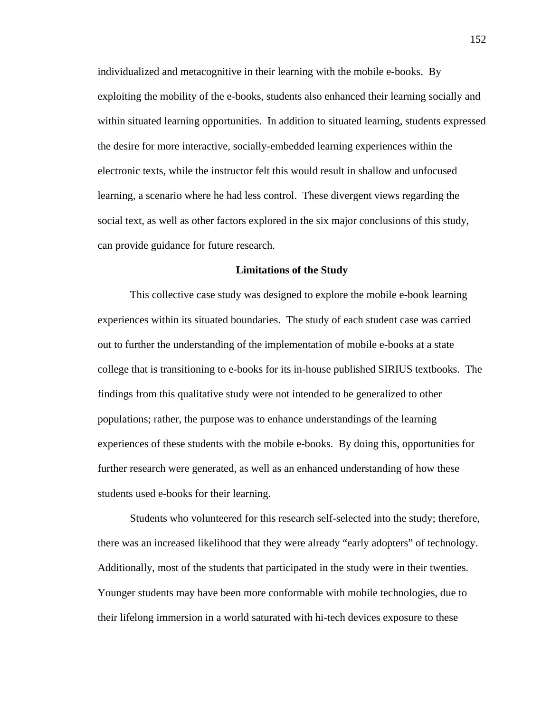individualized and metacognitive in their learning with the mobile e-books. By exploiting the mobility of the e-books, students also enhanced their learning socially and within situated learning opportunities. In addition to situated learning, students expressed the desire for more interactive, socially-embedded learning experiences within the electronic texts, while the instructor felt this would result in shallow and unfocused learning, a scenario where he had less control. These divergent views regarding the social text, as well as other factors explored in the six major conclusions of this study, can provide guidance for future research.

#### **Limitations of the Study**

This collective case study was designed to explore the mobile e-book learning experiences within its situated boundaries. The study of each student case was carried out to further the understanding of the implementation of mobile e-books at a state college that is transitioning to e-books for its in-house published SIRIUS textbooks. The findings from this qualitative study were not intended to be generalized to other populations; rather, the purpose was to enhance understandings of the learning experiences of these students with the mobile e-books. By doing this, opportunities for further research were generated, as well as an enhanced understanding of how these students used e-books for their learning.

Students who volunteered for this research self-selected into the study; therefore, there was an increased likelihood that they were already "early adopters" of technology. Additionally, most of the students that participated in the study were in their twenties. Younger students may have been more conformable with mobile technologies, due to their lifelong immersion in a world saturated with hi-tech devices exposure to these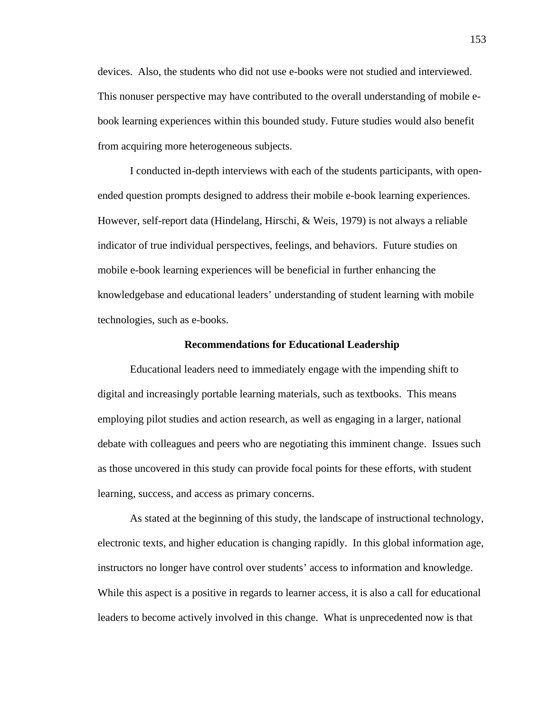devices. Also, the students who did not use e-books were not studied and interviewed. This nonuser perspective may have contributed to the overall understanding of mobile ebook learning experiences within this bounded study. Future studies would also benefit from acquiring more heterogeneous subjects.

I conducted in-depth interviews with each of the students participants, with openended question prompts designed to address their mobile e-book learning experiences. However, self-report data (Hindelang, Hirschi, & Weis, 1979) is not always a reliable indicator of true individual perspectives, feelings, and behaviors. Future studies on mobile e-book learning experiences will be beneficial in further enhancing the knowledgebase and educational leaders' understanding of student learning with mobile technologies, such as e-books.

#### **Recommendations for Educational Leadership**

 Educational leaders need to immediately engage with the impending shift to digital and increasingly portable learning materials, such as textbooks. This means employing pilot studies and action research, as well as engaging in a larger, national debate with colleagues and peers who are negotiating this imminent change. Issues such as those uncovered in this study can provide focal points for these efforts, with student learning, success, and access as primary concerns.

As stated at the beginning of this study, the landscape of instructional technology, electronic texts, and higher education is changing rapidly. In this global information age, instructors no longer have control over students' access to information and knowledge. While this aspect is a positive in regards to learner access, it is also a call for educational leaders to become actively involved in this change. What is unprecedented now is that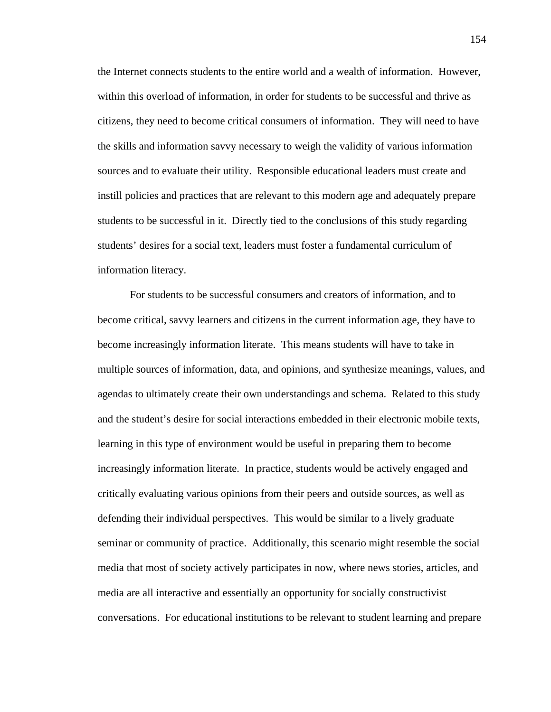the Internet connects students to the entire world and a wealth of information. However, within this overload of information, in order for students to be successful and thrive as citizens, they need to become critical consumers of information. They will need to have the skills and information savvy necessary to weigh the validity of various information sources and to evaluate their utility. Responsible educational leaders must create and instill policies and practices that are relevant to this modern age and adequately prepare students to be successful in it. Directly tied to the conclusions of this study regarding students' desires for a social text, leaders must foster a fundamental curriculum of information literacy.

 For students to be successful consumers and creators of information, and to become critical, savvy learners and citizens in the current information age, they have to become increasingly information literate. This means students will have to take in multiple sources of information, data, and opinions, and synthesize meanings, values, and agendas to ultimately create their own understandings and schema. Related to this study and the student's desire for social interactions embedded in their electronic mobile texts, learning in this type of environment would be useful in preparing them to become increasingly information literate. In practice, students would be actively engaged and critically evaluating various opinions from their peers and outside sources, as well as defending their individual perspectives. This would be similar to a lively graduate seminar or community of practice. Additionally, this scenario might resemble the social media that most of society actively participates in now, where news stories, articles, and media are all interactive and essentially an opportunity for socially constructivist conversations. For educational institutions to be relevant to student learning and prepare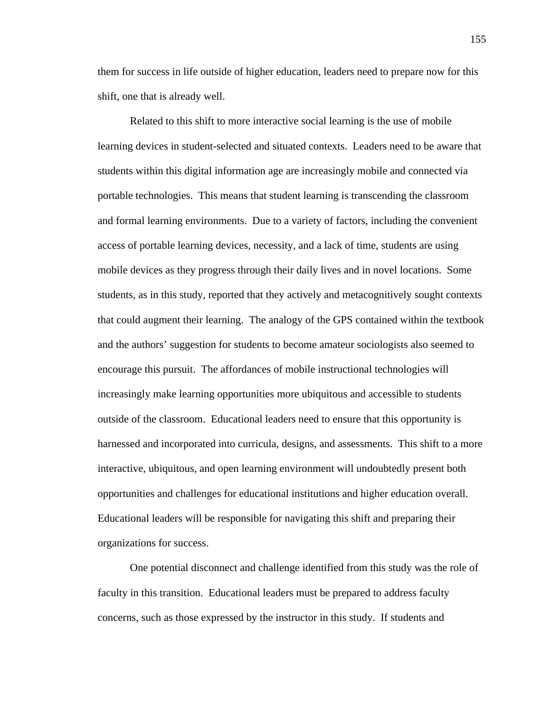them for success in life outside of higher education, leaders need to prepare now for this shift, one that is already well.

Related to this shift to more interactive social learning is the use of mobile learning devices in student-selected and situated contexts. Leaders need to be aware that students within this digital information age are increasingly mobile and connected via portable technologies. This means that student learning is transcending the classroom and formal learning environments. Due to a variety of factors, including the convenient access of portable learning devices, necessity, and a lack of time, students are using mobile devices as they progress through their daily lives and in novel locations. Some students, as in this study, reported that they actively and metacognitively sought contexts that could augment their learning. The analogy of the GPS contained within the textbook and the authors' suggestion for students to become amateur sociologists also seemed to encourage this pursuit. The affordances of mobile instructional technologies will increasingly make learning opportunities more ubiquitous and accessible to students outside of the classroom. Educational leaders need to ensure that this opportunity is harnessed and incorporated into curricula, designs, and assessments. This shift to a more interactive, ubiquitous, and open learning environment will undoubtedly present both opportunities and challenges for educational institutions and higher education overall. Educational leaders will be responsible for navigating this shift and preparing their organizations for success.

One potential disconnect and challenge identified from this study was the role of faculty in this transition. Educational leaders must be prepared to address faculty concerns, such as those expressed by the instructor in this study. If students and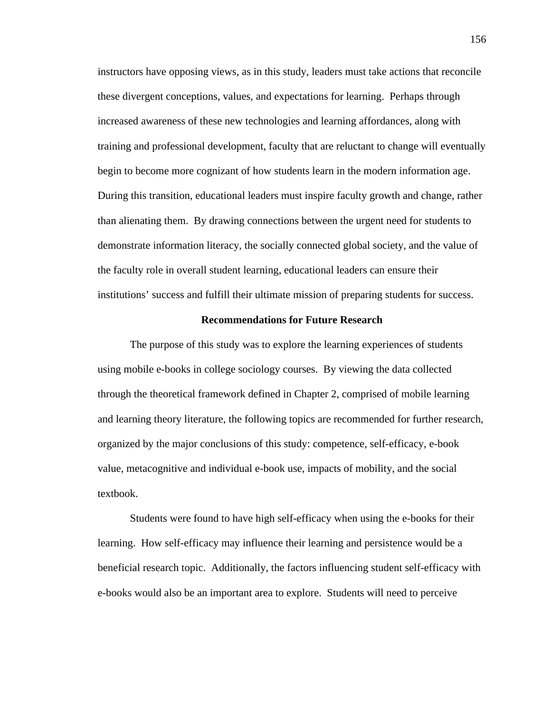instructors have opposing views, as in this study, leaders must take actions that reconcile these divergent conceptions, values, and expectations for learning. Perhaps through increased awareness of these new technologies and learning affordances, along with training and professional development, faculty that are reluctant to change will eventually begin to become more cognizant of how students learn in the modern information age. During this transition, educational leaders must inspire faculty growth and change, rather than alienating them. By drawing connections between the urgent need for students to demonstrate information literacy, the socially connected global society, and the value of the faculty role in overall student learning, educational leaders can ensure their institutions' success and fulfill their ultimate mission of preparing students for success.

#### **Recommendations for Future Research**

 The purpose of this study was to explore the learning experiences of students using mobile e-books in college sociology courses. By viewing the data collected through the theoretical framework defined in Chapter 2, comprised of mobile learning and learning theory literature, the following topics are recommended for further research, organized by the major conclusions of this study: competence, self-efficacy, e-book value, metacognitive and individual e-book use, impacts of mobility, and the social textbook.

 Students were found to have high self-efficacy when using the e-books for their learning. How self-efficacy may influence their learning and persistence would be a beneficial research topic. Additionally, the factors influencing student self-efficacy with e-books would also be an important area to explore. Students will need to perceive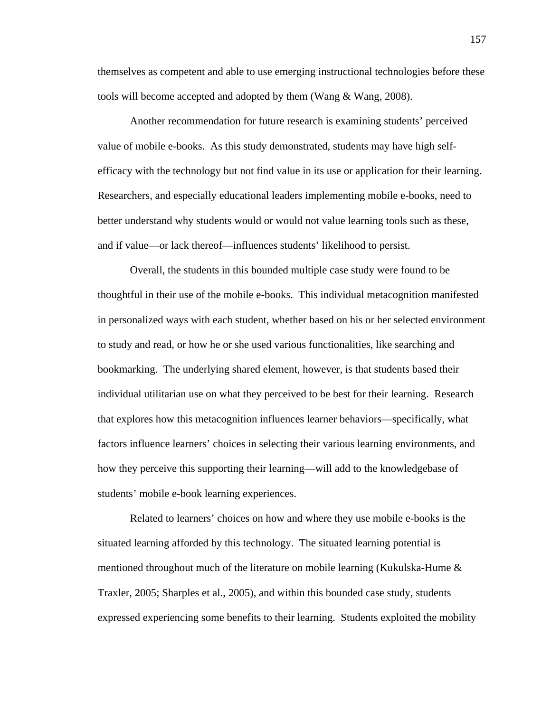themselves as competent and able to use emerging instructional technologies before these tools will become accepted and adopted by them (Wang & Wang, 2008).

Another recommendation for future research is examining students' perceived value of mobile e-books. As this study demonstrated, students may have high selfefficacy with the technology but not find value in its use or application for their learning. Researchers, and especially educational leaders implementing mobile e-books, need to better understand why students would or would not value learning tools such as these, and if value—or lack thereof—influences students' likelihood to persist.

 Overall, the students in this bounded multiple case study were found to be thoughtful in their use of the mobile e-books. This individual metacognition manifested in personalized ways with each student, whether based on his or her selected environment to study and read, or how he or she used various functionalities, like searching and bookmarking. The underlying shared element, however, is that students based their individual utilitarian use on what they perceived to be best for their learning. Research that explores how this metacognition influences learner behaviors—specifically, what factors influence learners' choices in selecting their various learning environments, and how they perceive this supporting their learning—will add to the knowledgebase of students' mobile e-book learning experiences.

 Related to learners' choices on how and where they use mobile e-books is the situated learning afforded by this technology. The situated learning potential is mentioned throughout much of the literature on mobile learning (Kukulska-Hume & Traxler, 2005; Sharples et al., 2005), and within this bounded case study, students expressed experiencing some benefits to their learning. Students exploited the mobility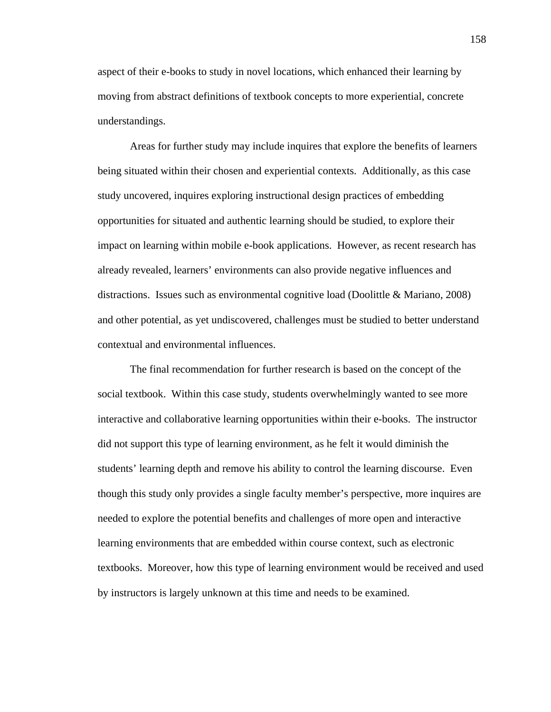aspect of their e-books to study in novel locations, which enhanced their learning by moving from abstract definitions of textbook concepts to more experiential, concrete understandings.

Areas for further study may include inquires that explore the benefits of learners being situated within their chosen and experiential contexts. Additionally, as this case study uncovered, inquires exploring instructional design practices of embedding opportunities for situated and authentic learning should be studied, to explore their impact on learning within mobile e-book applications. However, as recent research has already revealed, learners' environments can also provide negative influences and distractions. Issues such as environmental cognitive load (Doolittle & Mariano, 2008) and other potential, as yet undiscovered, challenges must be studied to better understand contextual and environmental influences.

 The final recommendation for further research is based on the concept of the social textbook. Within this case study, students overwhelmingly wanted to see more interactive and collaborative learning opportunities within their e-books. The instructor did not support this type of learning environment, as he felt it would diminish the students' learning depth and remove his ability to control the learning discourse. Even though this study only provides a single faculty member's perspective, more inquires are needed to explore the potential benefits and challenges of more open and interactive learning environments that are embedded within course context, such as electronic textbooks. Moreover, how this type of learning environment would be received and used by instructors is largely unknown at this time and needs to be examined.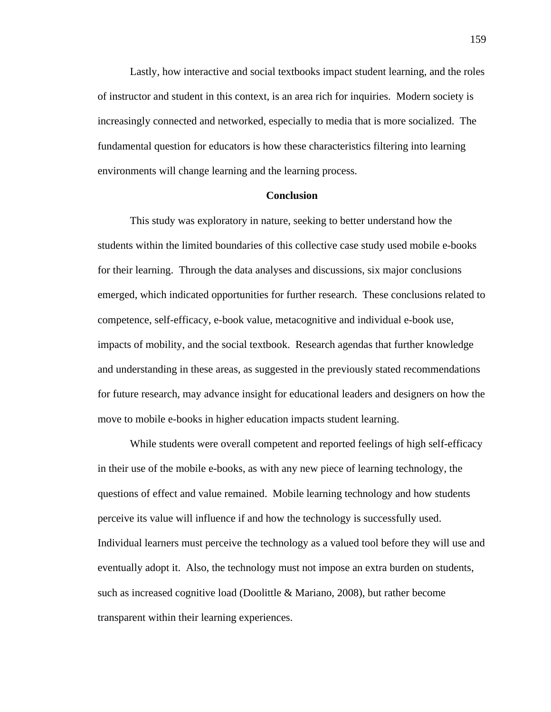Lastly, how interactive and social textbooks impact student learning, and the roles of instructor and student in this context, is an area rich for inquiries. Modern society is increasingly connected and networked, especially to media that is more socialized. The fundamental question for educators is how these characteristics filtering into learning environments will change learning and the learning process.

#### **Conclusion**

This study was exploratory in nature, seeking to better understand how the students within the limited boundaries of this collective case study used mobile e-books for their learning. Through the data analyses and discussions, six major conclusions emerged, which indicated opportunities for further research. These conclusions related to competence, self-efficacy, e-book value, metacognitive and individual e-book use, impacts of mobility, and the social textbook. Research agendas that further knowledge and understanding in these areas, as suggested in the previously stated recommendations for future research, may advance insight for educational leaders and designers on how the move to mobile e-books in higher education impacts student learning.

While students were overall competent and reported feelings of high self-efficacy in their use of the mobile e-books, as with any new piece of learning technology, the questions of effect and value remained. Mobile learning technology and how students perceive its value will influence if and how the technology is successfully used. Individual learners must perceive the technology as a valued tool before they will use and eventually adopt it. Also, the technology must not impose an extra burden on students, such as increased cognitive load (Doolittle & Mariano, 2008), but rather become transparent within their learning experiences.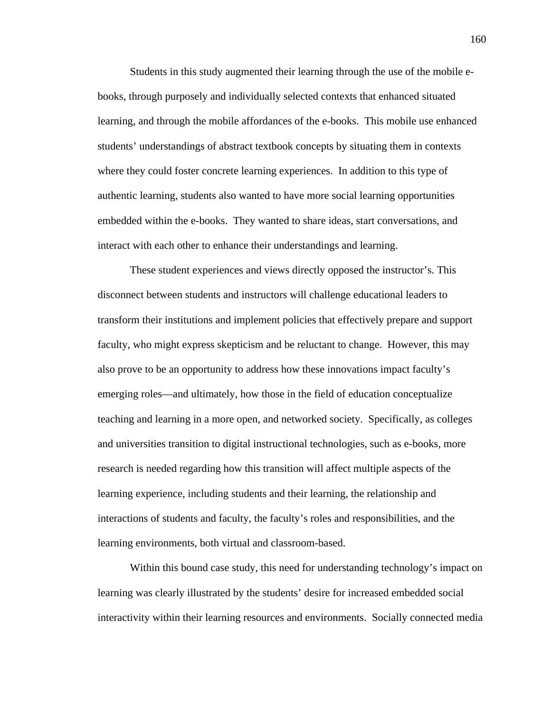Students in this study augmented their learning through the use of the mobile ebooks, through purposely and individually selected contexts that enhanced situated learning, and through the mobile affordances of the e-books. This mobile use enhanced students' understandings of abstract textbook concepts by situating them in contexts where they could foster concrete learning experiences. In addition to this type of authentic learning, students also wanted to have more social learning opportunities embedded within the e-books. They wanted to share ideas, start conversations, and interact with each other to enhance their understandings and learning.

These student experiences and views directly opposed the instructor's. This disconnect between students and instructors will challenge educational leaders to transform their institutions and implement policies that effectively prepare and support faculty, who might express skepticism and be reluctant to change. However, this may also prove to be an opportunity to address how these innovations impact faculty's emerging roles—and ultimately, how those in the field of education conceptualize teaching and learning in a more open, and networked society. Specifically, as colleges and universities transition to digital instructional technologies, such as e-books, more research is needed regarding how this transition will affect multiple aspects of the learning experience, including students and their learning, the relationship and interactions of students and faculty, the faculty's roles and responsibilities, and the learning environments, both virtual and classroom-based.

Within this bound case study, this need for understanding technology's impact on learning was clearly illustrated by the students' desire for increased embedded social interactivity within their learning resources and environments. Socially connected media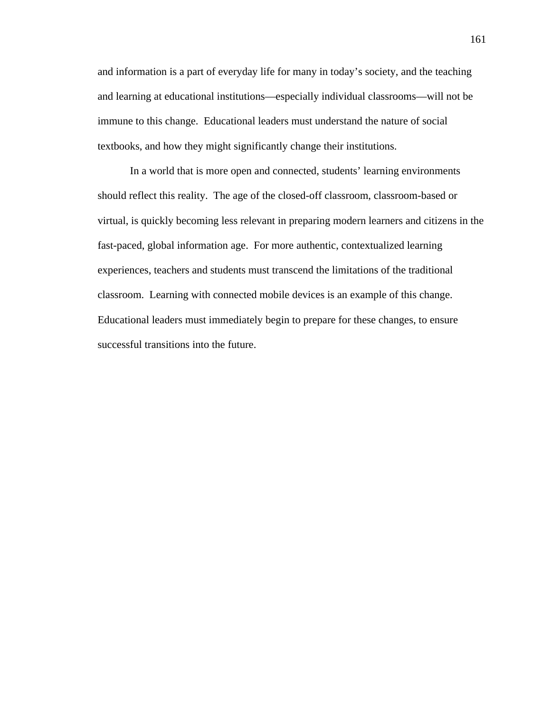and information is a part of everyday life for many in today's society, and the teaching and learning at educational institutions—especially individual classrooms—will not be immune to this change. Educational leaders must understand the nature of social textbooks, and how they might significantly change their institutions.

In a world that is more open and connected, students' learning environments should reflect this reality. The age of the closed-off classroom, classroom-based or virtual, is quickly becoming less relevant in preparing modern learners and citizens in the fast-paced, global information age. For more authentic, contextualized learning experiences, teachers and students must transcend the limitations of the traditional classroom. Learning with connected mobile devices is an example of this change. Educational leaders must immediately begin to prepare for these changes, to ensure successful transitions into the future.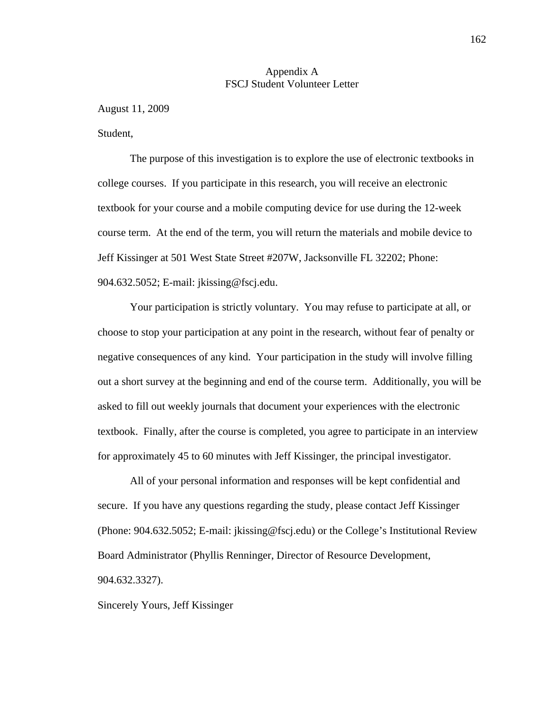### Appendix A FSCJ Student Volunteer Letter

August 11, 2009

Student,

The purpose of this investigation is to explore the use of electronic textbooks in college courses. If you participate in this research, you will receive an electronic textbook for your course and a mobile computing device for use during the 12-week course term. At the end of the term, you will return the materials and mobile device to Jeff Kissinger at 501 West State Street #207W, Jacksonville FL 32202; Phone: 904.632.5052; E-mail: jkissing@fscj.edu.

 Your participation is strictly voluntary. You may refuse to participate at all, or choose to stop your participation at any point in the research, without fear of penalty or negative consequences of any kind. Your participation in the study will involve filling out a short survey at the beginning and end of the course term. Additionally, you will be asked to fill out weekly journals that document your experiences with the electronic textbook. Finally, after the course is completed, you agree to participate in an interview for approximately 45 to 60 minutes with Jeff Kissinger, the principal investigator.

 All of your personal information and responses will be kept confidential and secure. If you have any questions regarding the study, please contact Jeff Kissinger (Phone: 904.632.5052; E-mail: jkissing@fscj.edu) or the College's Institutional Review Board Administrator (Phyllis Renninger, Director of Resource Development, 904.632.3327).

Sincerely Yours, Jeff Kissinger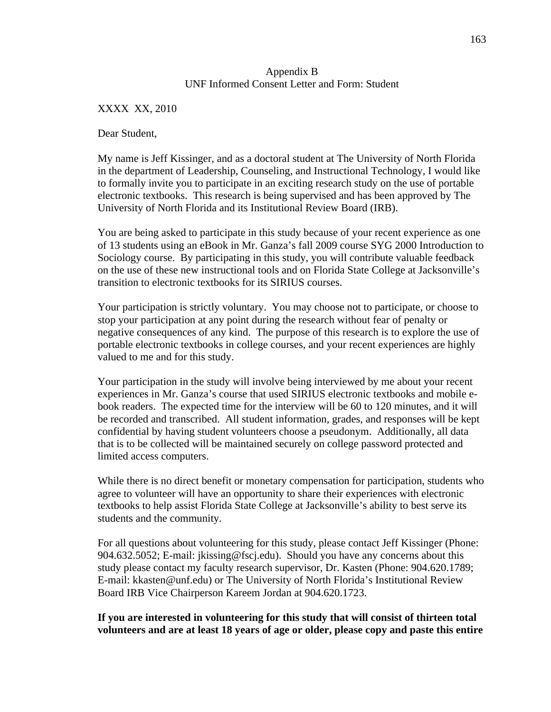# Appendix B UNF Informed Consent Letter and Form: Student

XXXX XX, 2010

Dear Student,

My name is Jeff Kissinger, and as a doctoral student at The University of North Florida in the department of Leadership, Counseling, and Instructional Technology, I would like to formally invite you to participate in an exciting research study on the use of portable electronic textbooks. This research is being supervised and has been approved by The University of North Florida and its Institutional Review Board (IRB).

You are being asked to participate in this study because of your recent experience as one of 13 students using an eBook in Mr. Ganza's fall 2009 course SYG 2000 Introduction to Sociology course. By participating in this study, you will contribute valuable feedback on the use of these new instructional tools and on Florida State College at Jacksonville's transition to electronic textbooks for its SIRIUS courses.

Your participation is strictly voluntary. You may choose not to participate, or choose to stop your participation at any point during the research without fear of penalty or negative consequences of any kind. The purpose of this research is to explore the use of portable electronic textbooks in college courses, and your recent experiences are highly valued to me and for this study.

Your participation in the study will involve being interviewed by me about your recent experiences in Mr. Ganza's course that used SIRIUS electronic textbooks and mobile ebook readers. The expected time for the interview will be 60 to 120 minutes, and it will be recorded and transcribed. All student information, grades, and responses will be kept confidential by having student volunteers choose a pseudonym. Additionally, all data that is to be collected will be maintained securely on college password protected and limited access computers.

While there is no direct benefit or monetary compensation for participation, students who agree to volunteer will have an opportunity to share their experiences with electronic textbooks to help assist Florida State College at Jacksonville's ability to best serve its students and the community.

For all questions about volunteering for this study, please contact Jeff Kissinger (Phone: 904.632.5052; E-mail: jkissing@fscj.edu). Should you have any concerns about this study please contact my faculty research supervisor, Dr. Kasten (Phone: 904.620.1789; E-mail: kkasten@unf.edu) or The University of North Florida's Institutional Review Board IRB Vice Chairperson Kareem Jordan at 904.620.1723.

# **If you are interested in volunteering for this study that will consist of thirteen total volunteers and are at least 18 years of age or older, please copy and paste this entire**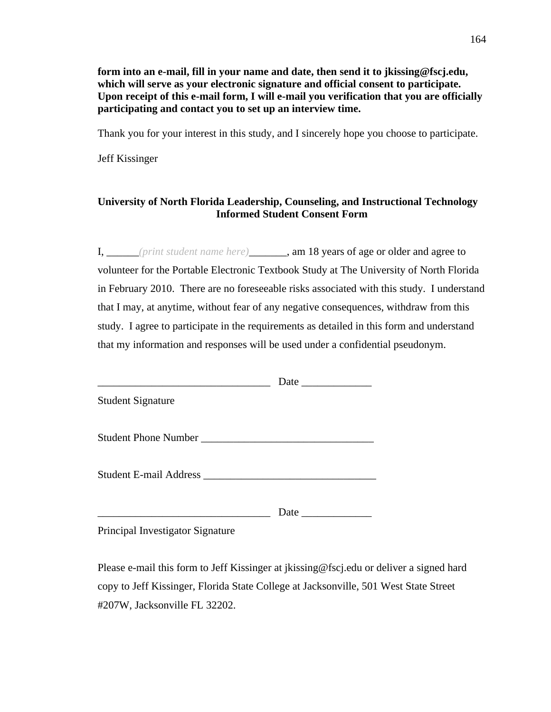**form into an e-mail, fill in your name and date, then send it to jkissing@fscj.edu, which will serve as your electronic signature and official consent to participate. Upon receipt of this e-mail form, I will e-mail you verification that you are officially participating and contact you to set up an interview time.** 

Thank you for your interest in this study, and I sincerely hope you choose to participate.

Jeff Kissinger

# **University of North Florida Leadership, Counseling, and Instructional Technology Informed Student Consent Form**

I, \_\_\_\_\_\_*(print student name here)*\_\_\_\_\_\_\_, am 18 years of age or older and agree to volunteer for the Portable Electronic Textbook Study at The University of North Florida in February 2010. There are no foreseeable risks associated with this study. I understand that I may, at anytime, without fear of any negative consequences, withdraw from this study. I agree to participate in the requirements as detailed in this form and understand that my information and responses will be used under a confidential pseudonym.

| <b>Student Signature</b>         |      |  |
|----------------------------------|------|--|
| Student Phone Number             |      |  |
|                                  |      |  |
|                                  | Date |  |
| Principal Investigator Signature |      |  |

Please e-mail this form to Jeff Kissinger at jkissing@fscj.edu or deliver a signed hard copy to Jeff Kissinger, Florida State College at Jacksonville, 501 West State Street #207W, Jacksonville FL 32202.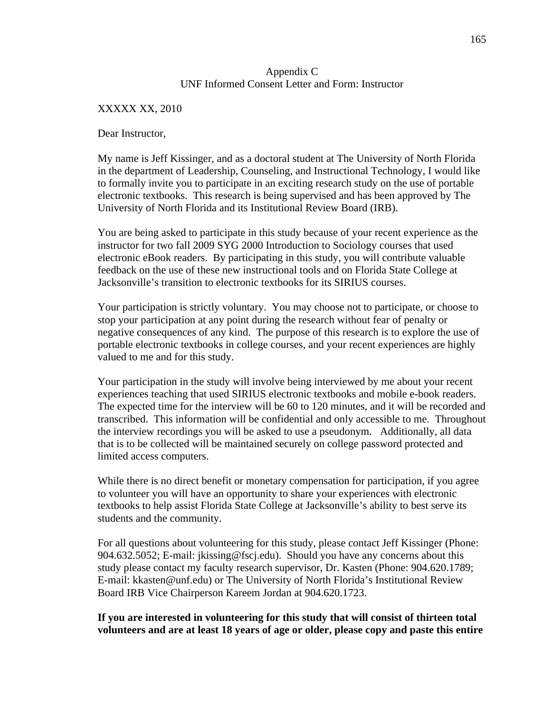# Appendix C UNF Informed Consent Letter and Form: Instructor

### XXXXX XX, 2010

Dear Instructor,

My name is Jeff Kissinger, and as a doctoral student at The University of North Florida in the department of Leadership, Counseling, and Instructional Technology, I would like to formally invite you to participate in an exciting research study on the use of portable electronic textbooks. This research is being supervised and has been approved by The University of North Florida and its Institutional Review Board (IRB).

You are being asked to participate in this study because of your recent experience as the instructor for two fall 2009 SYG 2000 Introduction to Sociology courses that used electronic eBook readers. By participating in this study, you will contribute valuable feedback on the use of these new instructional tools and on Florida State College at Jacksonville's transition to electronic textbooks for its SIRIUS courses.

Your participation is strictly voluntary. You may choose not to participate, or choose to stop your participation at any point during the research without fear of penalty or negative consequences of any kind. The purpose of this research is to explore the use of portable electronic textbooks in college courses, and your recent experiences are highly valued to me and for this study.

Your participation in the study will involve being interviewed by me about your recent experiences teaching that used SIRIUS electronic textbooks and mobile e-book readers. The expected time for the interview will be 60 to 120 minutes, and it will be recorded and transcribed. This information will be confidential and only accessible to me. Throughout the interview recordings you will be asked to use a pseudonym. Additionally, all data that is to be collected will be maintained securely on college password protected and limited access computers.

While there is no direct benefit or monetary compensation for participation, if you agree to volunteer you will have an opportunity to share your experiences with electronic textbooks to help assist Florida State College at Jacksonville's ability to best serve its students and the community.

For all questions about volunteering for this study, please contact Jeff Kissinger (Phone: 904.632.5052; E-mail: jkissing@fscj.edu). Should you have any concerns about this study please contact my faculty research supervisor, Dr. Kasten (Phone: 904.620.1789; E-mail: kkasten@unf.edu) or The University of North Florida's Institutional Review Board IRB Vice Chairperson Kareem Jordan at 904.620.1723.

# **If you are interested in volunteering for this study that will consist of thirteen total volunteers and are at least 18 years of age or older, please copy and paste this entire**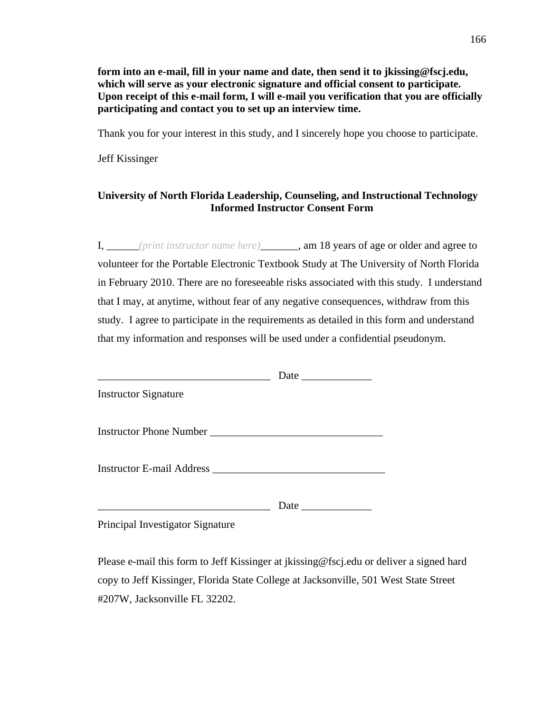**form into an e-mail, fill in your name and date, then send it to jkissing@fscj.edu, which will serve as your electronic signature and official consent to participate. Upon receipt of this e-mail form, I will e-mail you verification that you are officially participating and contact you to set up an interview time.** 

Thank you for your interest in this study, and I sincerely hope you choose to participate.

Jeff Kissinger

# **University of North Florida Leadership, Counseling, and Instructional Technology Informed Instructor Consent Form**

I, \_\_\_\_\_\_*(print instructor name here)*\_\_\_\_\_\_\_, am 18 years of age or older and agree to volunteer for the Portable Electronic Textbook Study at The University of North Florida in February 2010. There are no foreseeable risks associated with this study. I understand that I may, at anytime, without fear of any negative consequences, withdraw from this study. I agree to participate in the requirements as detailed in this form and understand that my information and responses will be used under a confidential pseudonym.

| <b>Instructor Signature</b>      |  |
|----------------------------------|--|
|                                  |  |
|                                  |  |
|                                  |  |
| Principal Investigator Signature |  |

Please e-mail this form to Jeff Kissinger at jkissing@fscj.edu or deliver a signed hard copy to Jeff Kissinger, Florida State College at Jacksonville, 501 West State Street #207W, Jacksonville FL 32202.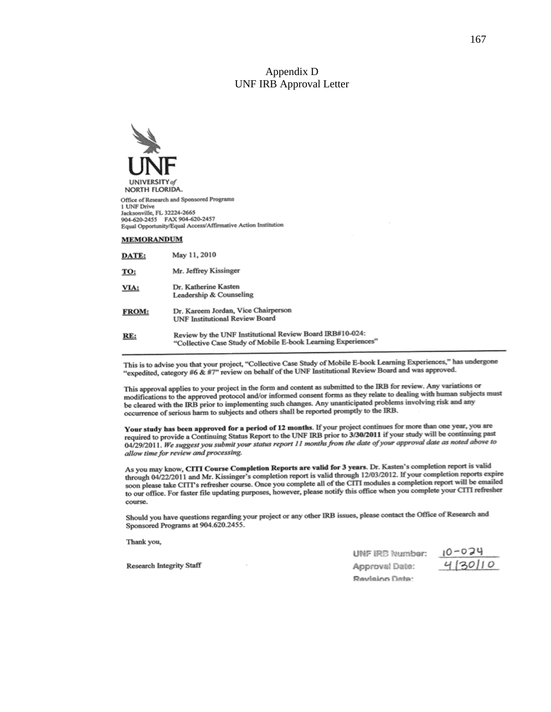### Appendix D UNF IRB Approval Letter



Office of Research and Sponsored Programs 1 UNF Drive Jacksonville, FL 32224-2665 Jacksonvulle, FL 32224-2003<br>904-620-2455 FAX 904-620-2457<br>Equal Opportunity/Equal Access/Affirmative Action Institution

#### **MEMORANDUM**

| DATE:        | May 11, 2010                                                                                                              |
|--------------|---------------------------------------------------------------------------------------------------------------------------|
| TO:          | Mr. Jeffrey Kissinger                                                                                                     |
| VIA:         | Dr. Katherine Kasten<br>Leadership & Counseling                                                                           |
| <b>FROM:</b> | Dr. Kareem Jordan, Vice Chairperson<br><b>UNF Institutional Review Board</b>                                              |
| RE:          | Review by the UNF Institutional Review Board IRB#10-024:<br>"Collective Case Study of Mobile E-book Learning Experiences" |

This is to advise you that your project, "Collective Case Study of Mobile E-book Learning Experiences," has undergone "expedited, category #6 & #7" review on behalf of the UNF Institutional Review Board and was approved.

This approval applies to your project in the form and content as submitted to the IRB for review. Any variations or Inis approval applies to your project in the form and content as submitted to the red to dealing with human subjects must<br>modifications to the approved protocol and/or informed consent forms as they relate to dealing with the cleared with the IRB prior to implementing such changes. Any unanticipated problems involving risk and any<br>be cleared with the IRB prior to implementing such changes. Any unanticipated problems involving risk and any occurrence of serious harm to subjects and others shall be reported promptly to the IRB.

Your study has been approved for a period of 12 months. If your project continues for more than one year, you are Your study has been approved for a period of 12 months. If you project to 3/30/2011 if your study will be continuing past<br>required to provide a Continuing Status Report to the UNF IRB prior to 3/30/2011 if your study will 04/29/2011. We suggest you submit your status report 11 months from the date of your approval date as noted above to allow time for review and processing.

As you may know, CITI Course Completion Reports are valid for 3 years. Dr. Kasten's completion report is valid As you may know, CITT Course Completion reports are valid through 12/03/2012. If your completion reports expire<br>through 04/22/2011 and Mr. Kissinger's completion report is valid through 12/03/2012. If your completion repor soon please take CITI's refresher course. Once you complete all of the CITI modules a completion report will be emailed<br>soon please take CITI's refresher course. Once you complete all of the CITI modules a completion repor soon please take C111's reflexible course. Once you complete an or the C111 mediate a complete your CITI refresher to our office. For faster file updating purposes, however, please notify this office when you complete your course.

Should you have questions regarding your project or any other IRB issues, please contact the Office of Research and Sponsored Programs at 904.620.2455.

Thank you,

Research Integrity Staff

UNF IRB Number:  $4130110$ Approval Date: Revision Date: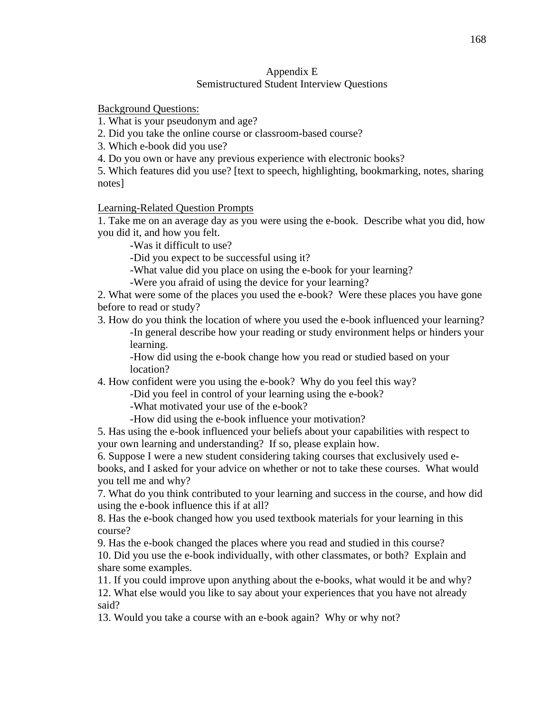# Appendix E Semistructured Student Interview Questions

Background Questions:

1. What is your pseudonym and age?

2. Did you take the online course or classroom-based course?

3. Which e-book did you use?

4. Do you own or have any previous experience with electronic books?

5. Which features did you use? [text to speech, highlighting, bookmarking, notes, sharing notes]

Learning-Related Question Prompts

1. Take me on an average day as you were using the e-book. Describe what you did, how you did it, and how you felt.

-Was it difficult to use?

-Did you expect to be successful using it?

-What value did you place on using the e-book for your learning?

-Were you afraid of using the device for your learning?

2. What were some of the places you used the e-book? Were these places you have gone before to read or study?

3. How do you think the location of where you used the e-book influenced your learning? -In general describe how your reading or study environment helps or hinders your learning.

-How did using the e-book change how you read or studied based on your location?

4. How confident were you using the e-book? Why do you feel this way?

-Did you feel in control of your learning using the e-book?

-What motivated your use of the e-book?

-How did using the e-book influence your motivation?

5. Has using the e-book influenced your beliefs about your capabilities with respect to your own learning and understanding? If so, please explain how.

6. Suppose I were a new student considering taking courses that exclusively used ebooks, and I asked for your advice on whether or not to take these courses. What would you tell me and why?

7. What do you think contributed to your learning and success in the course, and how did using the e-book influence this if at all?

8. Has the e-book changed how you used textbook materials for your learning in this course?

9. Has the e-book changed the places where you read and studied in this course? 10. Did you use the e-book individually, with other classmates, or both? Explain and share some examples.

11. If you could improve upon anything about the e-books, what would it be and why? 12. What else would you like to say about your experiences that you have not already said?

13. Would you take a course with an e-book again? Why or why not?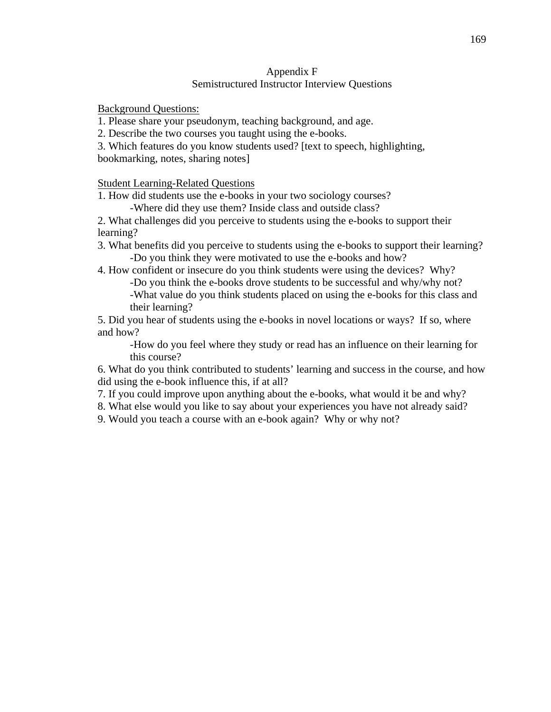# Appendix F Semistructured Instructor Interview Questions

Background Questions:

1. Please share your pseudonym, teaching background, and age.

2. Describe the two courses you taught using the e-books.

3. Which features do you know students used? [text to speech, highlighting,

bookmarking, notes, sharing notes]

Student Learning-Related Questions

1. How did students use the e-books in your two sociology courses?

-Where did they use them? Inside class and outside class?

2. What challenges did you perceive to students using the e-books to support their learning?

3. What benefits did you perceive to students using the e-books to support their learning? -Do you think they were motivated to use the e-books and how?

4. How confident or insecure do you think students were using the devices? Why?

-Do you think the e-books drove students to be successful and why/why not? -What value do you think students placed on using the e-books for this class and

their learning?

5. Did you hear of students using the e-books in novel locations or ways? If so, where and how?

-How do you feel where they study or read has an influence on their learning for this course?

6. What do you think contributed to students' learning and success in the course, and how did using the e-book influence this, if at all?

7. If you could improve upon anything about the e-books, what would it be and why?

8. What else would you like to say about your experiences you have not already said?

9. Would you teach a course with an e-book again? Why or why not?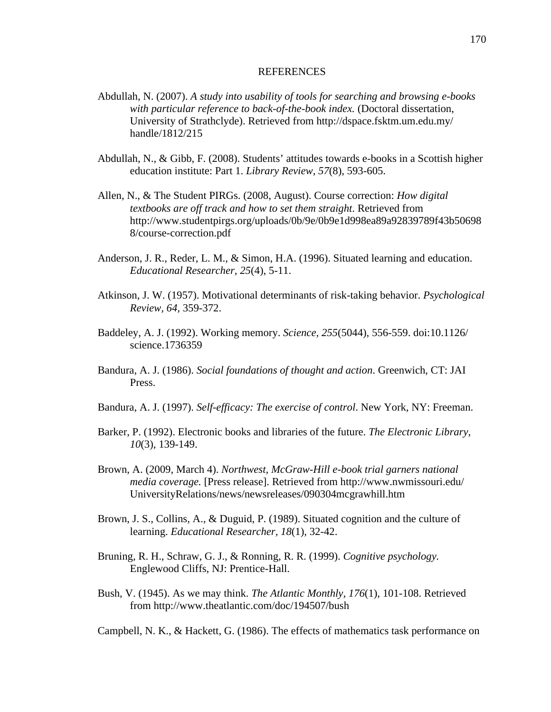## **REFERENCES**

- Abdullah, N. (2007). *A study into usability of tools for searching and browsing e-books with particular reference to back-of-the-book index.* (Doctoral dissertation, University of Strathclyde). Retrieved from http://dspace.fsktm.um.edu.my/ handle/1812/215
- Abdullah, N., & Gibb, F. (2008). Students' attitudes towards e-books in a Scottish higher education institute: Part 1. *Library Review, 57*(8), 593-605.
- Allen, N., & The Student PIRGs. (2008, August). Course correction: *How digital textbooks are off track and how to set them straight*. Retrieved from http://www.studentpirgs.org/uploads/0b/9e/0b9e1d998ea89a92839789f43b50698 8/course-correction.pdf
- Anderson, J. R., Reder, L. M., & Simon, H.A. (1996). Situated learning and education. *Educational Researcher, 25*(4), 5-11.
- Atkinson, J. W. (1957). Motivational determinants of risk-taking behavior. *Psychological Review, 64,* 359-372.
- Baddeley, A. J. (1992). Working memory. *Science, 255*(5044), 556-559. doi:10.1126/ science.1736359
- Bandura, A. J. (1986). *Social foundations of thought and action*. Greenwich, CT: JAI Press.
- Bandura, A. J. (1997). *Self-efficacy: The exercise of control*. New York, NY: Freeman.
- Barker, P. (1992). Electronic books and libraries of the future. *The Electronic Library, 10*(3), 139-149.
- Brown, A. (2009, March 4). *Northwest, McGraw-Hill e-book trial garners national media coverage.* [Press release]. Retrieved from http://www.nwmissouri.edu/ UniversityRelations/news/newsreleases/090304mcgrawhill.htm
- Brown, J. S., Collins, A., & Duguid, P. (1989). Situated cognition and the culture of learning. *Educational Researcher, 18*(1), 32-42.
- Bruning, R. H., Schraw, G. J., & Ronning, R. R. (1999). *Cognitive psychology.* Englewood Cliffs, NJ: Prentice-Hall.
- Bush, V. (1945). As we may think. *The Atlantic Monthly, 176*(1), 101-108. Retrieved from http://www.theatlantic.com/doc/194507/bush

Campbell, N. K., & Hackett, G. (1986). The effects of mathematics task performance on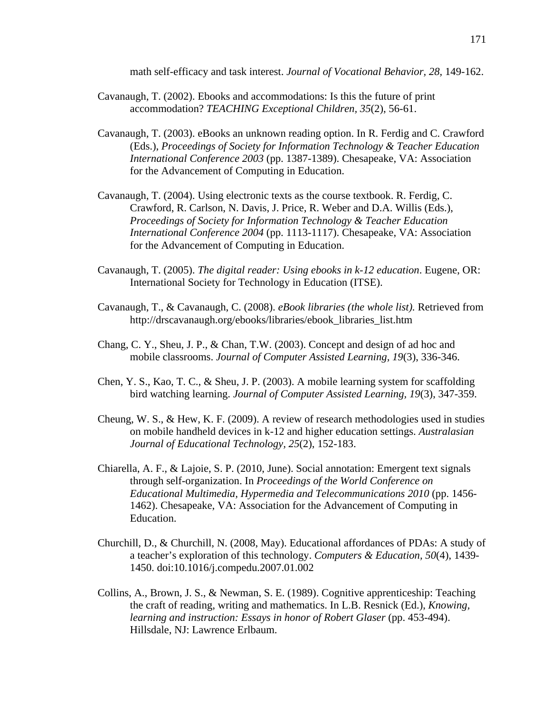math self-efficacy and task interest. *Journal of Vocational Behavior, 28,* 149-162.

- Cavanaugh, T. (2002). Ebooks and accommodations: Is this the future of print accommodation? *TEACHING Exceptional Children, 35*(2), 56-61.
- Cavanaugh, T. (2003). eBooks an unknown reading option. In R. Ferdig and C. Crawford (Eds.), *Proceedings of Society for Information Technology & Teacher Education International Conference 2003* (pp. 1387-1389). Chesapeake, VA: Association for the Advancement of Computing in Education.
- Cavanaugh, T. (2004). Using electronic texts as the course textbook. R. Ferdig, C. Crawford, R. Carlson, N. Davis, J. Price, R. Weber and D.A. Willis (Eds.), *Proceedings of Society for Information Technology & Teacher Education International Conference 2004* (pp. 1113-1117). Chesapeake, VA: Association for the Advancement of Computing in Education.
- Cavanaugh, T. (2005). *The digital reader: Using ebooks in k-12 education*. Eugene, OR: International Society for Technology in Education (ITSE).
- Cavanaugh, T., & Cavanaugh, C. (2008). *eBook libraries (the whole list).* Retrieved from http://drscavanaugh.org/ebooks/libraries/ebook\_libraries\_list.htm
- Chang, C. Y., Sheu, J. P., & Chan, T.W. (2003). Concept and design of ad hoc and mobile classrooms. *Journal of Computer Assisted Learning, 19*(3), 336-346.
- Chen, Y. S., Kao, T. C., & Sheu, J. P. (2003). A mobile learning system for scaffolding bird watching learning. *Journal of Computer Assisted Learning, 19*(3), 347-359.
- Cheung, W. S., & Hew, K. F. (2009). A review of research methodologies used in studies on mobile handheld devices in k-12 and higher education settings. *Australasian Journal of Educational Technology, 25*(2), 152-183.
- Chiarella, A. F., & Lajoie, S. P. (2010, June). Social annotation: Emergent text signals through self-organization. In *Proceedings of the World Conference on Educational Multimedia, Hypermedia and Telecommunications 2010* (pp. 1456- 1462). Chesapeake, VA: Association for the Advancement of Computing in Education.
- Churchill, D., & Churchill, N. (2008, May). Educational affordances of PDAs: A study of a teacher's exploration of this technology. *Computers & Education, 50*(4), 1439- 1450. doi:10.1016/j.compedu.2007.01.002
- Collins, A., Brown, J. S., & Newman, S. E. (1989). Cognitive apprenticeship: Teaching the craft of reading, writing and mathematics. In L.B. Resnick (Ed.), *Knowing, learning and instruction: Essays in honor of Robert Glaser* (pp. 453-494). Hillsdale, NJ: Lawrence Erlbaum.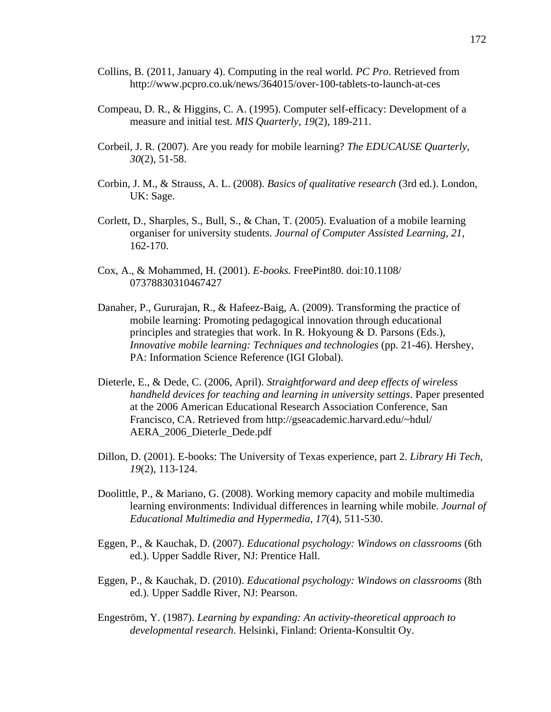- Collins, B. (2011, January 4). Computing in the real world. *PC Pro*. Retrieved from http://www.pcpro.co.uk/news/364015/over-100-tablets-to-launch-at-ces
- Compeau, D. R., & Higgins, C. A. (1995). Computer self-efficacy: Development of a measure and initial test. *MIS Quarterly, 19*(2), 189-211.
- Corbeil, J. R. (2007). Are you ready for mobile learning? *The EDUCAUSE Quarterly, 30*(2), 51-58.
- Corbin, J. M., & Strauss, A. L. (2008). *Basics of qualitative research* (3rd ed.). London, UK: Sage.
- Corlett, D., Sharples, S., Bull, S., & Chan, T. (2005). Evaluation of a mobile learning organiser for university students. *Journal of Computer Assisted Learning, 21*, 162-170.
- Cox, A., & Mohammed, H. (2001). *E-books.* FreePint80. doi:10.1108/ 07378830310467427
- Danaher, P., Gururajan, R., & Hafeez-Baig, A. (2009). Transforming the practice of mobile learning: Promoting pedagogical innovation through educational principles and strategies that work. In R. Hokyoung & D. Parsons (Eds.), *Innovative mobile learning: Techniques and technologies* (pp. 21-46). Hershey, PA: Information Science Reference (IGI Global).
- Dieterle, E., & Dede, C. (2006, April). *Straightforward and deep effects of wireless handheld devices for teaching and learning in university settings*. Paper presented at the 2006 American Educational Research Association Conference, San Francisco, CA. Retrieved from http://gseacademic.harvard.edu/~hdul/ AERA\_2006\_Dieterle\_Dede.pdf
- Dillon, D. (2001). E-books: The University of Texas experience, part 2. *Library Hi Tech, 19*(2), 113-124.
- Doolittle, P., & Mariano, G. (2008). Working memory capacity and mobile multimedia learning environments: Individual differences in learning while mobile. *Journal of Educational Multimedia and Hypermedia, 17*(4), 511-530.
- Eggen, P., & Kauchak, D. (2007). *Educational psychology: Windows on classrooms* (6th ed.). Upper Saddle River, NJ: Prentice Hall.
- Eggen, P., & Kauchak, D. (2010). *Educational psychology: Windows on classrooms* (8th ed.). Upper Saddle River, NJ: Pearson.
- Engeström, Y. (1987). *Learning by expanding: An activity-theoretical approach to developmental research*. Helsinki, Finland: Orienta-Konsultit Oy.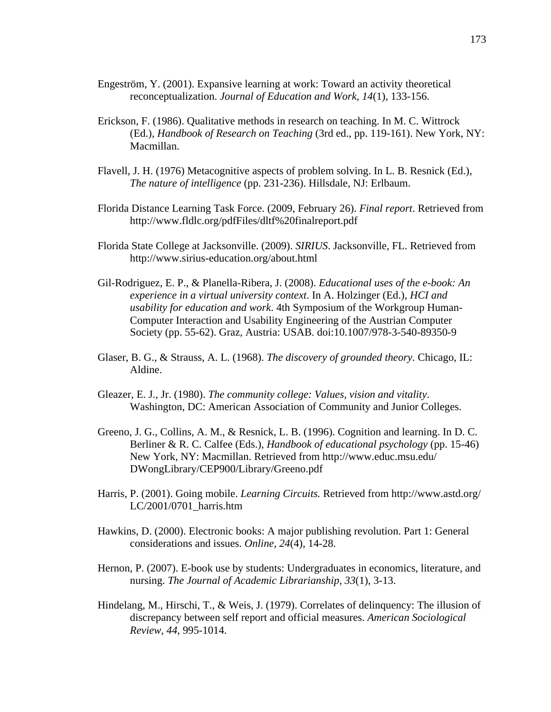- Engeström, Y. (2001). Expansive learning at work: Toward an activity theoretical reconceptualization. *Journal of Education and Work, 14*(1), 133-156.
- Erickson, F. (1986). Qualitative methods in research on teaching. In M. C. Wittrock (Ed.), *Handbook of Research on Teaching* (3rd ed., pp. 119-161). New York, NY: Macmillan.
- Flavell, J. H. (1976) Metacognitive aspects of problem solving. In L. B. Resnick (Ed.), *The nature of intelligence* (pp. 231-236). Hillsdale, NJ: Erlbaum.
- Florida Distance Learning Task Force. (2009, February 26). *Final report*. Retrieved from http://www.fldlc.org/pdfFiles/dltf%20finalreport.pdf
- Florida State College at Jacksonville. (2009). *SIRIUS*. Jacksonville, FL. Retrieved from http://www.sirius-education.org/about.html
- Gil-Rodriguez, E. P., & Planella-Ribera, J. (2008). *Educational uses of the e-book: An experience in a virtual university context*. In A. Holzinger (Ed.), *HCI and usability for education and work*. 4th Symposium of the Workgroup Human-Computer Interaction and Usability Engineering of the Austrian Computer Society (pp. 55-62). Graz, Austria: USAB. doi:10.1007/978-3-540-89350-9
- Glaser, B. G., & Strauss, A. L. (1968). *The discovery of grounded theory.* Chicago, IL: Aldine.
- Gleazer, E. J., Jr. (1980). *The community college: Values, vision and vitality*. Washington, DC: American Association of Community and Junior Colleges.
- Greeno, J. G., Collins, A. M., & Resnick, L. B. (1996). Cognition and learning. In D. C. Berliner & R. C. Calfee (Eds.), *Handbook of educational psychology* (pp. 15-46) New York, NY: Macmillan. Retrieved from http://www.educ.msu.edu/ DWongLibrary/CEP900/Library/Greeno.pdf
- Harris, P. (2001). Going mobile. *Learning Circuits.* Retrieved from http://www.astd.org/ LC/2001/0701\_harris.htm
- Hawkins, D. (2000). Electronic books: A major publishing revolution. Part 1: General considerations and issues. *Online, 24*(4), 14-28.
- Hernon, P. (2007). E-book use by students: Undergraduates in economics, literature, and nursing. *The Journal of Academic Librarianship, 33*(1), 3-13.
- Hindelang, M., Hirschi, T., & Weis, J. (1979). Correlates of delinquency: The illusion of discrepancy between self report and official measures. *American Sociological Review, 44*, 995-1014.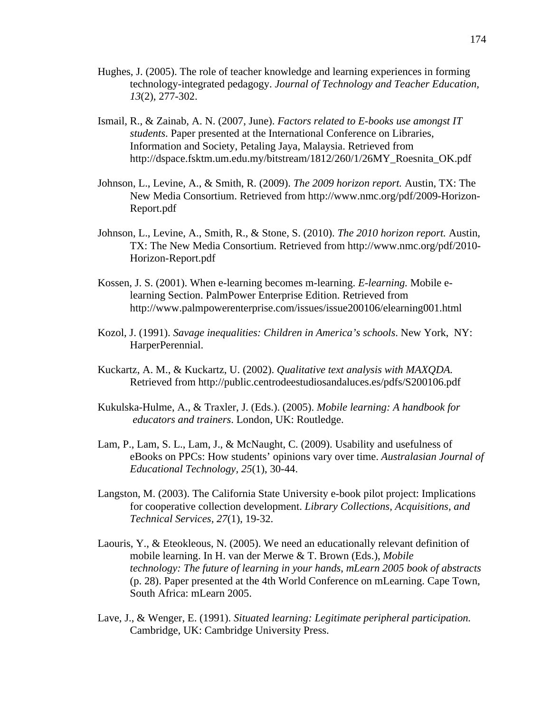- Hughes, J. (2005). The role of teacher knowledge and learning experiences in forming technology-integrated pedagogy. *Journal of Technology and Teacher Education, 13*(2), 277-302.
- Ismail, R., & Zainab, A. N. (2007, June). *Factors related to E-books use amongst IT students*. Paper presented at the International Conference on Libraries, Information and Society, Petaling Jaya, Malaysia. Retrieved from http://dspace.fsktm.um.edu.my/bitstream/1812/260/1/26MY\_Roesnita\_OK.pdf
- Johnson, L., Levine, A., & Smith, R. (2009). *The 2009 horizon report.* Austin, TX: The New Media Consortium. Retrieved from http://www.nmc.org/pdf/2009-Horizon-Report.pdf
- Johnson, L., Levine, A., Smith, R., & Stone, S. (2010). *The 2010 horizon report.* Austin, TX: The New Media Consortium. Retrieved from http://www.nmc.org/pdf/2010- Horizon-Report.pdf
- Kossen, J. S. (2001). When e-learning becomes m-learning. *E-learning.* Mobile elearning Section. PalmPower Enterprise Edition. Retrieved from http://www.palmpowerenterprise.com/issues/issue200106/elearning001.html
- Kozol, J. (1991). *Savage inequalities: Children in America's schools*. New York, NY: HarperPerennial.
- Kuckartz, A. M., & Kuckartz, U. (2002). *Qualitative text analysis with MAXQDA.* Retrieved from http://public.centrodeestudiosandaluces.es/pdfs/S200106.pdf
- Kukulska-Hulme, A., & Traxler, J. (Eds.). (2005). *Mobile learning: A handbook for educators and trainers*. London, UK: Routledge.
- Lam, P., Lam, S. L., Lam, J., & McNaught, C. (2009). Usability and usefulness of eBooks on PPCs: How students' opinions vary over time. *Australasian Journal of Educational Technology, 25*(1), 30-44.
- Langston, M. (2003). The California State University e-book pilot project: Implications for cooperative collection development. *Library Collections, Acquisitions, and Technical Services, 27*(1), 19-32.
- Laouris, Y., & Eteokleous, N. (2005). We need an educationally relevant definition of mobile learning. In H. van der Merwe & T. Brown (Eds.), *Mobile technology: The future of learning in your hands*, *mLearn 2005 book of abstracts* (p. 28). Paper presented at the 4th World Conference on mLearning. Cape Town, South Africa: mLearn 2005.
- Lave, J., & Wenger, E. (1991). *Situated learning: Legitimate peripheral participation.* Cambridge, UK: Cambridge University Press.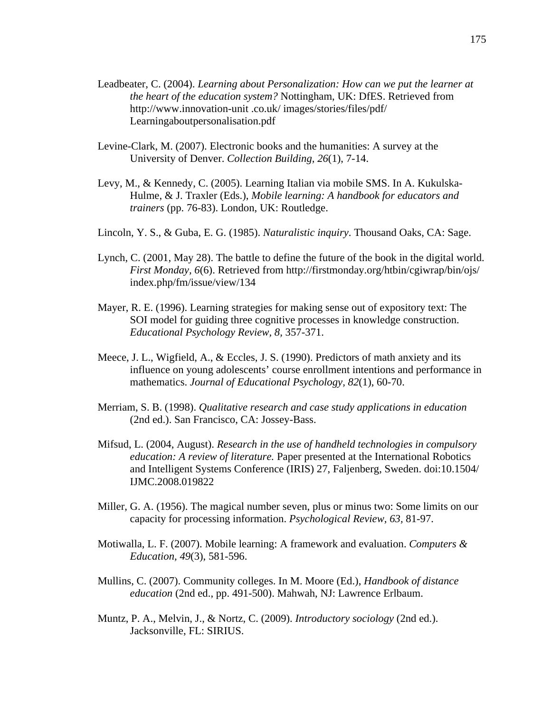- Leadbeater, C. (2004). *Learning about Personalization: How can we put the learner at the heart of the education system?* Nottingham, UK: DfES. Retrieved from http://www.innovation-unit .co.uk/ images/stories/files/pdf/ Learningaboutpersonalisation.pdf
- Levine-Clark, M. (2007). Electronic books and the humanities: A survey at the University of Denver. *Collection Building, 26*(1), 7-14.
- Levy, M., & Kennedy, C. (2005). Learning Italian via mobile SMS. In A. Kukulska-Hulme, & J. Traxler (Eds.), *Mobile learning: A handbook for educators and trainers* (pp. 76-83). London, UK: Routledge.
- Lincoln, Y. S., & Guba, E. G. (1985). *Naturalistic inquiry*. Thousand Oaks, CA: Sage.
- Lynch, C. (2001, May 28). The battle to define the future of the book in the digital world. *First Monday, 6*(6). Retrieved from http://firstmonday.org/htbin/cgiwrap/bin/ojs/ index.php/fm/issue/view/134
- Mayer, R. E. (1996). Learning strategies for making sense out of expository text: The SOI model for guiding three cognitive processes in knowledge construction. *Educational Psychology Review, 8,* 357-371.
- Meece, J. L., Wigfield, A., & Eccles, J. S. (1990). Predictors of math anxiety and its influence on young adolescents' course enrollment intentions and performance in mathematics. *Journal of Educational Psychology, 82*(1), 60-70.
- Merriam, S. B. (1998). *Qualitative research and case study applications in education* (2nd ed.). San Francisco, CA: Jossey-Bass.
- Mifsud, L. (2004, August). *Research in the use of handheld technologies in compulsory education: A review of literature.* Paper presented at the International Robotics and Intelligent Systems Conference (IRIS) 27, Faljenberg, Sweden. doi:10.1504/ IJMC.2008.019822
- Miller, G. A. (1956). The magical number seven, plus or minus two: Some limits on our capacity for processing information. *Psychological Review, 63,* 81-97.
- Motiwalla, L. F. (2007). Mobile learning: A framework and evaluation. *Computers & Education, 49*(3), 581-596.
- Mullins, C. (2007). Community colleges. In M. Moore (Ed.), *Handbook of distance education* (2nd ed., pp. 491-500). Mahwah, NJ: Lawrence Erlbaum.
- Muntz, P. A., Melvin, J., & Nortz, C. (2009). *Introductory sociology* (2nd ed.). Jacksonville, FL: SIRIUS.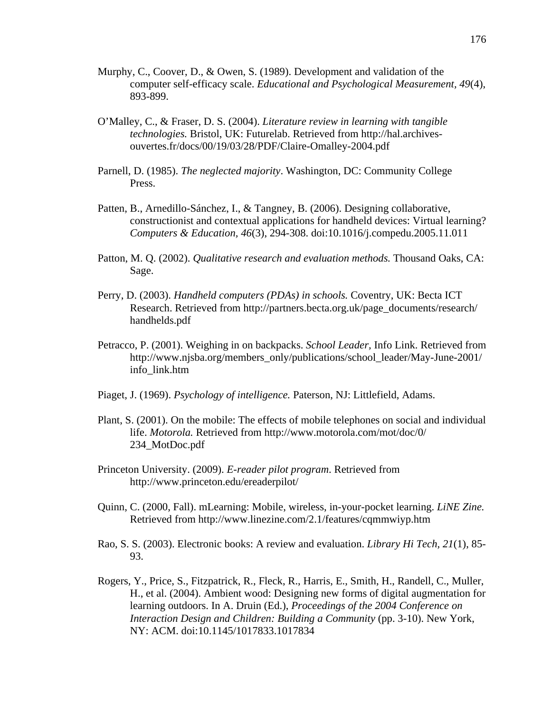- Murphy, C., Coover, D., & Owen, S. (1989). Development and validation of the computer self-efficacy scale. *Educational and Psychological Measurement, 49*(4), 893-899.
- O'Malley, C., & Fraser, D. S. (2004). *Literature review in learning with tangible technologies.* Bristol, UK: Futurelab. Retrieved from http://hal.archivesouvertes.fr/docs/00/19/03/28/PDF/Claire-Omalley-2004.pdf
- Parnell, D. (1985). *The neglected majority*. Washington, DC: Community College Press.
- Patten, B., Arnedillo-Sánchez, I., & Tangney, B. (2006). Designing collaborative, constructionist and contextual applications for handheld devices: Virtual learning? *Computers & Education, 46*(3), 294-308. doi:10.1016/j.compedu.2005.11.011
- Patton, M. Q. (2002). *Qualitative research and evaluation methods.* Thousand Oaks, CA: Sage.
- Perry, D. (2003). *Handheld computers (PDAs) in schools.* Coventry, UK: Becta ICT Research. Retrieved from http://partners.becta.org.uk/page\_documents/research/ handhelds.pdf
- Petracco, P. (2001). Weighing in on backpacks. *School Leader,* Info Link. Retrieved from http://www.njsba.org/members\_only/publications/school\_leader/May-June-2001/ info\_link.htm
- Piaget, J. (1969). *Psychology of intelligence.* Paterson, NJ: Littlefield, Adams.
- Plant, S. (2001). On the mobile: The effects of mobile telephones on social and individual life. *Motorola.* Retrieved from http://www.motorola.com/mot/doc/0/ 234\_MotDoc.pdf
- Princeton University. (2009). *E-reader pilot program*. Retrieved from http://www.princeton.edu/ereaderpilot/
- Quinn, C. (2000, Fall). mLearning: Mobile, wireless, in-your-pocket learning. *LiNE Zine.* Retrieved from http://www.linezine.com/2.1/features/cqmmwiyp.htm
- Rao, S. S. (2003). Electronic books: A review and evaluation. *Library Hi Tech, 21*(1), 85- 93.
- Rogers, Y., Price, S., Fitzpatrick, R., Fleck, R., Harris, E., Smith, H., Randell, C., Muller, H., et al. (2004). Ambient wood: Designing new forms of digital augmentation for learning outdoors. In A. Druin (Ed.), *Proceedings of the 2004 Conference on Interaction Design and Children: Building a Community* (pp. 3-10). New York, NY: ACM. doi:10.1145/1017833.1017834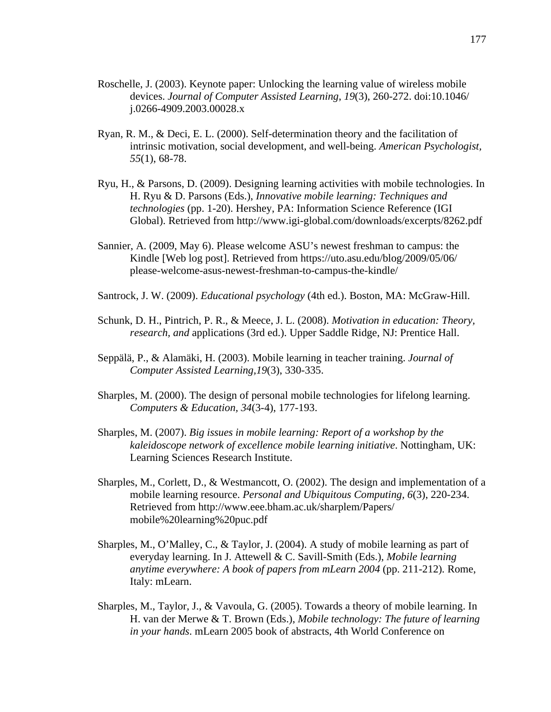- Roschelle, J. (2003). Keynote paper: Unlocking the learning value of wireless mobile devices. *Journal of Computer Assisted Learning*, *19*(3), 260-272. doi:10.1046/ j.0266-4909.2003.00028.x
- Ryan, R. M., & Deci, E. L. (2000). Self-determination theory and the facilitation of intrinsic motivation, social development, and well-being. *American Psychologist, 55*(1), 68-78.
- Ryu, H., & Parsons, D. (2009). Designing learning activities with mobile technologies. In H. Ryu & D. Parsons (Eds.), *Innovative mobile learning: Techniques and technologies* (pp. 1-20). Hershey, PA: Information Science Reference (IGI Global). Retrieved from http://www.igi-global.com/downloads/excerpts/8262.pdf
- Sannier, A. (2009, May 6). Please welcome ASU's newest freshman to campus: the Kindle [Web log post]. Retrieved from https://uto.asu.edu/blog/2009/05/06/ please-welcome-asus-newest-freshman-to-campus-the-kindle/
- Santrock, J. W. (2009). *Educational psychology* (4th ed.). Boston, MA: McGraw-Hill.
- Schunk, D. H., Pintrich, P. R., & Meece, J. L. (2008). *Motivation in education: Theory, research, and* applications (3rd ed.). Upper Saddle Ridge, NJ: Prentice Hall.
- Seppälä, P., & Alamäki, H. (2003). Mobile learning in teacher training. *Journal of Computer Assisted Learning,19*(3), 330-335.
- Sharples, M. (2000). The design of personal mobile technologies for lifelong learning. *Computers & Education, 34*(3-4), 177-193.
- Sharples, M. (2007). *Big issues in mobile learning: Report of a workshop by the kaleidoscope network of excellence mobile learning initiative*. Nottingham, UK: Learning Sciences Research Institute.
- Sharples, M., Corlett, D., & Westmancott, O. (2002). The design and implementation of a mobile learning resource. *Personal and Ubiquitous Computing, 6*(3), 220-234. Retrieved from http://www.eee.bham.ac.uk/sharplem/Papers/ mobile%20learning%20puc.pdf
- Sharples, M., O'Malley, C., & Taylor, J. (2004). A study of mobile learning as part of everyday learning. In J. Attewell & C. Savill-Smith (Eds.), *Mobile learning anytime everywhere: A book of papers from mLearn 2004* (pp. 211-212)*.* Rome, Italy: mLearn.
- Sharples, M., Taylor, J., & Vavoula, G. (2005). Towards a theory of mobile learning. In H. van der Merwe & T. Brown (Eds.), *Mobile technology: The future of learning in your hands*. mLearn 2005 book of abstracts, 4th World Conference on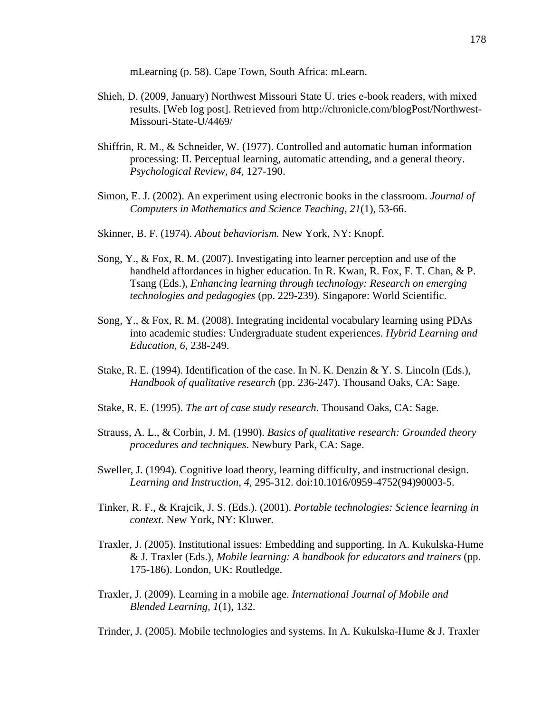mLearning (p. 58). Cape Town, South Africa: mLearn.

- Shieh, D. (2009, January) Northwest Missouri State U. tries e-book readers, with mixed results. [Web log post]. Retrieved from http://chronicle.com/blogPost/Northwest-Missouri-State-U/4469/
- Shiffrin, R. M., & Schneider, W. (1977). Controlled and automatic human information processing: II. Perceptual learning, automatic attending, and a general theory. *Psychological Review, 84,* 127-190.
- Simon, E. J. (2002). An experiment using electronic books in the classroom. *Journal of Computers in Mathematics and Science Teaching, 21*(1), 53-66.
- Skinner, B. F. (1974). *About behaviorism.* New York, NY: Knopf.
- Song, Y., & Fox, R. M. (2007). Investigating into learner perception and use of the handheld affordances in higher education. In R. Kwan, R. Fox, F. T. Chan, & P. Tsang (Eds.), *Enhancing learning through technology: Research on emerging technologies and pedagogies* (pp. 229-239). Singapore: World Scientific.
- Song, Y., & Fox, R. M. (2008). Integrating incidental vocabulary learning using PDAs into academic studies: Undergraduate student experiences. *Hybrid Learning and Education, 6*, 238-249.
- Stake, R. E. (1994). Identification of the case. In N. K. Denzin & Y. S. Lincoln (Eds.), *Handbook of qualitative research* (pp. 236-247). Thousand Oaks, CA: Sage.
- Stake, R. E. (1995). *The art of case study research*. Thousand Oaks, CA: Sage.
- Strauss, A. L., & Corbin, J. M. (1990). *Basics of qualitative research: Grounded theory procedures and techniques*. Newbury Park, CA: Sage.
- Sweller, J. (1994). Cognitive load theory, learning difficulty, and instructional design. *Learning and Instruction, 4,* 295-312. doi:10.1016/0959-4752(94)90003-5.
- Tinker, R. F., & Krajcik, J. S. (Eds.). (2001). *Portable technologies: Science learning in context*. New York, NY: Kluwer.
- Traxler, J. (2005). Institutional issues: Embedding and supporting. In A. Kukulska-Hume & J. Traxler (Eds.), *Mobile learning: A handbook for educators and trainers* (pp. 175-186). London, UK: Routledge.
- Traxler, J. (2009). Learning in a mobile age. *International Journal of Mobile and Blended Learning, 1*(1), 132.

Trinder, J. (2005). Mobile technologies and systems. In A. Kukulska-Hume & J. Traxler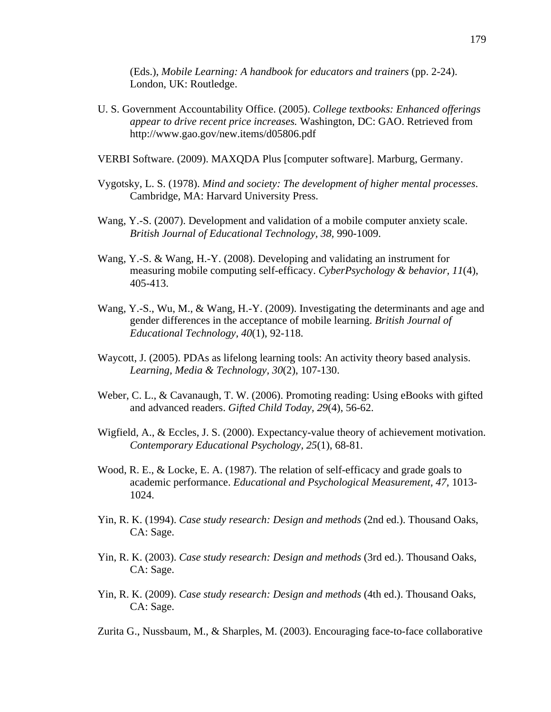(Eds.), *Mobile Learning: A handbook for educators and trainers* (pp. 2-24). London, UK: Routledge.

U. S. Government Accountability Office. (2005). *College textbooks: Enhanced offerings appear to drive recent price increases.* Washington, DC: GAO. Retrieved from http://www.gao.gov/new.items/d05806.pdf

VERBI Software. (2009). MAXQDA Plus [computer software]. Marburg, Germany.

- Vygotsky, L. S. (1978). *Mind and society: The development of higher mental processes*. Cambridge, MA: Harvard University Press.
- Wang, Y.-S. (2007). Development and validation of a mobile computer anxiety scale. *British Journal of Educational Technology, 38,* 990-1009.
- Wang, Y.-S. & Wang, H.-Y. (2008). Developing and validating an instrument for measuring mobile computing self-efficacy. *CyberPsychology & behavior, 11*(4), 405-413.
- Wang, Y.-S., Wu, M., & Wang, H.-Y. (2009). Investigating the determinants and age and gender differences in the acceptance of mobile learning. *British Journal of Educational Technology, 40*(1), 92-118.
- Waycott, J. (2005). PDAs as lifelong learning tools: An activity theory based analysis. *Learning, Media & Technology, 30*(2), 107-130.
- Weber, C. L., & Cavanaugh, T. W. (2006). Promoting reading: Using eBooks with gifted and advanced readers. *Gifted Child Today, 29*(4), 56-62.
- Wigfield, A., & Eccles, J. S. (2000). Expectancy-value theory of achievement motivation. *Contemporary Educational Psychology, 25*(1), 68-81.
- Wood, R. E., & Locke, E. A. (1987). The relation of self-efficacy and grade goals to academic performance. *Educational and Psychological Measurement, 47,* 1013- 1024.
- Yin, R. K. (1994). *Case study research: Design and methods* (2nd ed.). Thousand Oaks, CA: Sage.
- Yin, R. K. (2003). *Case study research: Design and methods* (3rd ed.). Thousand Oaks, CA: Sage.
- Yin, R. K. (2009). *Case study research: Design and methods* (4th ed.). Thousand Oaks, CA: Sage.
- Zurita G., Nussbaum, M., & Sharples, M. (2003). Encouraging face-to-face collaborative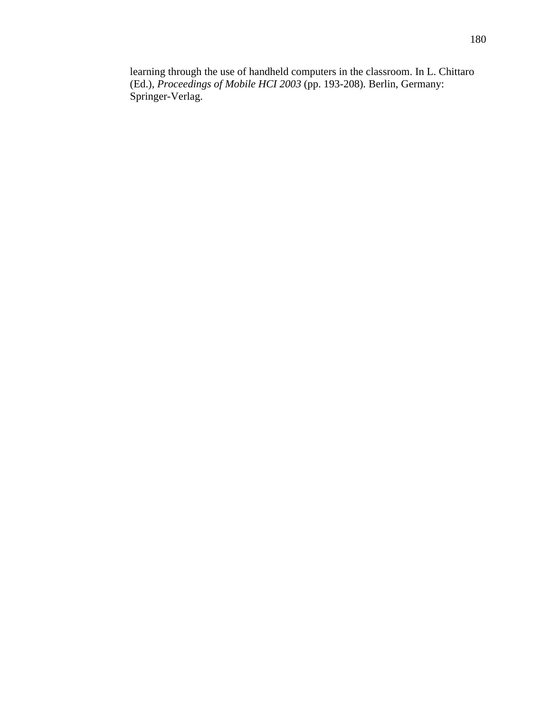learning through the use of handheld computers in the classroom. In L. Chittaro (Ed.), *Proceedings of Mobile HCI 2003* (pp. 193-208)*.* Berlin, Germany: Springer-Verlag.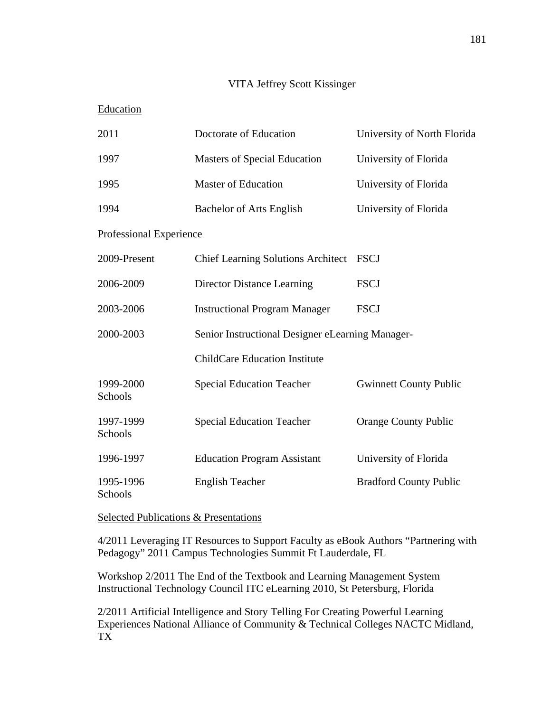## VITA Jeffrey Scott Kissinger

## Education

| 2011                    | Doctorate of Education                           | University of North Florida   |
|-------------------------|--------------------------------------------------|-------------------------------|
| 1997                    | <b>Masters of Special Education</b>              | University of Florida         |
| 1995                    | <b>Master of Education</b>                       | University of Florida         |
| 1994                    | <b>Bachelor of Arts English</b>                  | University of Florida         |
| Professional Experience |                                                  |                               |
| 2009-Present            | <b>Chief Learning Solutions Architect</b>        | <b>FSCJ</b>                   |
| 2006-2009               | <b>Director Distance Learning</b>                | <b>FSCJ</b>                   |
| 2003-2006               | <b>Instructional Program Manager</b>             | <b>FSCJ</b>                   |
| 2000-2003               | Senior Instructional Designer eLearning Manager- |                               |
|                         | <b>ChildCare Education Institute</b>             |                               |
| 1999-2000<br>Schools    | <b>Special Education Teacher</b>                 | <b>Gwinnett County Public</b> |
| 1997-1999<br>Schools    | <b>Special Education Teacher</b>                 | <b>Orange County Public</b>   |
| 1996-1997               | <b>Education Program Assistant</b>               | University of Florida         |
| 1995-1996<br>Schools    | <b>English Teacher</b>                           | <b>Bradford County Public</b> |

Selected Publications & Presentations

4/2011 Leveraging IT Resources to Support Faculty as eBook Authors "Partnering with Pedagogy" 2011 Campus Technologies Summit Ft Lauderdale, FL

Workshop 2/2011 The End of the Textbook and Learning Management System Instructional Technology Council ITC eLearning 2010, St Petersburg, Florida

2/2011 Artificial Intelligence and Story Telling For Creating Powerful Learning Experiences National Alliance of Community & Technical Colleges NACTC Midland, TX